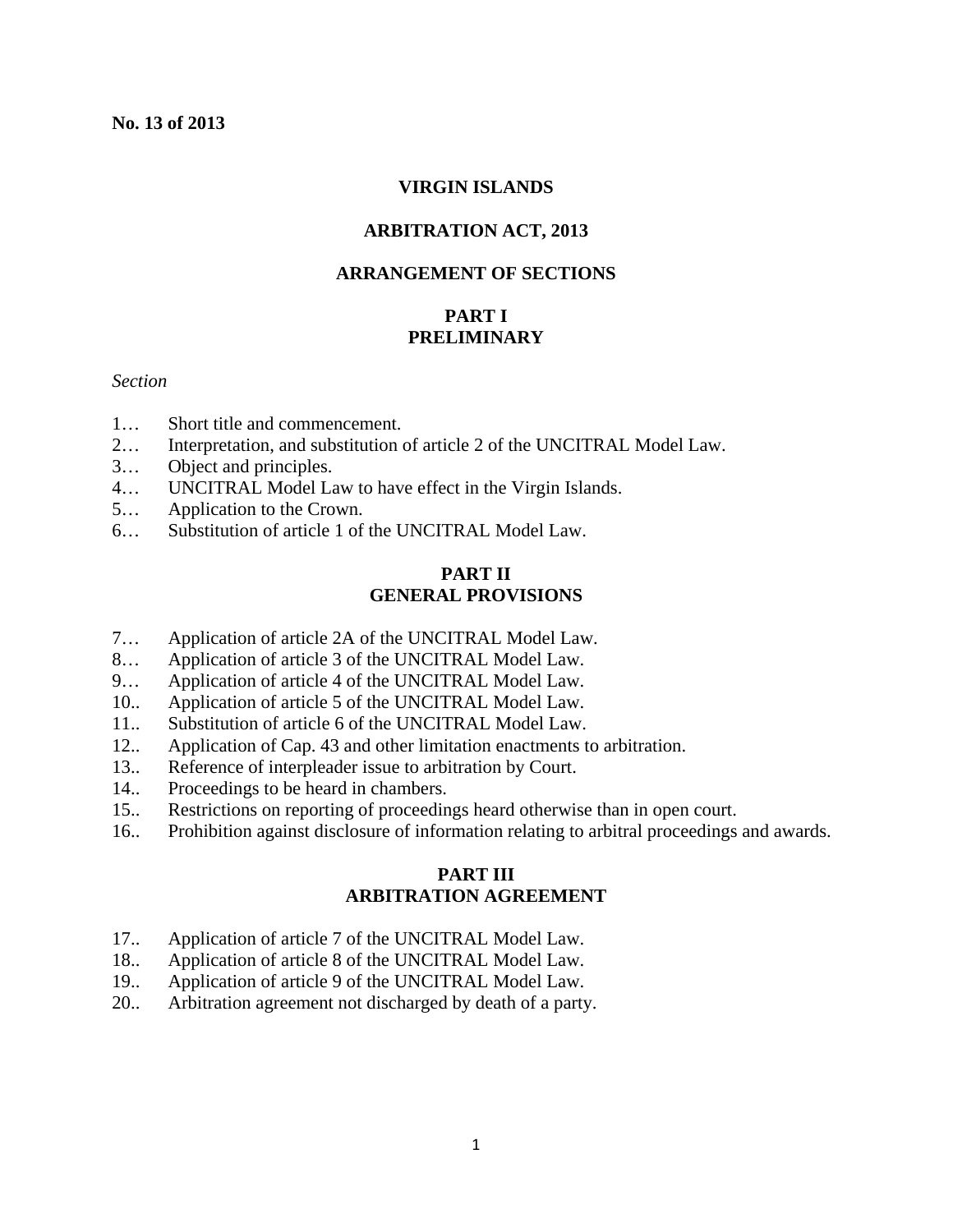#### **VIRGIN ISLANDS**

#### **ARBITRATION ACT, 2013**

#### **ARRANGEMENT OF SECTIONS**

# **PART I PRELIMINARY**

#### *Section*

- 1… Short title and commencement.
- 2… Interpretation, and substitution of article 2 of the UNCITRAL Model Law.
- 3… Object and principles.
- 4… UNCITRAL Model Law to have effect in the Virgin Islands.
- 5… Application to the Crown.
- 6… Substitution of article 1 of the UNCITRAL Model Law.

## **PART II GENERAL PROVISIONS**

- 7… Application of article 2A of the UNCITRAL Model Law.
- 8… Application of article 3 of the UNCITRAL Model Law.
- 9… Application of article 4 of the UNCITRAL Model Law.
- 10.. Application of article 5 of the UNCITRAL Model Law.
- 11.. Substitution of article 6 of the UNCITRAL Model Law.
- 12.. Application of Cap. 43 and other limitation enactments to arbitration.
- 13.. Reference of interpleader issue to arbitration by Court.
- 14.. Proceedings to be heard in chambers.
- 15.. Restrictions on reporting of proceedings heard otherwise than in open court.
- 16.. Prohibition against disclosure of information relating to arbitral proceedings and awards.

## **PART III ARBITRATION AGREEMENT**

- 17.. Application of article 7 of the UNCITRAL Model Law.
- 18.. Application of article 8 of the UNCITRAL Model Law.
- 19.. Application of article 9 of the UNCITRAL Model Law.
- 20.. Arbitration agreement not discharged by death of a party.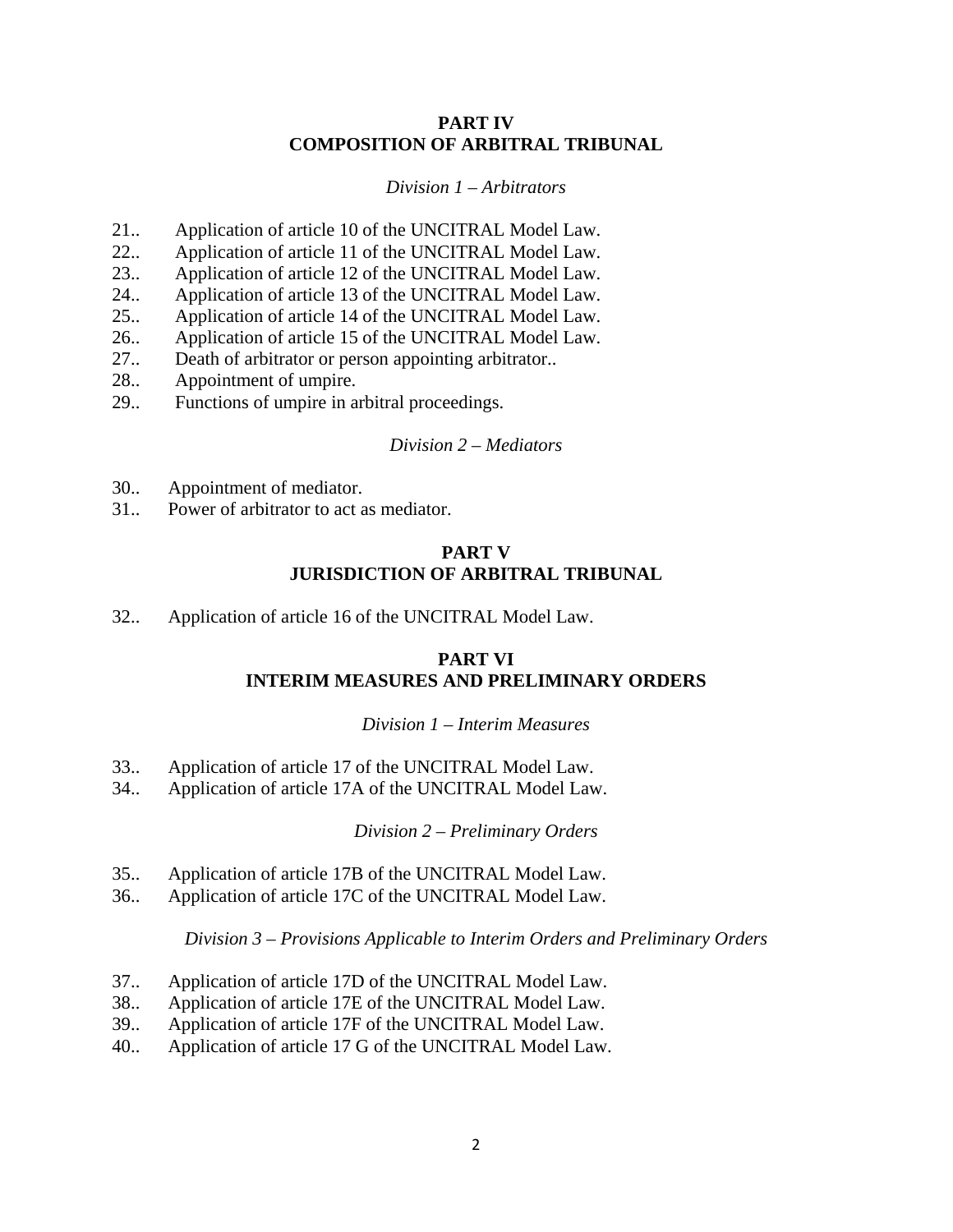## **PART IV COMPOSITION OF ARBITRAL TRIBUNAL**

#### *Division 1 – Arbitrators*

- 21.. Application of article 10 of the UNCITRAL Model Law.
- 22.. Application of article 11 of the UNCITRAL Model Law.
- 23.. Application of article 12 of the UNCITRAL Model Law.
- 24.. Application of article 13 of the UNCITRAL Model Law.
- 25.. Application of article 14 of the UNCITRAL Model Law.
- 26.. Application of article 15 of the UNCITRAL Model Law.
- 27.. Death of arbitrator or person appointing arbitrator..
- 28.. Appointment of umpire.
- 29.. Functions of umpire in arbitral proceedings.

#### *Division 2 – Mediators*

- 30.. Appointment of mediator.
- 31.. Power of arbitrator to act as mediator.

## **PART V JURISDICTION OF ARBITRAL TRIBUNAL**

32.. Application of article 16 of the UNCITRAL Model Law.

## **PART VI INTERIM MEASURES AND PRELIMINARY ORDERS**

#### *Division 1 – Interim Measures*

- 33.. Application of article 17 of the UNCITRAL Model Law.
- 34.. Application of article 17A of the UNCITRAL Model Law.

*Division 2 – Preliminary Orders* 

- 35.. Application of article 17B of the UNCITRAL Model Law.
- 36.. Application of article 17C of the UNCITRAL Model Law.

*Division 3 – Provisions Applicable to Interim Orders and Preliminary Orders* 

- 37.. Application of article 17D of the UNCITRAL Model Law.
- 38.. Application of article 17E of the UNCITRAL Model Law.
- 39.. Application of article 17F of the UNCITRAL Model Law.
- 40.. Application of article 17 G of the UNCITRAL Model Law.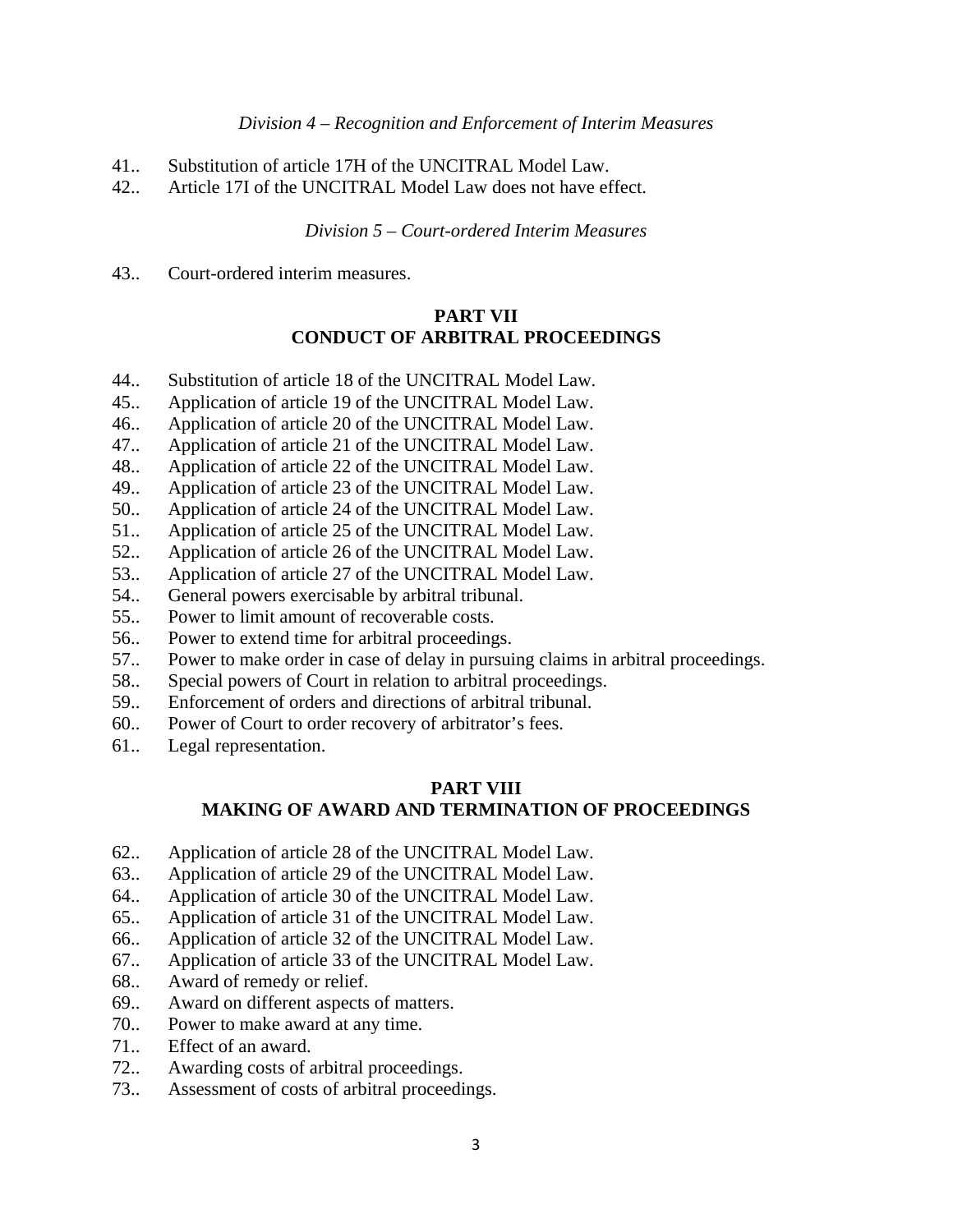#### *Division 4 – Recognition and Enforcement of Interim Measures*

- 41.. Substitution of article 17H of the UNCITRAL Model Law.
- 42.. Article 17I of the UNCITRAL Model Law does not have effect.

*Division 5 – Court-ordered Interim Measures* 

43.. Court-ordered interim measures.

## **PART VII CONDUCT OF ARBITRAL PROCEEDINGS**

- 44.. Substitution of article 18 of the UNCITRAL Model Law.
- 45.. Application of article 19 of the UNCITRAL Model Law.
- 46.. Application of article 20 of the UNCITRAL Model Law.
- 47.. Application of article 21 of the UNCITRAL Model Law.
- 48.. Application of article 22 of the UNCITRAL Model Law.
- 49.. Application of article 23 of the UNCITRAL Model Law.
- 50.. Application of article 24 of the UNCITRAL Model Law.
- 51.. Application of article 25 of the UNCITRAL Model Law.
- 52.. Application of article 26 of the UNCITRAL Model Law.
- 53.. Application of article 27 of the UNCITRAL Model Law.
- 54.. General powers exercisable by arbitral tribunal.
- 55.. Power to limit amount of recoverable costs.
- 56.. Power to extend time for arbitral proceedings.
- 57.. Power to make order in case of delay in pursuing claims in arbitral proceedings.
- 58.. Special powers of Court in relation to arbitral proceedings.
- 59.. Enforcement of orders and directions of arbitral tribunal.
- 60.. Power of Court to order recovery of arbitrator's fees.
- 61.. Legal representation.

## **PART VIII**

# **MAKING OF AWARD AND TERMINATION OF PROCEEDINGS**

- 62.. Application of article 28 of the UNCITRAL Model Law.
- 63.. Application of article 29 of the UNCITRAL Model Law.
- 64.. Application of article 30 of the UNCITRAL Model Law.
- 65.. Application of article 31 of the UNCITRAL Model Law.
- 66.. Application of article 32 of the UNCITRAL Model Law.
- 67.. Application of article 33 of the UNCITRAL Model Law.
- 68.. Award of remedy or relief.
- 69.. Award on different aspects of matters.
- 70.. Power to make award at any time.
- 71.. Effect of an award.
- 72.. Awarding costs of arbitral proceedings.
- 73.. Assessment of costs of arbitral proceedings.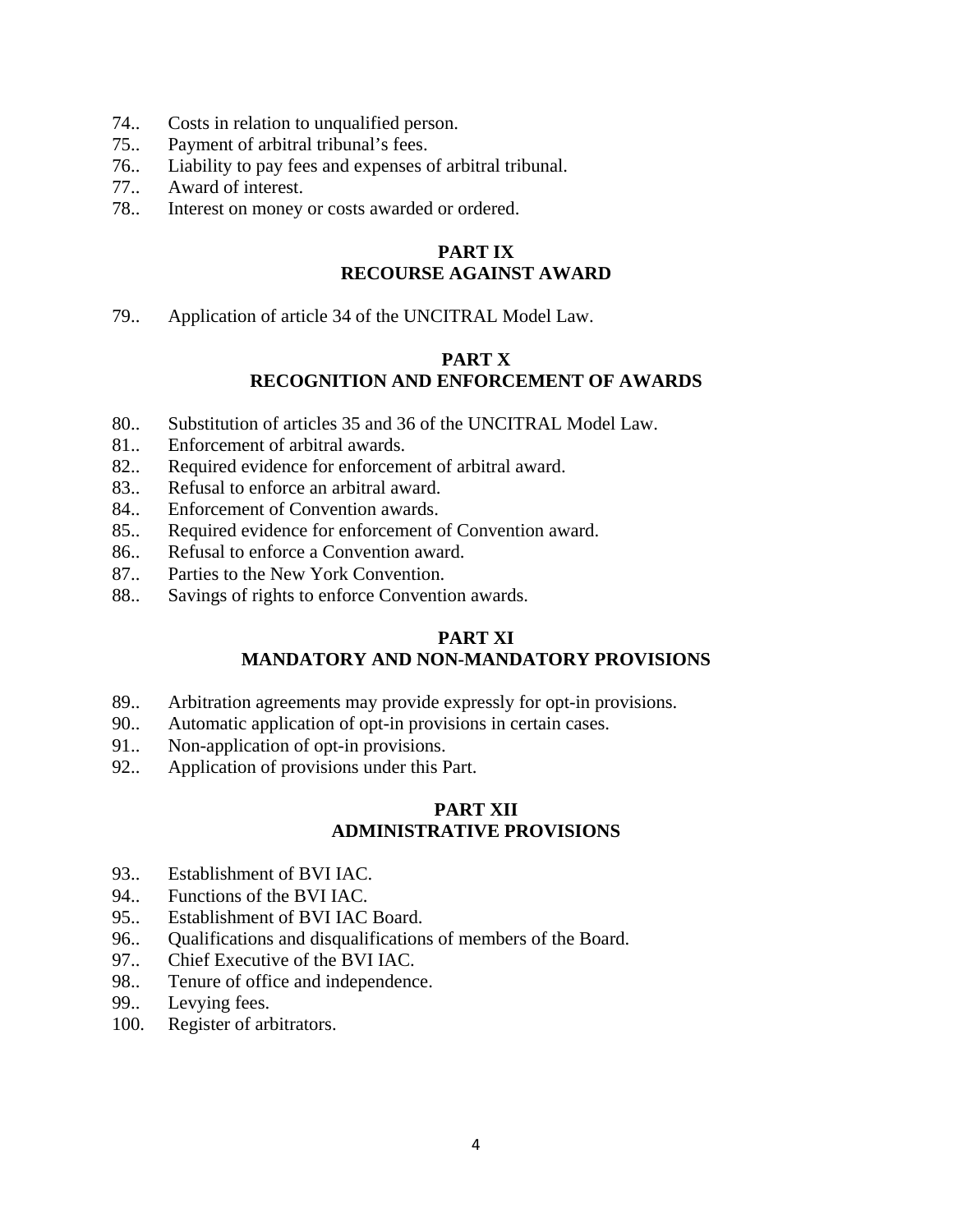- 74.. Costs in relation to unqualified person.
- 75.. Payment of arbitral tribunal's fees.
- 76.. Liability to pay fees and expenses of arbitral tribunal.
- 77.. Award of interest.
- 78.. Interest on money or costs awarded or ordered.

# **PART IX RECOURSE AGAINST AWARD**

79.. Application of article 34 of the UNCITRAL Model Law.

## **PART X RECOGNITION AND ENFORCEMENT OF AWARDS**

- 80.. Substitution of articles 35 and 36 of the UNCITRAL Model Law.
- 81.. Enforcement of arbitral awards.
- 82.. Required evidence for enforcement of arbitral award.
- 83.. Refusal to enforce an arbitral award.
- 84.. Enforcement of Convention awards.<br>85.. Required evidence for enforcement of
- Required evidence for enforcement of Convention award.
- 86.. Refusal to enforce a Convention award.
- 87.. Parties to the New York Convention.
- 88.. Savings of rights to enforce Convention awards.

# **PART XI MANDATORY AND NON-MANDATORY PROVISIONS**

- 89.. Arbitration agreements may provide expressly for opt-in provisions.
- 90.. Automatic application of opt-in provisions in certain cases.
- 91.. Non-application of opt-in provisions.
- 92.. Application of provisions under this Part.

# **PART XII ADMINISTRATIVE PROVISIONS**

- 93.. Establishment of BVI IAC.
- 94.. Functions of the BVI IAC.
- 95.. Establishment of BVI IAC Board.
- 96.. Qualifications and disqualifications of members of the Board.
- 97.. Chief Executive of the BVI IAC.
- 98.. Tenure of office and independence.
- 99.. Levying fees.
- 100. Register of arbitrators.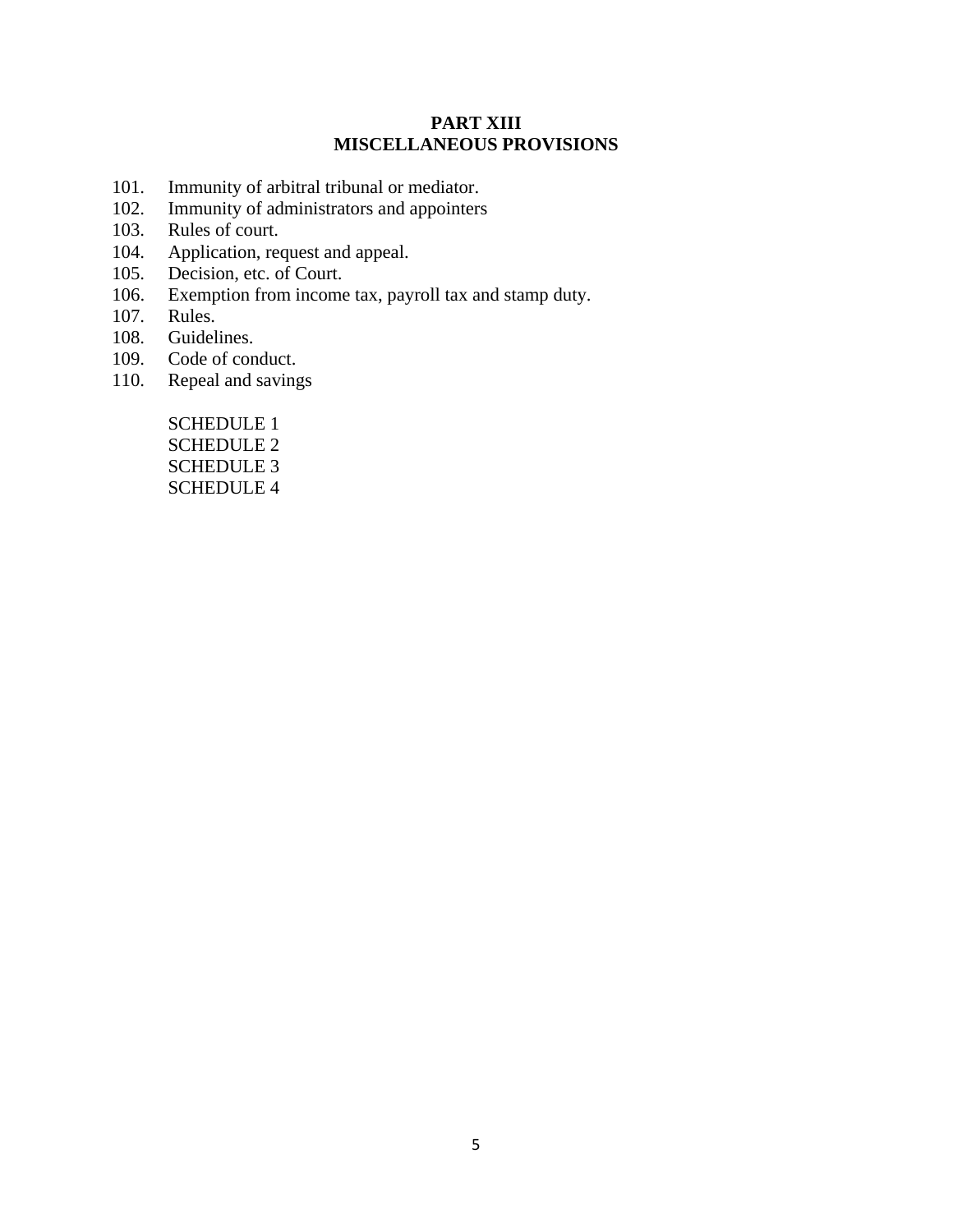## **PART XIII MISCELLANEOUS PROVISIONS**

- 101. Immunity of arbitral tribunal or mediator.<br>102. Immunity of administrators and appointers
- Immunity of administrators and appointers
- 103. Rules of court.
- 104. Application, request and appeal.
- 105. Decision, etc. of Court.
- 106. Exemption from income tax, payroll tax and stamp duty.
- 107. Rules.
- 108. Guidelines.
- 109. Code of conduct.
- 110. Repeal and savings

 SCHEDULE 1 SCHEDULE 2 SCHEDULE 3 SCHEDULE 4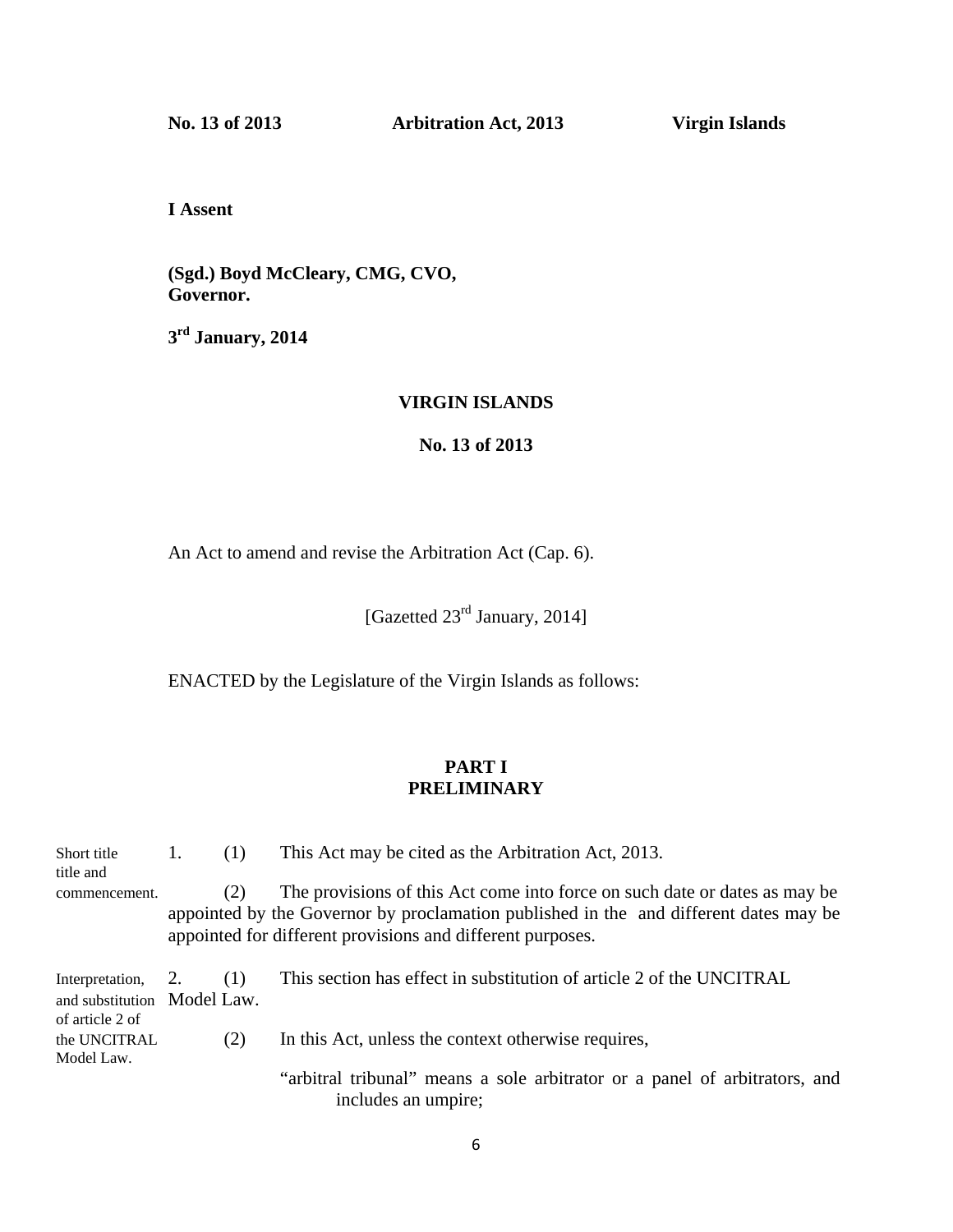**I Assent** 

**(Sgd.) Boyd McCleary, CMG, CVO, Governor.** 

 **3rd January, 2014** 

#### **VIRGIN ISLANDS**

#### **No. 13 of 2013**

An Act to amend and revise the Arbitration Act (Cap. 6).

[Gazetted 23<sup>rd</sup> January, 2014]

ENACTED by the Legislature of the Virgin Islands as follows:

#### **PART I PRELIMINARY**

| Short title<br>title and                       | 1.                                                         | (1)                                                                                   | This Act may be cited as the Arbitration Act, 2013.                                               |  |  |  |  |  |  |
|------------------------------------------------|------------------------------------------------------------|---------------------------------------------------------------------------------------|---------------------------------------------------------------------------------------------------|--|--|--|--|--|--|
| commencement.                                  |                                                            | (2)                                                                                   | The provisions of this Act come into force on such date or dates as may be                        |  |  |  |  |  |  |
|                                                |                                                            | appointed by the Governor by proclamation published in the and different dates may be |                                                                                                   |  |  |  |  |  |  |
|                                                | appointed for different provisions and different purposes. |                                                                                       |                                                                                                   |  |  |  |  |  |  |
| Interpretation,<br>and substitution Model Law. | 2.                                                         | (1)                                                                                   | This section has effect in substitution of article 2 of the UNCITRAL                              |  |  |  |  |  |  |
| of article 2 of                                |                                                            |                                                                                       |                                                                                                   |  |  |  |  |  |  |
| the UNCITRAL<br>Model Law.                     | (2)                                                        | In this Act, unless the context otherwise requires,                                   |                                                                                                   |  |  |  |  |  |  |
|                                                |                                                            |                                                                                       | "arbitral tribunal" means a sole arbitrator or a panel of arbitrators, and<br>includes an umpire; |  |  |  |  |  |  |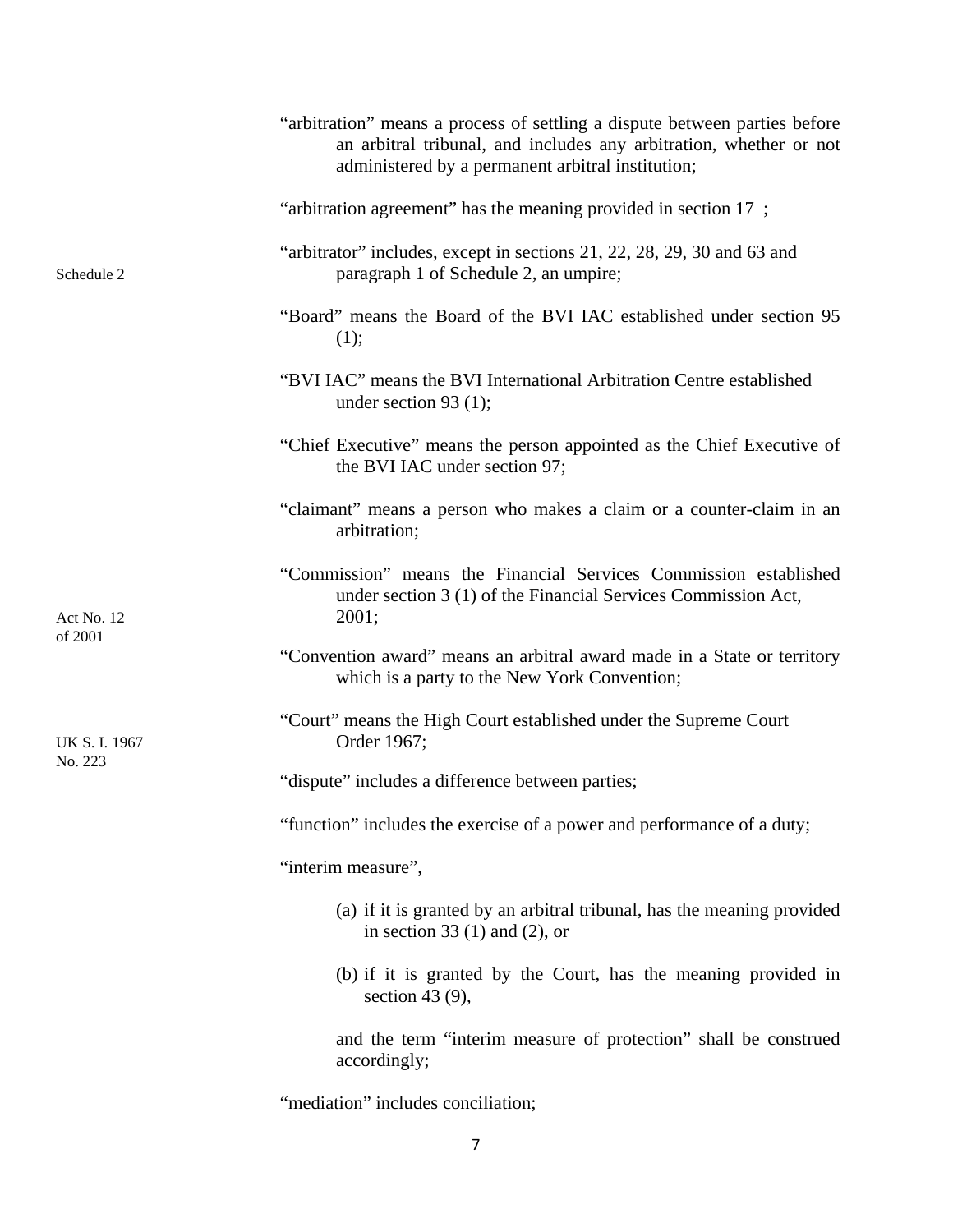|                      | "arbitration" means a process of settling a dispute between parties before<br>an arbitral tribunal, and includes any arbitration, whether or not<br>administered by a permanent arbitral institution; |
|----------------------|-------------------------------------------------------------------------------------------------------------------------------------------------------------------------------------------------------|
|                      | "arbitration agreement" has the meaning provided in section 17;                                                                                                                                       |
| Schedule 2           | "arbitrator" includes, except in sections 21, 22, 28, 29, 30 and 63 and<br>paragraph 1 of Schedule 2, an umpire;                                                                                      |
|                      | "Board" means the Board of the BVI IAC established under section 95<br>(1);                                                                                                                           |
|                      | "BVI IAC" means the BVI International Arbitration Centre established<br>under section 93 $(1)$ ;                                                                                                      |
|                      | "Chief Executive" means the person appointed as the Chief Executive of<br>the BVI IAC under section 97;                                                                                               |
|                      | "claimant" means a person who makes a claim or a counter-claim in an<br>arbitration;                                                                                                                  |
| Act No. 12           | "Commission" means the Financial Services Commission established<br>under section 3 (1) of the Financial Services Commission Act,<br>2001;                                                            |
| of 2001              | "Convention award" means an arbitral award made in a State or territory<br>which is a party to the New York Convention;                                                                               |
| <b>UK S. I. 1967</b> | "Court" means the High Court established under the Supreme Court<br>Order 1967;                                                                                                                       |
| No. 223              | "dispute" includes a difference between parties;                                                                                                                                                      |
|                      | "function" includes the exercise of a power and performance of a duty;                                                                                                                                |
|                      | "interim measure",                                                                                                                                                                                    |
|                      | (a) if it is granted by an arbitral tribunal, has the meaning provided<br>in section 33 $(1)$ and $(2)$ , or                                                                                          |
|                      | (b) if it is granted by the Court, has the meaning provided in<br>section 43 $(9)$ ,                                                                                                                  |
|                      | and the term "interim measure of protection" shall be construed<br>accordingly;                                                                                                                       |
|                      | "mediation" includes conciliation;                                                                                                                                                                    |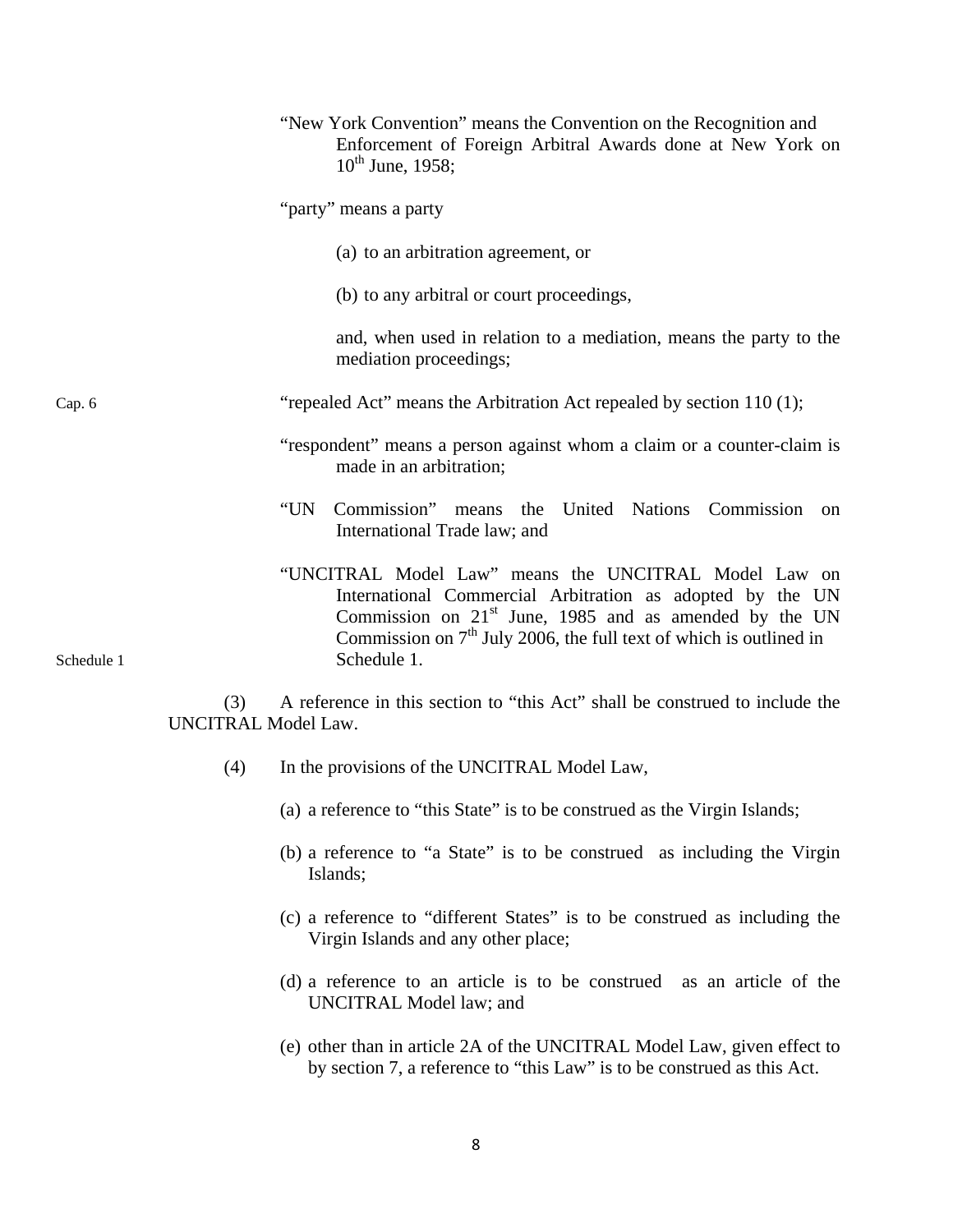|                                   | "New York Convention" means the Convention on the Recognition and<br>Enforcement of Foreign Arbitral Awards done at New York on<br>$10^{th}$ June, 1958;                                                                                                             |
|-----------------------------------|----------------------------------------------------------------------------------------------------------------------------------------------------------------------------------------------------------------------------------------------------------------------|
|                                   | "party" means a party                                                                                                                                                                                                                                                |
|                                   | (a) to an arbitration agreement, or                                                                                                                                                                                                                                  |
|                                   | (b) to any arbitral or court proceedings,                                                                                                                                                                                                                            |
|                                   | and, when used in relation to a mediation, means the party to the<br>mediation proceedings;                                                                                                                                                                          |
| Cap. 6                            | "repealed Act" means the Arbitration Act repealed by section 110 (1);                                                                                                                                                                                                |
|                                   | "respondent" means a person against whom a claim or a counter-claim is<br>made in an arbitration;                                                                                                                                                                    |
|                                   | Commission" means the United Nations Commission on<br>"UN<br>International Trade law; and                                                                                                                                                                            |
| Schedule 1                        | "UNCITRAL Model Law" means the UNCITRAL Model Law on<br>International Commercial Arbitration as adopted by the UN<br>Commission on $21st$ June, 1985 and as amended by the UN<br>Commission on $7th$ July 2006, the full text of which is outlined in<br>Schedule 1. |
| (3)<br><b>UNCITRAL Model Law.</b> | A reference in this section to "this Act" shall be construed to include the                                                                                                                                                                                          |
| (4)                               | In the provisions of the UNCITRAL Model Law,                                                                                                                                                                                                                         |
|                                   | (a) a reference to "this State" is to be construed as the Virgin Islands;                                                                                                                                                                                            |
|                                   | (b) a reference to "a State" is to be construed as including the Virgin<br>Islands;                                                                                                                                                                                  |
|                                   | (c) a reference to "different States" is to be construed as including the<br>Virgin Islands and any other place;                                                                                                                                                     |
|                                   | (d) a reference to an article is to be construed as an article of the<br>UNCITRAL Model law; and                                                                                                                                                                     |

(e) other than in article 2A of the UNCITRAL Model Law, given effect to by section 7, a reference to "this Law" is to be construed as this Act.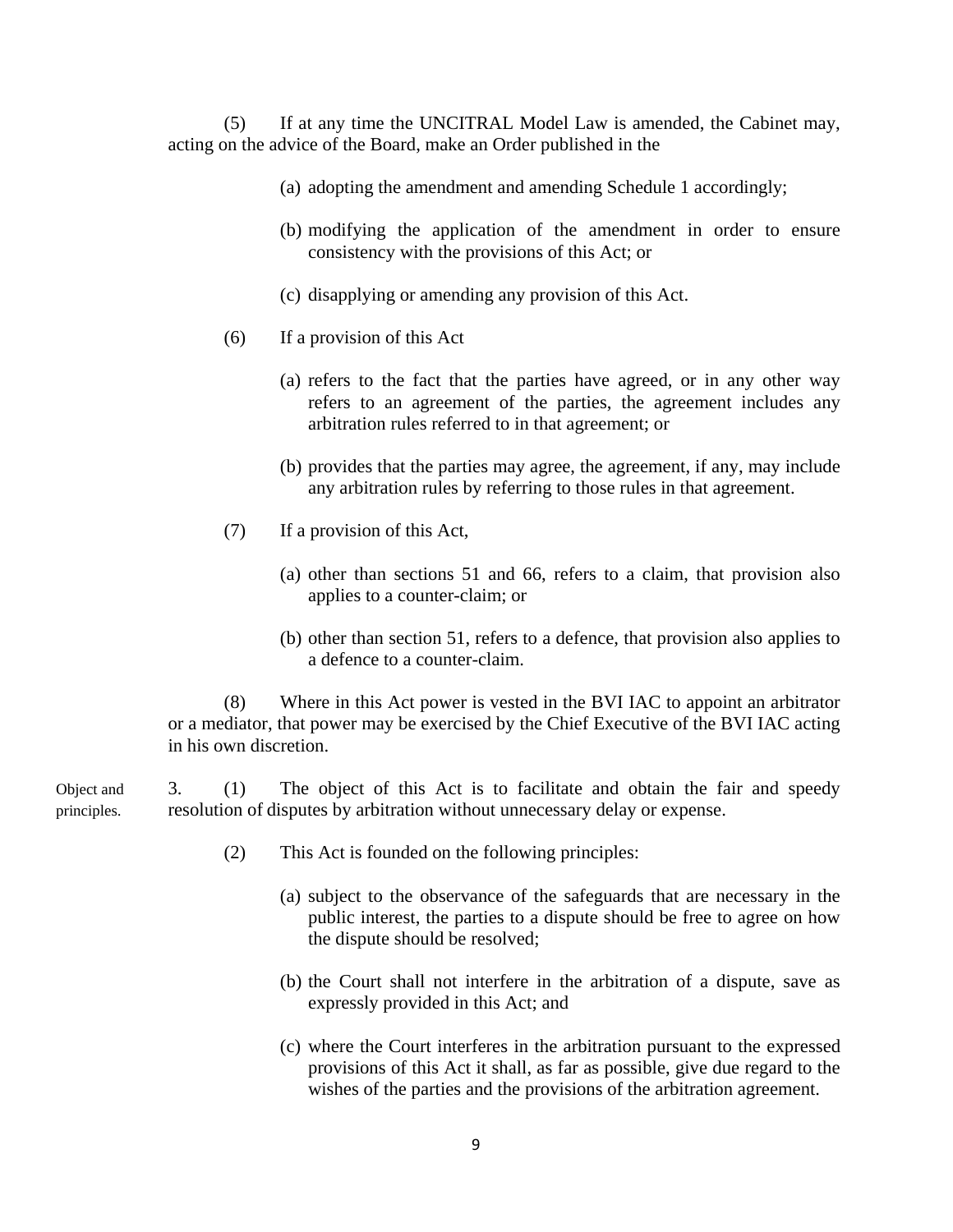(5) If at any time the UNCITRAL Model Law is amended, the Cabinet may, acting on the advice of the Board, make an Order published in the

- (a) adopting the amendment and amending Schedule 1 accordingly;
- (b) modifying the application of the amendment in order to ensure consistency with the provisions of this Act; or
- (c) disapplying or amending any provision of this Act.
- (6) If a provision of this Act
	- (a) refers to the fact that the parties have agreed, or in any other way refers to an agreement of the parties, the agreement includes any arbitration rules referred to in that agreement; or
	- (b) provides that the parties may agree, the agreement, if any, may include any arbitration rules by referring to those rules in that agreement.
- (7) If a provision of this Act,
	- (a) other than sections 51 and 66, refers to a claim, that provision also applies to a counter-claim; or
	- (b) other than section 51, refers to a defence, that provision also applies to a defence to a counter-claim.

(8) Where in this Act power is vested in the BVI IAC to appoint an arbitrator or a mediator, that power may be exercised by the Chief Executive of the BVI IAC acting in his own discretion.

Object and 3. (1) The object of this Act is to facilitate and obtain the fair and speedy principles. resolution of disputes by arbitration without unnecessary delay or expense.

- (2) This Act is founded on the following principles:
	- (a) subject to the observance of the safeguards that are necessary in the public interest, the parties to a dispute should be free to agree on how the dispute should be resolved;
	- (b) the Court shall not interfere in the arbitration of a dispute, save as expressly provided in this Act; and
	- (c) where the Court interferes in the arbitration pursuant to the expressed provisions of this Act it shall, as far as possible, give due regard to the wishes of the parties and the provisions of the arbitration agreement.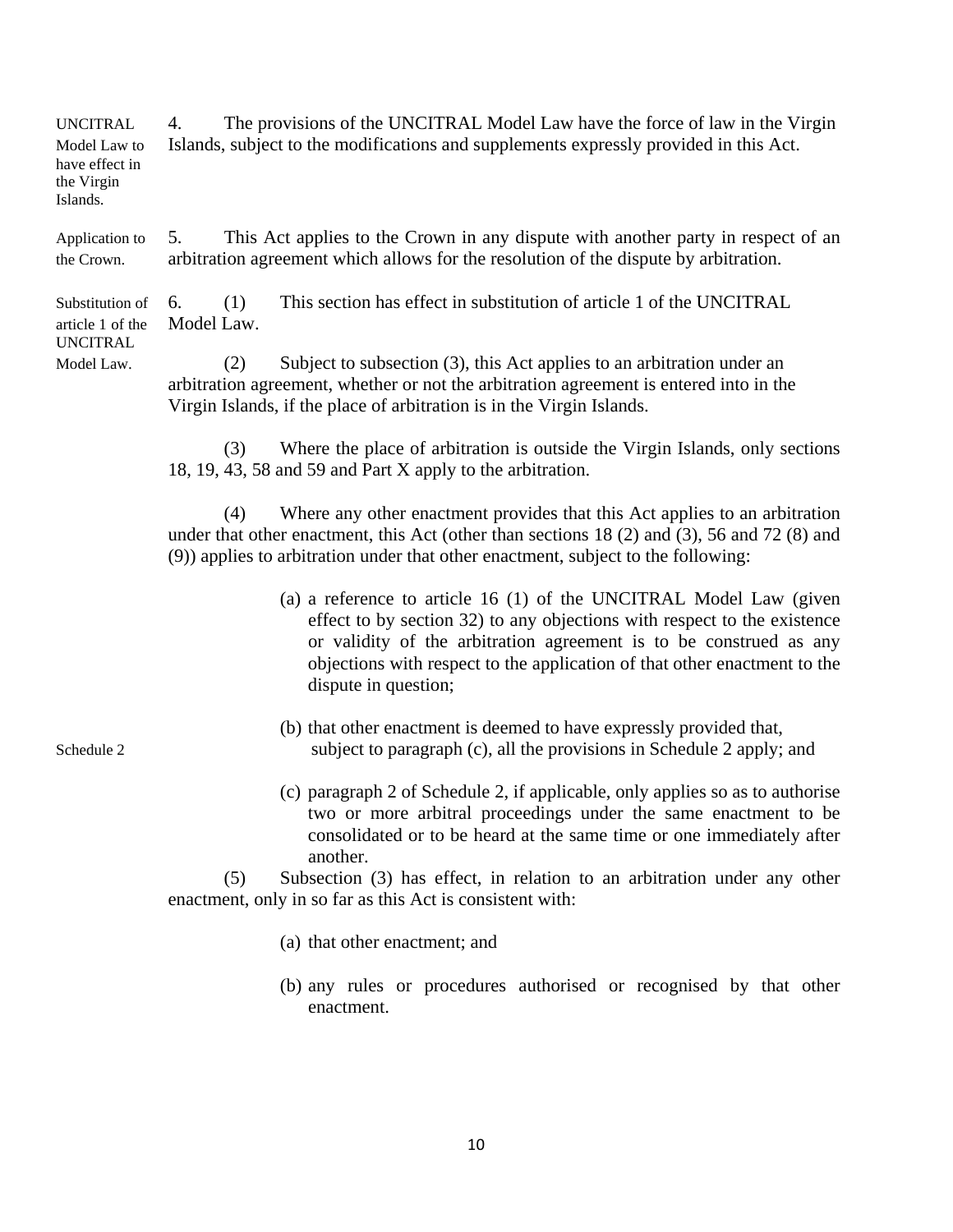UNCITRAL 4. The provisions of the UNCITRAL Model Law have the force of law in the Virgin Model Law to Islands, subject to the modifications and supplements expressly provided in this Act. have effect in the Virgin Islands.

Application to 5. This Act applies to the Crown in any dispute with another party in respect of an the Crown. arbitration agreement which allows for the resolution of the dispute by arbitration.

Substitution of 6. (1) This section has effect in substitution of article 1 of the UNCITRAL article 1 of the Model Law. UNCITRAL

Model Law. (2) Subject to subsection (3), this Act applies to an arbitration under an arbitration agreement, whether or not the arbitration agreement is entered into in the Virgin Islands, if the place of arbitration is in the Virgin Islands.

> (3) Where the place of arbitration is outside the Virgin Islands, only sections 18, 19, 43, 58 and 59 and Part X apply to the arbitration.

> (4) Where any other enactment provides that this Act applies to an arbitration under that other enactment, this Act (other than sections 18 (2) and (3), 56 and 72 (8) and (9)) applies to arbitration under that other enactment, subject to the following:

- (a) a reference to article 16 (1) of the UNCITRAL Model Law (given effect to by section 32) to any objections with respect to the existence or validity of the arbitration agreement is to be construed as any objections with respect to the application of that other enactment to the dispute in question;
- (b) that other enactment is deemed to have expressly provided that, Schedule 2 subject to paragraph (c), all the provisions in Schedule 2 apply; and
	- (c) paragraph 2 of Schedule 2, if applicable, only applies so as to authorise two or more arbitral proceedings under the same enactment to be consolidated or to be heard at the same time or one immediately after another.

(5) Subsection (3) has effect, in relation to an arbitration under any other enactment, only in so far as this Act is consistent with:

- (a) that other enactment; and
- (b) any rules or procedures authorised or recognised by that other enactment.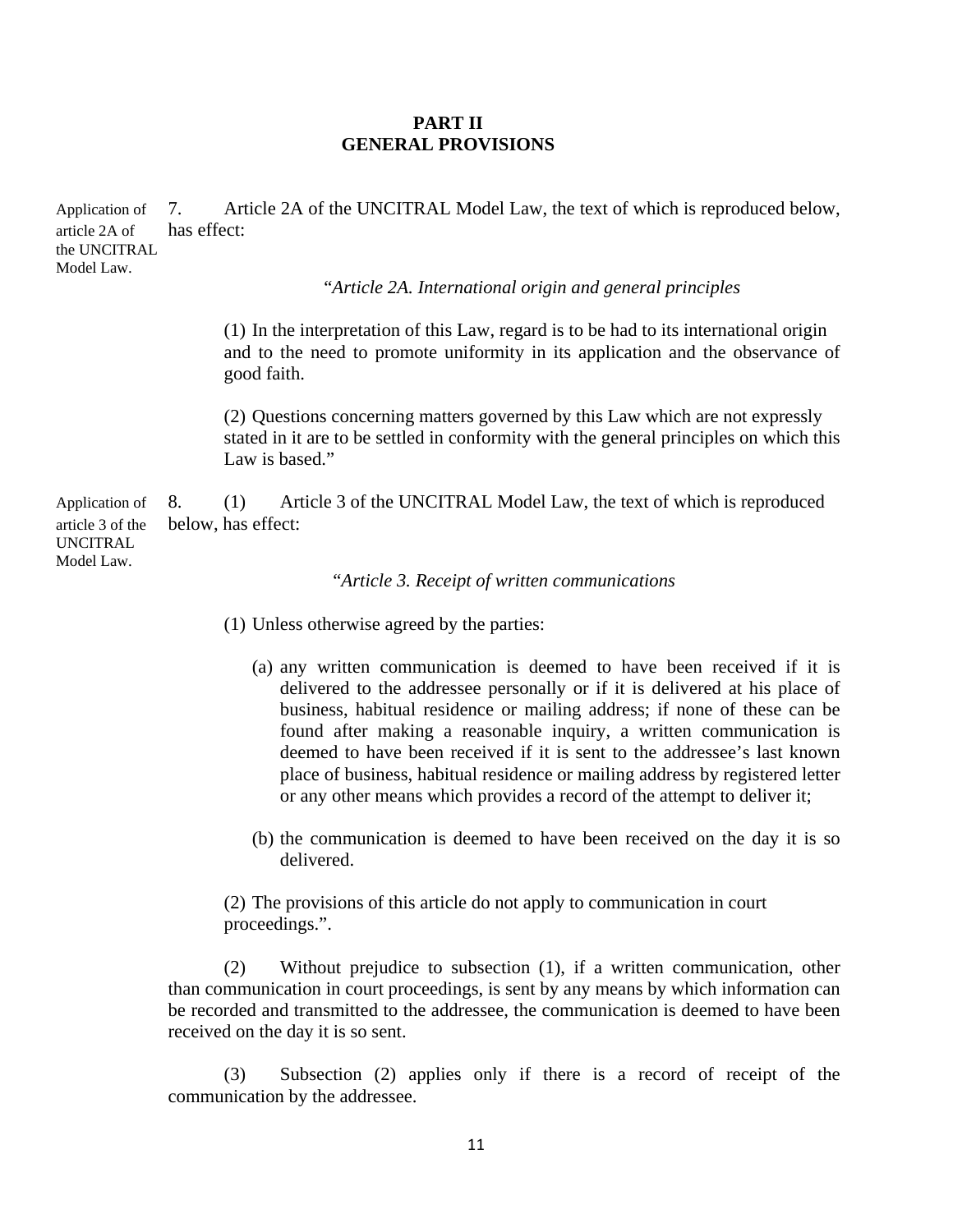#### **PART II GENERAL PROVISIONS**

Application of 7. Article 2A of the UNCITRAL Model Law, the text of which is reproduced below, article 2A of has effect: the UNCITRAL Model Law. "*Article 2A. International origin and general principles* 

> (1) In the interpretation of this Law, regard is to be had to its international origin and to the need to promote uniformity in its application and the observance of good faith.

> (2) Questions concerning matters governed by this Law which are not expressly stated in it are to be settled in conformity with the general principles on which this Law is based."

Application of 8. (1) Article 3 of the UNCITRAL Model Law, the text of which is reproduced article 3 of the below, has effect: UNCITRAL

"*Article 3. Receipt of written communications* 

(1) Unless otherwise agreed by the parties:

Model Law.

- (a) any written communication is deemed to have been received if it is delivered to the addressee personally or if it is delivered at his place of business, habitual residence or mailing address; if none of these can be found after making a reasonable inquiry, a written communication is deemed to have been received if it is sent to the addressee's last known place of business, habitual residence or mailing address by registered letter or any other means which provides a record of the attempt to deliver it;
- (b) the communication is deemed to have been received on the day it is so delivered.

(2) The provisions of this article do not apply to communication in court proceedings.".

(2) Without prejudice to subsection (1), if a written communication, other than communication in court proceedings, is sent by any means by which information can be recorded and transmitted to the addressee, the communication is deemed to have been received on the day it is so sent.

(3) Subsection (2) applies only if there is a record of receipt of the communication by the addressee.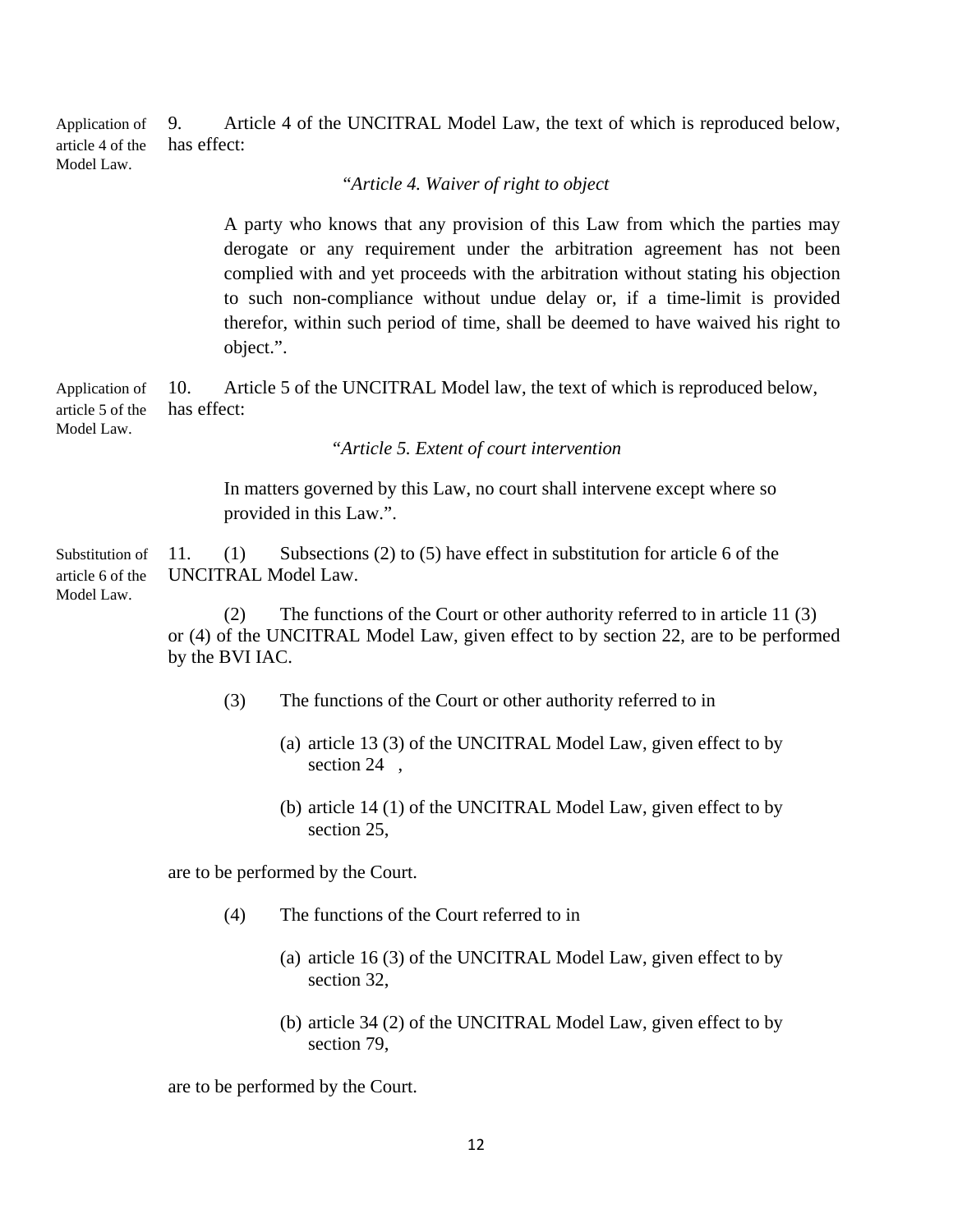Application of 9. Article 4 of the UNCITRAL Model Law, the text of which is reproduced below, article 4 of the has effect:

Model Law.

## "*Article 4. Waiver of right to object*

A party who knows that any provision of this Law from which the parties may derogate or any requirement under the arbitration agreement has not been complied with and yet proceeds with the arbitration without stating his objection to such non-compliance without undue delay or, if a time-limit is provided therefor, within such period of time, shall be deemed to have waived his right to object.".

Application of 10. Article 5 of the UNCITRAL Model law, the text of which is reproduced below, article 5 of the has effect: Model Law.

#### *"Article 5. Extent of court intervention*

In matters governed by this Law, no court shall intervene except where so provided in this Law.".

Substitution of 11. (1) Subsections (2) to (5) have effect in substitution for article 6 of the article 6 of the UNCITRAL Model Law. Model Law.

> (2) The functions of the Court or other authority referred to in article 11 (3) or (4) of the UNCITRAL Model Law, given effect to by section 22, are to be performed by the BVI IAC.

- (3) The functions of the Court or other authority referred to in
	- (a) article 13 (3) of the UNCITRAL Model Law, given effect to by section 24 ,
	- (b) article 14 (1) of the UNCITRAL Model Law, given effect to by section 25,

are to be performed by the Court.

- (4) The functions of the Court referred to in
	- (a) article 16 (3) of the UNCITRAL Model Law, given effect to by section 32,
	- (b) article 34 (2) of the UNCITRAL Model Law, given effect to by section 79,

are to be performed by the Court.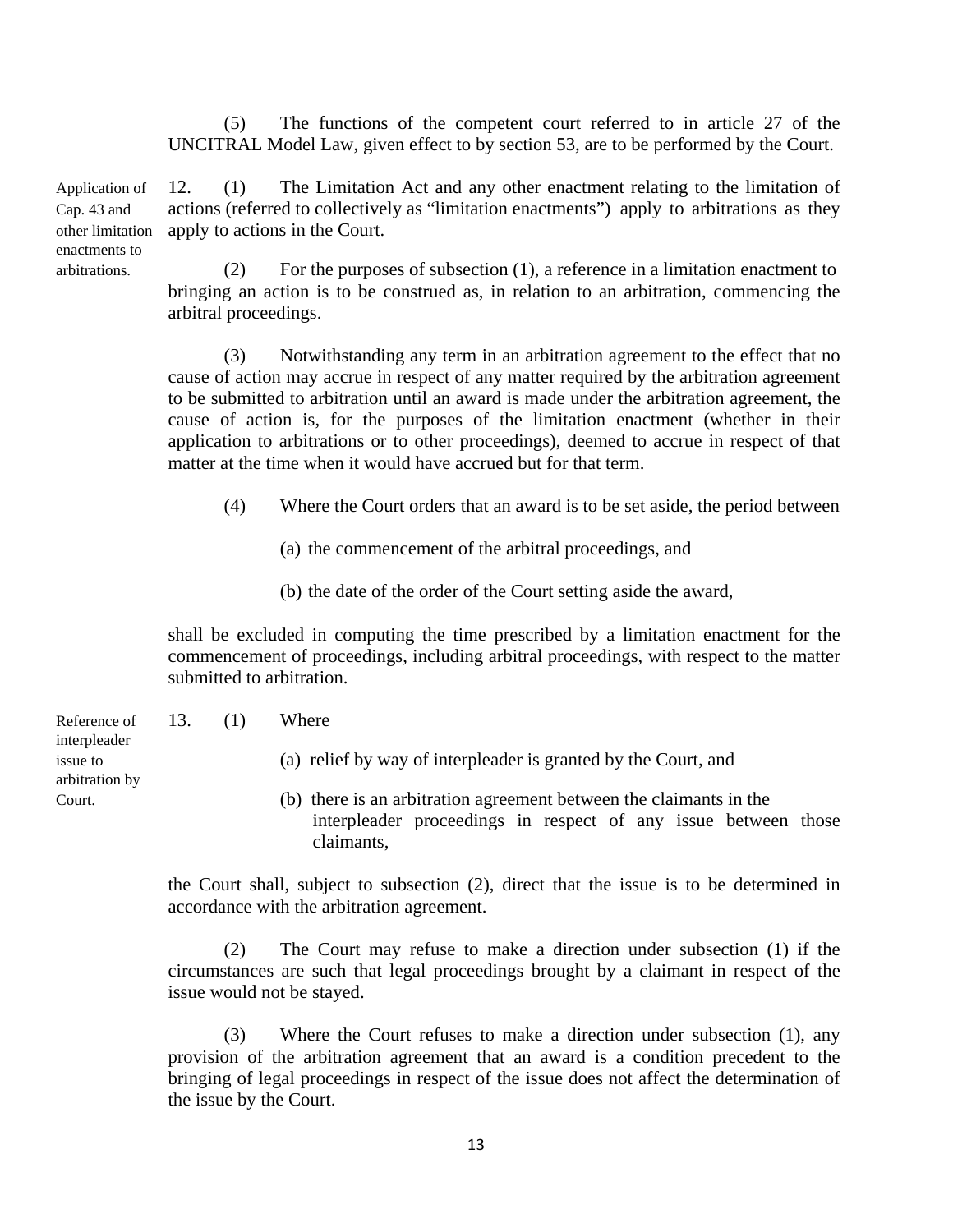(5) The functions of the competent court referred to in article 27 of the UNCITRAL Model Law, given effect to by section 53, are to be performed by the Court.

Application of 12. (1) The Limitation Act and any other enactment relating to the limitation of Cap. 43 and actions (referred to collectively as "limitation enactments") apply to arbitrations as they other limitation apply to actions in the Court.

arbitrations. (2) For the purposes of subsection (1), a reference in a limitation enactment to bringing an action is to be construed as, in relation to an arbitration, commencing the arbitral proceedings.

> (3) Notwithstanding any term in an arbitration agreement to the effect that no cause of action may accrue in respect of any matter required by the arbitration agreement to be submitted to arbitration until an award is made under the arbitration agreement, the cause of action is, for the purposes of the limitation enactment (whether in their application to arbitrations or to other proceedings), deemed to accrue in respect of that matter at the time when it would have accrued but for that term.

- (4) Where the Court orders that an award is to be set aside, the period between
	- (a) the commencement of the arbitral proceedings, and
	- (b) the date of the order of the Court setting aside the award,

shall be excluded in computing the time prescribed by a limitation enactment for the commencement of proceedings, including arbitral proceedings, with respect to the matter submitted to arbitration.

| Reference of 13.<br>interpleader |  | Where                                                                                                                                              |
|----------------------------------|--|----------------------------------------------------------------------------------------------------------------------------------------------------|
| issue to<br>arbitration by       |  | (a) relief by way of interpleader is granted by the Court, and                                                                                     |
| Court.                           |  | (b) there is an arbitration agreement between the claimants in the<br>interpleader proceedings in respect of any issue between those<br>claimants, |

the Court shall, subject to subsection (2), direct that the issue is to be determined in accordance with the arbitration agreement.

 (2) The Court may refuse to make a direction under subsection (1) if the circumstances are such that legal proceedings brought by a claimant in respect of the issue would not be stayed.

 (3) Where the Court refuses to make a direction under subsection (1), any provision of the arbitration agreement that an award is a condition precedent to the bringing of legal proceedings in respect of the issue does not affect the determination of the issue by the Court.

enactments to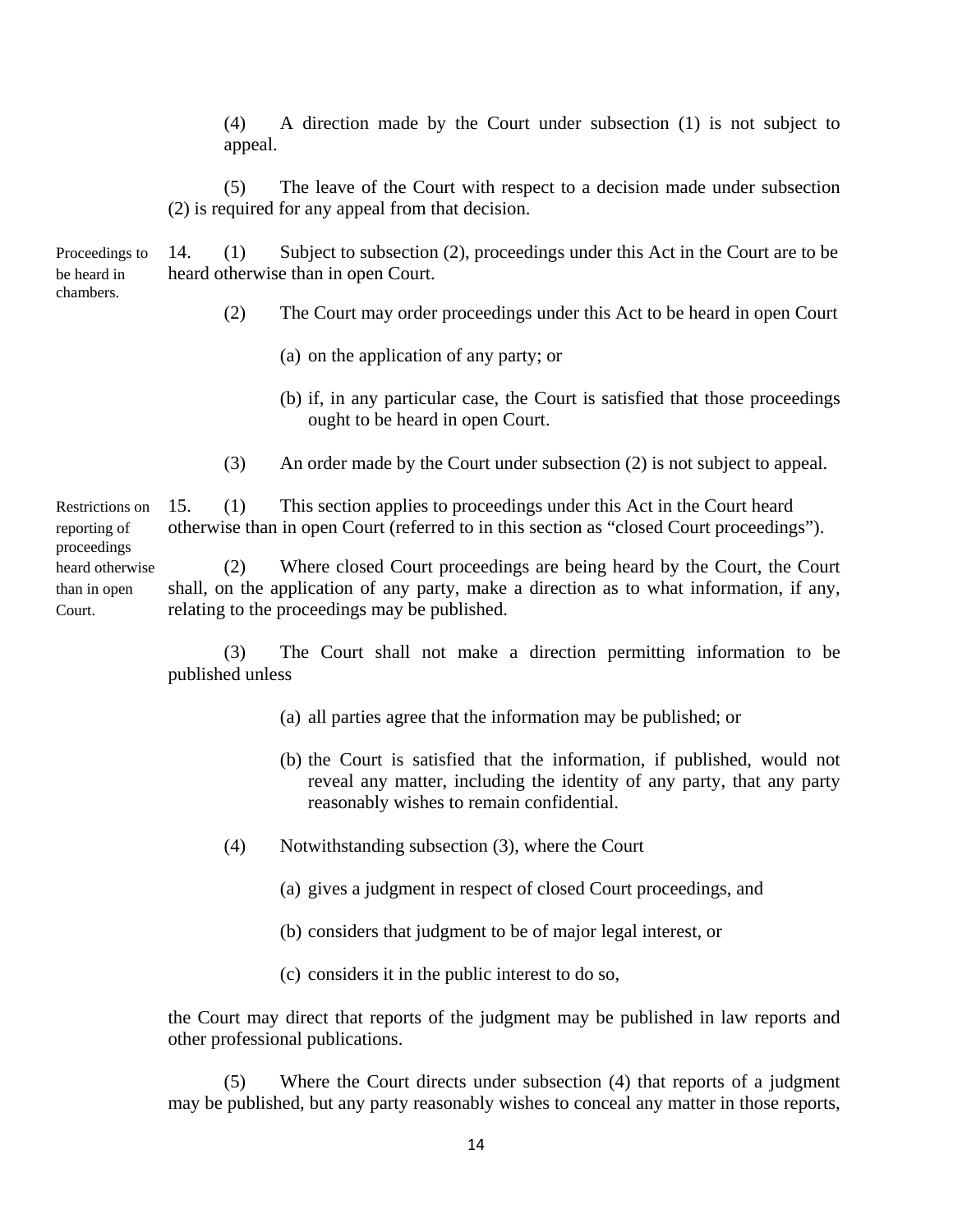(4) A direction made by the Court under subsection (1) is not subject to appeal.

(5) The leave of the Court with respect to a decision made under subsection (2) is required for any appeal from that decision.

Proceedings to 14. (1) Subject to subsection (2), proceedings under this Act in the Court are to be be heard in heard otherwise than in open Court. chambers.

- (2) The Court may order proceedings under this Act to be heard in open Court
	- (a) on the application of any party; or
	- (b) if, in any particular case, the Court is satisfied that those proceedings ought to be heard in open Court.
- (3) An order made by the Court under subsection (2) is not subject to appeal.

Restrictions on 15. (1) This section applies to proceedings under this Act in the Court heard reporting of otherwise than in open Court (referred to in this section as "closed Court proceedings"). proceedings heard otherwise (2) Where closed Court proceedings are being heard by the Court, the Court than in open shall, on the application of any party, make a direction as to what information, if any, Court. relating to the proceedings may be published.

> (3) The Court shall not make a direction permitting information to be published unless

- (a) all parties agree that the information may be published; or
- (b) the Court is satisfied that the information, if published, would not reveal any matter, including the identity of any party, that any party reasonably wishes to remain confidential.
- (4) Notwithstanding subsection (3), where the Court
	- (a) gives a judgment in respect of closed Court proceedings, and
	- (b) considers that judgment to be of major legal interest, or
	- (c) considers it in the public interest to do so,

the Court may direct that reports of the judgment may be published in law reports and other professional publications.

(5) Where the Court directs under subsection (4) that reports of a judgment may be published, but any party reasonably wishes to conceal any matter in those reports,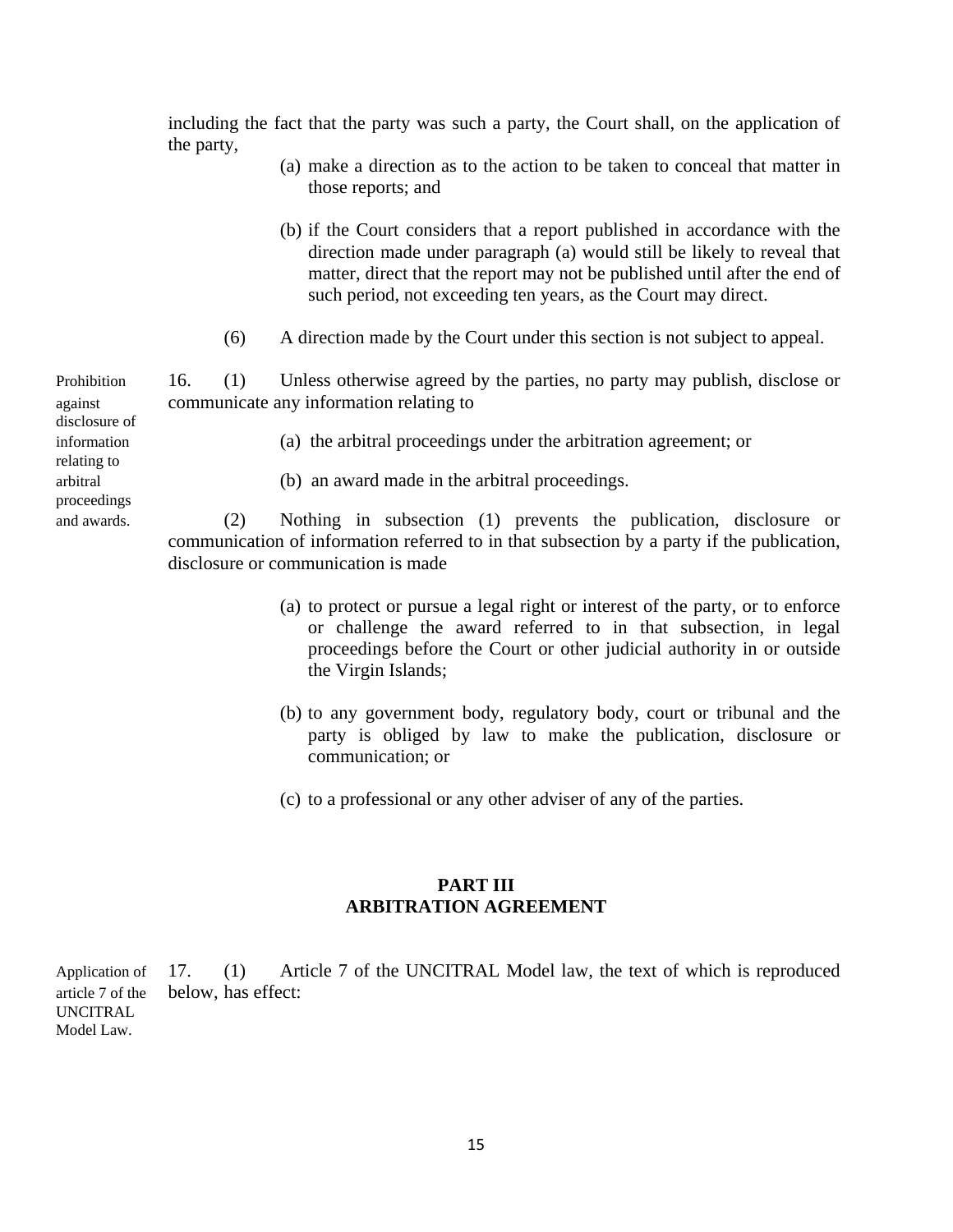including the fact that the party was such a party, the Court shall, on the application of the party,

- (a) make a direction as to the action to be taken to conceal that matter in those reports; and
- (b) if the Court considers that a report published in accordance with the direction made under paragraph (a) would still be likely to reveal that matter, direct that the report may not be published until after the end of such period, not exceeding ten years, as the Court may direct.
- (6) A direction made by the Court under this section is not subject to appeal.

Prohibition 16. (1) Unless otherwise agreed by the parties, no party may publish, disclose or against communicate any information relating to disclosure of

relating to proceedings

- information (a) the arbitral proceedings under the arbitration agreement; or
- arbitral (b) an award made in the arbitral proceedings.

and awards. (2) Nothing in subsection (1) prevents the publication, disclosure or communication of information referred to in that subsection by a party if the publication, disclosure or communication is made

- (a) to protect or pursue a legal right or interest of the party, or to enforce or challenge the award referred to in that subsection, in legal proceedings before the Court or other judicial authority in or outside the Virgin Islands;
- (b) to any government body, regulatory body, court or tribunal and the party is obliged by law to make the publication, disclosure or communication; or
- (c) to a professional or any other adviser of any of the parties.

#### **PART III ARBITRATION AGREEMENT**

Application of 17. (1) Article 7 of the UNCITRAL Model law, the text of which is reproduced article 7 of the below, has effect: UNCITRAL Model Law.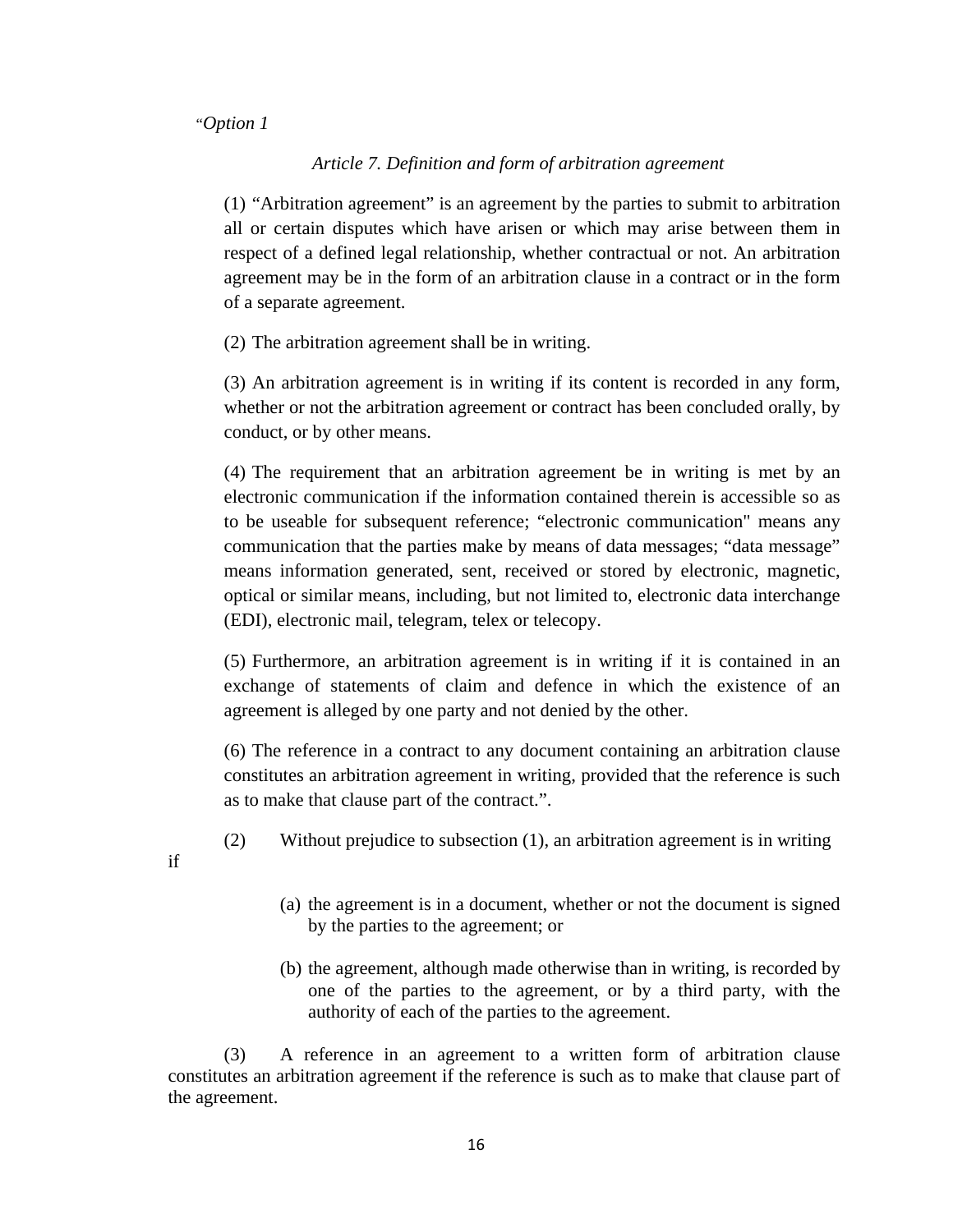## *Article 7. Definition and form of arbitration agreement*

(1) "Arbitration agreement" is an agreement by the parties to submit to arbitration all or certain disputes which have arisen or which may arise between them in respect of a defined legal relationship, whether contractual or not. An arbitration agreement may be in the form of an arbitration clause in a contract or in the form of a separate agreement.

(2) The arbitration agreement shall be in writing.

 (3) An arbitration agreement is in writing if its content is recorded in any form, whether or not the arbitration agreement or contract has been concluded orally, by conduct, or by other means.

 (4) The requirement that an arbitration agreement be in writing is met by an electronic communication if the information contained therein is accessible so as to be useable for subsequent reference; "electronic communication" means any communication that the parties make by means of data messages; "data message" means information generated, sent, received or stored by electronic, magnetic, optical or similar means, including, but not limited to, electronic data interchange (EDI), electronic mail, telegram, telex or telecopy.

 (5) Furthermore, an arbitration agreement is in writing if it is contained in an exchange of statements of claim and defence in which the existence of an agreement is alleged by one party and not denied by the other.

 (6) The reference in a contract to any document containing an arbitration clause constitutes an arbitration agreement in writing, provided that the reference is such as to make that clause part of the contract.".

(2) Without prejudice to subsection (1), an arbitration agreement is in writing

- if
- (a) the agreement is in a document, whether or not the document is signed by the parties to the agreement; or
- (b) the agreement, although made otherwise than in writing, is recorded by one of the parties to the agreement, or by a third party, with the authority of each of the parties to the agreement.

 (3) A reference in an agreement to a written form of arbitration clause constitutes an arbitration agreement if the reference is such as to make that clause part of the agreement.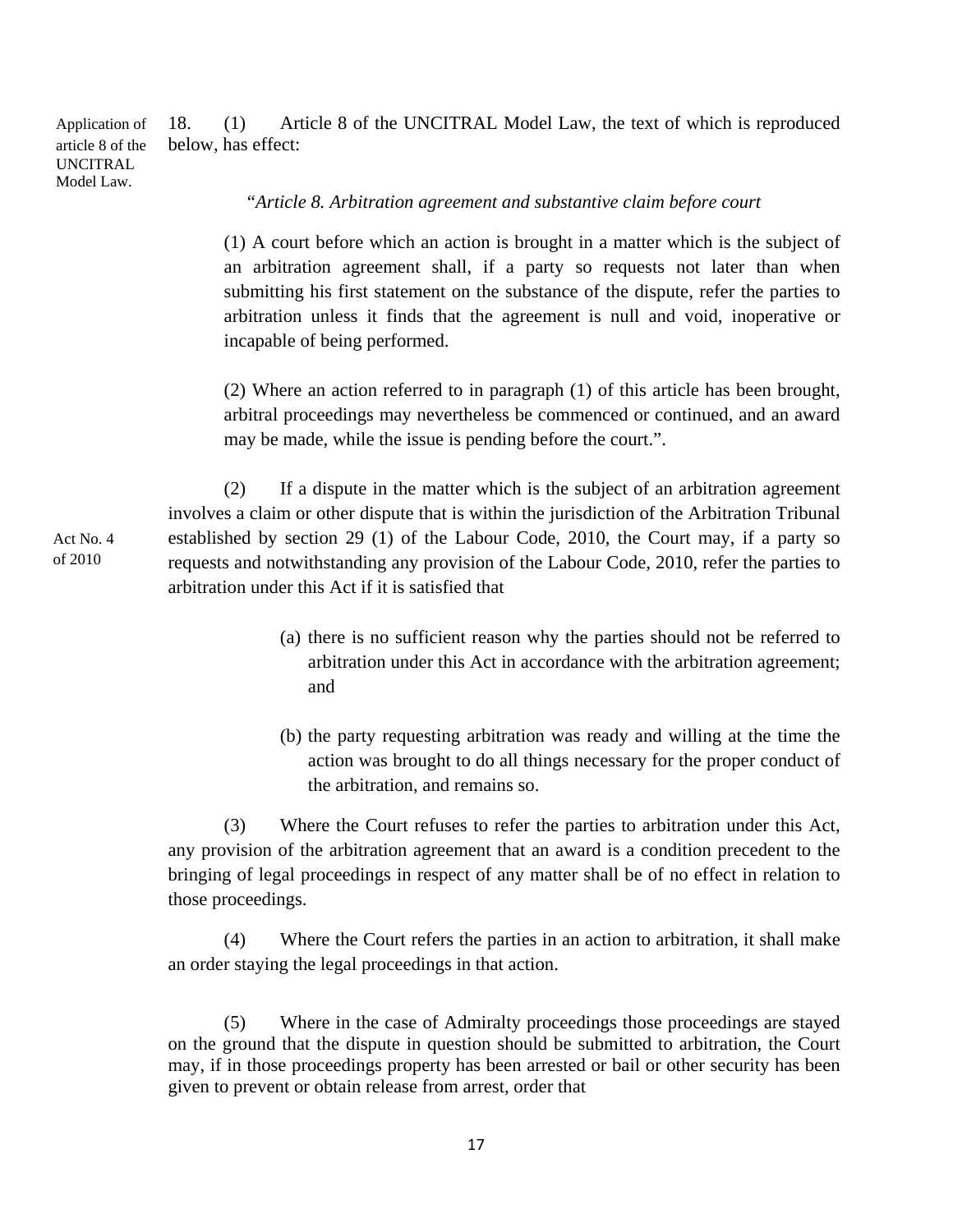Application of 18. (1) Article 8 of the UNCITRAL Model Law, the text of which is reproduced article 8 of the below, has effect: UNCITRAL

Model Law.

"*Article 8. Arbitration agreement and substantive claim before court* 

(1) A court before which an action is brought in a matter which is the subject of an arbitration agreement shall, if a party so requests not later than when submitting his first statement on the substance of the dispute, refer the parties to arbitration unless it finds that the agreement is null and void, inoperative or incapable of being performed.

(2) Where an action referred to in paragraph (1) of this article has been brought, arbitral proceedings may nevertheless be commenced or continued, and an award may be made, while the issue is pending before the court.".

(2) If a dispute in the matter which is the subject of an arbitration agreement involves a claim or other dispute that is within the jurisdiction of the Arbitration Tribunal established by section 29 (1) of the Labour Code, 2010, the Court may, if a party so requests and notwithstanding any provision of the Labour Code, 2010, refer the parties to arbitration under this Act if it is satisfied that

- (a) there is no sufficient reason why the parties should not be referred to arbitration under this Act in accordance with the arbitration agreement; and
- (b) the party requesting arbitration was ready and willing at the time the action was brought to do all things necessary for the proper conduct of the arbitration, and remains so.

 (3) Where the Court refuses to refer the parties to arbitration under this Act, any provision of the arbitration agreement that an award is a condition precedent to the bringing of legal proceedings in respect of any matter shall be of no effect in relation to those proceedings.

 (4) Where the Court refers the parties in an action to arbitration, it shall make an order staying the legal proceedings in that action.

(5) Where in the case of Admiralty proceedings those proceedings are stayed on the ground that the dispute in question should be submitted to arbitration, the Court may, if in those proceedings property has been arrested or bail or other security has been given to prevent or obtain release from arrest, order that

Act No. 4 of 2010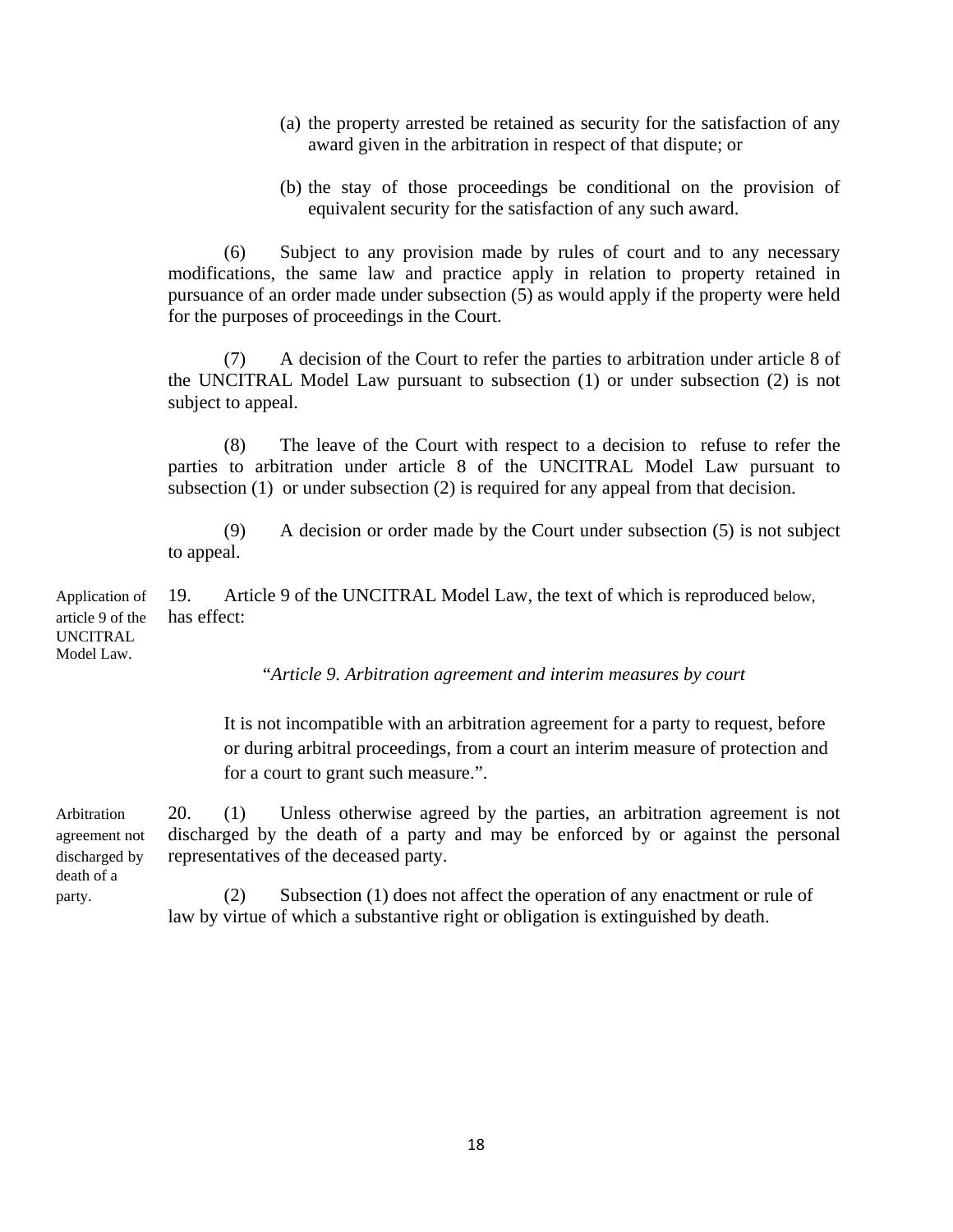- (a) the property arrested be retained as security for the satisfaction of any award given in the arbitration in respect of that dispute; or
- (b) the stay of those proceedings be conditional on the provision of equivalent security for the satisfaction of any such award.

(6) Subject to any provision made by rules of court and to any necessary modifications, the same law and practice apply in relation to property retained in pursuance of an order made under subsection (5) as would apply if the property were held for the purposes of proceedings in the Court.

(7) A decision of the Court to refer the parties to arbitration under article 8 of the UNCITRAL Model Law pursuant to subsection (1) or under subsection (2) is not subject to appeal.

(8) The leave of the Court with respect to a decision to refuse to refer the parties to arbitration under article 8 of the UNCITRAL Model Law pursuant to subsection (1) or under subsection (2) is required for any appeal from that decision.

(9) A decision or order made by the Court under subsection (5) is not subject to appeal.

Application of 19. Article 9 of the UNCITRAL Model Law, the text of which is reproduced below, article 9 of the has effect: UNCITRAL Model Law.

"*Article 9. Arbitration agreement and interim measures by court* 

It is not incompatible with an arbitration agreement for a party to request, before or during arbitral proceedings, from a court an interim measure of protection and for a court to grant such measure.".

Arbitration 20. (1) Unless otherwise agreed by the parties, an arbitration agreement is not agreement not discharged by the death of a party and may be enforced by or against the personal discharged by representatives of the deceased party. death of a

party. (2) Subsection (1) does not affect the operation of any enactment or rule of law by virtue of which a substantive right or obligation is extinguished by death.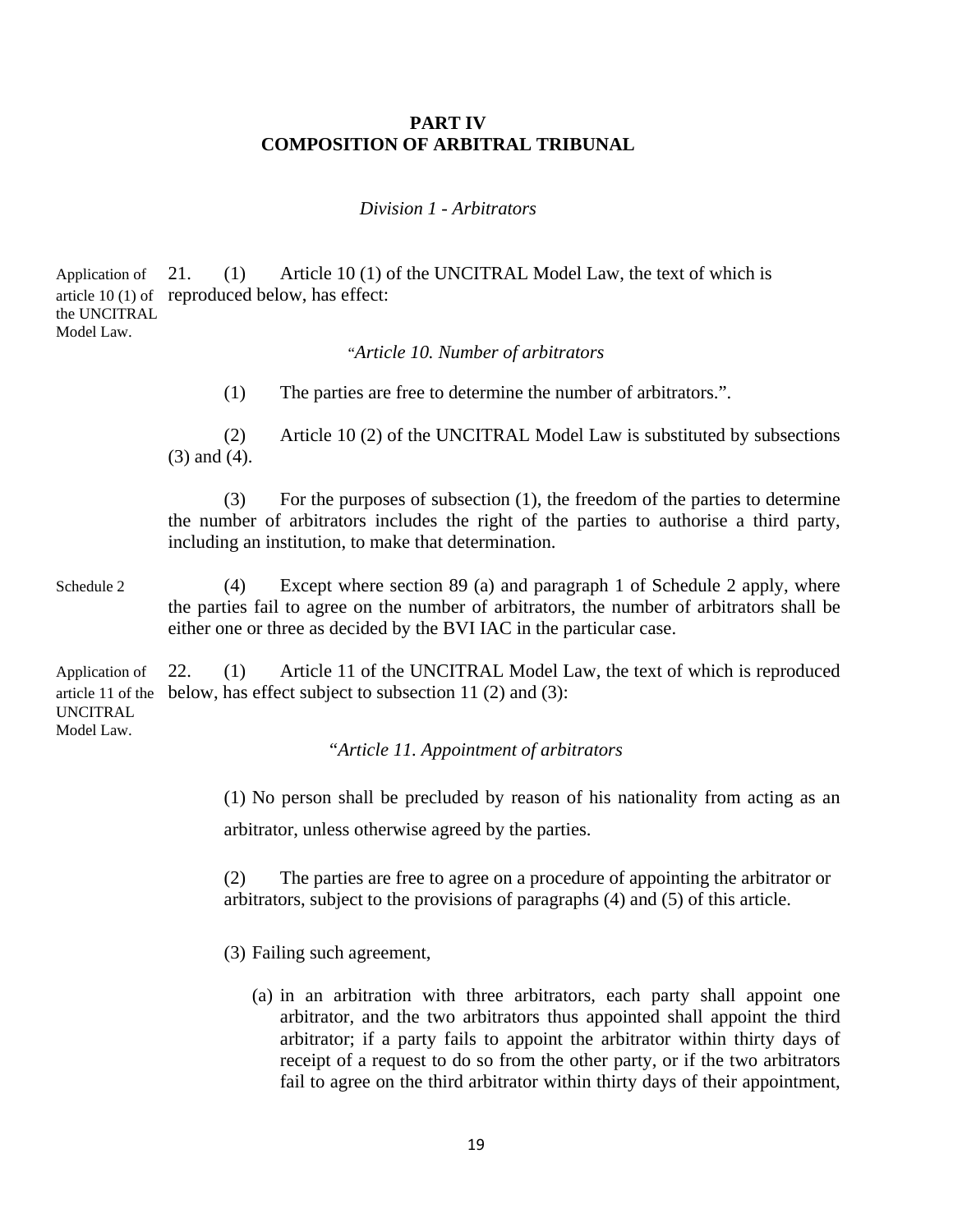## **PART IV COMPOSITION OF ARBITRAL TRIBUNAL**

#### *Division 1 - Arbitrators*

Application of  $21.$  (1) Article 10 (1) of the UNCITRAL Model Law, the text of which is article 10 (1) of reproduced below, has effect: the UNCITRAL Model Law.

#### "*Article 10. Number of arbitrators*

(1) The parties are free to determine the number of arbitrators.".

(2) Article 10 (2) of the UNCITRAL Model Law is substituted by subsections (3) and (4).

(3) For the purposes of subsection (1), the freedom of the parties to determine the number of arbitrators includes the right of the parties to authorise a third party, including an institution, to make that determination.

Schedule 2 (4) Except where section 89 (a) and paragraph 1 of Schedule 2 apply, where the parties fail to agree on the number of arbitrators, the number of arbitrators shall be either one or three as decided by the BVI IAC in the particular case.

Application of 22. (1) Article 11 of the UNCITRAL Model Law, the text of which is reproduced article 11 of the below, has effect subject to subsection 11 (2) and (3): UNCITRAL Model Law.

"*Article 11. Appointment of arbitrators* 

(1) No person shall be precluded by reason of his nationality from acting as an arbitrator, unless otherwise agreed by the parties.

(2) The parties are free to agree on a procedure of appointing the arbitrator or arbitrators, subject to the provisions of paragraphs (4) and (5) of this article.

(3) Failing such agreement,

(a) in an arbitration with three arbitrators, each party shall appoint one arbitrator, and the two arbitrators thus appointed shall appoint the third arbitrator; if a party fails to appoint the arbitrator within thirty days of receipt of a request to do so from the other party, or if the two arbitrators fail to agree on the third arbitrator within thirty days of their appointment,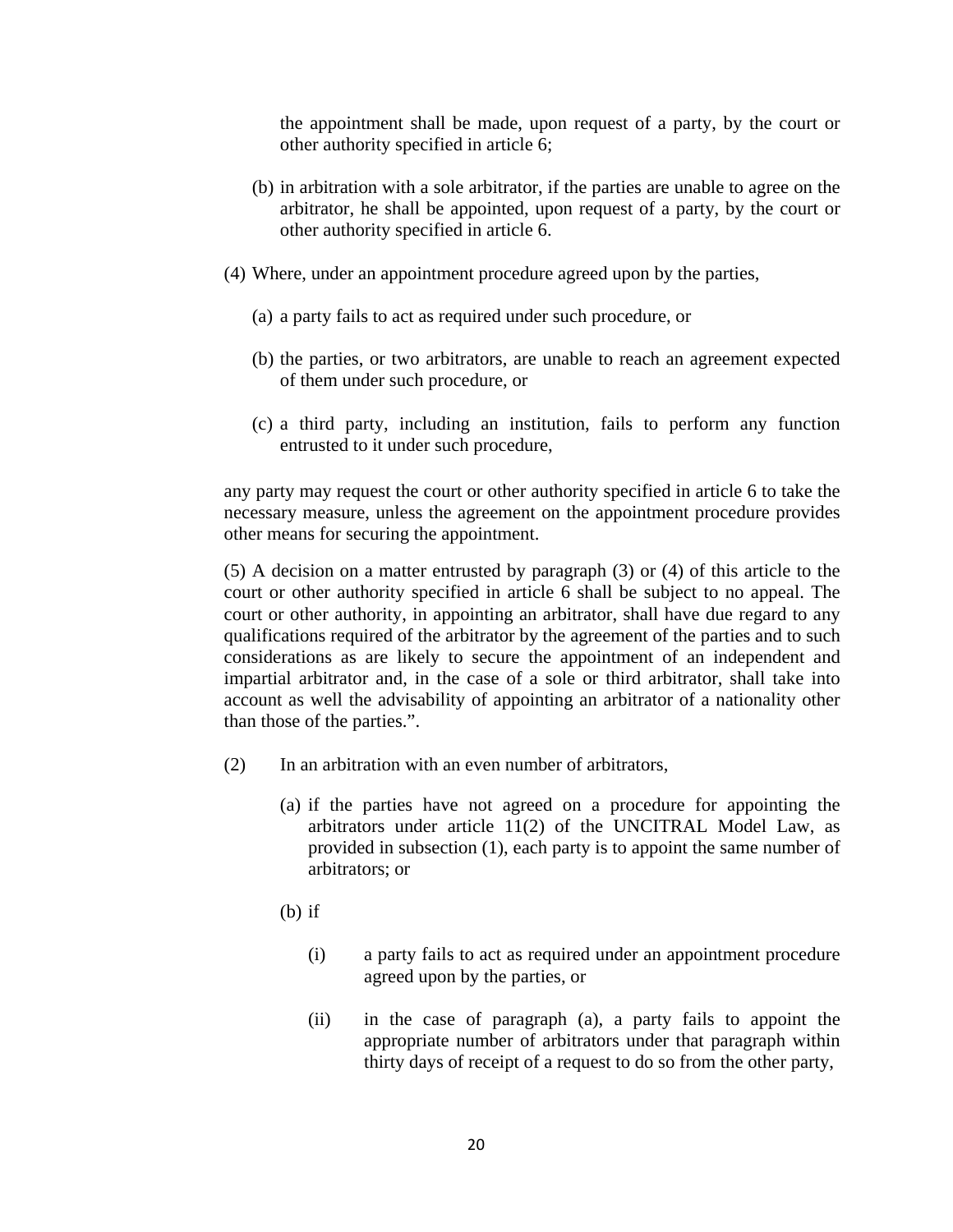the appointment shall be made, upon request of a party, by the court or other authority specified in article 6;

- (b) in arbitration with a sole arbitrator, if the parties are unable to agree on the arbitrator, he shall be appointed, upon request of a party, by the court or other authority specified in article 6.
- (4) Where, under an appointment procedure agreed upon by the parties,
	- (a) a party fails to act as required under such procedure, or
	- (b) the parties, or two arbitrators, are unable to reach an agreement expected of them under such procedure, or
	- (c) a third party, including an institution, fails to perform any function entrusted to it under such procedure,

any party may request the court or other authority specified in article 6 to take the necessary measure, unless the agreement on the appointment procedure provides other means for securing the appointment.

(5) A decision on a matter entrusted by paragraph (3) or (4) of this article to the court or other authority specified in article 6 shall be subject to no appeal. The court or other authority, in appointing an arbitrator, shall have due regard to any qualifications required of the arbitrator by the agreement of the parties and to such considerations as are likely to secure the appointment of an independent and impartial arbitrator and, in the case of a sole or third arbitrator, shall take into account as well the advisability of appointing an arbitrator of a nationality other than those of the parties.".

- (2) In an arbitration with an even number of arbitrators,
	- (a) if the parties have not agreed on a procedure for appointing the arbitrators under article 11(2) of the UNCITRAL Model Law, as provided in subsection (1), each party is to appoint the same number of arbitrators; or
	- (b) if
		- (i) a party fails to act as required under an appointment procedure agreed upon by the parties, or
		- (ii) in the case of paragraph (a), a party fails to appoint the appropriate number of arbitrators under that paragraph within thirty days of receipt of a request to do so from the other party,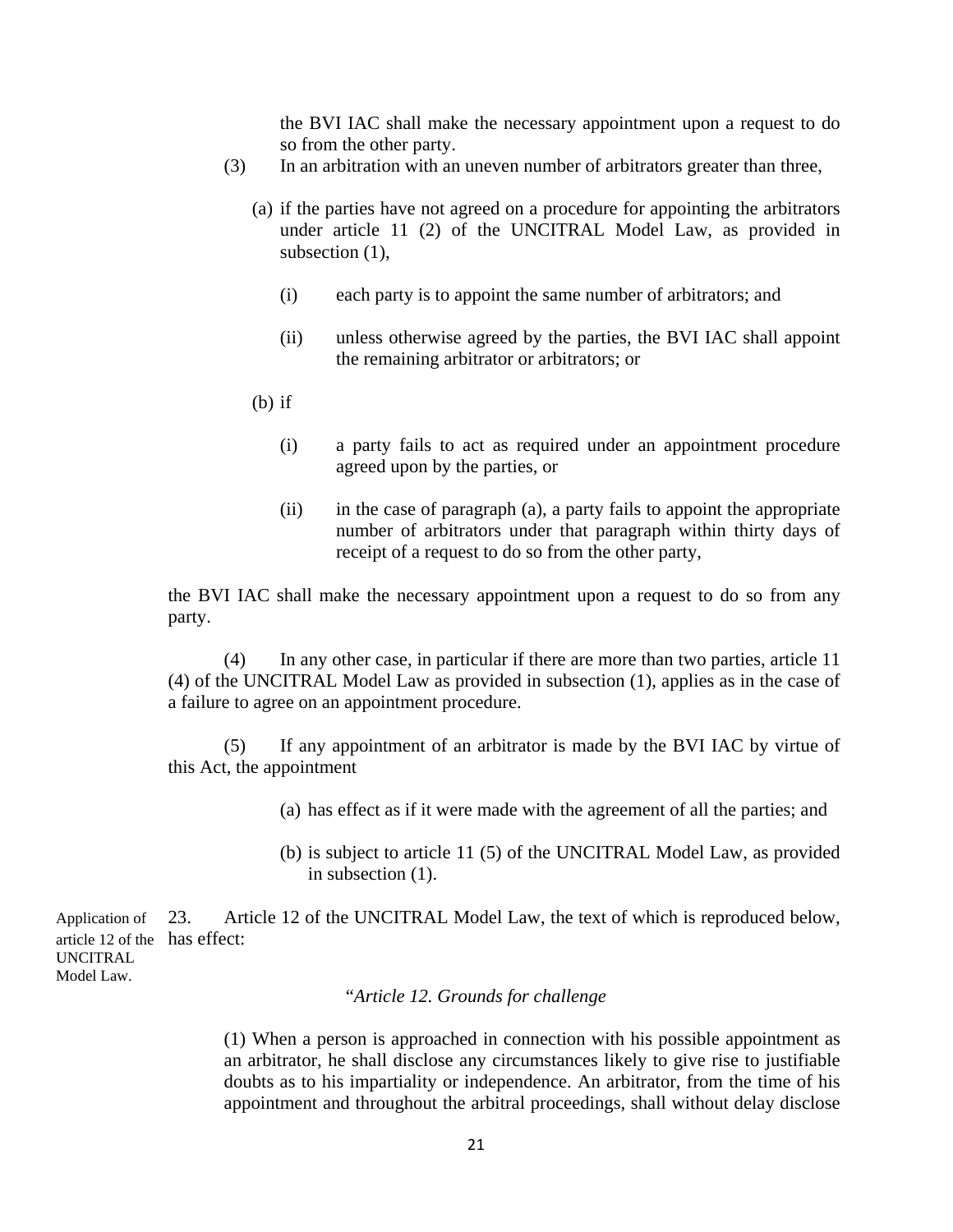the BVI IAC shall make the necessary appointment upon a request to do so from the other party.

- (3) In an arbitration with an uneven number of arbitrators greater than three,
	- (a) if the parties have not agreed on a procedure for appointing the arbitrators under article 11 (2) of the UNCITRAL Model Law, as provided in subsection (1),
		- (i) each party is to appoint the same number of arbitrators; and
		- (ii) unless otherwise agreed by the parties, the BVI IAC shall appoint the remaining arbitrator or arbitrators; or
	- $(b)$  if
		- (i) a party fails to act as required under an appointment procedure agreed upon by the parties, or
		- (ii) in the case of paragraph (a), a party fails to appoint the appropriate number of arbitrators under that paragraph within thirty days of receipt of a request to do so from the other party,

the BVI IAC shall make the necessary appointment upon a request to do so from any party.

(4) In any other case, in particular if there are more than two parties, article 11 (4) of the UNCITRAL Model Law as provided in subsection (1), applies as in the case of a failure to agree on an appointment procedure.

(5) If any appointment of an arbitrator is made by the BVI IAC by virtue of this Act, the appointment

- (a) has effect as if it were made with the agreement of all the parties; and
- (b) is subject to article 11 (5) of the UNCITRAL Model Law, as provided in subsection (1).

Application of 23. Article 12 of the UNCITRAL Model Law, the text of which is reproduced below, article 12 of the has effect: UNCITRAL

Model Law.

#### "*Article 12. Grounds for challenge*

(1) When a person is approached in connection with his possible appointment as an arbitrator, he shall disclose any circumstances likely to give rise to justifiable doubts as to his impartiality or independence. An arbitrator, from the time of his appointment and throughout the arbitral proceedings, shall without delay disclose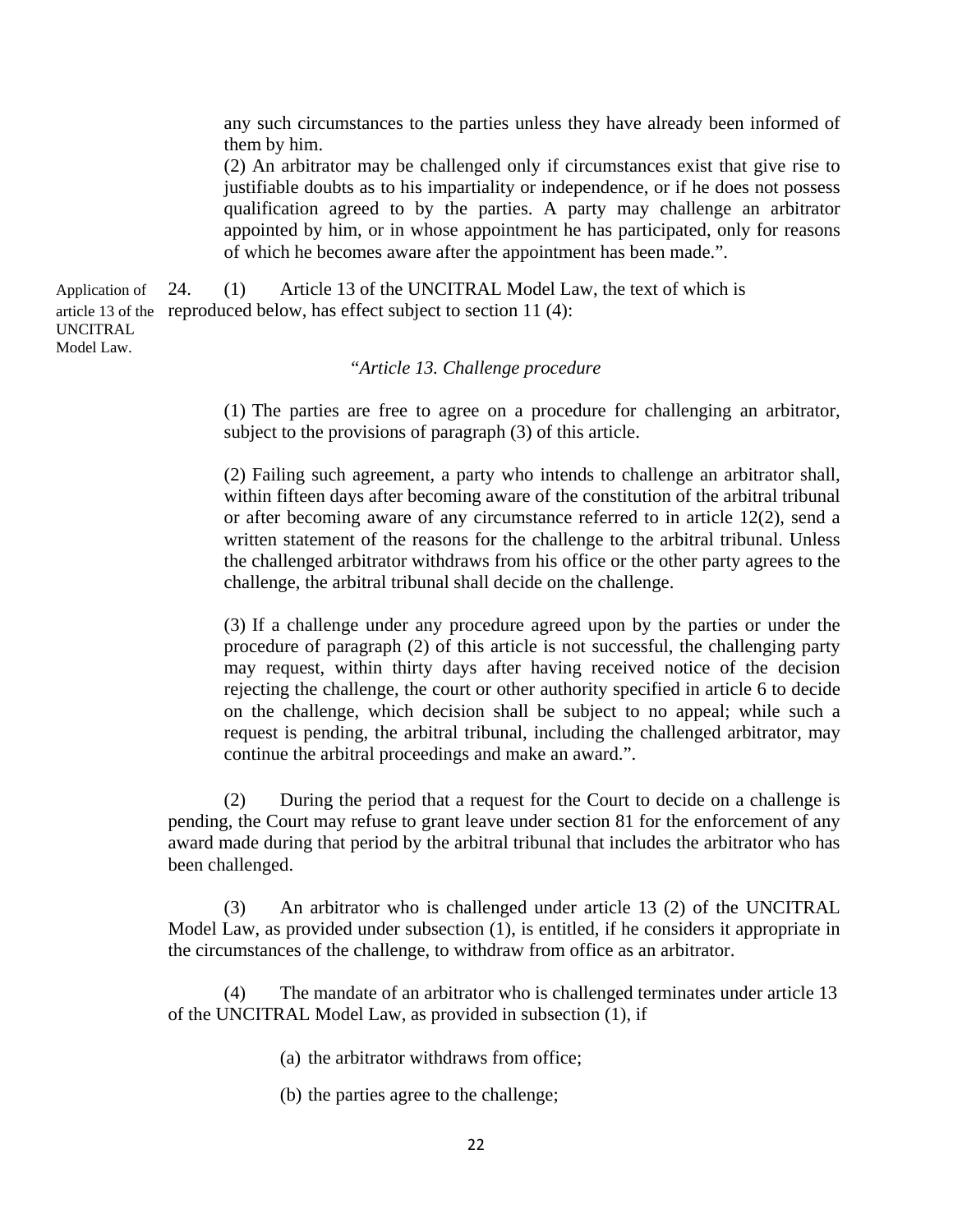any such circumstances to the parties unless they have already been informed of them by him.

(2) An arbitrator may be challenged only if circumstances exist that give rise to justifiable doubts as to his impartiality or independence, or if he does not possess qualification agreed to by the parties. A party may challenge an arbitrator appointed by him, or in whose appointment he has participated, only for reasons of which he becomes aware after the appointment has been made.".

Application of 24. (1) Article 13 of the UNCITRAL Model Law, the text of which is article 13 of the reproduced below, has effect subject to section 11 (4): UNCITRAL Model Law.

#### "*Article 13. Challenge procedure*

(1) The parties are free to agree on a procedure for challenging an arbitrator, subject to the provisions of paragraph (3) of this article.

(2) Failing such agreement, a party who intends to challenge an arbitrator shall, within fifteen days after becoming aware of the constitution of the arbitral tribunal or after becoming aware of any circumstance referred to in article 12(2), send a written statement of the reasons for the challenge to the arbitral tribunal. Unless the challenged arbitrator withdraws from his office or the other party agrees to the challenge, the arbitral tribunal shall decide on the challenge.

(3) If a challenge under any procedure agreed upon by the parties or under the procedure of paragraph (2) of this article is not successful, the challenging party may request, within thirty days after having received notice of the decision rejecting the challenge, the court or other authority specified in article 6 to decide on the challenge, which decision shall be subject to no appeal; while such a request is pending, the arbitral tribunal, including the challenged arbitrator, may continue the arbitral proceedings and make an award.".

(2) During the period that a request for the Court to decide on a challenge is pending, the Court may refuse to grant leave under section 81 for the enforcement of any award made during that period by the arbitral tribunal that includes the arbitrator who has been challenged.

(3) An arbitrator who is challenged under article 13 (2) of the UNCITRAL Model Law, as provided under subsection (1), is entitled, if he considers it appropriate in the circumstances of the challenge, to withdraw from office as an arbitrator.

(4) The mandate of an arbitrator who is challenged terminates under article 13 of the UNCITRAL Model Law, as provided in subsection (1), if

- (a) the arbitrator withdraws from office;
- (b) the parties agree to the challenge;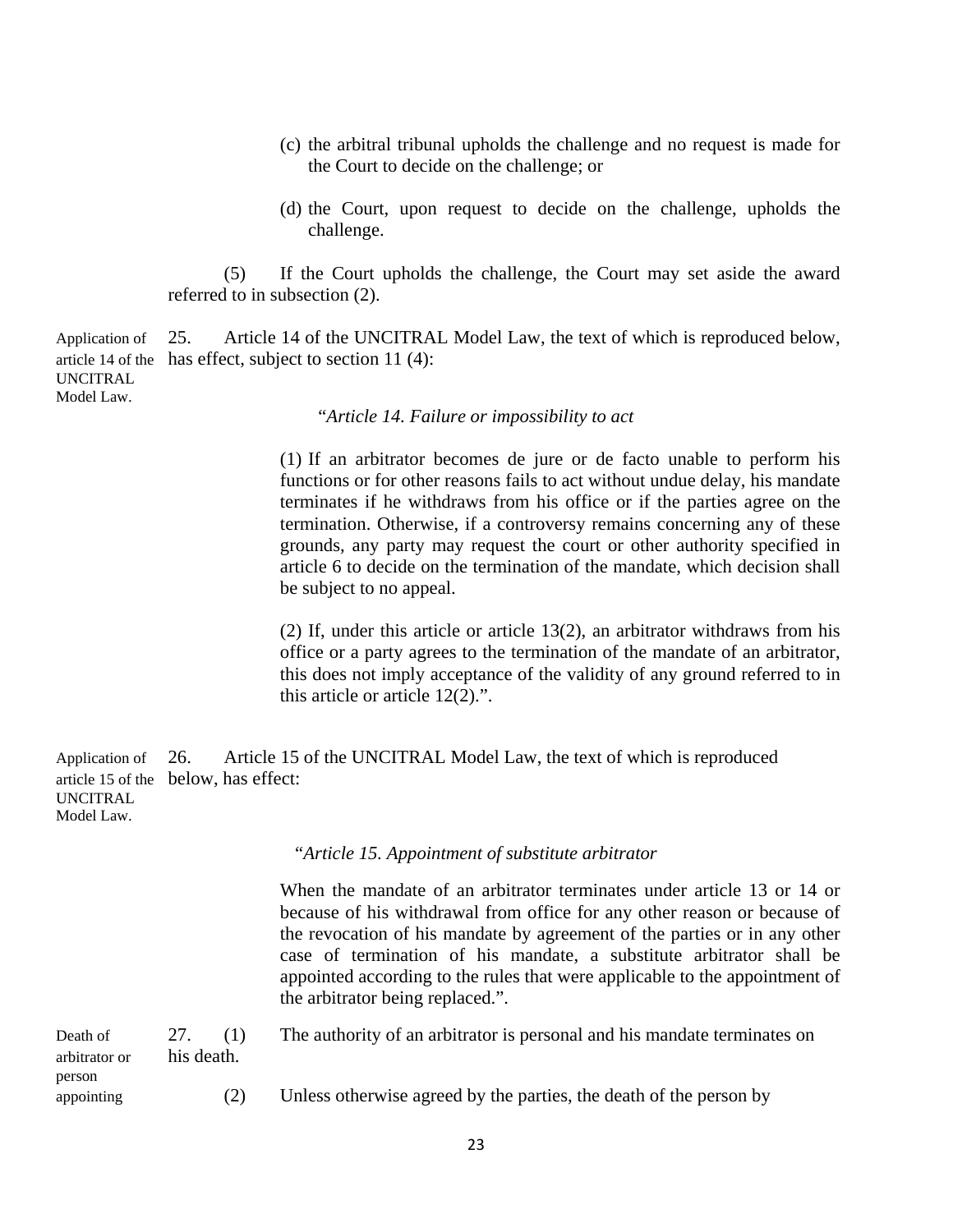- (c) the arbitral tribunal upholds the challenge and no request is made for the Court to decide on the challenge; or
- (d) the Court, upon request to decide on the challenge, upholds the challenge.

(5) If the Court upholds the challenge, the Court may set aside the award referred to in subsection (2).

Application of 25. Article 14 of the UNCITRAL Model Law, the text of which is reproduced below, article 14 of the has effect, subject to section 11 (4): UNCITRAL Model Law.

#### "*Article 14. Failure or impossibility to act*

(1) If an arbitrator becomes de jure or de facto unable to perform his functions or for other reasons fails to act without undue delay, his mandate terminates if he withdraws from his office or if the parties agree on the termination. Otherwise, if a controversy remains concerning any of these grounds, any party may request the court or other authority specified in article 6 to decide on the termination of the mandate, which decision shall be subject to no appeal.

(2) If, under this article or article 13(2), an arbitrator withdraws from his office or a party agrees to the termination of the mandate of an arbitrator, this does not imply acceptance of the validity of any ground referred to in this article or article 12(2).".

Application of 26. Article 15 of the UNCITRAL Model Law, the text of which is reproduced article 15 of the below, has effect: UNCITRAL Model Law.

#### "*Article 15. Appointment of substitute arbitrator*

When the mandate of an arbitrator terminates under article 13 or 14 or because of his withdrawal from office for any other reason or because of the revocation of his mandate by agreement of the parties or in any other case of termination of his mandate, a substitute arbitrator shall be appointed according to the rules that were applicable to the appointment of the arbitrator being replaced.".

| Death of      | 27.<br>(1) | The authority of an arbitrator is personal and his mandate terminates on |
|---------------|------------|--------------------------------------------------------------------------|
| arbitrator or | his death. |                                                                          |
| person        |            |                                                                          |
| appointing    |            | Unless otherwise agreed by the parties, the death of the person by       |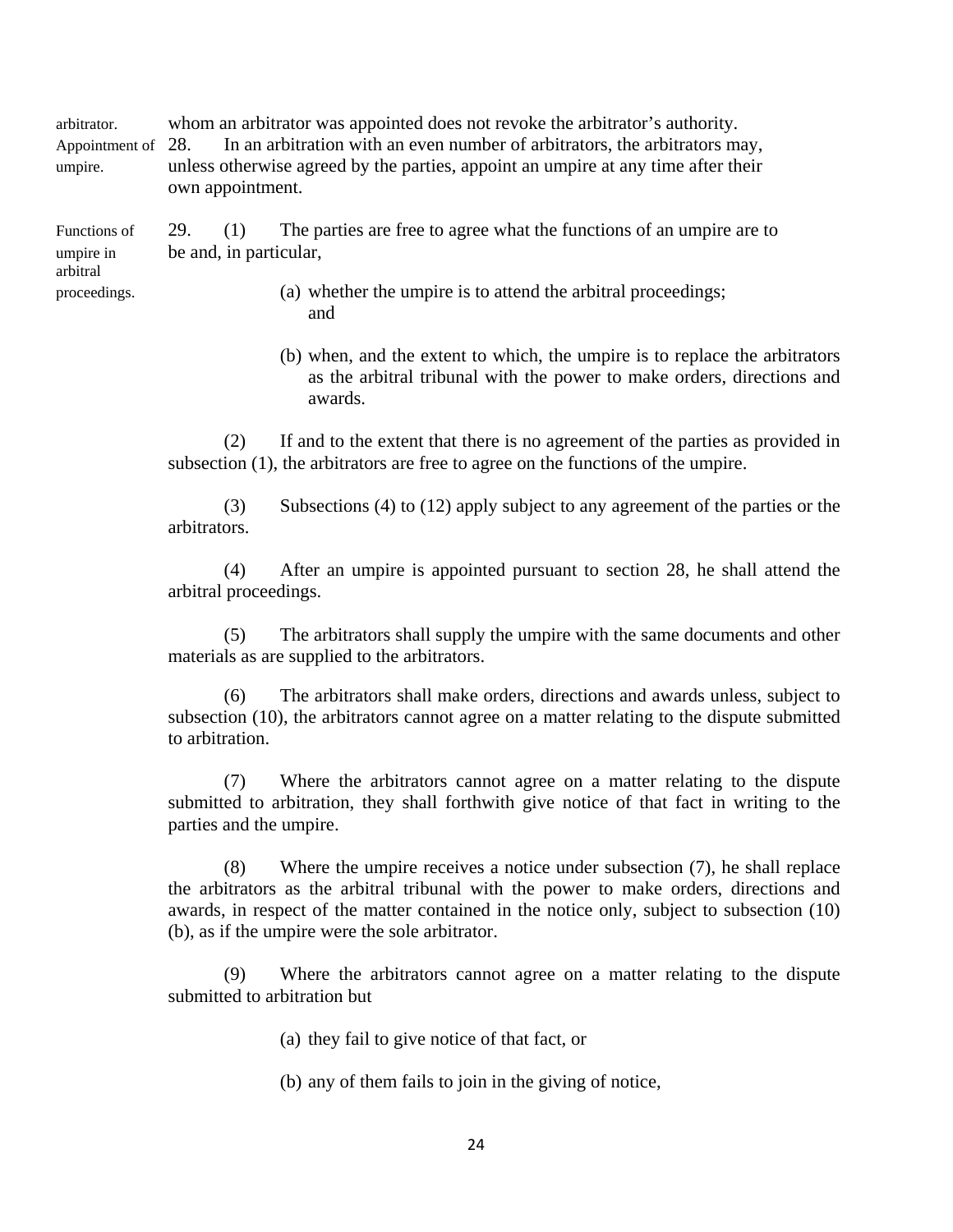arbitrator. whom an arbitrator was appointed does not revoke the arbitrator's authority. Appointment of 28. In an arbitration with an even number of arbitrators, the arbitrators may, umpire. unless otherwise agreed by the parties, appoint an umpire at any time after their own appointment.

Functions of 29. (1) The parties are free to agree what the functions of an umpire are to umpire in be and, in particular, arbitral proceedings. (a) whether the umpire is to attend the arbitral proceedings;

- and
	- (b) when, and the extent to which, the umpire is to replace the arbitrators as the arbitral tribunal with the power to make orders, directions and awards.

(2) If and to the extent that there is no agreement of the parties as provided in subsection (1), the arbitrators are free to agree on the functions of the umpire.

(3) Subsections (4) to (12) apply subject to any agreement of the parties or the arbitrators.

(4) After an umpire is appointed pursuant to section 28, he shall attend the arbitral proceedings.

(5) The arbitrators shall supply the umpire with the same documents and other materials as are supplied to the arbitrators.

(6) The arbitrators shall make orders, directions and awards unless, subject to subsection (10), the arbitrators cannot agree on a matter relating to the dispute submitted to arbitration.

(7) Where the arbitrators cannot agree on a matter relating to the dispute submitted to arbitration, they shall forthwith give notice of that fact in writing to the parties and the umpire.

(8) Where the umpire receives a notice under subsection (7), he shall replace the arbitrators as the arbitral tribunal with the power to make orders, directions and awards, in respect of the matter contained in the notice only, subject to subsection (10) (b), as if the umpire were the sole arbitrator.

(9) Where the arbitrators cannot agree on a matter relating to the dispute submitted to arbitration but

(a) they fail to give notice of that fact, or

(b) any of them fails to join in the giving of notice,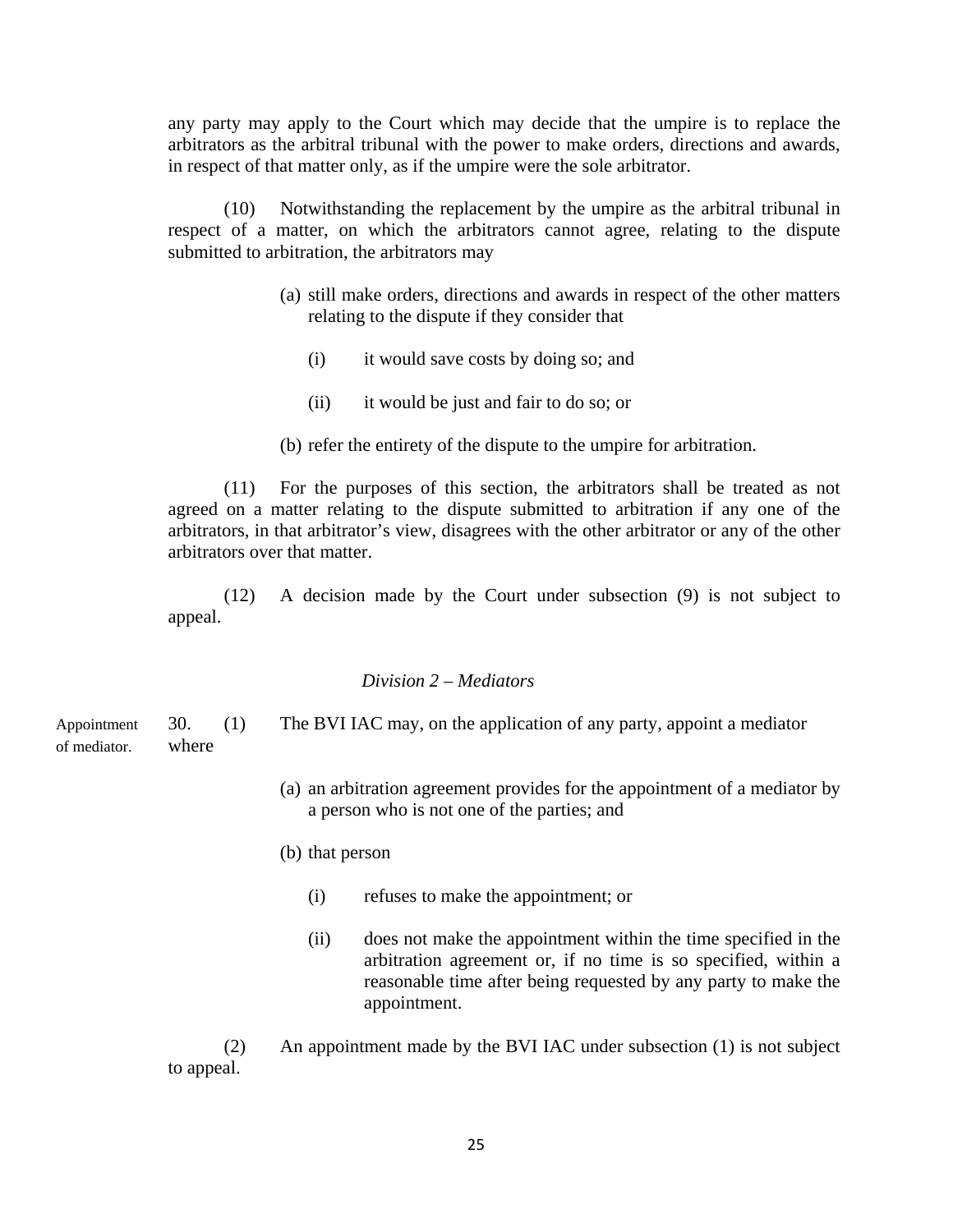any party may apply to the Court which may decide that the umpire is to replace the arbitrators as the arbitral tribunal with the power to make orders, directions and awards, in respect of that matter only, as if the umpire were the sole arbitrator.

(10) Notwithstanding the replacement by the umpire as the arbitral tribunal in respect of a matter, on which the arbitrators cannot agree, relating to the dispute submitted to arbitration, the arbitrators may

- (a) still make orders, directions and awards in respect of the other matters relating to the dispute if they consider that
	- (i) it would save costs by doing so; and
	- (ii) it would be just and fair to do so; or
- (b) refer the entirety of the dispute to the umpire for arbitration.

(11) For the purposes of this section, the arbitrators shall be treated as not agreed on a matter relating to the dispute submitted to arbitration if any one of the arbitrators, in that arbitrator's view, disagrees with the other arbitrator or any of the other arbitrators over that matter.

(12) A decision made by the Court under subsection (9) is not subject to appeal.

#### *Division 2 – Mediators*

Appointment 30. (1) The BVI IAC may, on the application of any party, appoint a mediator of mediator. where

- (a) an arbitration agreement provides for the appointment of a mediator by a person who is not one of the parties; and
- (b) that person
	- (i) refuses to make the appointment; or
	- (ii) does not make the appointment within the time specified in the arbitration agreement or, if no time is so specified, within a reasonable time after being requested by any party to make the appointment.

(2) An appointment made by the BVI IAC under subsection (1) is not subject to appeal.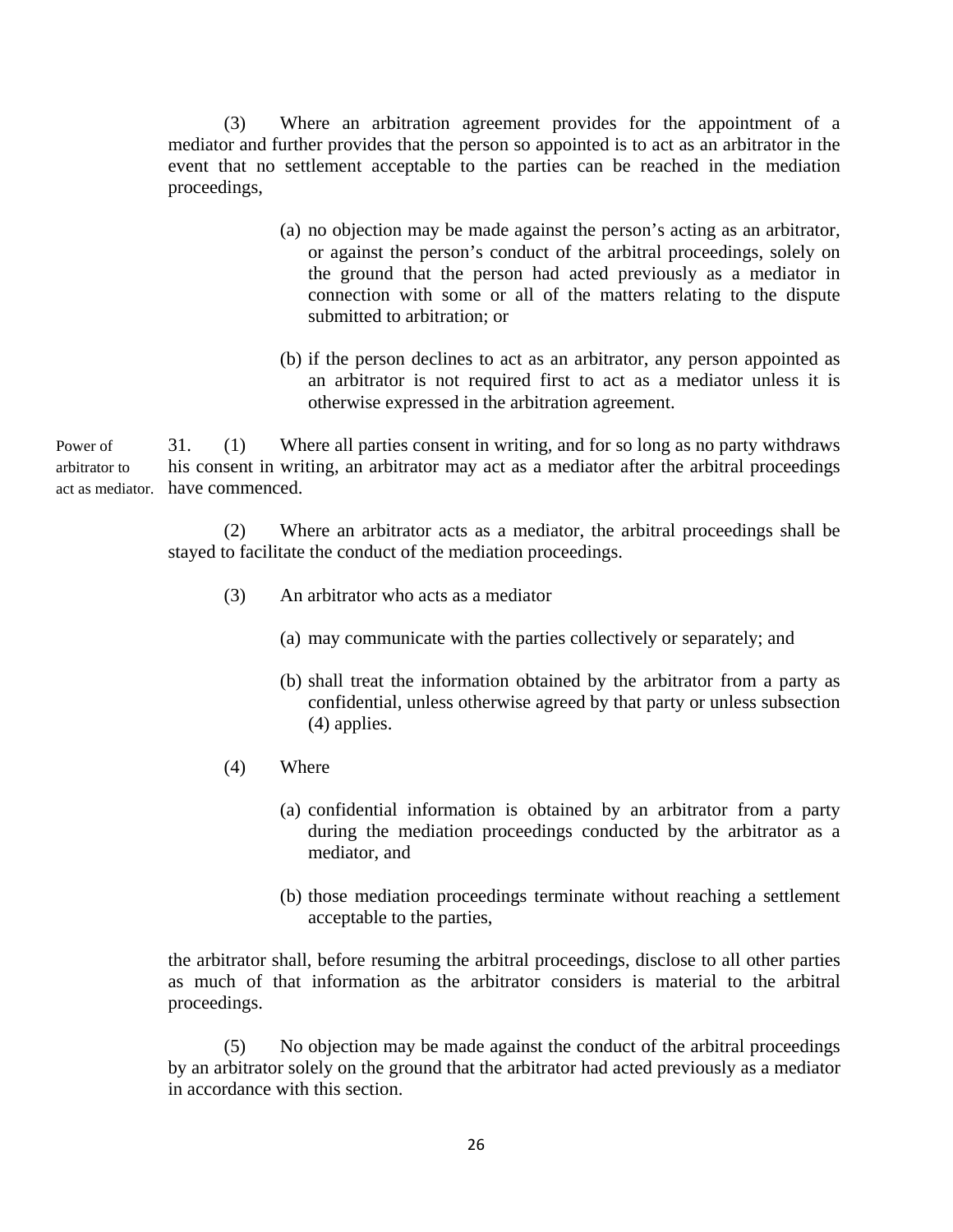(3) Where an arbitration agreement provides for the appointment of a mediator and further provides that the person so appointed is to act as an arbitrator in the event that no settlement acceptable to the parties can be reached in the mediation proceedings,

- (a) no objection may be made against the person's acting as an arbitrator, or against the person's conduct of the arbitral proceedings, solely on the ground that the person had acted previously as a mediator in connection with some or all of the matters relating to the dispute submitted to arbitration; or
- (b) if the person declines to act as an arbitrator, any person appointed as an arbitrator is not required first to act as a mediator unless it is otherwise expressed in the arbitration agreement.

Power of 31. (1) Where all parties consent in writing, and for so long as no party withdraws arbitrator to his consent in writing, an arbitrator may act as a mediator after the arbitral proceedings act as mediator. have commenced.

> (2) Where an arbitrator acts as a mediator, the arbitral proceedings shall be stayed to facilitate the conduct of the mediation proceedings.

- (3) An arbitrator who acts as a mediator
	- (a) may communicate with the parties collectively or separately; and
	- (b) shall treat the information obtained by the arbitrator from a party as confidential, unless otherwise agreed by that party or unless subsection (4) applies.
- (4) Where
	- (a) confidential information is obtained by an arbitrator from a party during the mediation proceedings conducted by the arbitrator as a mediator, and
	- (b) those mediation proceedings terminate without reaching a settlement acceptable to the parties,

the arbitrator shall, before resuming the arbitral proceedings, disclose to all other parties as much of that information as the arbitrator considers is material to the arbitral proceedings.

No objection may be made against the conduct of the arbitral proceedings by an arbitrator solely on the ground that the arbitrator had acted previously as a mediator in accordance with this section.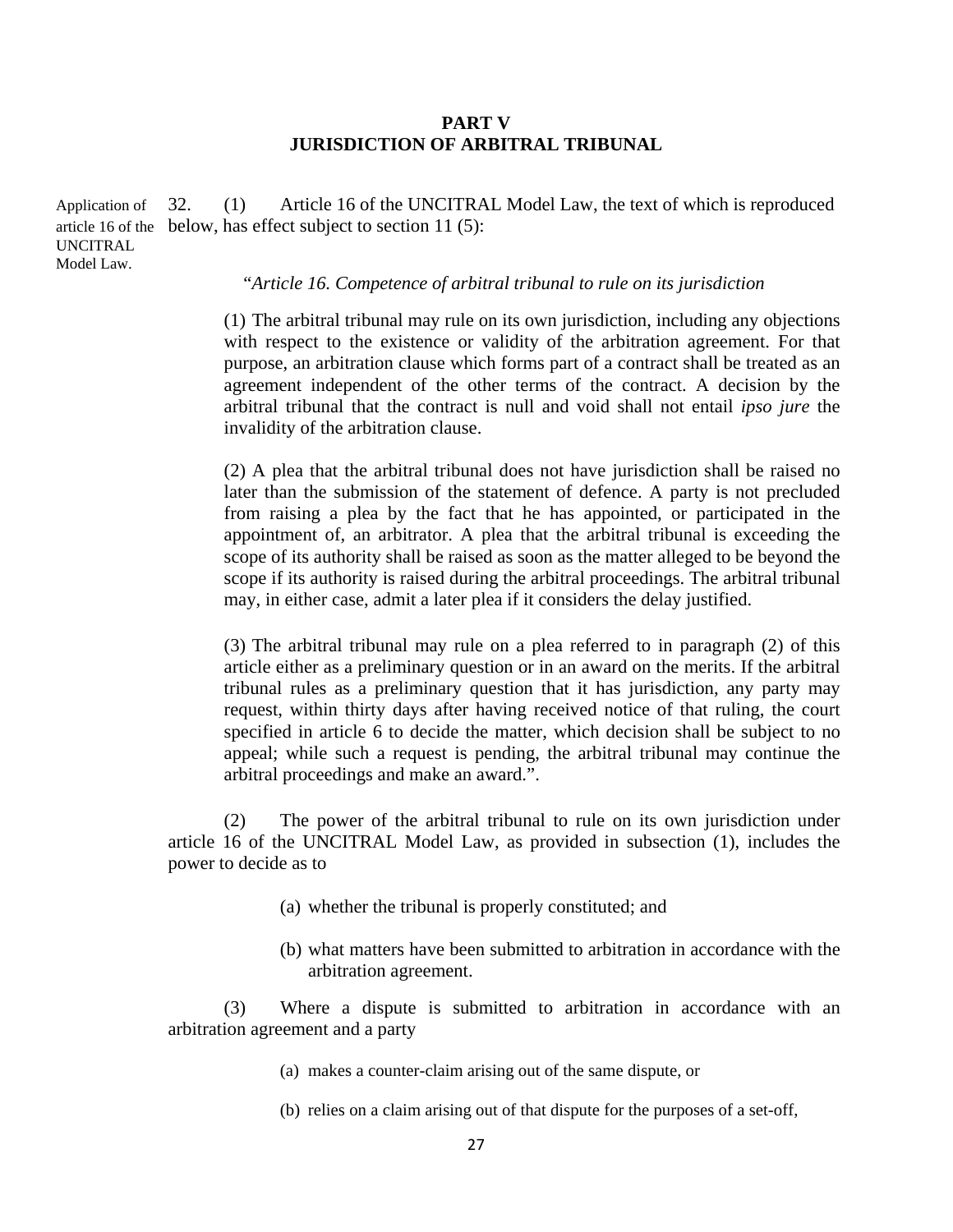#### **PART V JURISDICTION OF ARBITRAL TRIBUNAL**

Application of 32. (1) Article 16 of the UNCITRAL Model Law, the text of which is reproduced article 16 of the below, has effect subject to section 11 (5): UNCITRAL Model Law.

#### "*Article 16. Competence of arbitral tribunal to rule on its jurisdiction*

(1) The arbitral tribunal may rule on its own jurisdiction, including any objections with respect to the existence or validity of the arbitration agreement. For that purpose, an arbitration clause which forms part of a contract shall be treated as an agreement independent of the other terms of the contract. A decision by the arbitral tribunal that the contract is null and void shall not entail *ipso jure* the invalidity of the arbitration clause.

(2) A plea that the arbitral tribunal does not have jurisdiction shall be raised no later than the submission of the statement of defence. A party is not precluded from raising a plea by the fact that he has appointed, or participated in the appointment of, an arbitrator. A plea that the arbitral tribunal is exceeding the scope of its authority shall be raised as soon as the matter alleged to be beyond the scope if its authority is raised during the arbitral proceedings. The arbitral tribunal may, in either case, admit a later plea if it considers the delay justified.

(3) The arbitral tribunal may rule on a plea referred to in paragraph (2) of this article either as a preliminary question or in an award on the merits. If the arbitral tribunal rules as a preliminary question that it has jurisdiction, any party may request, within thirty days after having received notice of that ruling, the court specified in article 6 to decide the matter, which decision shall be subject to no appeal; while such a request is pending, the arbitral tribunal may continue the arbitral proceedings and make an award.".

(2) The power of the arbitral tribunal to rule on its own jurisdiction under article 16 of the UNCITRAL Model Law, as provided in subsection (1), includes the power to decide as to

- (a) whether the tribunal is properly constituted; and
- (b) what matters have been submitted to arbitration in accordance with the arbitration agreement.

(3) Where a dispute is submitted to arbitration in accordance with an arbitration agreement and a party

- (a) makes a counter-claim arising out of the same dispute, or
- (b) relies on a claim arising out of that dispute for the purposes of a set-off,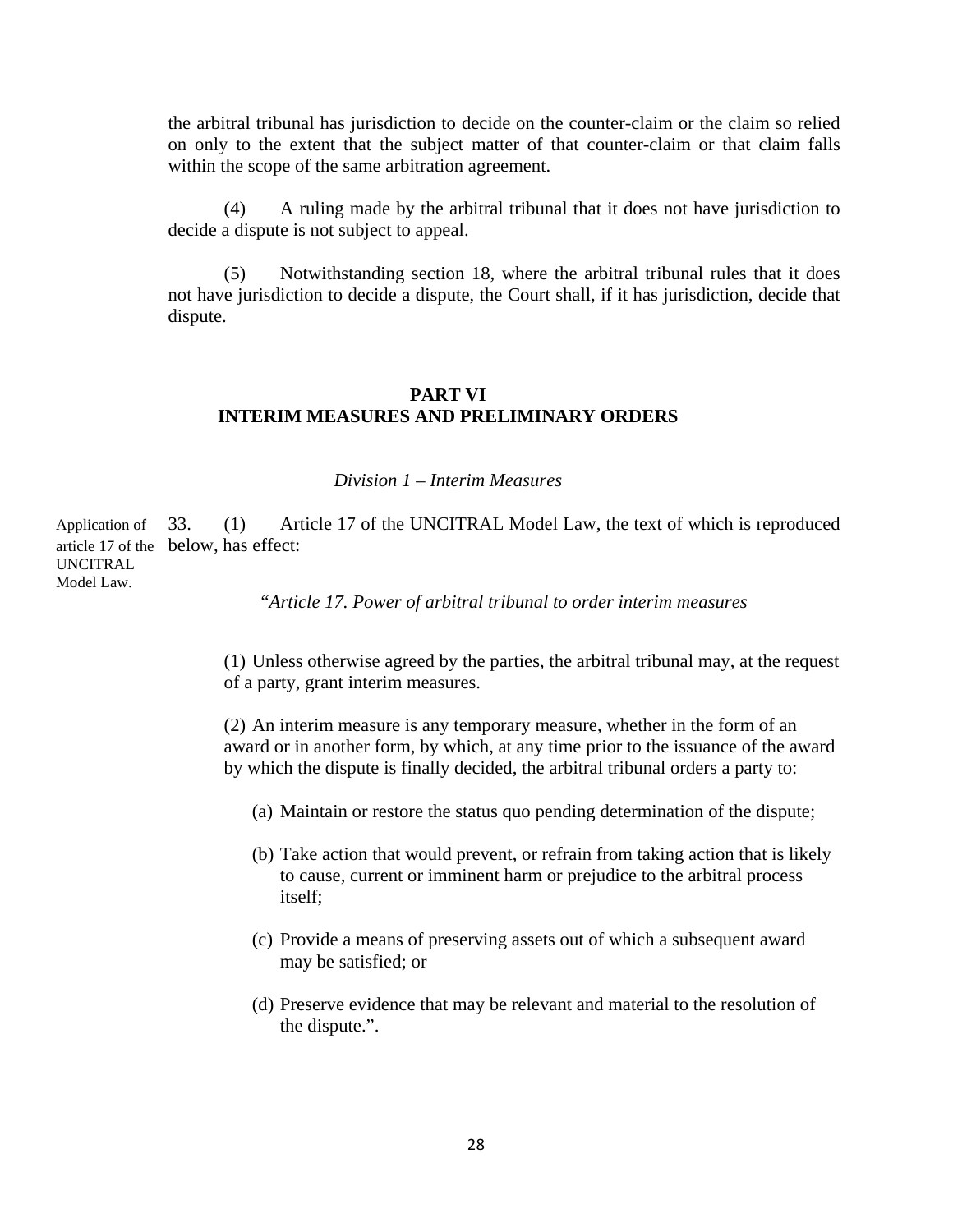the arbitral tribunal has jurisdiction to decide on the counter-claim or the claim so relied on only to the extent that the subject matter of that counter-claim or that claim falls within the scope of the same arbitration agreement.

 (4) A ruling made by the arbitral tribunal that it does not have jurisdiction to decide a dispute is not subject to appeal.

 (5) Notwithstanding section 18, where the arbitral tribunal rules that it does not have jurisdiction to decide a dispute, the Court shall, if it has jurisdiction, decide that dispute.

#### **PART VI INTERIM MEASURES AND PRELIMINARY ORDERS**

#### *Division 1 – Interim Measures*

Application of 33. (1) Article 17 of the UNCITRAL Model Law, the text of which is reproduced article 17 of the below, has effect: UNCITRAL Model Law.

"*Article 17. Power of arbitral tribunal to order interim measures*

(1) Unless otherwise agreed by the parties, the arbitral tribunal may, at the request of a party, grant interim measures.

(2) An interim measure is any temporary measure, whether in the form of an award or in another form, by which, at any time prior to the issuance of the award by which the dispute is finally decided, the arbitral tribunal orders a party to:

- (a) Maintain or restore the status quo pending determination of the dispute;
- (b) Take action that would prevent, or refrain from taking action that is likely to cause, current or imminent harm or prejudice to the arbitral process itself;
- (c) Provide a means of preserving assets out of which a subsequent award may be satisfied; or
- (d) Preserve evidence that may be relevant and material to the resolution of the dispute.".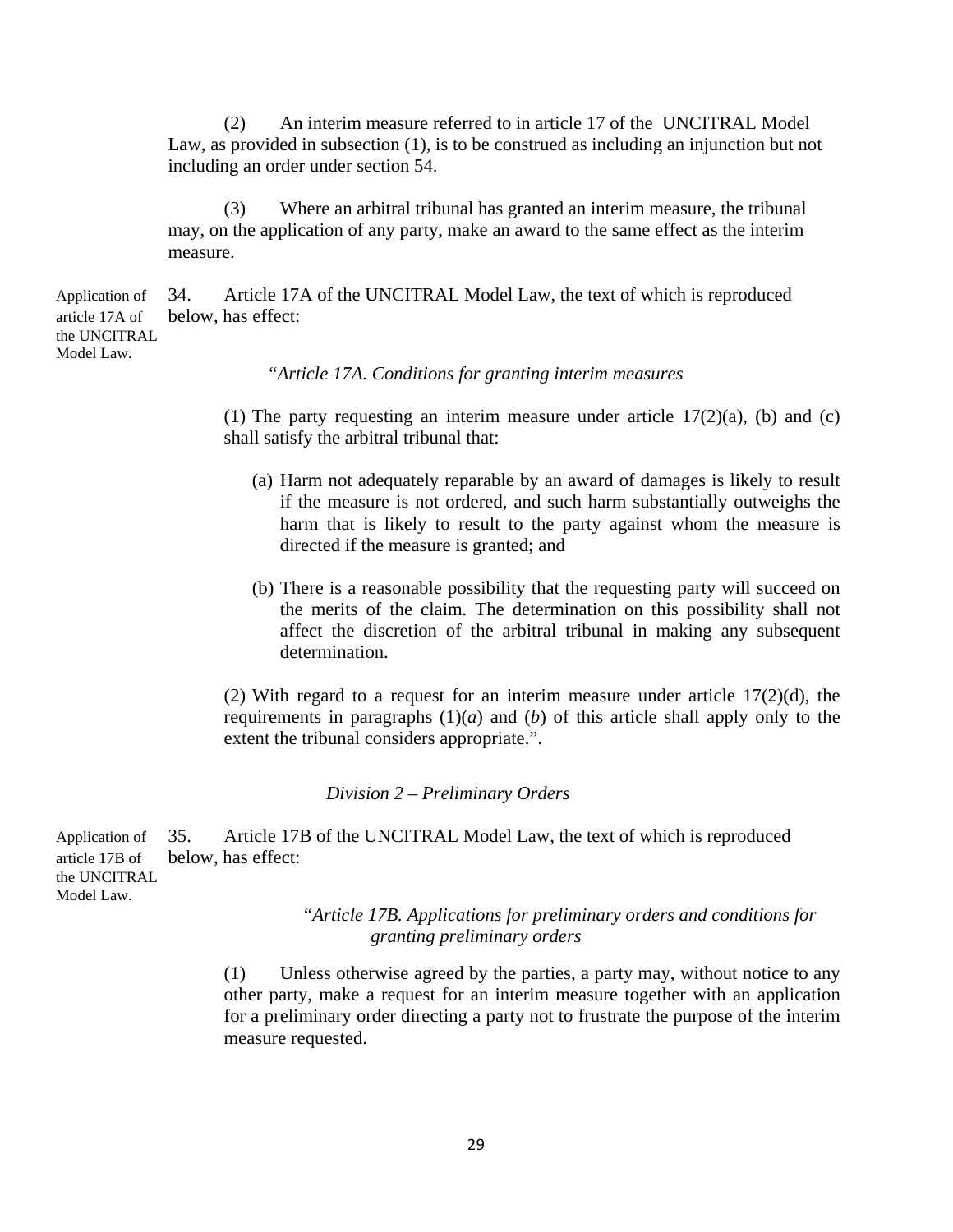(2) An interim measure referred to in article 17 of the UNCITRAL Model Law, as provided in subsection (1), is to be construed as including an injunction but not including an order under section 54.

(3) Where an arbitral tribunal has granted an interim measure, the tribunal may, on the application of any party, make an award to the same effect as the interim measure.

Application of 34. Article 17A of the UNCITRAL Model Law, the text of which is reproduced article 17A of below, has effect: the UNCITRAL

# Model Law.

"*Article 17A. Conditions for granting interim measures* 

(1) The party requesting an interim measure under article  $17(2)(a)$ , (b) and (c) shall satisfy the arbitral tribunal that:

- (a) Harm not adequately reparable by an award of damages is likely to result if the measure is not ordered, and such harm substantially outweighs the harm that is likely to result to the party against whom the measure is directed if the measure is granted; and
- (b) There is a reasonable possibility that the requesting party will succeed on the merits of the claim. The determination on this possibility shall not affect the discretion of the arbitral tribunal in making any subsequent determination.

(2) With regard to a request for an interim measure under article  $17(2)(d)$ , the requirements in paragraphs  $(1)(a)$  and  $(b)$  of this article shall apply only to the extent the tribunal considers appropriate.".

*Division 2 – Preliminary Orders* 

Application of 35. Article 17B of the UNCITRAL Model Law, the text of which is reproduced article 17B of below, has effect: the UNCITRAL Model Law.

#### "*Article 17B. Applications for preliminary orders and conditions for granting preliminary orders*

(1) Unless otherwise agreed by the parties, a party may, without notice to any other party, make a request for an interim measure together with an application for a preliminary order directing a party not to frustrate the purpose of the interim measure requested.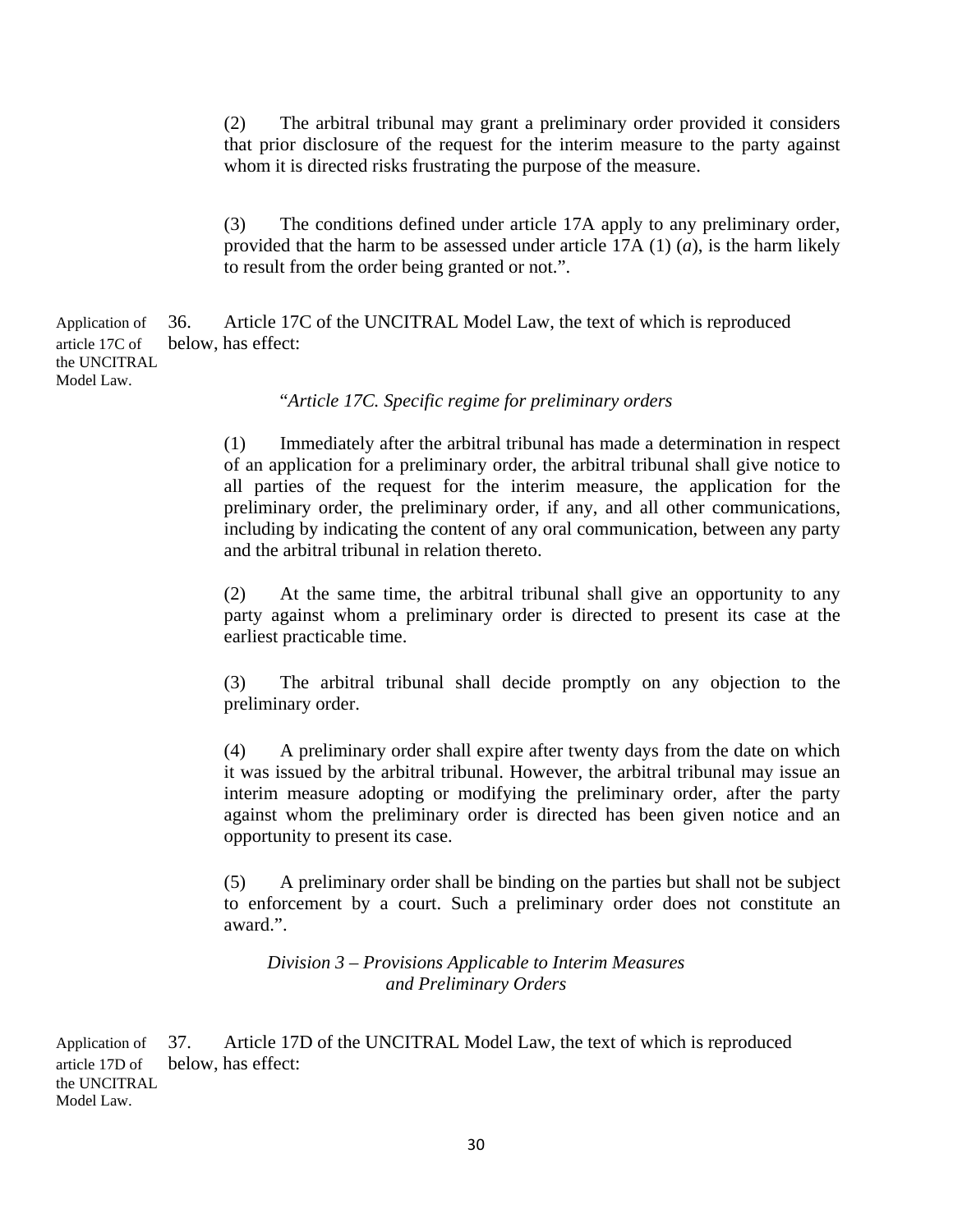(2) The arbitral tribunal may grant a preliminary order provided it considers that prior disclosure of the request for the interim measure to the party against whom it is directed risks frustrating the purpose of the measure.

(3) The conditions defined under article 17A apply to any preliminary order, provided that the harm to be assessed under article 17A (1) (*a*), is the harm likely to result from the order being granted or not.".

Application of 36. Article 17C of the UNCITRAL Model Law, the text of which is reproduced article 17C of below, has effect: the UNCITRAL Model Law.

## "*Article 17C. Specific regime for preliminary orders*

(1) Immediately after the arbitral tribunal has made a determination in respect of an application for a preliminary order, the arbitral tribunal shall give notice to all parties of the request for the interim measure, the application for the preliminary order, the preliminary order, if any, and all other communications, including by indicating the content of any oral communication, between any party and the arbitral tribunal in relation thereto.

(2) At the same time, the arbitral tribunal shall give an opportunity to any party against whom a preliminary order is directed to present its case at the earliest practicable time.

(3) The arbitral tribunal shall decide promptly on any objection to the preliminary order.

(4) A preliminary order shall expire after twenty days from the date on which it was issued by the arbitral tribunal. However, the arbitral tribunal may issue an interim measure adopting or modifying the preliminary order, after the party against whom the preliminary order is directed has been given notice and an opportunity to present its case.

(5) A preliminary order shall be binding on the parties but shall not be subject to enforcement by a court. Such a preliminary order does not constitute an award.".

*Division 3 – Provisions Applicable to Interim Measures and Preliminary Orders* 

Application of 37. Article 17D of the UNCITRAL Model Law, the text of which is reproduced article 17D of below, has effect: the UNCITRAL Model Law.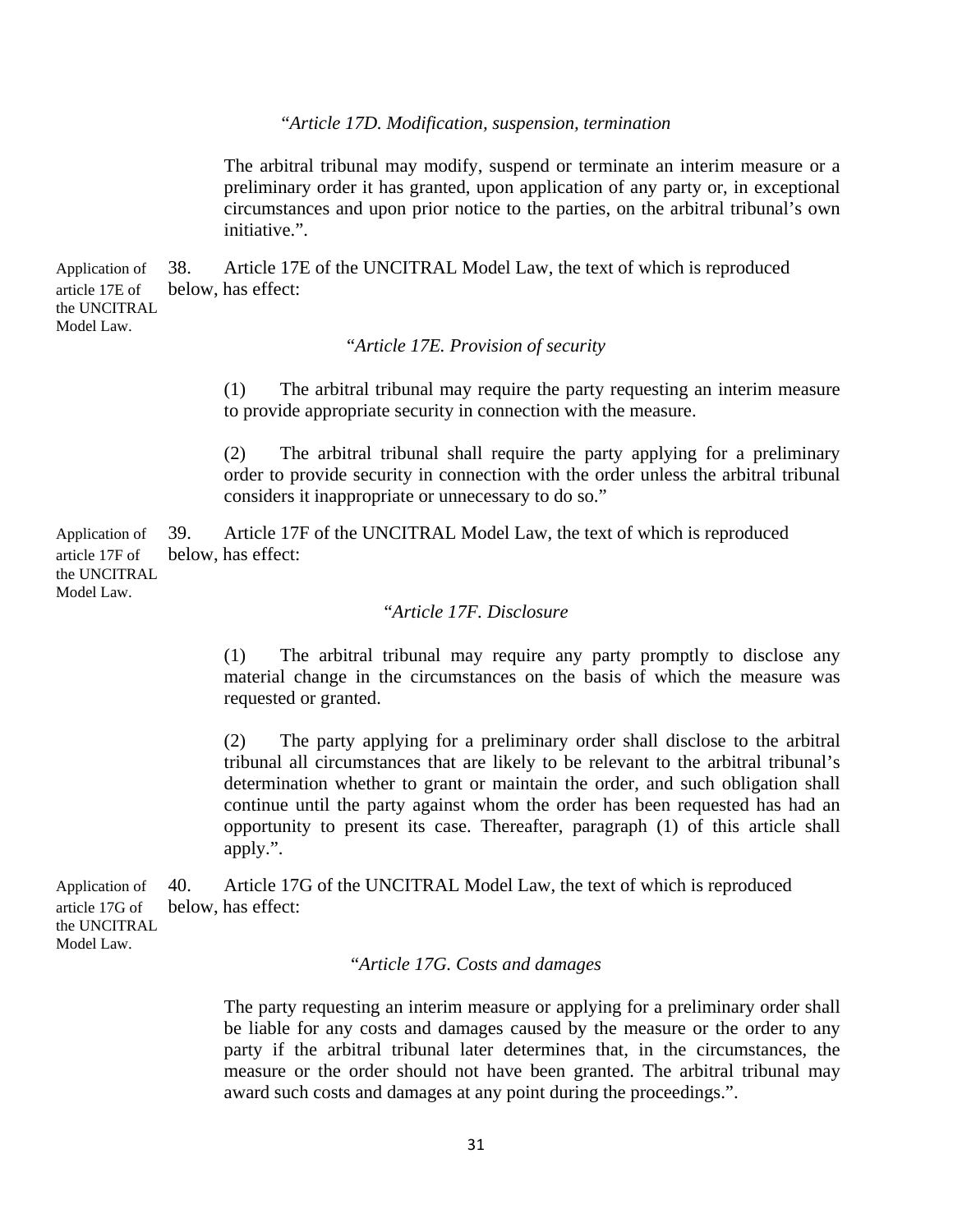"*Article 17D. Modification, suspension, termination* 

The arbitral tribunal may modify, suspend or terminate an interim measure or a preliminary order it has granted, upon application of any party or, in exceptional circumstances and upon prior notice to the parties, on the arbitral tribunal's own initiative.".

Application of 38. Article 17E of the UNCITRAL Model Law, the text of which is reproduced article 17E of below, has effect: the UNCITRAL Model Law.

#### "*Article 17E. Provision of security*

(1) The arbitral tribunal may require the party requesting an interim measure to provide appropriate security in connection with the measure.

(2) The arbitral tribunal shall require the party applying for a preliminary order to provide security in connection with the order unless the arbitral tribunal considers it inappropriate or unnecessary to do so."

Application of 39. Article 17F of the UNCITRAL Model Law, the text of which is reproduced article 17F of below, has effect: the UNCITRAL Model Law.

## "*Article 17F. Disclosure*

(1) The arbitral tribunal may require any party promptly to disclose any material change in the circumstances on the basis of which the measure was requested or granted.

(2) The party applying for a preliminary order shall disclose to the arbitral tribunal all circumstances that are likely to be relevant to the arbitral tribunal's determination whether to grant or maintain the order, and such obligation shall continue until the party against whom the order has been requested has had an opportunity to present its case. Thereafter, paragraph (1) of this article shall apply.".

Application of 40. Article 17G of the UNCITRAL Model Law, the text of which is reproduced article 17G of below, has effect: the UNCITRAL Model Law.

#### "*Article 17G. Costs and damages*

The party requesting an interim measure or applying for a preliminary order shall be liable for any costs and damages caused by the measure or the order to any party if the arbitral tribunal later determines that, in the circumstances, the measure or the order should not have been granted. The arbitral tribunal may award such costs and damages at any point during the proceedings.".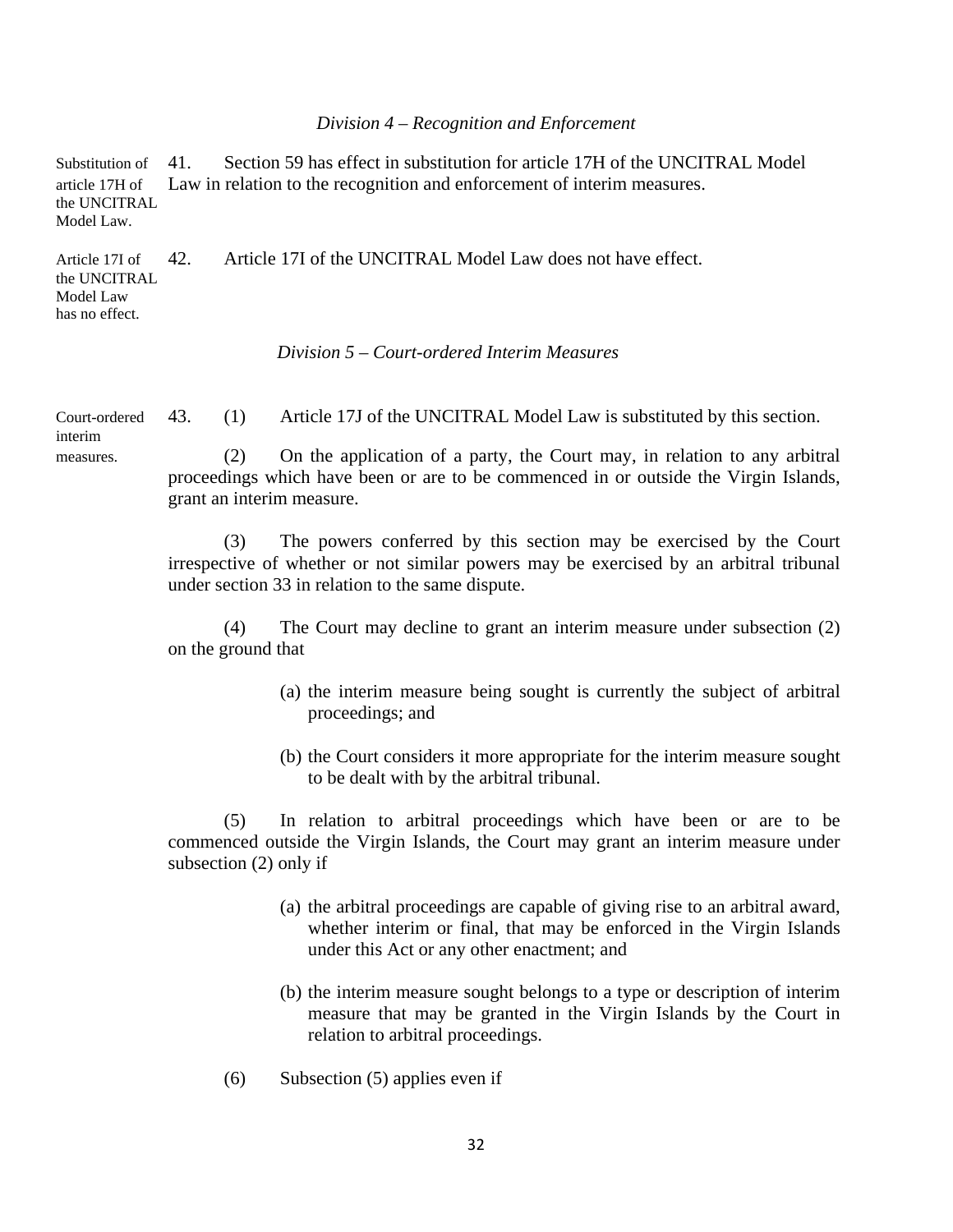#### *Division 4 – Recognition and Enforcement*

Substitution of 41. Section 59 has effect in substitution for article 17H of the UNCITRAL Model article 17H of Law in relation to the recognition and enforcement of interim measures. the UNCITRAL Model Law.

Article 17I of 42. Article 17I of the UNCITRAL Model Law does not have effect. the UNCITRAL Model Law has no effect.

#### *Division 5 – Court-ordered Interim Measures*

Court-ordered 43. (1) Article 17J of the UNCITRAL Model Law is substituted by this section.

interim

measures. (2) On the application of a party, the Court may, in relation to any arbitral proceedings which have been or are to be commenced in or outside the Virgin Islands, grant an interim measure.

> (3) The powers conferred by this section may be exercised by the Court irrespective of whether or not similar powers may be exercised by an arbitral tribunal under section 33 in relation to the same dispute.

> (4) The Court may decline to grant an interim measure under subsection (2) on the ground that

- (a) the interim measure being sought is currently the subject of arbitral proceedings; and
- (b) the Court considers it more appropriate for the interim measure sought to be dealt with by the arbitral tribunal.

(5) In relation to arbitral proceedings which have been or are to be commenced outside the Virgin Islands, the Court may grant an interim measure under subsection (2) only if

- (a) the arbitral proceedings are capable of giving rise to an arbitral award, whether interim or final, that may be enforced in the Virgin Islands under this Act or any other enactment; and
- (b) the interim measure sought belongs to a type or description of interim measure that may be granted in the Virgin Islands by the Court in relation to arbitral proceedings.
- (6) Subsection (5) applies even if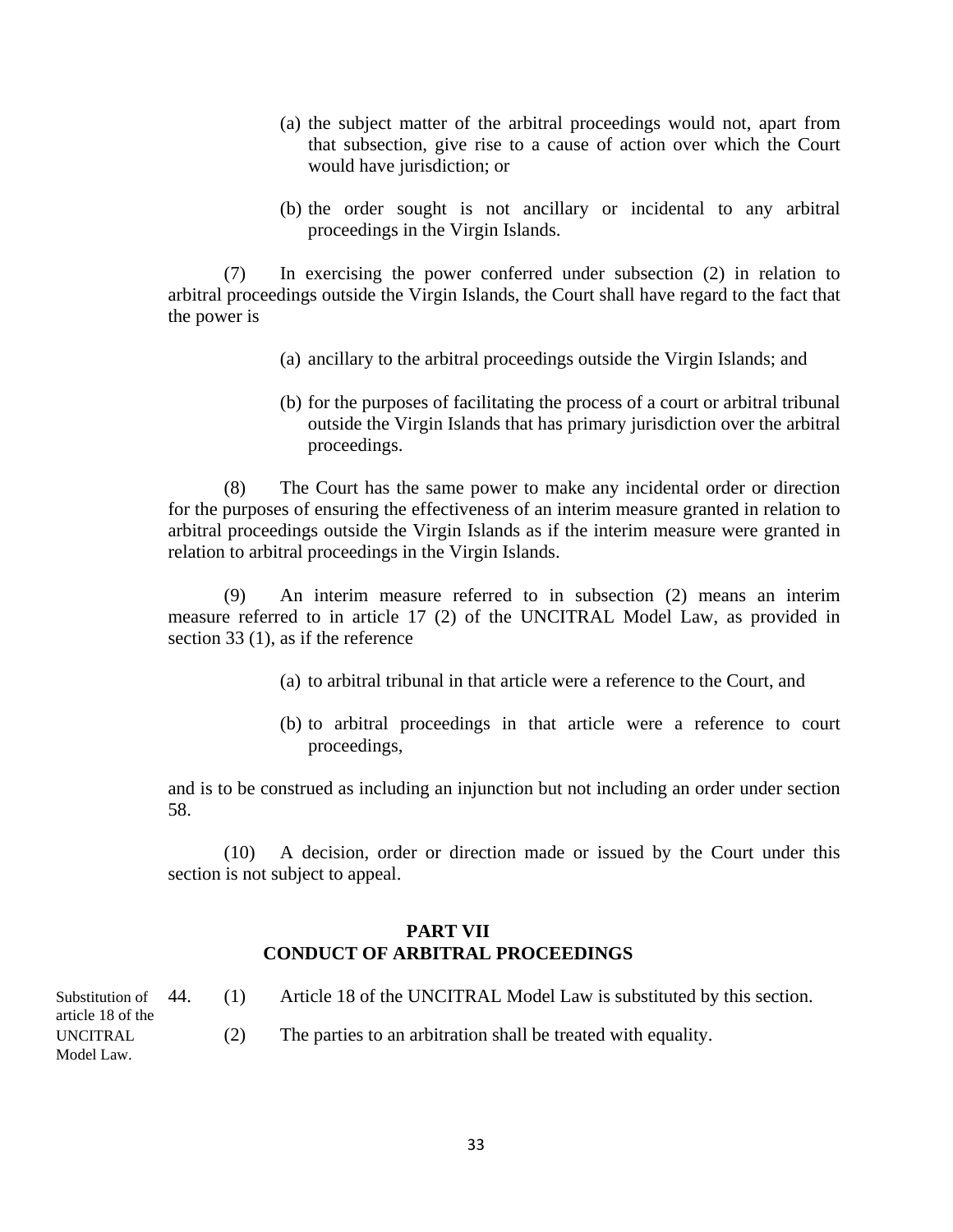- (a) the subject matter of the arbitral proceedings would not, apart from that subsection, give rise to a cause of action over which the Court would have jurisdiction; or
- (b) the order sought is not ancillary or incidental to any arbitral proceedings in the Virgin Islands.

(7) In exercising the power conferred under subsection (2) in relation to arbitral proceedings outside the Virgin Islands, the Court shall have regard to the fact that the power is

- (a) ancillary to the arbitral proceedings outside the Virgin Islands; and
- (b) for the purposes of facilitating the process of a court or arbitral tribunal outside the Virgin Islands that has primary jurisdiction over the arbitral proceedings.

(8) The Court has the same power to make any incidental order or direction for the purposes of ensuring the effectiveness of an interim measure granted in relation to arbitral proceedings outside the Virgin Islands as if the interim measure were granted in relation to arbitral proceedings in the Virgin Islands.

(9) An interim measure referred to in subsection (2) means an interim measure referred to in article 17 (2) of the UNCITRAL Model Law, as provided in section 33 (1), as if the reference

- (a) to arbitral tribunal in that article were a reference to the Court, and
- (b) to arbitral proceedings in that article were a reference to court proceedings,

and is to be construed as including an injunction but not including an order under section 58.

(10) A decision, order or direction made or issued by the Court under this section is not subject to appeal.

## **PART VII CONDUCT OF ARBITRAL PROCEEDINGS**

Substitution of 44. (1) Article 18 of the UNCITRAL Model Law is substituted by this section. article 18 of the UNCITRAL (2) The parties to an arbitration shall be treated with equality. Model Law.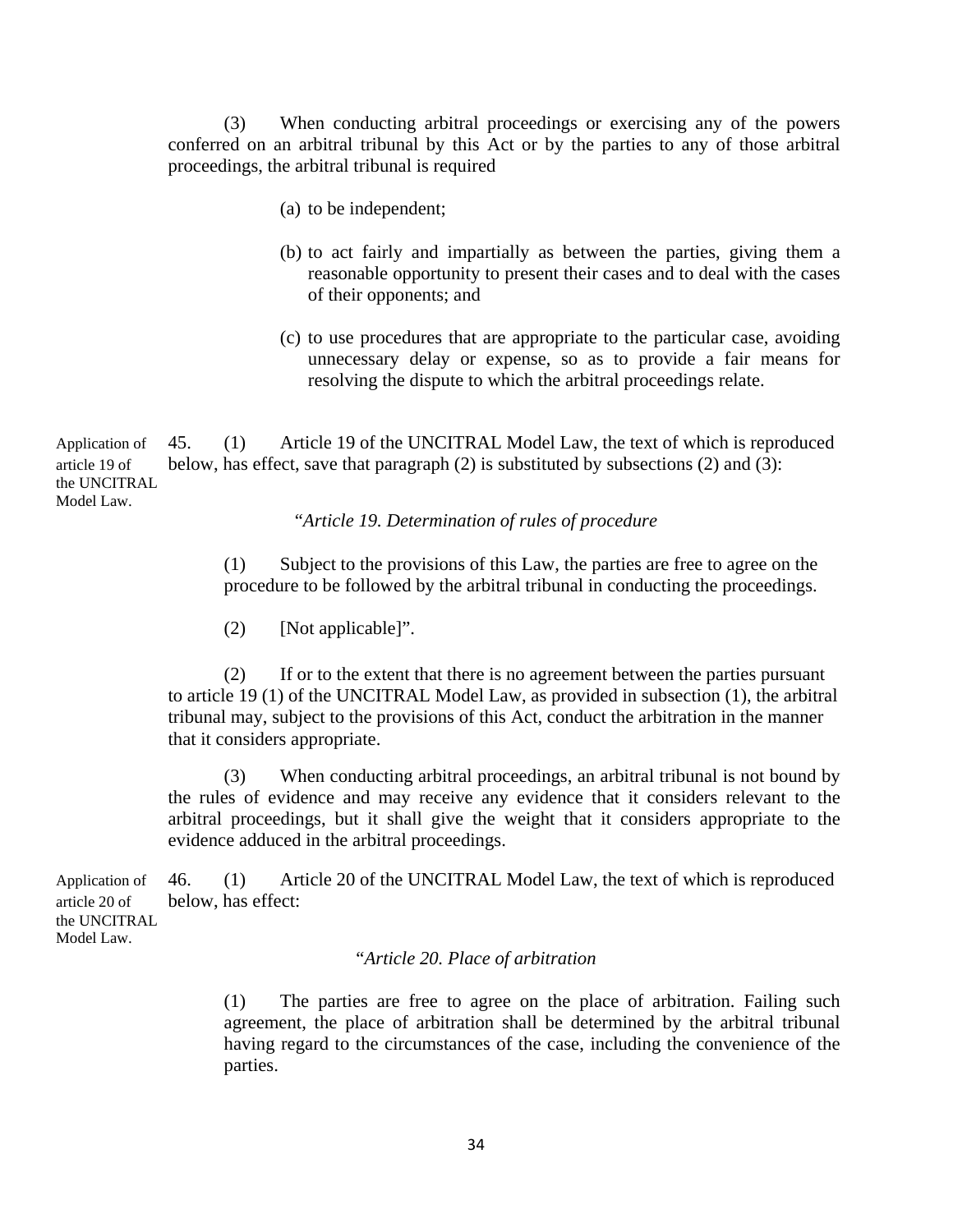(3) When conducting arbitral proceedings or exercising any of the powers conferred on an arbitral tribunal by this Act or by the parties to any of those arbitral proceedings, the arbitral tribunal is required

- (a) to be independent;
- (b) to act fairly and impartially as between the parties, giving them a reasonable opportunity to present their cases and to deal with the cases of their opponents; and
- (c) to use procedures that are appropriate to the particular case, avoiding unnecessary delay or expense, so as to provide a fair means for resolving the dispute to which the arbitral proceedings relate.

Application of 45. (1) Article 19 of the UNCITRAL Model Law, the text of which is reproduced article 19 of below, has effect, save that paragraph  $(2)$  is substituted by subsections  $(2)$  and  $(3)$ : the UNCITRAL Model Law.

"*Article 19. Determination of rules of procedure* 

(1) Subject to the provisions of this Law, the parties are free to agree on the procedure to be followed by the arbitral tribunal in conducting the proceedings.

(2) [Not applicable]".

(2) If or to the extent that there is no agreement between the parties pursuant to article 19 (1) of the UNCITRAL Model Law, as provided in subsection (1), the arbitral tribunal may, subject to the provisions of this Act, conduct the arbitration in the manner that it considers appropriate.

 (3) When conducting arbitral proceedings, an arbitral tribunal is not bound by the rules of evidence and may receive any evidence that it considers relevant to the arbitral proceedings, but it shall give the weight that it considers appropriate to the evidence adduced in the arbitral proceedings.

Application of 46. (1) Article 20 of the UNCITRAL Model Law, the text of which is reproduced article 20 of below, has effect: the UNCITRAL Model Law.

## "*Article 20. Place of arbitration*

(1) The parties are free to agree on the place of arbitration. Failing such agreement, the place of arbitration shall be determined by the arbitral tribunal having regard to the circumstances of the case, including the convenience of the parties.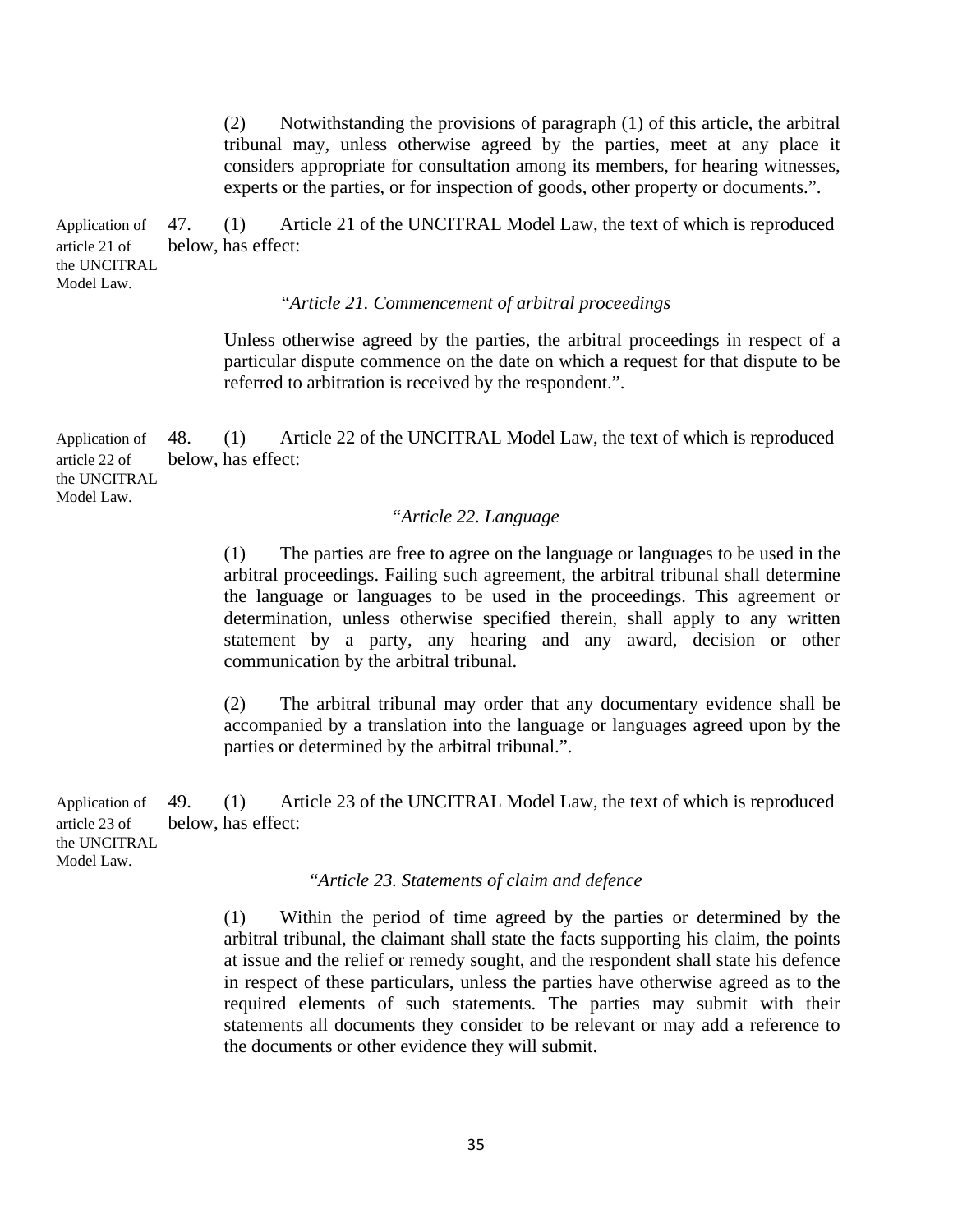(2) Notwithstanding the provisions of paragraph (1) of this article, the arbitral tribunal may, unless otherwise agreed by the parties, meet at any place it considers appropriate for consultation among its members, for hearing witnesses, experts or the parties, or for inspection of goods, other property or documents.".

Application of 47. (1) Article 21 of the UNCITRAL Model Law, the text of which is reproduced article 21 of below, has effect: the UNCITRAL Model Law.

#### "*Article 21. Commencement of arbitral proceedings*

Unless otherwise agreed by the parties, the arbitral proceedings in respect of a particular dispute commence on the date on which a request for that dispute to be referred to arbitration is received by the respondent.".

Application of 48. (1) Article 22 of the UNCITRAL Model Law, the text of which is reproduced article 22 of below, has effect: the UNCITRAL Model Law.

#### "*Article 22. Language*

(1) The parties are free to agree on the language or languages to be used in the arbitral proceedings. Failing such agreement, the arbitral tribunal shall determine the language or languages to be used in the proceedings. This agreement or determination, unless otherwise specified therein, shall apply to any written statement by a party, any hearing and any award, decision or other communication by the arbitral tribunal.

(2) The arbitral tribunal may order that any documentary evidence shall be accompanied by a translation into the language or languages agreed upon by the parties or determined by the arbitral tribunal.".

Application of 49. (1) Article 23 of the UNCITRAL Model Law, the text of which is reproduced article 23 of below, has effect: the UNCITRAL Model Law.

#### "*Article 23. Statements of claim and defence*

(1) Within the period of time agreed by the parties or determined by the arbitral tribunal, the claimant shall state the facts supporting his claim, the points at issue and the relief or remedy sought, and the respondent shall state his defence in respect of these particulars, unless the parties have otherwise agreed as to the required elements of such statements. The parties may submit with their statements all documents they consider to be relevant or may add a reference to the documents or other evidence they will submit.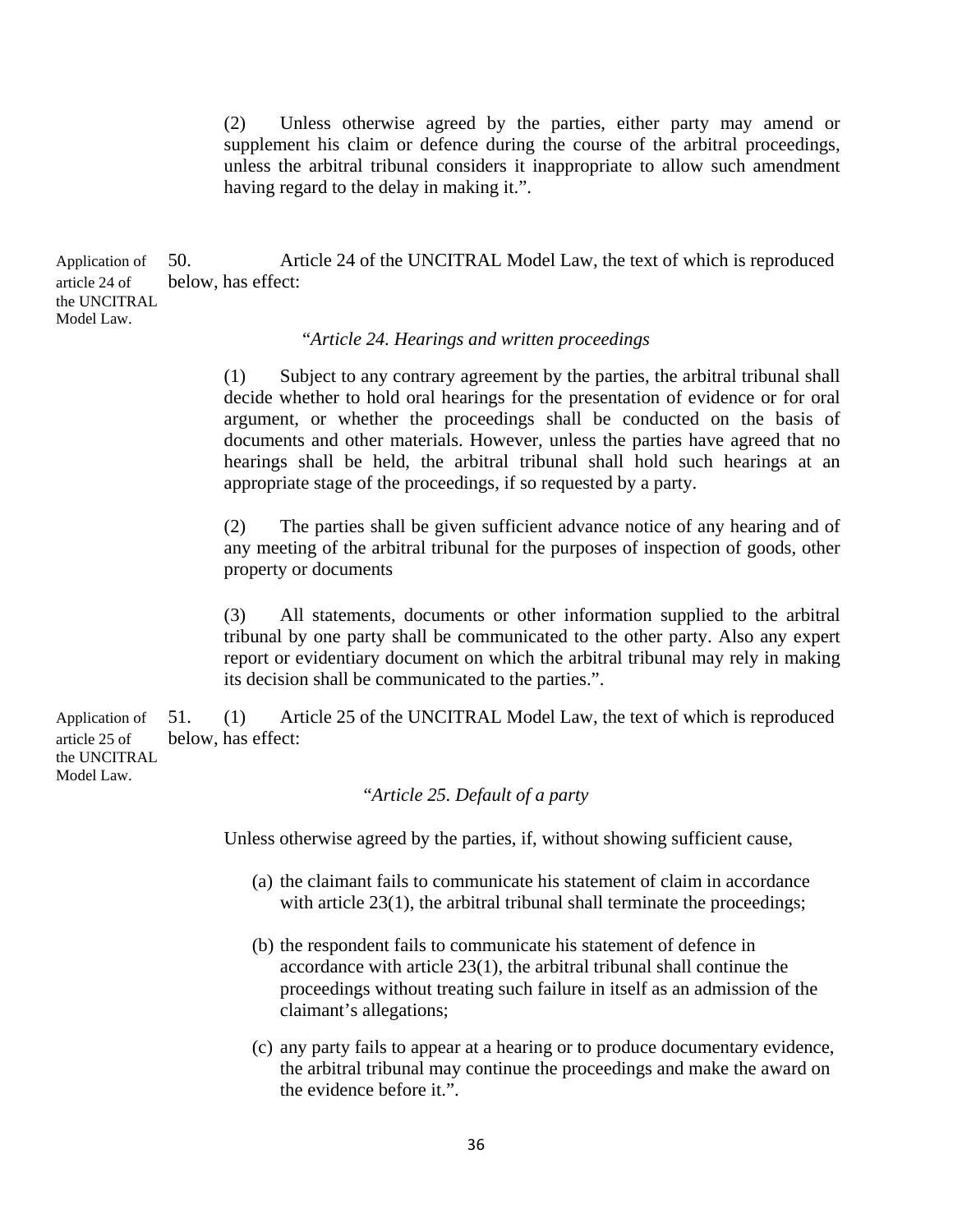(2) Unless otherwise agreed by the parties, either party may amend or supplement his claim or defence during the course of the arbitral proceedings, unless the arbitral tribunal considers it inappropriate to allow such amendment having regard to the delay in making it.".

Application of 50. Article 24 of the UNCITRAL Model Law, the text of which is reproduced article 24 of below, has effect: the UNCITRAL Model Law.

#### "*Article 24. Hearings and written proceedings*

(1) Subject to any contrary agreement by the parties, the arbitral tribunal shall decide whether to hold oral hearings for the presentation of evidence or for oral argument, or whether the proceedings shall be conducted on the basis of documents and other materials. However, unless the parties have agreed that no hearings shall be held, the arbitral tribunal shall hold such hearings at an appropriate stage of the proceedings, if so requested by a party.

(2) The parties shall be given sufficient advance notice of any hearing and of any meeting of the arbitral tribunal for the purposes of inspection of goods, other property or documents

(3) All statements, documents or other information supplied to the arbitral tribunal by one party shall be communicated to the other party. Also any expert report or evidentiary document on which the arbitral tribunal may rely in making its decision shall be communicated to the parties.".

Application of 51. (1) Article 25 of the UNCITRAL Model Law, the text of which is reproduced article 25 of below, has effect: the UNCITRAL Model Law.

#### "*Article 25. Default of a party*

Unless otherwise agreed by the parties, if, without showing sufficient cause,

- (a) the claimant fails to communicate his statement of claim in accordance with article 23(1), the arbitral tribunal shall terminate the proceedings;
- (b) the respondent fails to communicate his statement of defence in accordance with article 23(1), the arbitral tribunal shall continue the proceedings without treating such failure in itself as an admission of the claimant's allegations;
- (c) any party fails to appear at a hearing or to produce documentary evidence, the arbitral tribunal may continue the proceedings and make the award on the evidence before it.".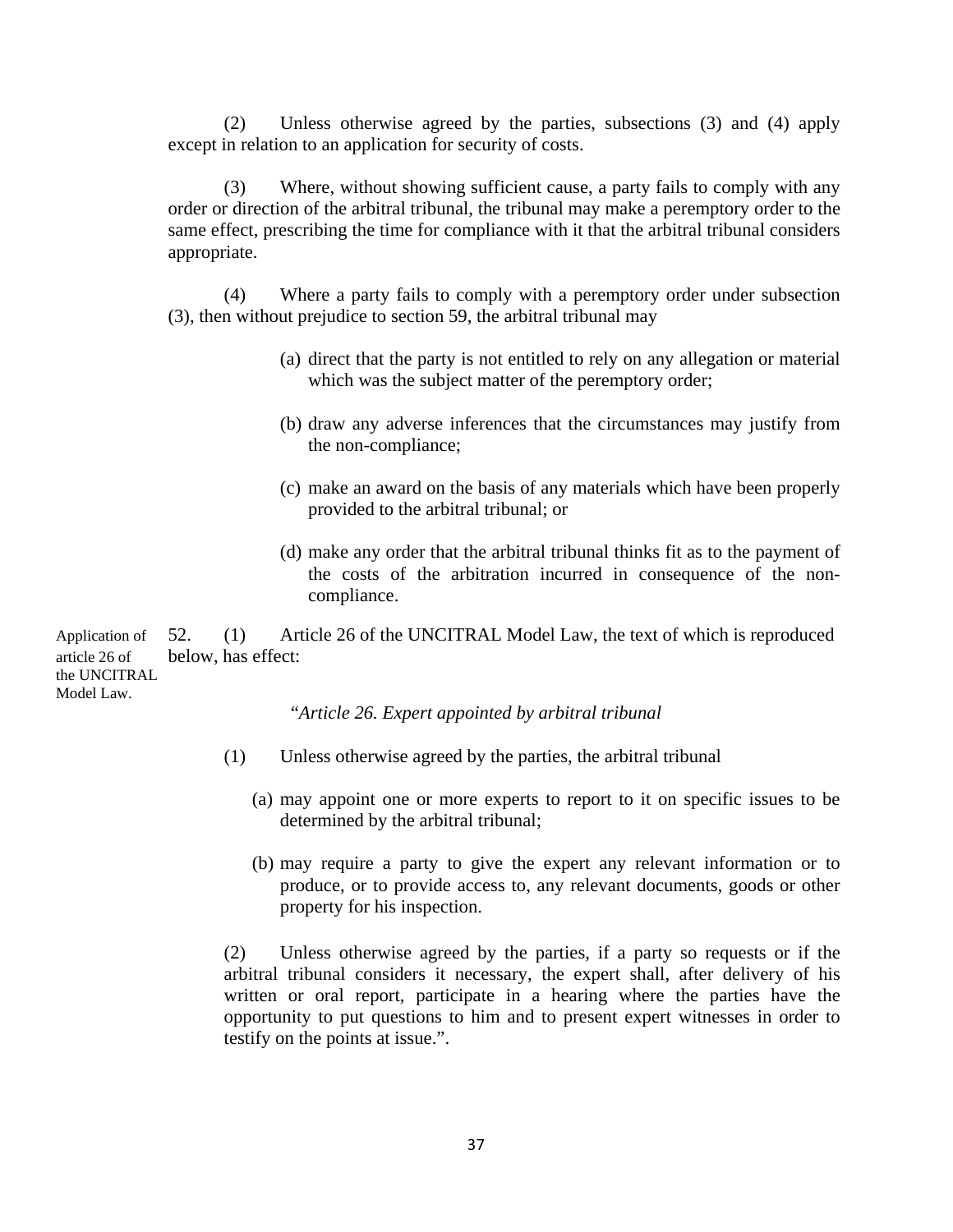(2) Unless otherwise agreed by the parties, subsections (3) and (4) apply except in relation to an application for security of costs.

(3) Where, without showing sufficient cause, a party fails to comply with any order or direction of the arbitral tribunal, the tribunal may make a peremptory order to the same effect, prescribing the time for compliance with it that the arbitral tribunal considers appropriate.

(4) Where a party fails to comply with a peremptory order under subsection (3), then without prejudice to section 59, the arbitral tribunal may

- (a) direct that the party is not entitled to rely on any allegation or material which was the subject matter of the peremptory order;
- (b) draw any adverse inferences that the circumstances may justify from the non-compliance;
- (c) make an award on the basis of any materials which have been properly provided to the arbitral tribunal; or
- (d) make any order that the arbitral tribunal thinks fit as to the payment of the costs of the arbitration incurred in consequence of the noncompliance.

Application of 52. (1) Article 26 of the UNCITRAL Model Law, the text of which is reproduced article 26 of below, has effect: the UNCITRAL Model Law.

"*Article 26. Expert appointed by arbitral tribunal* 

- (1) Unless otherwise agreed by the parties, the arbitral tribunal
	- (a) may appoint one or more experts to report to it on specific issues to be determined by the arbitral tribunal;
	- (b) may require a party to give the expert any relevant information or to produce, or to provide access to, any relevant documents, goods or other property for his inspection.

(2) Unless otherwise agreed by the parties, if a party so requests or if the arbitral tribunal considers it necessary, the expert shall, after delivery of his written or oral report, participate in a hearing where the parties have the opportunity to put questions to him and to present expert witnesses in order to testify on the points at issue.".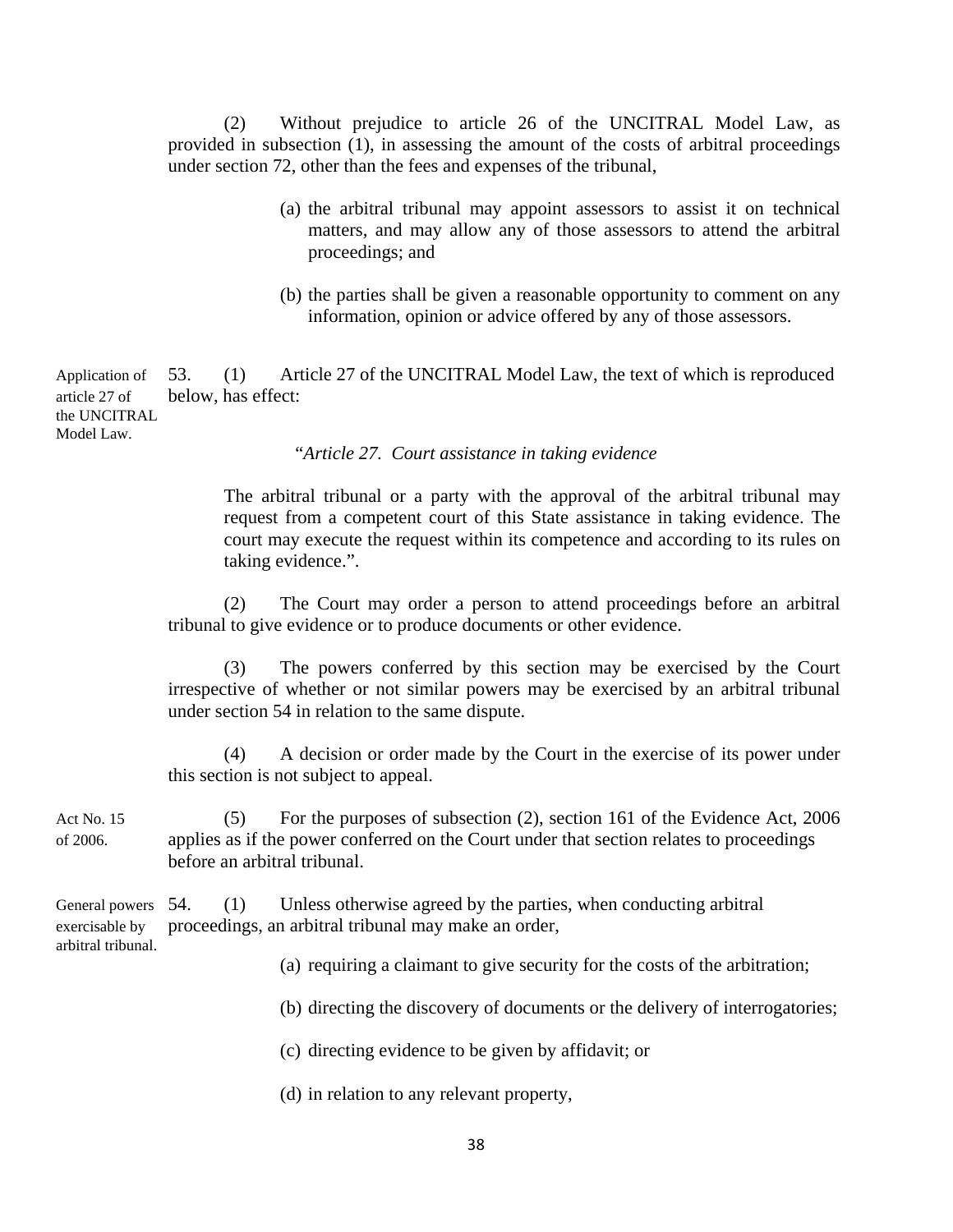(2) Without prejudice to article 26 of the UNCITRAL Model Law, as provided in subsection (1), in assessing the amount of the costs of arbitral proceedings under section 72, other than the fees and expenses of the tribunal,

- (a) the arbitral tribunal may appoint assessors to assist it on technical matters, and may allow any of those assessors to attend the arbitral proceedings; and
- (b) the parties shall be given a reasonable opportunity to comment on any information, opinion or advice offered by any of those assessors.

Application of 53. (1) Article 27 of the UNCITRAL Model Law, the text of which is reproduced article 27 of below, has effect: the UNCITRAL Model Law.

"*Article 27. Court assistance in taking evidence* 

The arbitral tribunal or a party with the approval of the arbitral tribunal may request from a competent court of this State assistance in taking evidence. The court may execute the request within its competence and according to its rules on taking evidence.".

(2) The Court may order a person to attend proceedings before an arbitral tribunal to give evidence or to produce documents or other evidence.

(3) The powers conferred by this section may be exercised by the Court irrespective of whether or not similar powers may be exercised by an arbitral tribunal under section 54 in relation to the same dispute.

(4) A decision or order made by the Court in the exercise of its power under this section is not subject to appeal.

Act No. 15 (5) For the purposes of subsection (2), section 161 of the Evidence Act, 2006 of 2006. applies as if the power conferred on the Court under that section relates to proceedings before an arbitral tribunal.

General powers 54. (1) Unless otherwise agreed by the parties, when conducting arbitral exercisable by proceedings, an arbitral tribunal may make an order, arbitral tribunal.

(a) requiring a claimant to give security for the costs of the arbitration;

(b) directing the discovery of documents or the delivery of interrogatories;

(c) directing evidence to be given by affidavit; or

(d) in relation to any relevant property,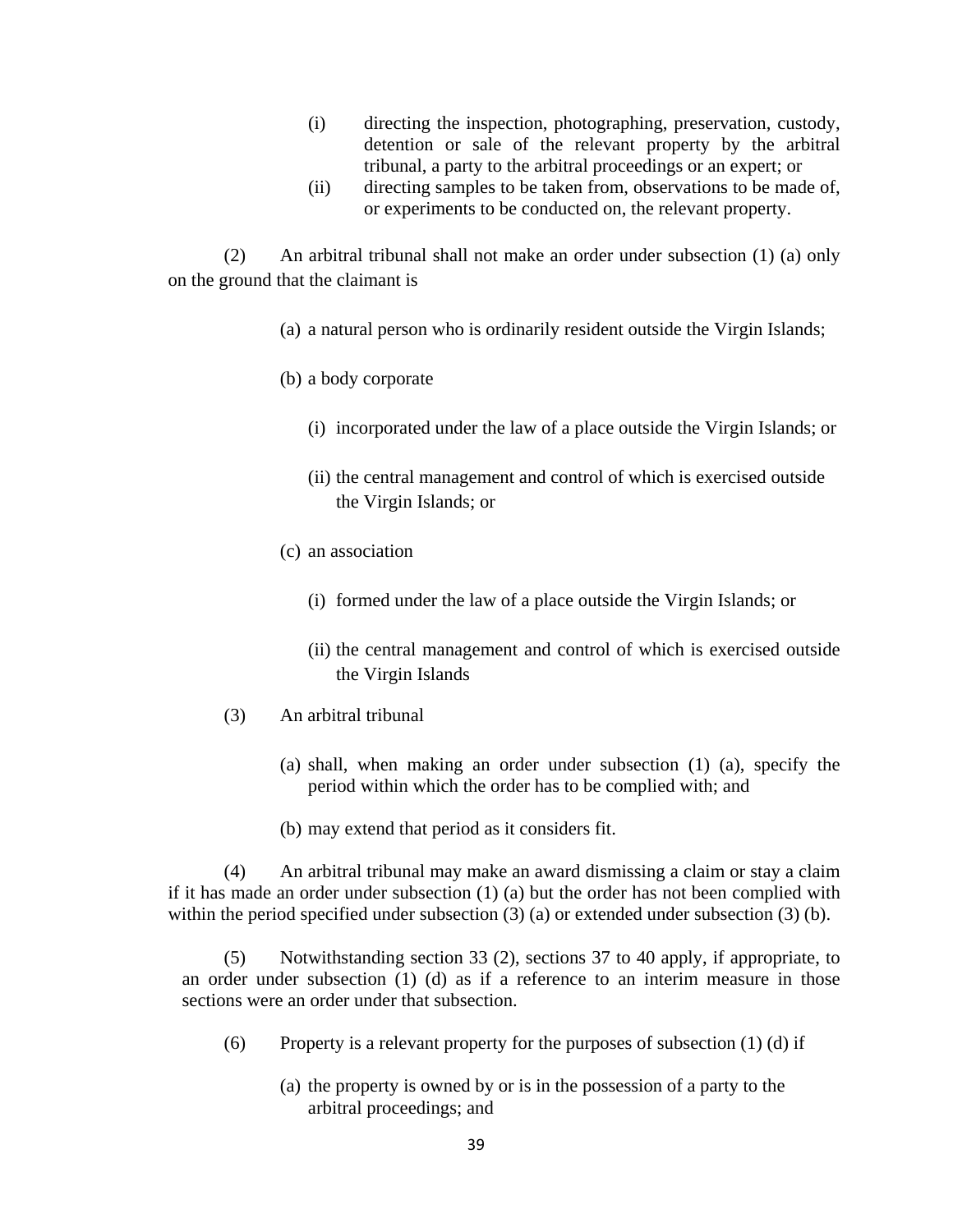- (i) directing the inspection, photographing, preservation, custody, detention or sale of the relevant property by the arbitral tribunal, a party to the arbitral proceedings or an expert; or
- (ii) directing samples to be taken from, observations to be made of, or experiments to be conducted on, the relevant property.

 (2) An arbitral tribunal shall not make an order under subsection (1) (a) only on the ground that the claimant is

- (a) a natural person who is ordinarily resident outside the Virgin Islands;
- (b) a body corporate
	- (i) incorporated under the law of a place outside the Virgin Islands; or
	- (ii) the central management and control of which is exercised outside the Virgin Islands; or
- (c) an association
	- (i) formed under the law of a place outside the Virgin Islands; or
	- (ii) the central management and control of which is exercised outside the Virgin Islands
- (3) An arbitral tribunal
	- (a) shall, when making an order under subsection (1) (a), specify the period within which the order has to be complied with; and
	- (b) may extend that period as it considers fit.

 (4) An arbitral tribunal may make an award dismissing a claim or stay a claim if it has made an order under subsection (1) (a) but the order has not been complied with within the period specified under subsection (3) (a) or extended under subsection (3) (b).

 (5) Notwithstanding section 33 (2), sections 37 to 40 apply, if appropriate, to an order under subsection (1) (d) as if a reference to an interim measure in those sections were an order under that subsection.

- (6) Property is a relevant property for the purposes of subsection  $(1)$   $(d)$  if
	- (a) the property is owned by or is in the possession of a party to the arbitral proceedings; and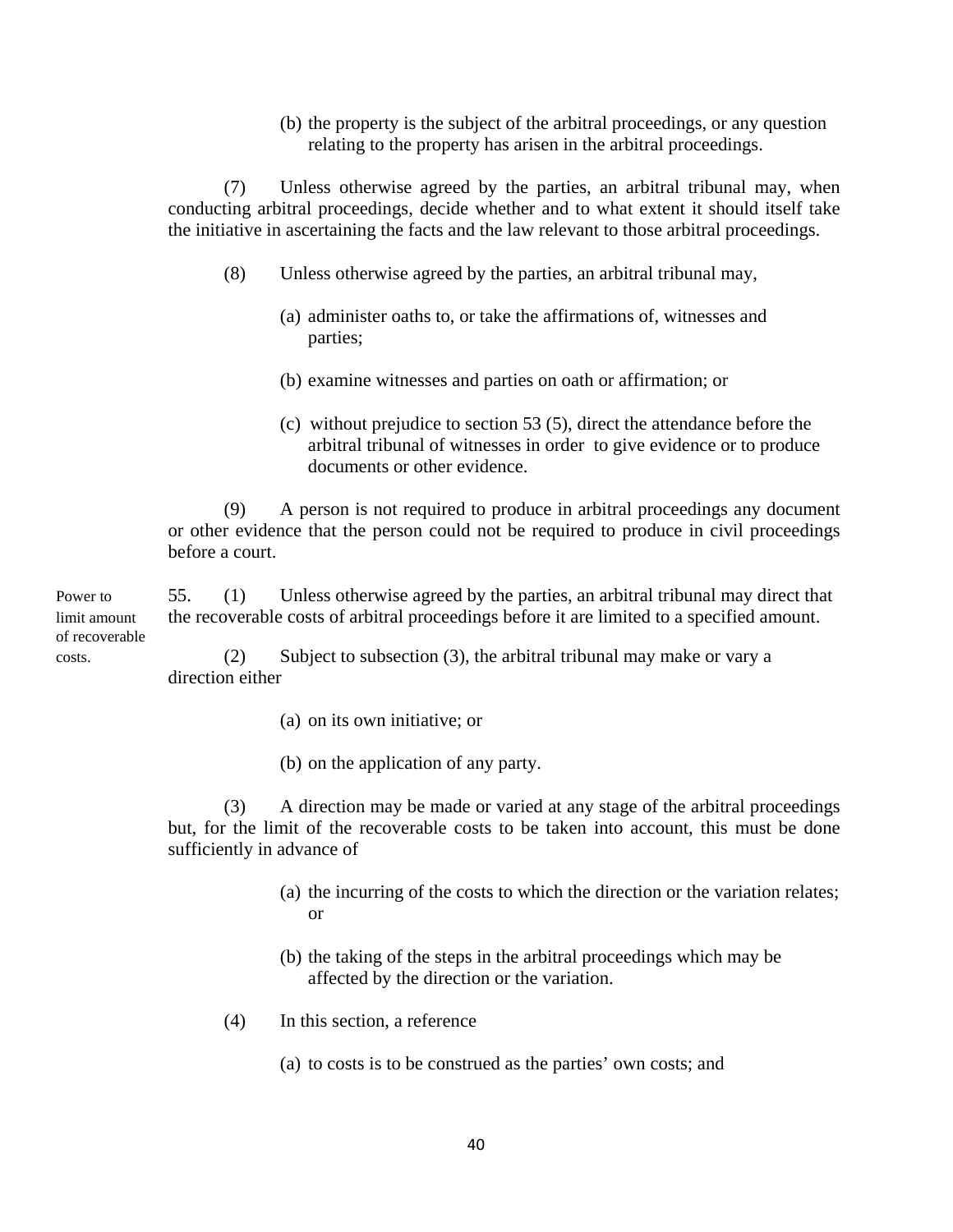(b) the property is the subject of the arbitral proceedings, or any question relating to the property has arisen in the arbitral proceedings.

(7) Unless otherwise agreed by the parties, an arbitral tribunal may, when conducting arbitral proceedings, decide whether and to what extent it should itself take the initiative in ascertaining the facts and the law relevant to those arbitral proceedings.

- (8) Unless otherwise agreed by the parties, an arbitral tribunal may,
	- (a) administer oaths to, or take the affirmations of, witnesses and parties;
	- (b) examine witnesses and parties on oath or affirmation; or
	- (c) without prejudice to section 53 (5), direct the attendance before the arbitral tribunal of witnesses in order to give evidence or to produce documents or other evidence.

 (9) A person is not required to produce in arbitral proceedings any document or other evidence that the person could not be required to produce in civil proceedings before a court.

Power to 55. (1) Unless otherwise agreed by the parties, an arbitral tribunal may direct that limit amount the recoverable costs of arbitral proceedings before it are limited to a specified amount. of recoverable

costs. (2) Subject to subsection (3), the arbitral tribunal may make or vary a direction either

- (a) on its own initiative; or
- (b) on the application of any party.

 (3) A direction may be made or varied at any stage of the arbitral proceedings but, for the limit of the recoverable costs to be taken into account, this must be done sufficiently in advance of

- (a) the incurring of the costs to which the direction or the variation relates; or
- (b) the taking of the steps in the arbitral proceedings which may be affected by the direction or the variation.
- (4) In this section, a reference
	- (a) to costs is to be construed as the parties' own costs; and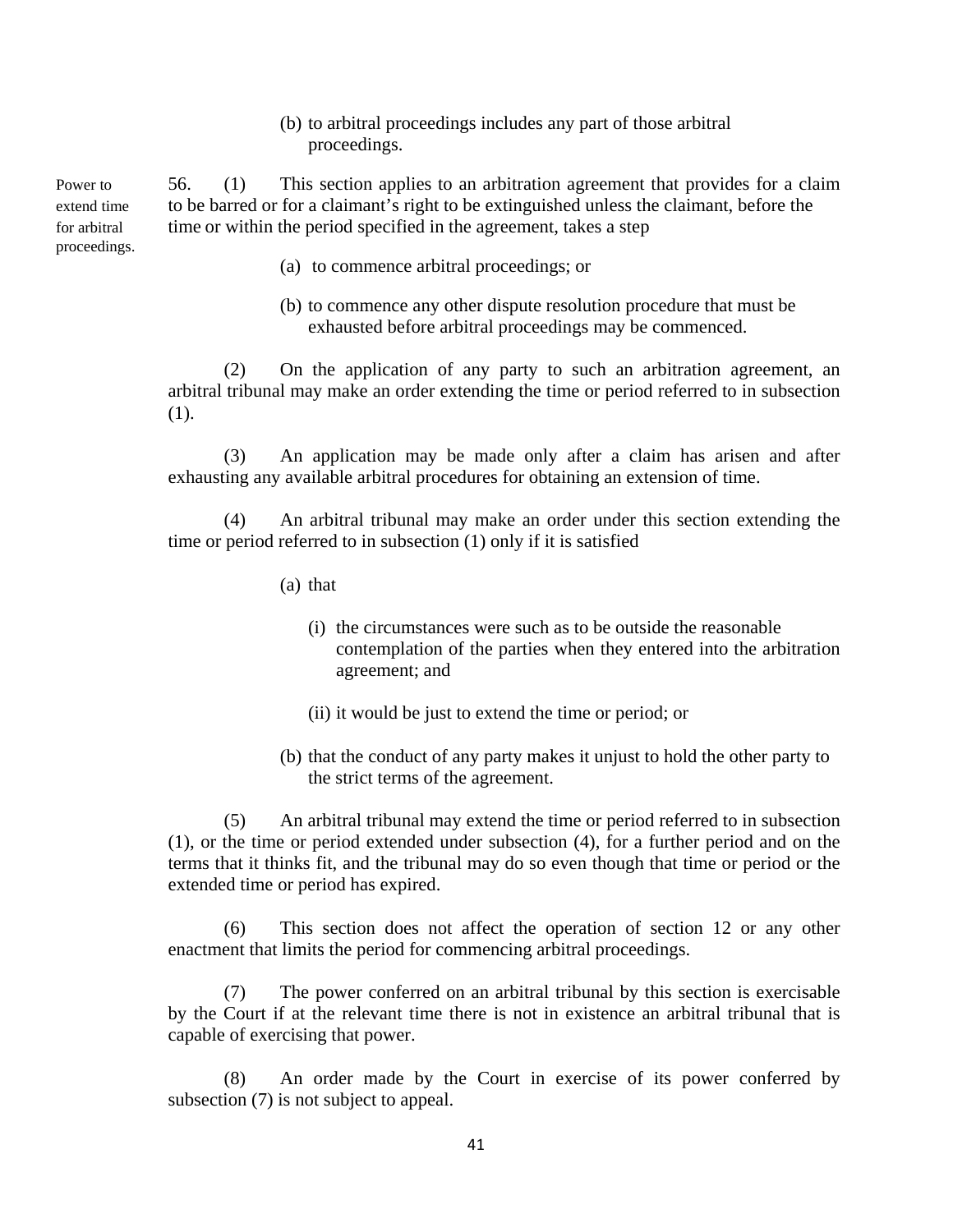(b) to arbitral proceedings includes any part of those arbitral proceedings.

Power to 56. (1) This section applies to an arbitration agreement that provides for a claim extend time to be barred or for a claimant's right to be extinguished unless the claimant, before the for arbitral time or within the period specified in the agreement, takes a step proceedings.

- (a) to commence arbitral proceedings; or
- (b) to commence any other dispute resolution procedure that must be exhausted before arbitral proceedings may be commenced.

 (2) On the application of any party to such an arbitration agreement, an arbitral tribunal may make an order extending the time or period referred to in subsection (1).

 (3) An application may be made only after a claim has arisen and after exhausting any available arbitral procedures for obtaining an extension of time.

 (4) An arbitral tribunal may make an order under this section extending the time or period referred to in subsection (1) only if it is satisfied

- (a) that
	- (i) the circumstances were such as to be outside the reasonable contemplation of the parties when they entered into the arbitration agreement; and
	- (ii) it would be just to extend the time or period; or
- (b) that the conduct of any party makes it unjust to hold the other party to the strict terms of the agreement.

 (5) An arbitral tribunal may extend the time or period referred to in subsection (1), or the time or period extended under subsection (4), for a further period and on the terms that it thinks fit, and the tribunal may do so even though that time or period or the extended time or period has expired.

 (6) This section does not affect the operation of section 12 or any other enactment that limits the period for commencing arbitral proceedings.

 (7) The power conferred on an arbitral tribunal by this section is exercisable by the Court if at the relevant time there is not in existence an arbitral tribunal that is capable of exercising that power.

An order made by the Court in exercise of its power conferred by subsection (7) is not subject to appeal.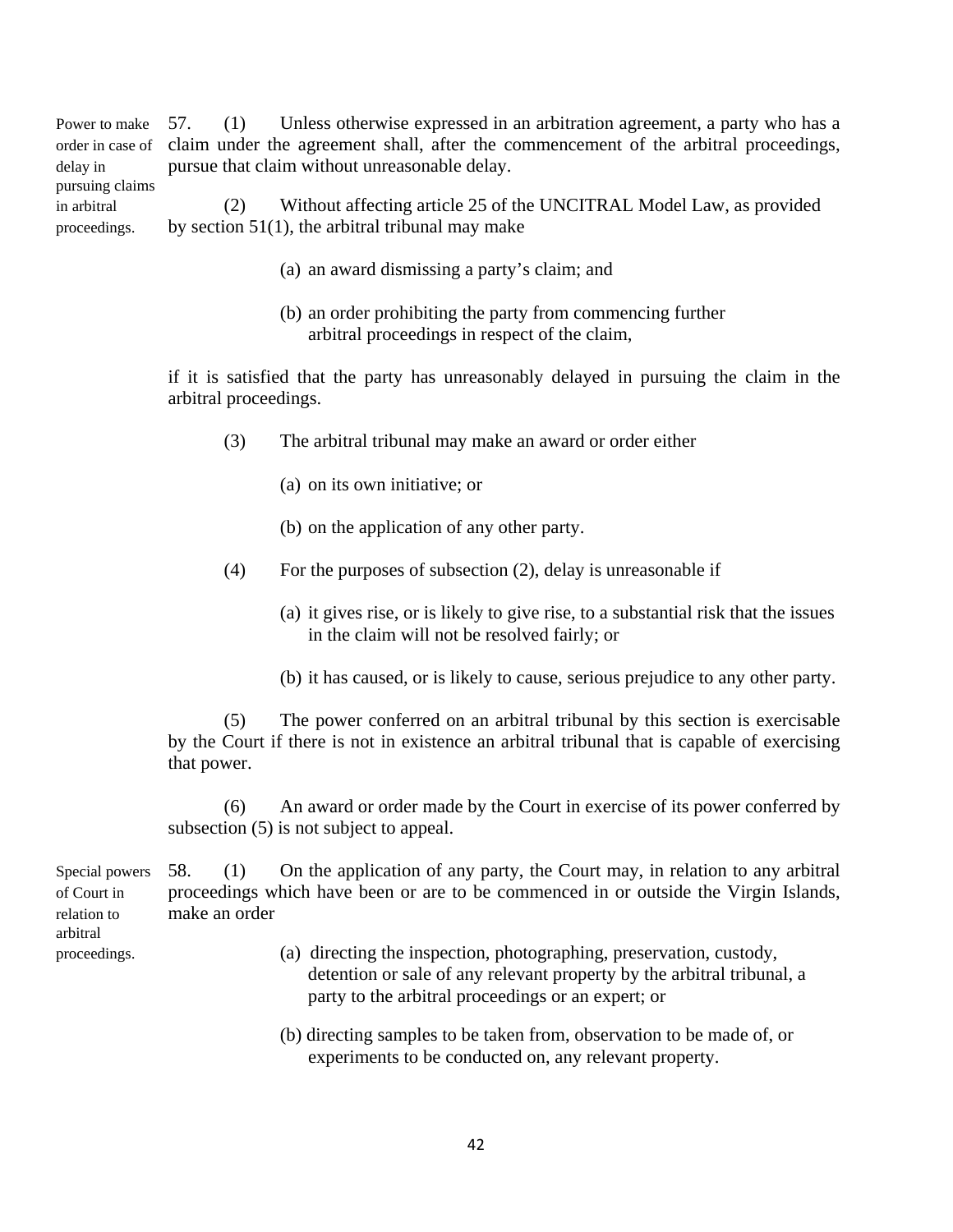Power to make 57. (1) Unless otherwise expressed in an arbitration agreement, a party who has a order in case of claim under the agreement shall, after the commencement of the arbitral proceedings, delay in pursue that claim without unreasonable delay. pursuing claims

in arbitral (2) Without affecting article 25 of the UNCITRAL Model Law, as provided proceedings. by section  $51(1)$ , the arbitral tribunal may make

- (a) an award dismissing a party's claim; and
- (b) an order prohibiting the party from commencing further arbitral proceedings in respect of the claim,

if it is satisfied that the party has unreasonably delayed in pursuing the claim in the arbitral proceedings.

- (3) The arbitral tribunal may make an award or order either
	- (a) on its own initiative; or
	- (b) on the application of any other party.
- (4) For the purposes of subsection (2), delay is unreasonable if
	- (a) it gives rise, or is likely to give rise, to a substantial risk that the issues in the claim will not be resolved fairly; or
	- (b) it has caused, or is likely to cause, serious prejudice to any other party.

 (5) The power conferred on an arbitral tribunal by this section is exercisable by the Court if there is not in existence an arbitral tribunal that is capable of exercising that power.

 (6) An award or order made by the Court in exercise of its power conferred by subsection (5) is not subject to appeal.

Special powers 58. (1) On the application of any party, the Court may, in relation to any arbitral of Court in proceedings which have been or are to be commenced in or outside the Virgin Islands, relation to make an order arbitral proceedings. (a) directing the inspection, photographing, preservation, custody, detention or sale of any relevant property by the arbitral tribunal, a party to the arbitral proceedings or an expert; or

> (b) directing samples to be taken from, observation to be made of, or experiments to be conducted on, any relevant property.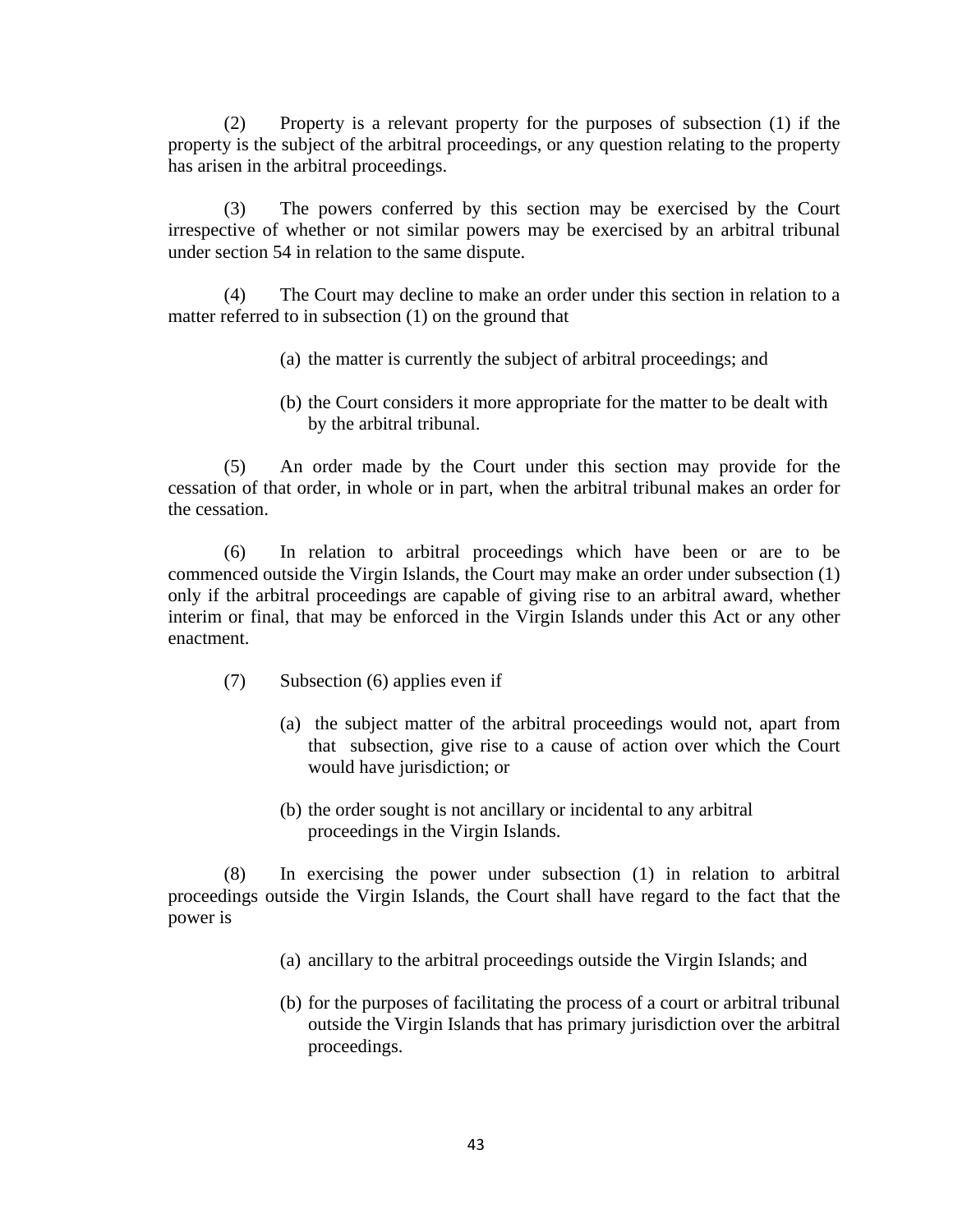(2) Property is a relevant property for the purposes of subsection (1) if the property is the subject of the arbitral proceedings, or any question relating to the property has arisen in the arbitral proceedings.

 (3) The powers conferred by this section may be exercised by the Court irrespective of whether or not similar powers may be exercised by an arbitral tribunal under section 54 in relation to the same dispute.

 (4) The Court may decline to make an order under this section in relation to a matter referred to in subsection (1) on the ground that

- (a) the matter is currently the subject of arbitral proceedings; and
- (b) the Court considers it more appropriate for the matter to be dealt with by the arbitral tribunal.

 (5) An order made by the Court under this section may provide for the cessation of that order, in whole or in part, when the arbitral tribunal makes an order for the cessation.

 (6) In relation to arbitral proceedings which have been or are to be commenced outside the Virgin Islands, the Court may make an order under subsection (1) only if the arbitral proceedings are capable of giving rise to an arbitral award, whether interim or final, that may be enforced in the Virgin Islands under this Act or any other enactment.

- (7) Subsection (6) applies even if
	- (a) the subject matter of the arbitral proceedings would not, apart from that subsection, give rise to a cause of action over which the Court would have jurisdiction; or
	- (b) the order sought is not ancillary or incidental to any arbitral proceedings in the Virgin Islands.

 (8) In exercising the power under subsection (1) in relation to arbitral proceedings outside the Virgin Islands, the Court shall have regard to the fact that the power is

- (a) ancillary to the arbitral proceedings outside the Virgin Islands; and
- (b) for the purposes of facilitating the process of a court or arbitral tribunal outside the Virgin Islands that has primary jurisdiction over the arbitral proceedings.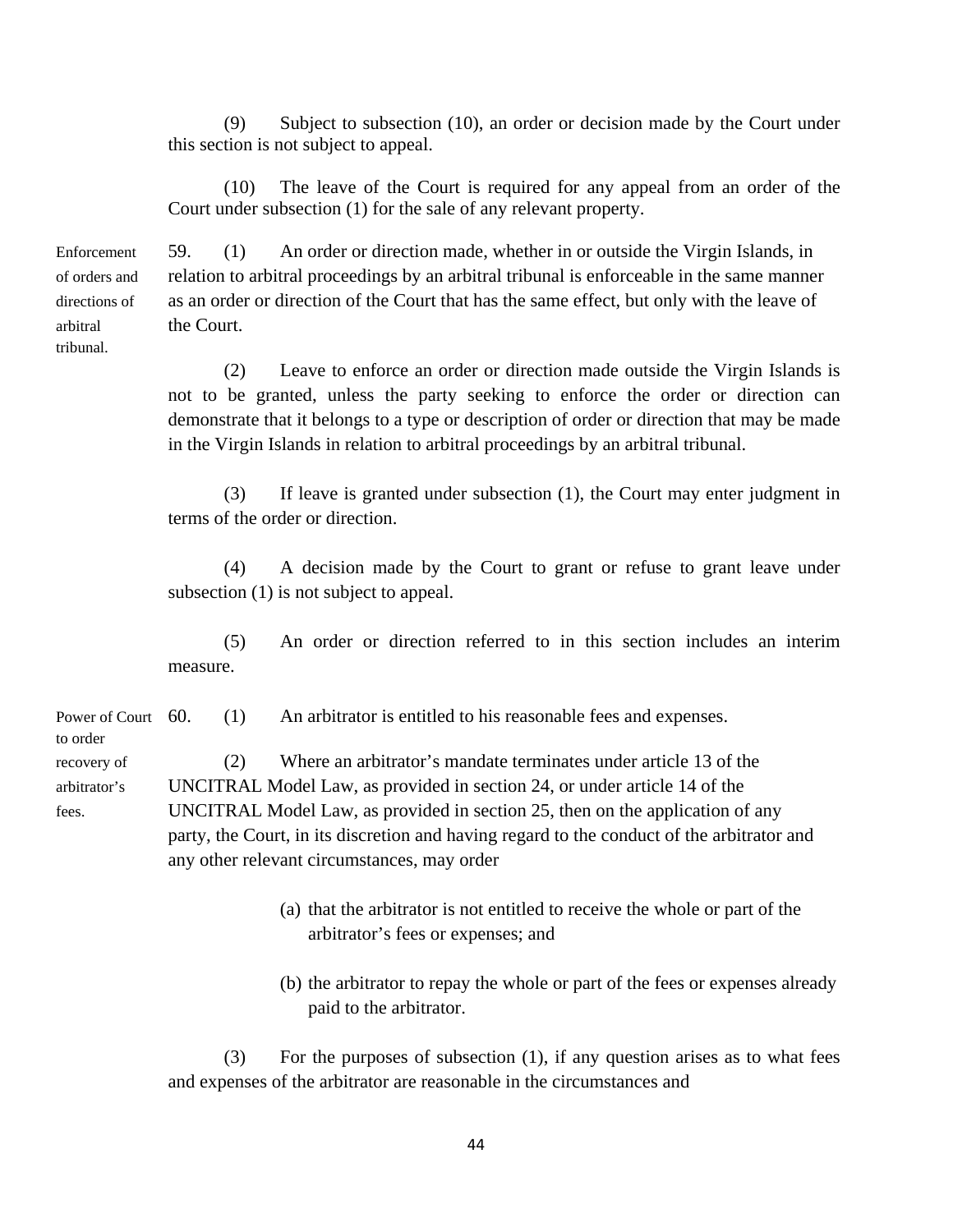(9) Subject to subsection (10), an order or decision made by the Court under this section is not subject to appeal.

(10) The leave of the Court is required for any appeal from an order of the Court under subsection (1) for the sale of any relevant property.

tribunal.

to order

Enforcement 59. (1) An order or direction made, whether in or outside the Virgin Islands, in of orders and relation to arbitral proceedings by an arbitral tribunal is enforceable in the same manner directions of as an order or direction of the Court that has the same effect, but only with the leave of arbitral the Court.

> (2) Leave to enforce an order or direction made outside the Virgin Islands is not to be granted, unless the party seeking to enforce the order or direction can demonstrate that it belongs to a type or description of order or direction that may be made in the Virgin Islands in relation to arbitral proceedings by an arbitral tribunal.

> (3) If leave is granted under subsection (1), the Court may enter judgment in terms of the order or direction.

> (4) A decision made by the Court to grant or refuse to grant leave under subsection (1) is not subject to appeal.

> (5) An order or direction referred to in this section includes an interim measure.

Power of Court 60. (1) An arbitrator is entitled to his reasonable fees and expenses.

recovery of (2) Where an arbitrator's mandate terminates under article 13 of the arbitrator's UNCITRAL Model Law, as provided in section 24, or under article 14 of the fees. UNCITRAL Model Law, as provided in section 25, then on the application of any party, the Court, in its discretion and having regard to the conduct of the arbitrator and any other relevant circumstances, may order

- (a) that the arbitrator is not entitled to receive the whole or part of the arbitrator's fees or expenses; and
- (b) the arbitrator to repay the whole or part of the fees or expenses already paid to the arbitrator.

 (3) For the purposes of subsection (1), if any question arises as to what fees and expenses of the arbitrator are reasonable in the circumstances and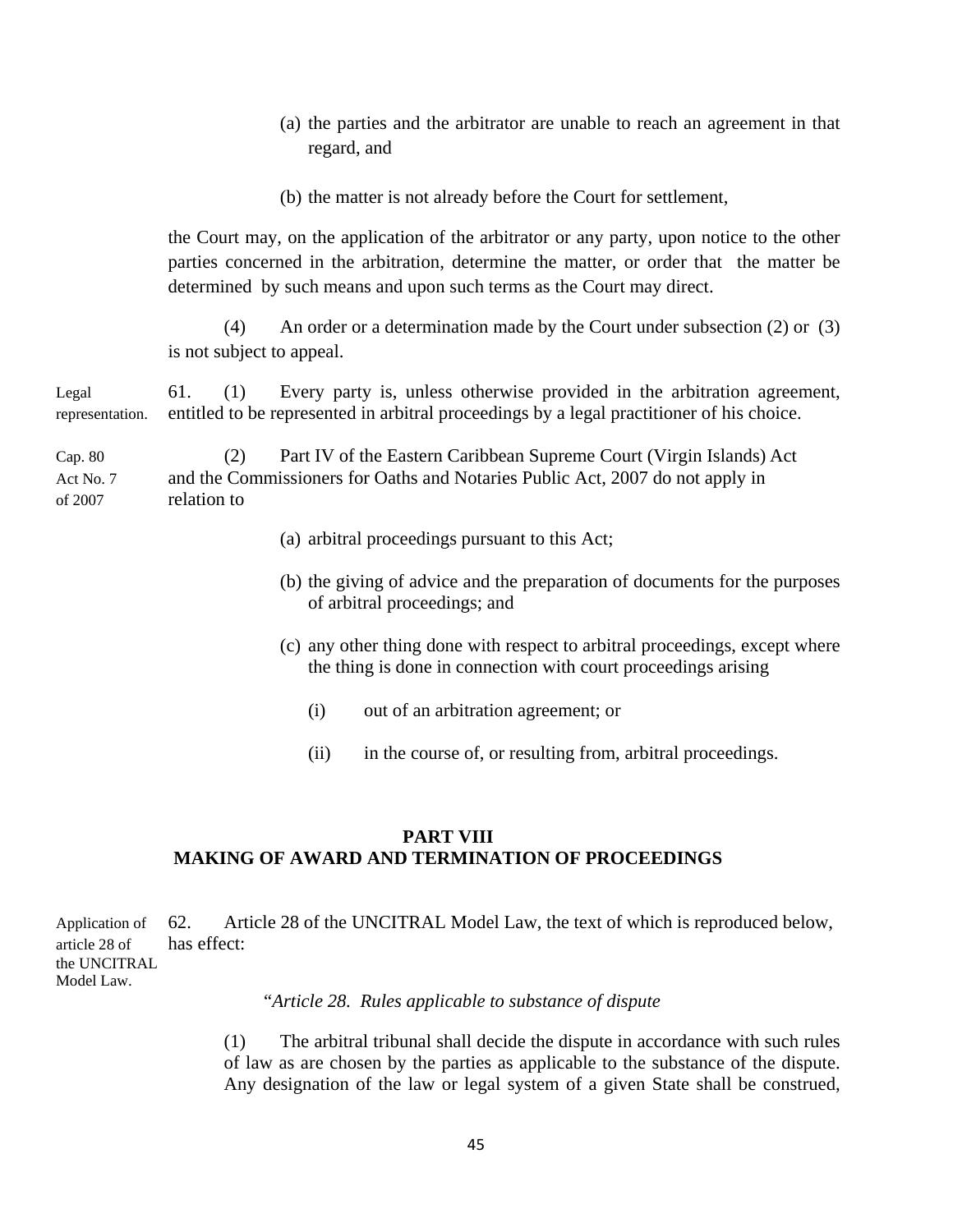- (a) the parties and the arbitrator are unable to reach an agreement in that regard, and
- (b) the matter is not already before the Court for settlement,

the Court may, on the application of the arbitrator or any party, upon notice to the other parties concerned in the arbitration, determine the matter, or order that the matter be determined by such means and upon such terms as the Court may direct.

 (4) An order or a determination made by the Court under subsection (2) or (3) is not subject to appeal.

Legal 61. (1) Every party is, unless otherwise provided in the arbitration agreement, representation. entitled to be represented in arbitral proceedings by a legal practitioner of his choice.

Cap. 80 (2) Part IV of the Eastern Caribbean Supreme Court (Virgin Islands) Act Act No. 7 and the Commissioners for Oaths and Notaries Public Act, 2007 do not apply in of 2007 relation to

- (a) arbitral proceedings pursuant to this Act;
- (b) the giving of advice and the preparation of documents for the purposes of arbitral proceedings; and
- (c) any other thing done with respect to arbitral proceedings, except where the thing is done in connection with court proceedings arising
	- (i) out of an arbitration agreement; or
	- (ii) in the course of, or resulting from, arbitral proceedings.

# **PART VIII MAKING OF AWARD AND TERMINATION OF PROCEEDINGS**

Application of 62. Article 28 of the UNCITRAL Model Law, the text of which is reproduced below, article 28 of has effect: the UNCITRAL Model Law.

"*Article 28. Rules applicable to substance of dispute*

(1) The arbitral tribunal shall decide the dispute in accordance with such rules of law as are chosen by the parties as applicable to the substance of the dispute. Any designation of the law or legal system of a given State shall be construed,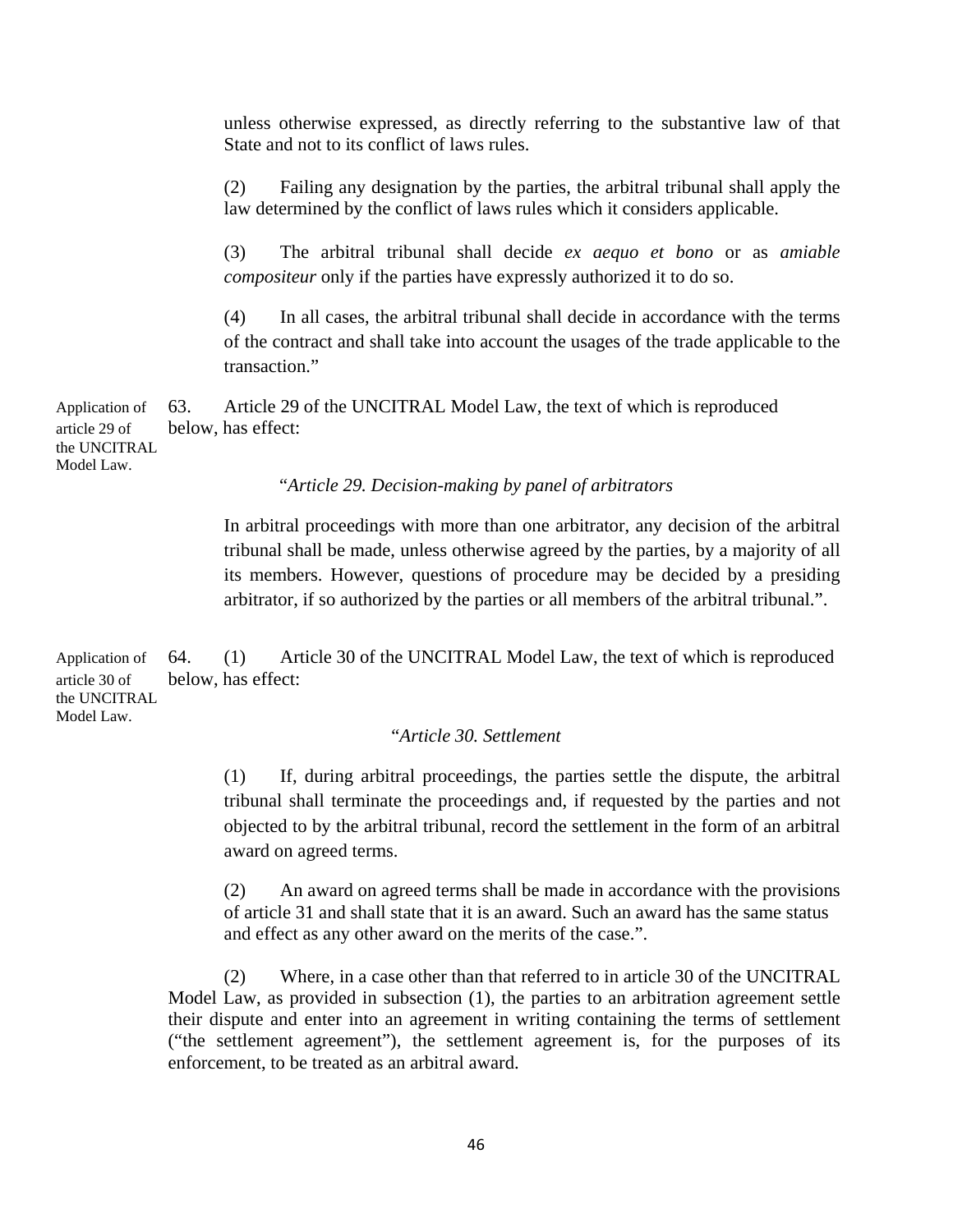unless otherwise expressed, as directly referring to the substantive law of that State and not to its conflict of laws rules.

(2) Failing any designation by the parties, the arbitral tribunal shall apply the law determined by the conflict of laws rules which it considers applicable.

 (3) The arbitral tribunal shall decide *ex aequo et bono* or as *amiable compositeur* only if the parties have expressly authorized it to do so.

 (4) In all cases, the arbitral tribunal shall decide in accordance with the terms of the contract and shall take into account the usages of the trade applicable to the transaction."

Application of 63. Article 29 of the UNCITRAL Model Law, the text of which is reproduced article 29 of below, has effect: the UNCITRAL Model Law.

"*Article 29. Decision-making by panel of arbitrators* 

In arbitral proceedings with more than one arbitrator, any decision of the arbitral tribunal shall be made, unless otherwise agreed by the parties, by a majority of all its members. However, questions of procedure may be decided by a presiding arbitrator, if so authorized by the parties or all members of the arbitral tribunal.".

Application of 64. (1) Article 30 of the UNCITRAL Model Law, the text of which is reproduced article 30 of below, has effect: the UNCITRAL Model Law.

# "*Article 30. Settlement*

(1) If, during arbitral proceedings, the parties settle the dispute, the arbitral tribunal shall terminate the proceedings and, if requested by the parties and not objected to by the arbitral tribunal, record the settlement in the form of an arbitral award on agreed terms.

(2) An award on agreed terms shall be made in accordance with the provisions of article 31 and shall state that it is an award. Such an award has the same status and effect as any other award on the merits of the case.".

(2) Where, in a case other than that referred to in article 30 of the UNCITRAL Model Law, as provided in subsection (1), the parties to an arbitration agreement settle their dispute and enter into an agreement in writing containing the terms of settlement ("the settlement agreement"), the settlement agreement is, for the purposes of its enforcement, to be treated as an arbitral award.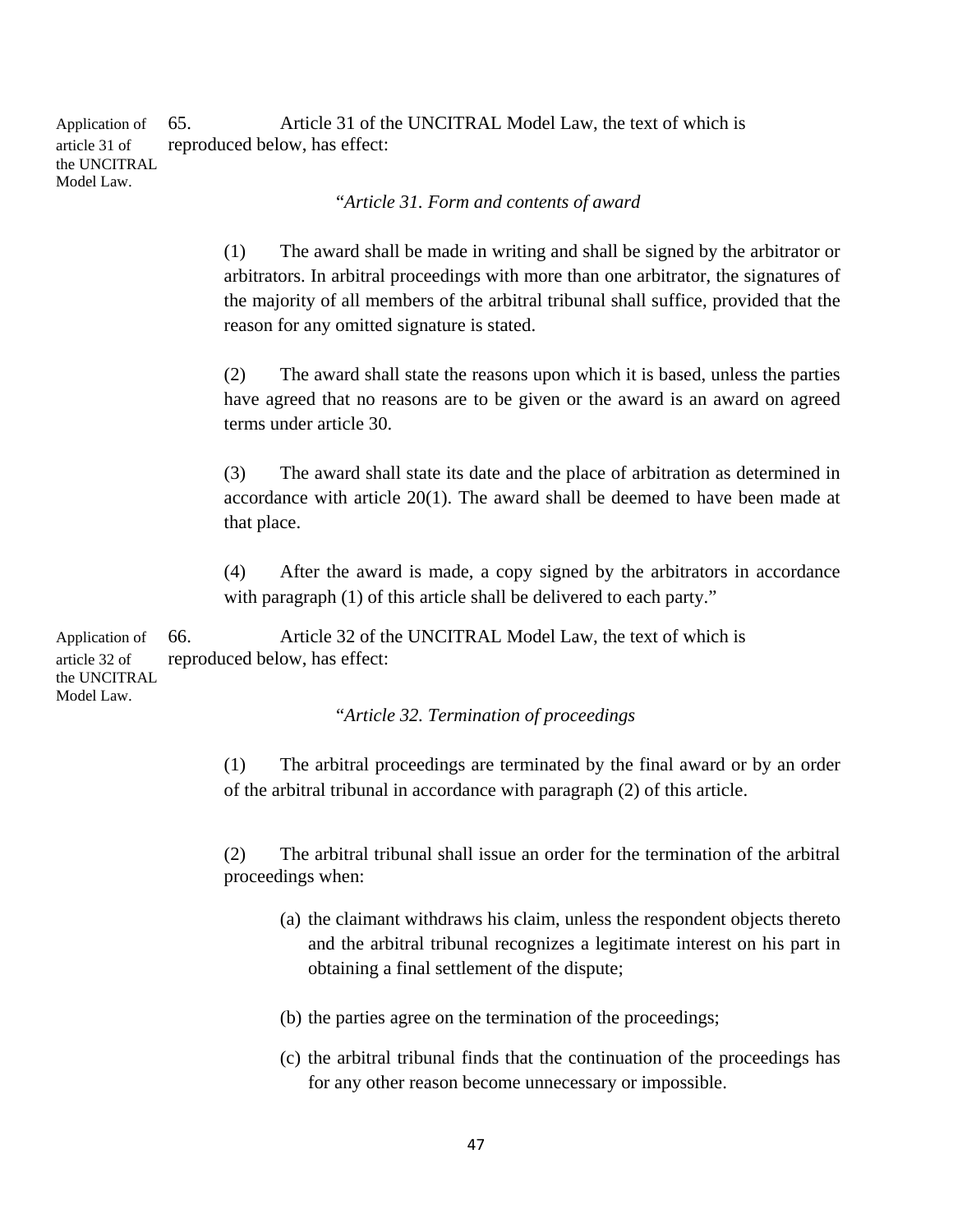Application of 65. Article 31 of the UNCITRAL Model Law, the text of which is article 31 of reproduced below, has effect: the UNCITRAL Model Law.

"*Article 31. Form and contents of award* 

(1) The award shall be made in writing and shall be signed by the arbitrator or arbitrators. In arbitral proceedings with more than one arbitrator, the signatures of the majority of all members of the arbitral tribunal shall suffice, provided that the reason for any omitted signature is stated.

(2) The award shall state the reasons upon which it is based, unless the parties have agreed that no reasons are to be given or the award is an award on agreed terms under article 30.

(3) The award shall state its date and the place of arbitration as determined in accordance with article 20(1). The award shall be deemed to have been made at that place.

(4) After the award is made, a copy signed by the arbitrators in accordance with paragraph (1) of this article shall be delivered to each party."

Application of 66. Article 32 of the UNCITRAL Model Law, the text of which is article 32 of reproduced below, has effect: the UNCITRAL Model Law.

"*Article 32. Termination of proceedings* 

(1) The arbitral proceedings are terminated by the final award or by an order of the arbitral tribunal in accordance with paragraph (2) of this article.

(2) The arbitral tribunal shall issue an order for the termination of the arbitral proceedings when:

- (a) the claimant withdraws his claim, unless the respondent objects thereto and the arbitral tribunal recognizes a legitimate interest on his part in obtaining a final settlement of the dispute;
- (b) the parties agree on the termination of the proceedings;
- (c) the arbitral tribunal finds that the continuation of the proceedings has for any other reason become unnecessary or impossible.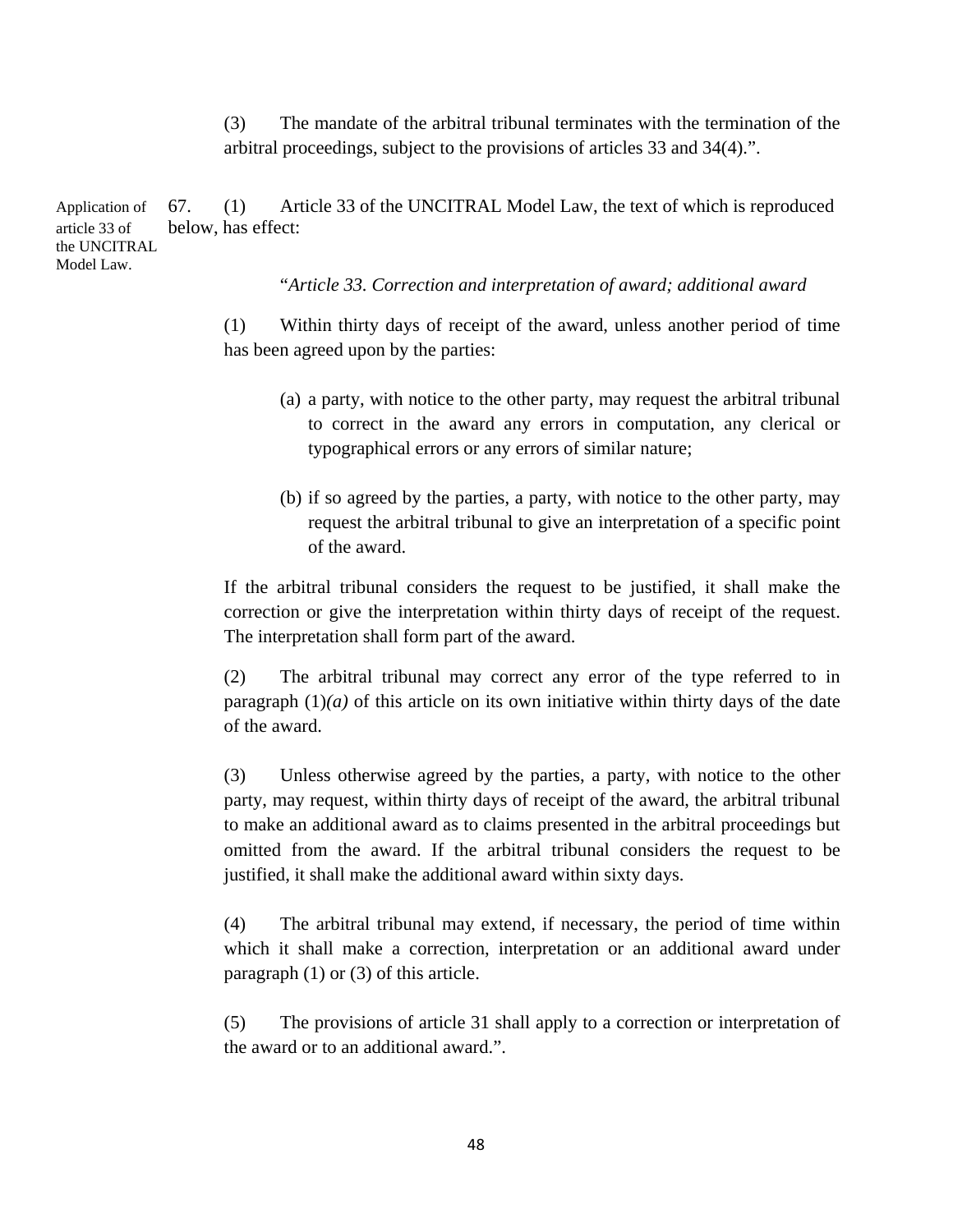(3) The mandate of the arbitral tribunal terminates with the termination of the arbitral proceedings, subject to the provisions of articles 33 and 34(4).".

Application of 67. (1) Article 33 of the UNCITRAL Model Law, the text of which is reproduced article 33 of below, has effect: the UNCITRAL Model Law.

# "*Article 33. Correction and interpretation of award; additional award*

(1) Within thirty days of receipt of the award, unless another period of time has been agreed upon by the parties:

- (a) a party, with notice to the other party, may request the arbitral tribunal to correct in the award any errors in computation, any clerical or typographical errors or any errors of similar nature;
- (b) if so agreed by the parties, a party, with notice to the other party, may request the arbitral tribunal to give an interpretation of a specific point of the award.

If the arbitral tribunal considers the request to be justified, it shall make the correction or give the interpretation within thirty days of receipt of the request. The interpretation shall form part of the award.

(2) The arbitral tribunal may correct any error of the type referred to in paragraph  $(1)(a)$  of this article on its own initiative within thirty days of the date of the award.

(3) Unless otherwise agreed by the parties, a party, with notice to the other party, may request, within thirty days of receipt of the award, the arbitral tribunal to make an additional award as to claims presented in the arbitral proceedings but omitted from the award. If the arbitral tribunal considers the request to be justified, it shall make the additional award within sixty days.

(4) The arbitral tribunal may extend, if necessary, the period of time within which it shall make a correction, interpretation or an additional award under paragraph (1) or (3) of this article.

(5) The provisions of article 31 shall apply to a correction or interpretation of the award or to an additional award.".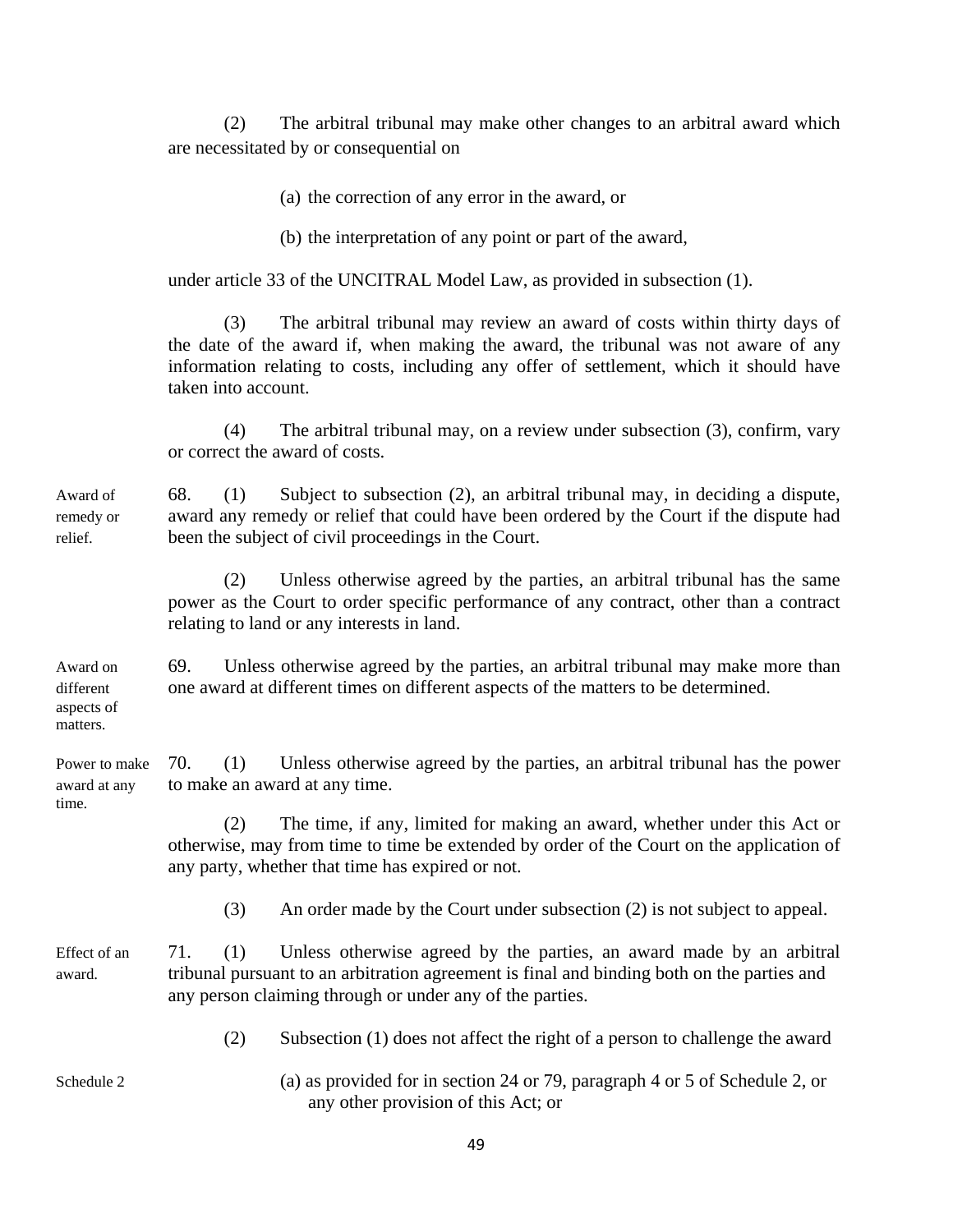(2) The arbitral tribunal may make other changes to an arbitral award which are necessitated by or consequential on

(a) the correction of any error in the award, or

(b) the interpretation of any point or part of the award,

under article 33 of the UNCITRAL Model Law, as provided in subsection (1).

 (3) The arbitral tribunal may review an award of costs within thirty days of the date of the award if, when making the award, the tribunal was not aware of any information relating to costs, including any offer of settlement, which it should have taken into account.

 (4) The arbitral tribunal may, on a review under subsection (3), confirm, vary or correct the award of costs.

Award of 68. (1) Subject to subsection (2), an arbitral tribunal may, in deciding a dispute, remedy or award any remedy or relief that could have been ordered by the Court if the dispute had relief. been the subject of civil proceedings in the Court.

> (2) Unless otherwise agreed by the parties, an arbitral tribunal has the same power as the Court to order specific performance of any contract, other than a contract relating to land or any interests in land.

Award on 69. Unless otherwise agreed by the parties, an arbitral tribunal may make more than different one award at different times on different aspects of the matters to be determined. aspects of matters.

Power to make 70. (1) Unless otherwise agreed by the parties, an arbitral tribunal has the power award at any to make an award at any time. time.

> (2) The time, if any, limited for making an award, whether under this Act or otherwise, may from time to time be extended by order of the Court on the application of any party, whether that time has expired or not.

(3) An order made by the Court under subsection (2) is not subject to appeal.

Effect of an 71. (1) Unless otherwise agreed by the parties, an award made by an arbitral award. tribunal pursuant to an arbitration agreement is final and binding both on the parties and any person claiming through or under any of the parties.

(2) Subsection (1) does not affect the right of a person to challenge the award

Schedule 2 (a) as provided for in section 24 or 79, paragraph 4 or 5 of Schedule 2, or any other provision of this Act; or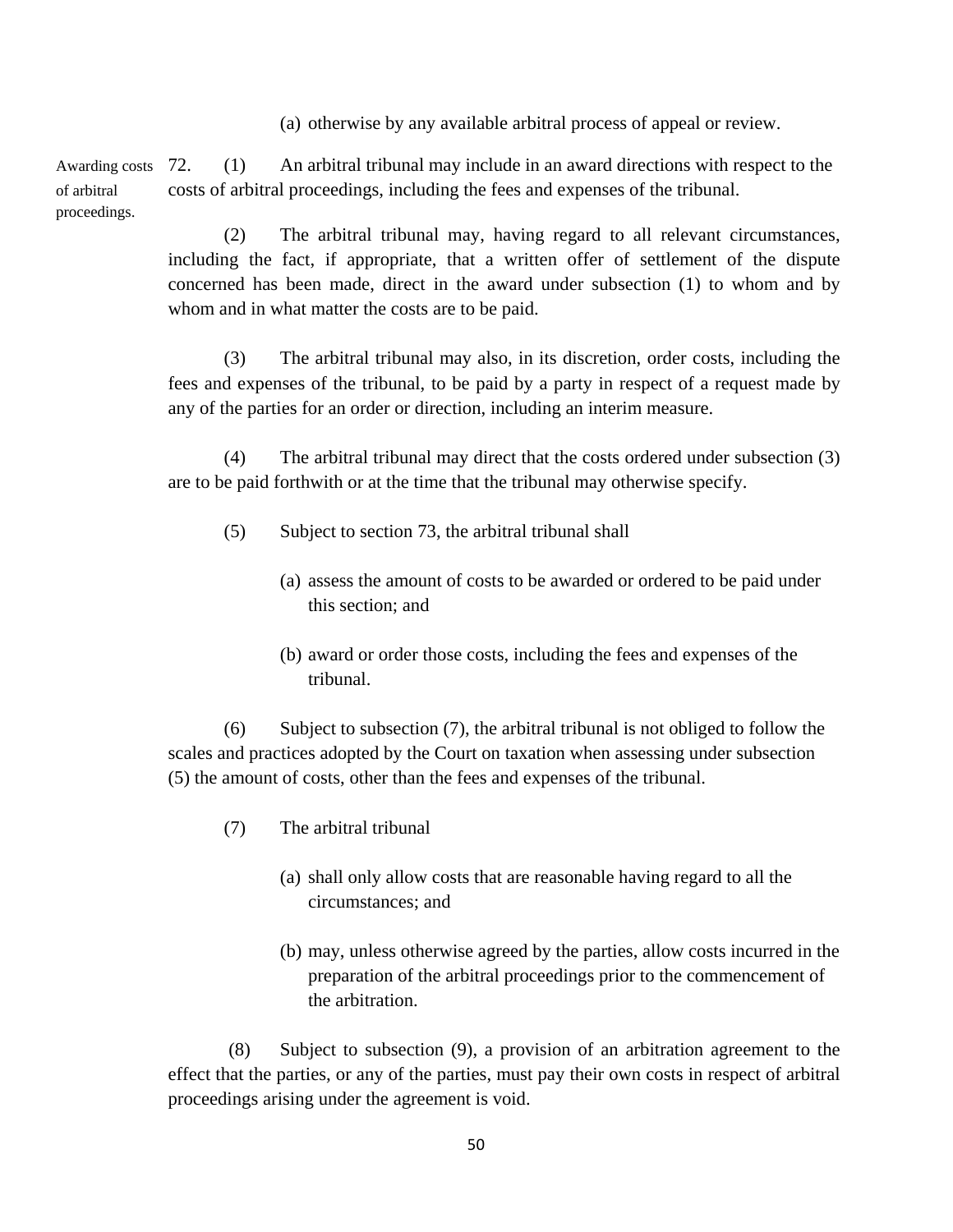(a) otherwise by any available arbitral process of appeal or review.

Awarding costs 72. (1) An arbitral tribunal may include in an award directions with respect to the of arbitral costs of arbitral proceedings, including the fees and expenses of the tribunal. proceedings.

> (2) The arbitral tribunal may, having regard to all relevant circumstances, including the fact, if appropriate, that a written offer of settlement of the dispute concerned has been made, direct in the award under subsection (1) to whom and by whom and in what matter the costs are to be paid.

> (3) The arbitral tribunal may also, in its discretion, order costs, including the fees and expenses of the tribunal, to be paid by a party in respect of a request made by any of the parties for an order or direction, including an interim measure.

> (4) The arbitral tribunal may direct that the costs ordered under subsection (3) are to be paid forthwith or at the time that the tribunal may otherwise specify.

- (5) Subject to section 73, the arbitral tribunal shall
	- (a) assess the amount of costs to be awarded or ordered to be paid under this section; and
	- (b) award or order those costs, including the fees and expenses of the tribunal.

 (6) Subject to subsection (7), the arbitral tribunal is not obliged to follow the scales and practices adopted by the Court on taxation when assessing under subsection (5) the amount of costs, other than the fees and expenses of the tribunal.

- (7) The arbitral tribunal
	- (a) shall only allow costs that are reasonable having regard to all the circumstances; and
	- (b) may, unless otherwise agreed by the parties, allow costs incurred in the preparation of the arbitral proceedings prior to the commencement of the arbitration.

 (8) Subject to subsection (9), a provision of an arbitration agreement to the effect that the parties, or any of the parties, must pay their own costs in respect of arbitral proceedings arising under the agreement is void.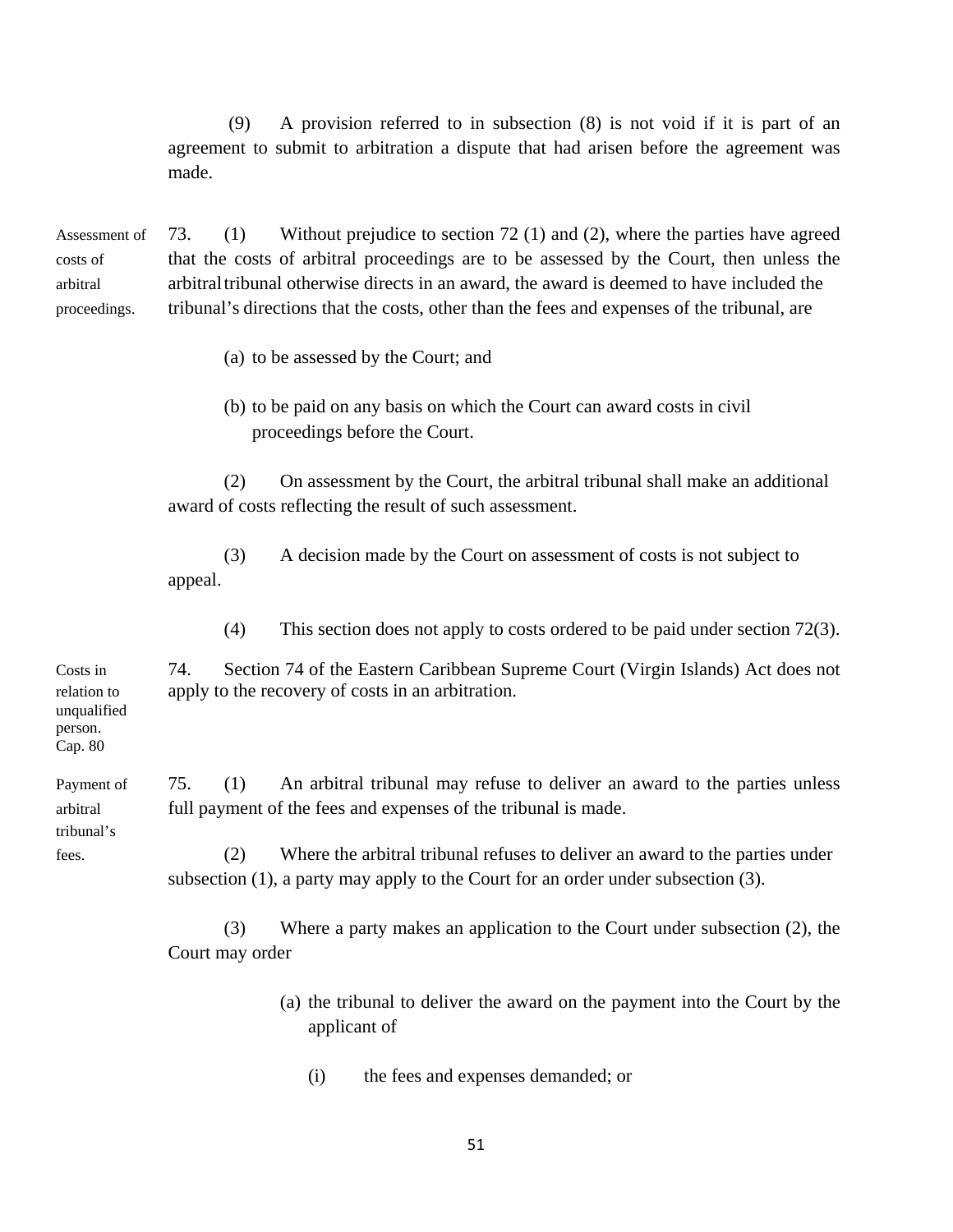(9) A provision referred to in subsection (8) is not void if it is part of an agreement to submit to arbitration a dispute that had arisen before the agreement was made.

Assessment of 73. (1) Without prejudice to section 72 (1) and (2), where the parties have agreed costs of that the costs of arbitral proceedings are to be assessed by the Court, then unless the arbitral arbitral arbitral tribunal otherwise directs in an award, the award is deemed to have included the proceedings. tribunal's directions that the costs, other than the fees and expenses of the tribunal, are

- (a) to be assessed by the Court; and
- (b) to be paid on any basis on which the Court can award costs in civil proceedings before the Court.

 (2) On assessment by the Court, the arbitral tribunal shall make an additional award of costs reflecting the result of such assessment.

(3) A decision made by the Court on assessment of costs is not subject to appeal.

(4) This section does not apply to costs ordered to be paid under section 72(3).

Costs in 74. Section 74 of the Eastern Caribbean Supreme Court (Virgin Islands) Act does not relation to apply to the recovery of costs in an arbitration. unqualified person. Cap. 80

Payment of 75. (1) An arbitral tribunal may refuse to deliver an award to the parties unless arbitral full payment of the fees and expenses of the tribunal is made. tribunal's

fees. (2) Where the arbitral tribunal refuses to deliver an award to the parties under subsection (1), a party may apply to the Court for an order under subsection (3).

> (3) Where a party makes an application to the Court under subsection (2), the Court may order

- (a) the tribunal to deliver the award on the payment into the Court by the applicant of
	- (i) the fees and expenses demanded; or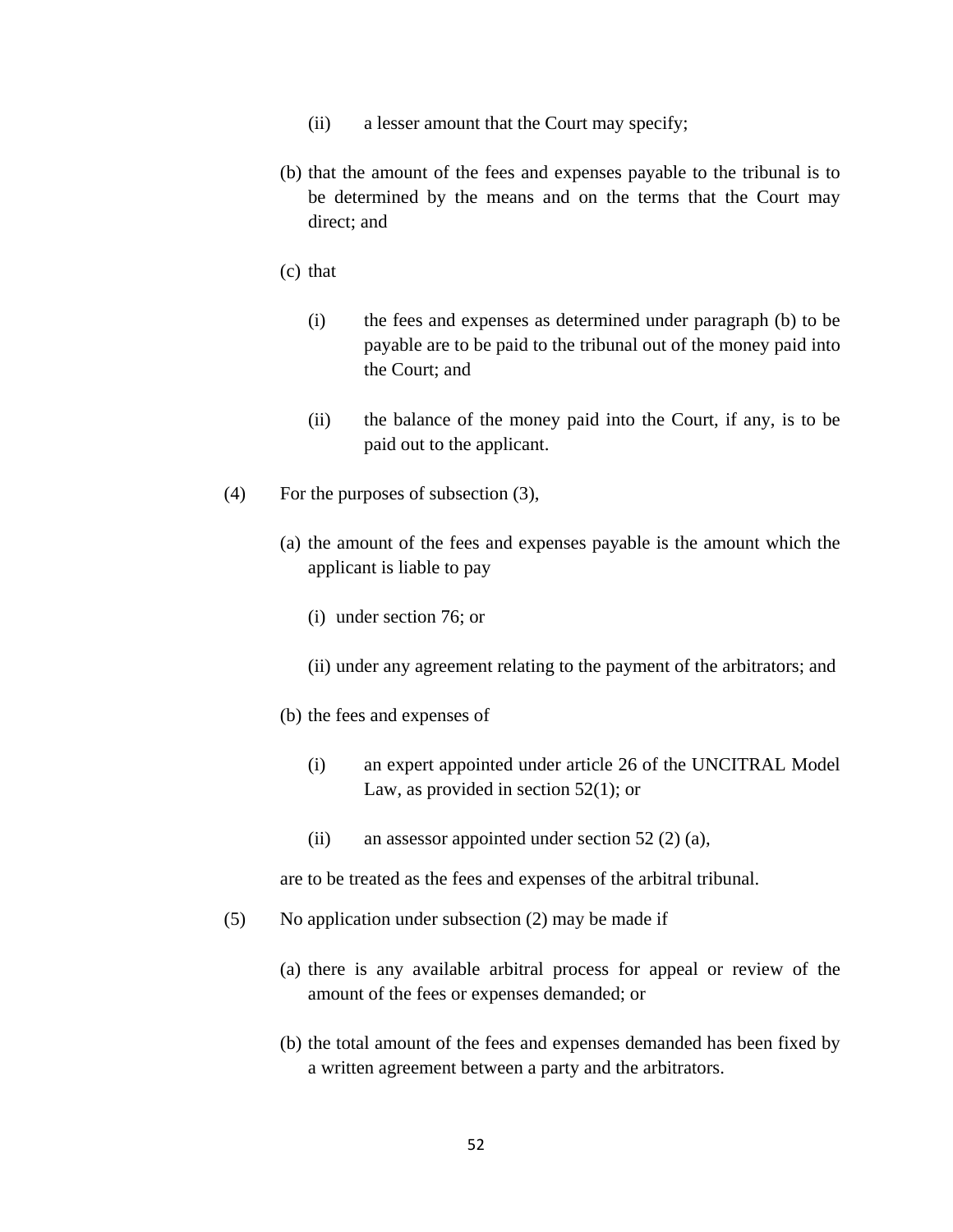- (ii) a lesser amount that the Court may specify;
- (b) that the amount of the fees and expenses payable to the tribunal is to be determined by the means and on the terms that the Court may direct; and
- (c) that
	- (i) the fees and expenses as determined under paragraph (b) to be payable are to be paid to the tribunal out of the money paid into the Court; and
	- (ii) the balance of the money paid into the Court, if any, is to be paid out to the applicant.
- (4) For the purposes of subsection (3),
	- (a) the amount of the fees and expenses payable is the amount which the applicant is liable to pay
		- (i) under section 76; or
		- (ii) under any agreement relating to the payment of the arbitrators; and
	- (b) the fees and expenses of
		- (i) an expert appointed under article 26 of the UNCITRAL Model Law, as provided in section 52(1); or
		- (ii) an assessor appointed under section  $52(2)(a)$ ,

are to be treated as the fees and expenses of the arbitral tribunal.

- (5) No application under subsection (2) may be made if
	- (a) there is any available arbitral process for appeal or review of the amount of the fees or expenses demanded; or
	- (b) the total amount of the fees and expenses demanded has been fixed by a written agreement between a party and the arbitrators.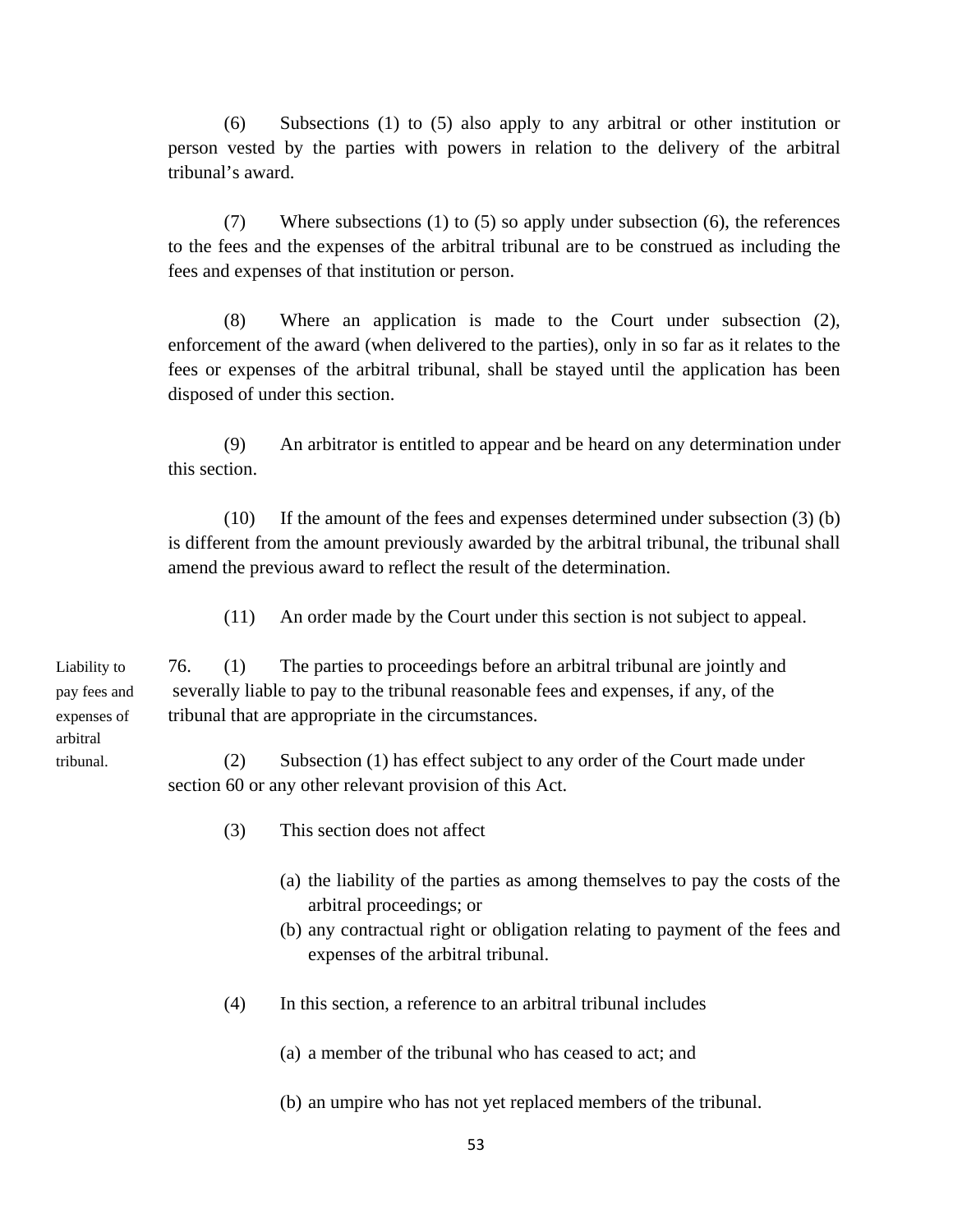(6) Subsections (1) to (5) also apply to any arbitral or other institution or person vested by the parties with powers in relation to the delivery of the arbitral tribunal's award.

 (7) Where subsections (1) to (5) so apply under subsection (6), the references to the fees and the expenses of the arbitral tribunal are to be construed as including the fees and expenses of that institution or person.

 (8) Where an application is made to the Court under subsection (2), enforcement of the award (when delivered to the parties), only in so far as it relates to the fees or expenses of the arbitral tribunal, shall be stayed until the application has been disposed of under this section.

 (9) An arbitrator is entitled to appear and be heard on any determination under this section.

 (10) If the amount of the fees and expenses determined under subsection (3) (b) is different from the amount previously awarded by the arbitral tribunal, the tribunal shall amend the previous award to reflect the result of the determination.

(11) An order made by the Court under this section is not subject to appeal.

arbitral

Liability to 76. (1) The parties to proceedings before an arbitral tribunal are jointly and pay fees and severally liable to pay to the tribunal reasonable fees and expenses, if any, of the expenses of tribunal that are appropriate in the circumstances.

tribunal. (2) Subsection (1) has effect subject to any order of the Court made under section 60 or any other relevant provision of this Act.

- (3) This section does not affect
	- (a) the liability of the parties as among themselves to pay the costs of the arbitral proceedings; or
	- (b) any contractual right or obligation relating to payment of the fees and expenses of the arbitral tribunal.
- (4) In this section, a reference to an arbitral tribunal includes
	- (a) a member of the tribunal who has ceased to act; and
	- (b) an umpire who has not yet replaced members of the tribunal.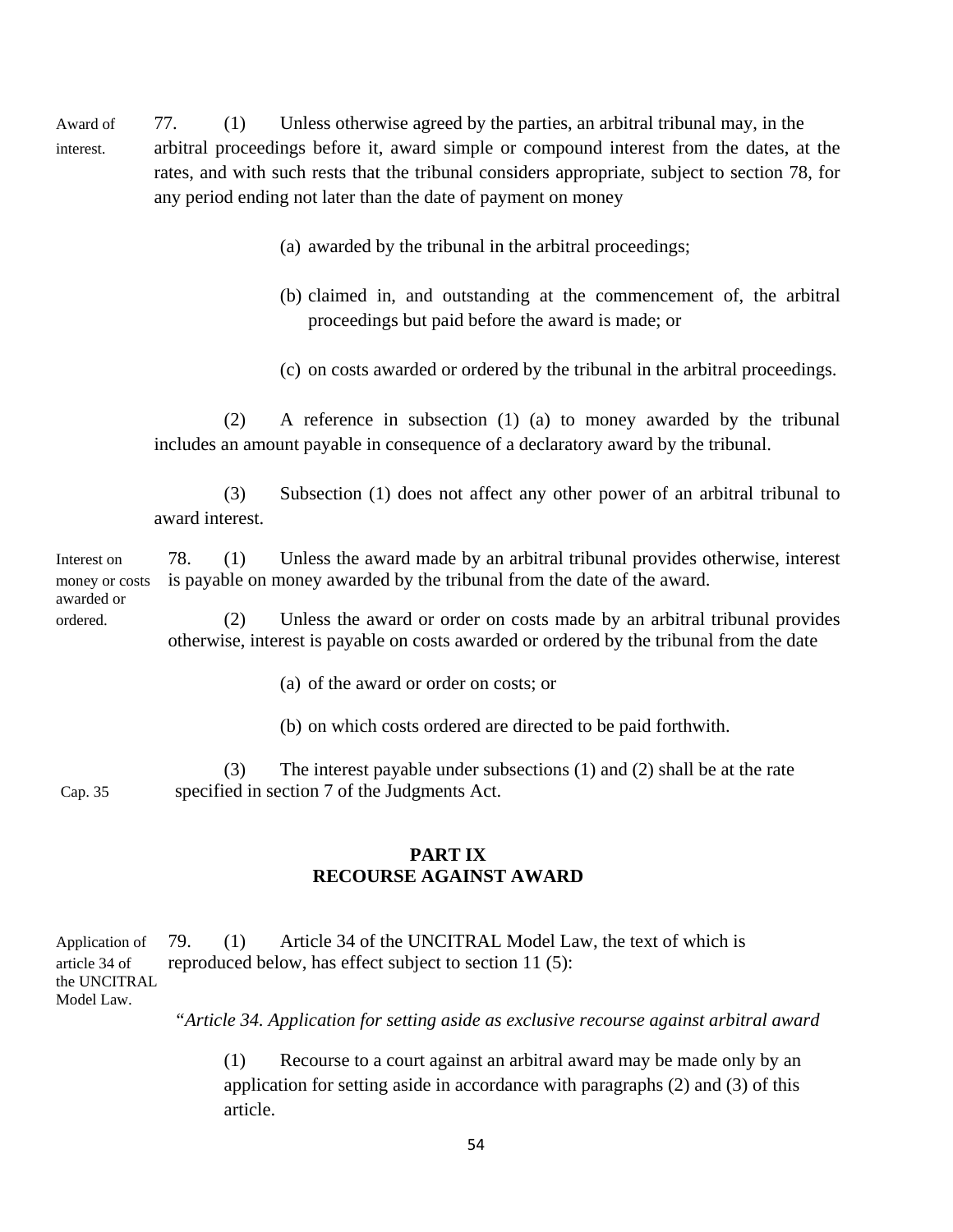Award of 77. (1) Unless otherwise agreed by the parties, an arbitral tribunal may, in the interest. arbitral proceedings before it, award simple or compound interest from the dates, at the rates, and with such rests that the tribunal considers appropriate, subject to section 78, for any period ending not later than the date of payment on money

- (a) awarded by the tribunal in the arbitral proceedings;
- (b) claimed in, and outstanding at the commencement of, the arbitral proceedings but paid before the award is made; or
- (c) on costs awarded or ordered by the tribunal in the arbitral proceedings.

(2) A reference in subsection (1) (a) to money awarded by the tribunal includes an amount payable in consequence of a declaratory award by the tribunal.

 (3) Subsection (1) does not affect any other power of an arbitral tribunal to award interest.

Interest on 78. (1) Unless the award made by an arbitral tribunal provides otherwise, interest money or costs is payable on money awarded by the tribunal from the date of the award. awarded or ordered. (2) Unless the award or order on costs made by an arbitral tribunal provides

otherwise, interest is payable on costs awarded or ordered by the tribunal from the date

(a) of the award or order on costs; or

(b) on which costs ordered are directed to be paid forthwith.

 (3) The interest payable under subsections (1) and (2) shall be at the rate Cap. 35 specified in section 7 of the Judgments Act.

# **PART IX RECOURSE AGAINST AWARD**

Application of 79. (1) Article 34 of the UNCITRAL Model Law, the text of which is article 34 of reproduced below, has effect subject to section 11 (5): the UNCITRAL Model Law.

 *"Article 34. Application for setting aside as exclusive recourse against arbitral award* 

(1) Recourse to a court against an arbitral award may be made only by an application for setting aside in accordance with paragraphs (2) and (3) of this article.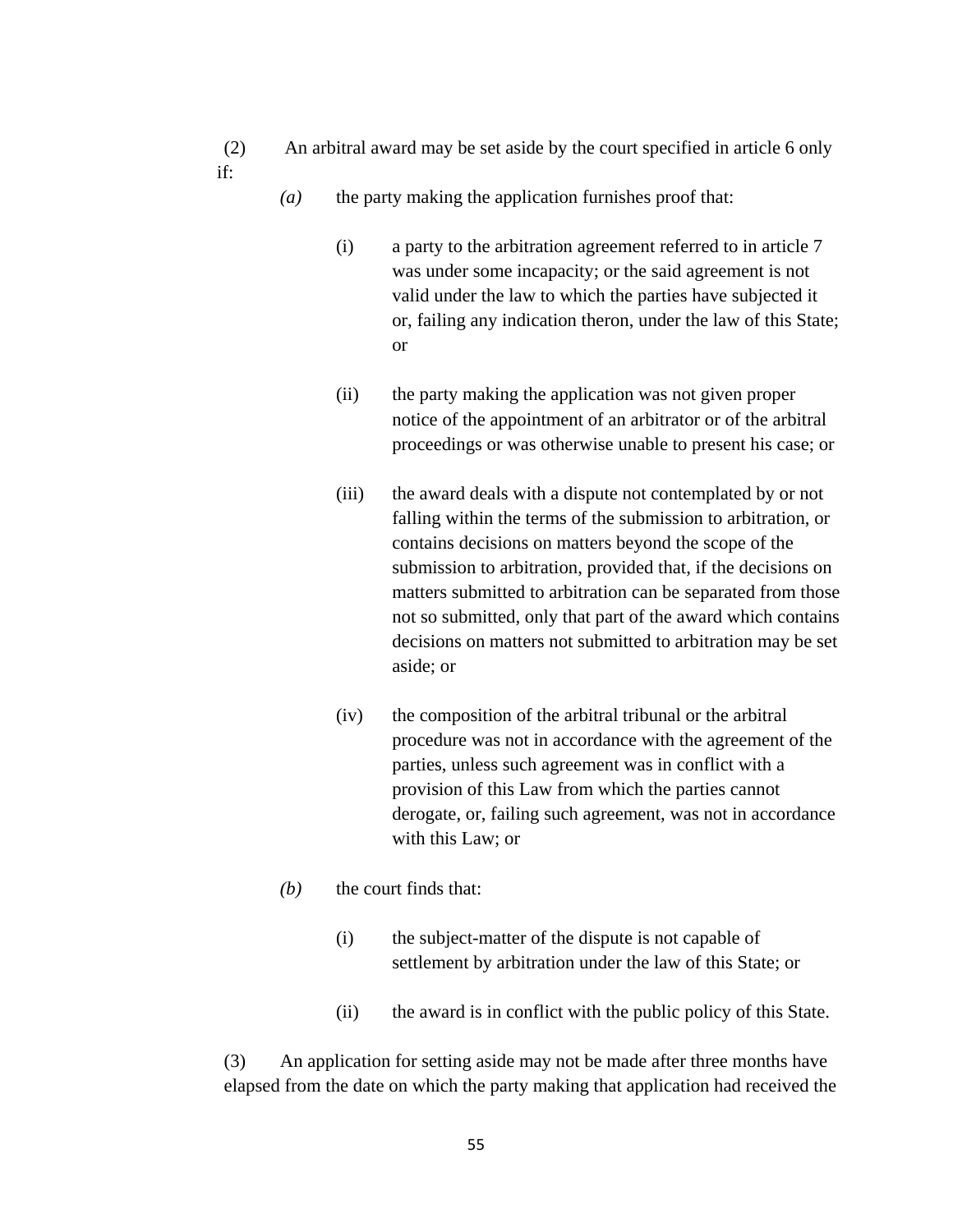- (2) An arbitral award may be set aside by the court specified in article 6 only if:
	- *(a)* the party making the application furnishes proof that:
		- (i) a party to the arbitration agreement referred to in article 7 was under some incapacity; or the said agreement is not valid under the law to which the parties have subjected it or, failing any indication theron, under the law of this State; or
		- (ii) the party making the application was not given proper notice of the appointment of an arbitrator or of the arbitral proceedings or was otherwise unable to present his case; or
		- (iii) the award deals with a dispute not contemplated by or not falling within the terms of the submission to arbitration, or contains decisions on matters beyond the scope of the submission to arbitration, provided that, if the decisions on matters submitted to arbitration can be separated from those not so submitted, only that part of the award which contains decisions on matters not submitted to arbitration may be set aside; or
		- (iv) the composition of the arbitral tribunal or the arbitral procedure was not in accordance with the agreement of the parties, unless such agreement was in conflict with a provision of this Law from which the parties cannot derogate, or, failing such agreement, was not in accordance with this Law; or
	- *(b)* the court finds that:
		- (i) the subject-matter of the dispute is not capable of settlement by arbitration under the law of this State; or
		- (ii) the award is in conflict with the public policy of this State.

(3) An application for setting aside may not be made after three months have elapsed from the date on which the party making that application had received the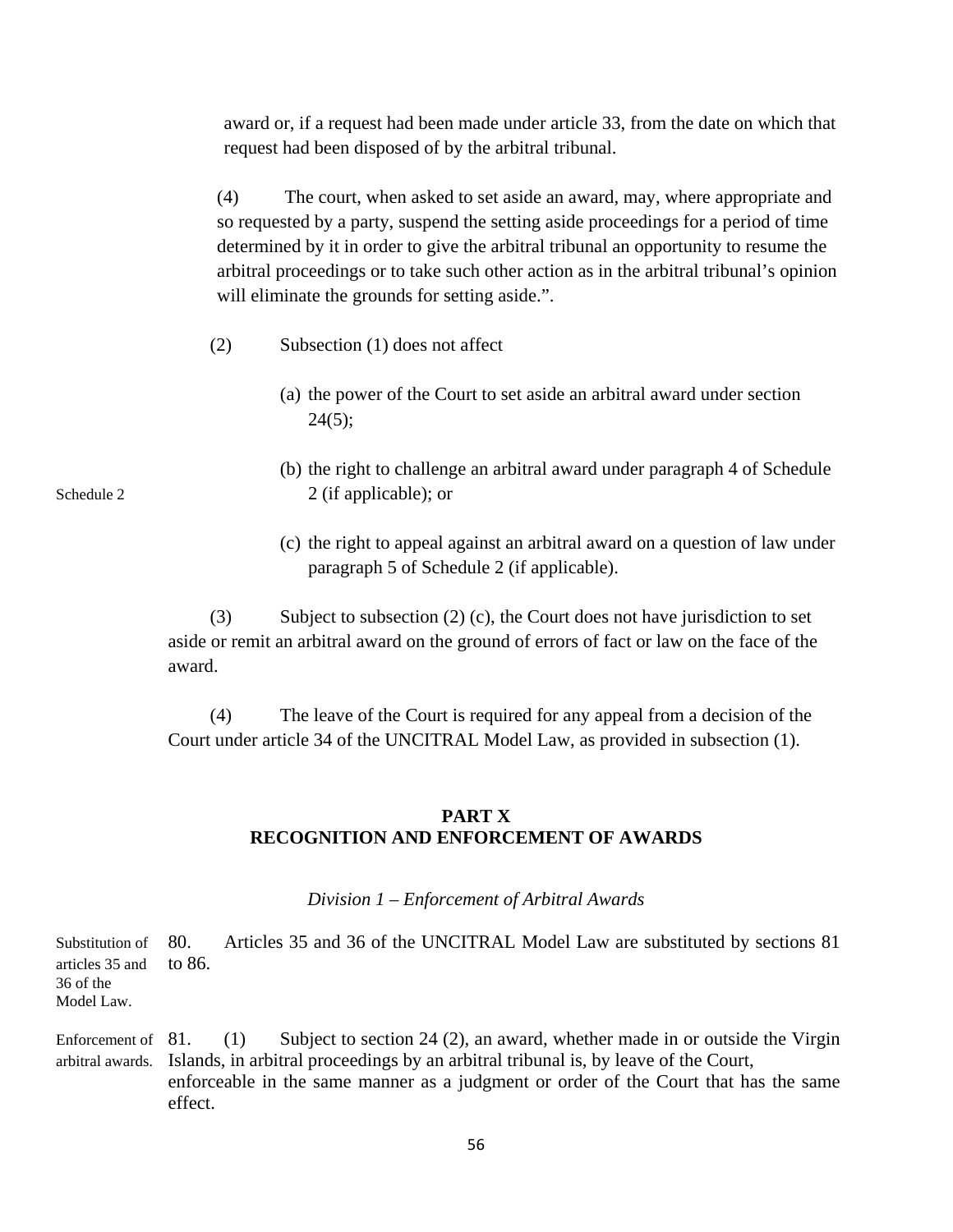award or, if a request had been made under article 33, from the date on which that request had been disposed of by the arbitral tribunal.

(4) The court, when asked to set aside an award, may, where appropriate and so requested by a party, suspend the setting aside proceedings for a period of time determined by it in order to give the arbitral tribunal an opportunity to resume the arbitral proceedings or to take such other action as in the arbitral tribunal's opinion will eliminate the grounds for setting aside.".

- (2) Subsection (1) does not affect
	- (a) the power of the Court to set aside an arbitral award under section  $24(5);$
- (b) the right to challenge an arbitral award under paragraph 4 of Schedule Schedule 2 2 (if applicable); or
	- (c) the right to appeal against an arbitral award on a question of law under paragraph 5 of Schedule 2 (if applicable).

 (3) Subject to subsection (2) (c), the Court does not have jurisdiction to set aside or remit an arbitral award on the ground of errors of fact or law on the face of the award.

 (4) The leave of the Court is required for any appeal from a decision of the Court under article 34 of the UNCITRAL Model Law, as provided in subsection (1).

# **PART X RECOGNITION AND ENFORCEMENT OF AWARDS**

*Division 1 – Enforcement of Arbitral Awards* 

Substitution of 80. Articles 35 and 36 of the UNCITRAL Model Law are substituted by sections 81 articles 35 and to 86. 36 of the Model Law.

Enforcement of 81. (1) Subject to section 24 (2), an award, whether made in or outside the Virgin arbitral awards. Islands, in arbitral proceedings by an arbitral tribunal is, by leave of the Court, enforceable in the same manner as a judgment or order of the Court that has the same effect.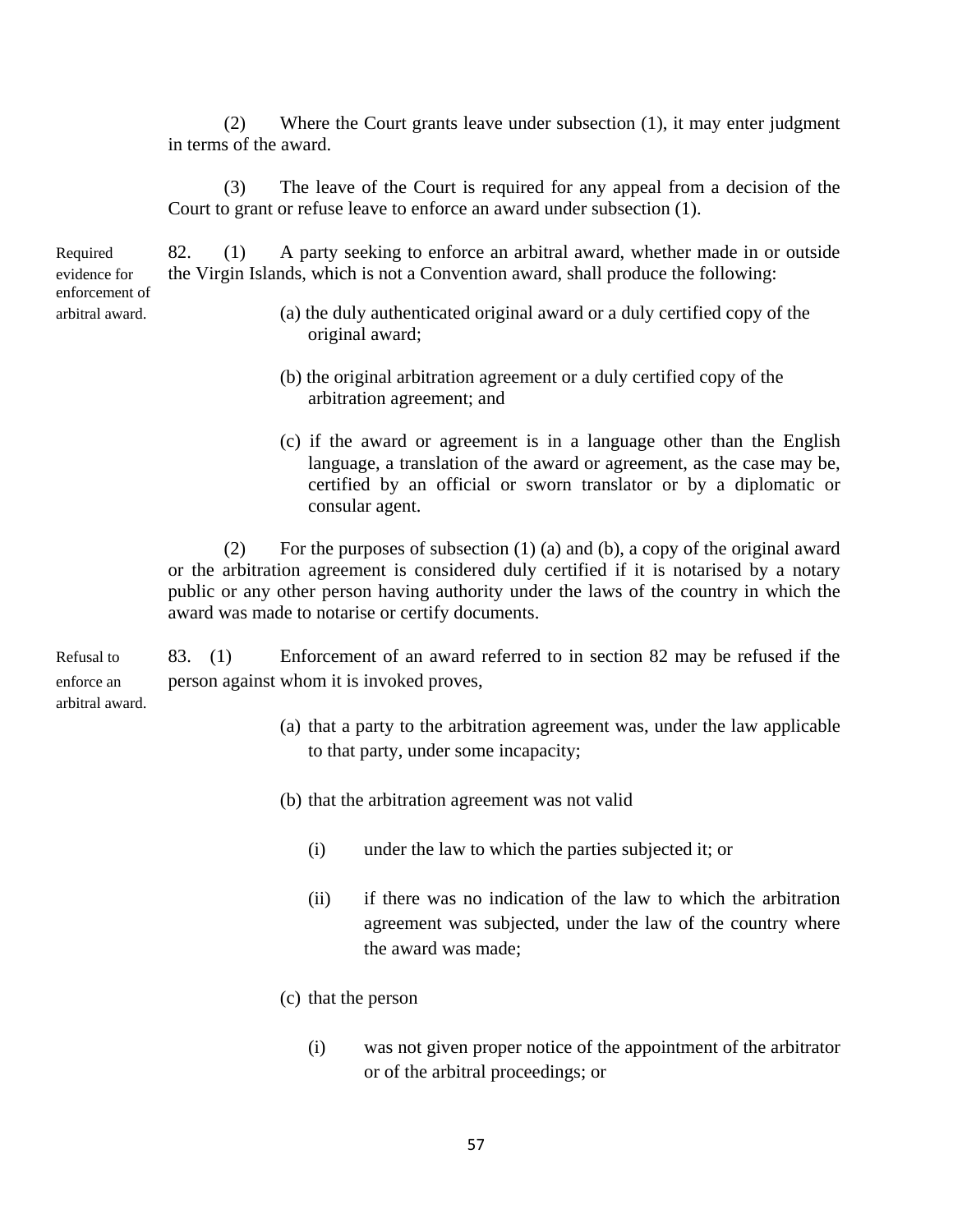(2) Where the Court grants leave under subsection (1), it may enter judgment in terms of the award.

 (3) The leave of the Court is required for any appeal from a decision of the Court to grant or refuse leave to enforce an award under subsection (1).

enforcement of

- Required 82. (1) A party seeking to enforce an arbitral award, whether made in or outside evidence for the Virgin Islands, which is not a Convention award, shall produce the following:
- arbitral award. (a) the duly authenticated original award or a duly certified copy of the original award;
	- (b) the original arbitration agreement or a duly certified copy of the arbitration agreement; and
	- (c) if the award or agreement is in a language other than the English language, a translation of the award or agreement, as the case may be, certified by an official or sworn translator or by a diplomatic or consular agent.

(2) For the purposes of subsection (1) (a) and (b), a copy of the original award or the arbitration agreement is considered duly certified if it is notarised by a notary public or any other person having authority under the laws of the country in which the award was made to notarise or certify documents.

Refusal to 83. (1) Enforcement of an award referred to in section 82 may be refused if the enforce an person against whom it is invoked proves, arbitral award.

- (a) that a party to the arbitration agreement was, under the law applicable to that party, under some incapacity;
- (b) that the arbitration agreement was not valid
	- (i) under the law to which the parties subjected it; or
	- (ii) if there was no indication of the law to which the arbitration agreement was subjected, under the law of the country where the award was made;
- (c) that the person
	- (i) was not given proper notice of the appointment of the arbitrator or of the arbitral proceedings; or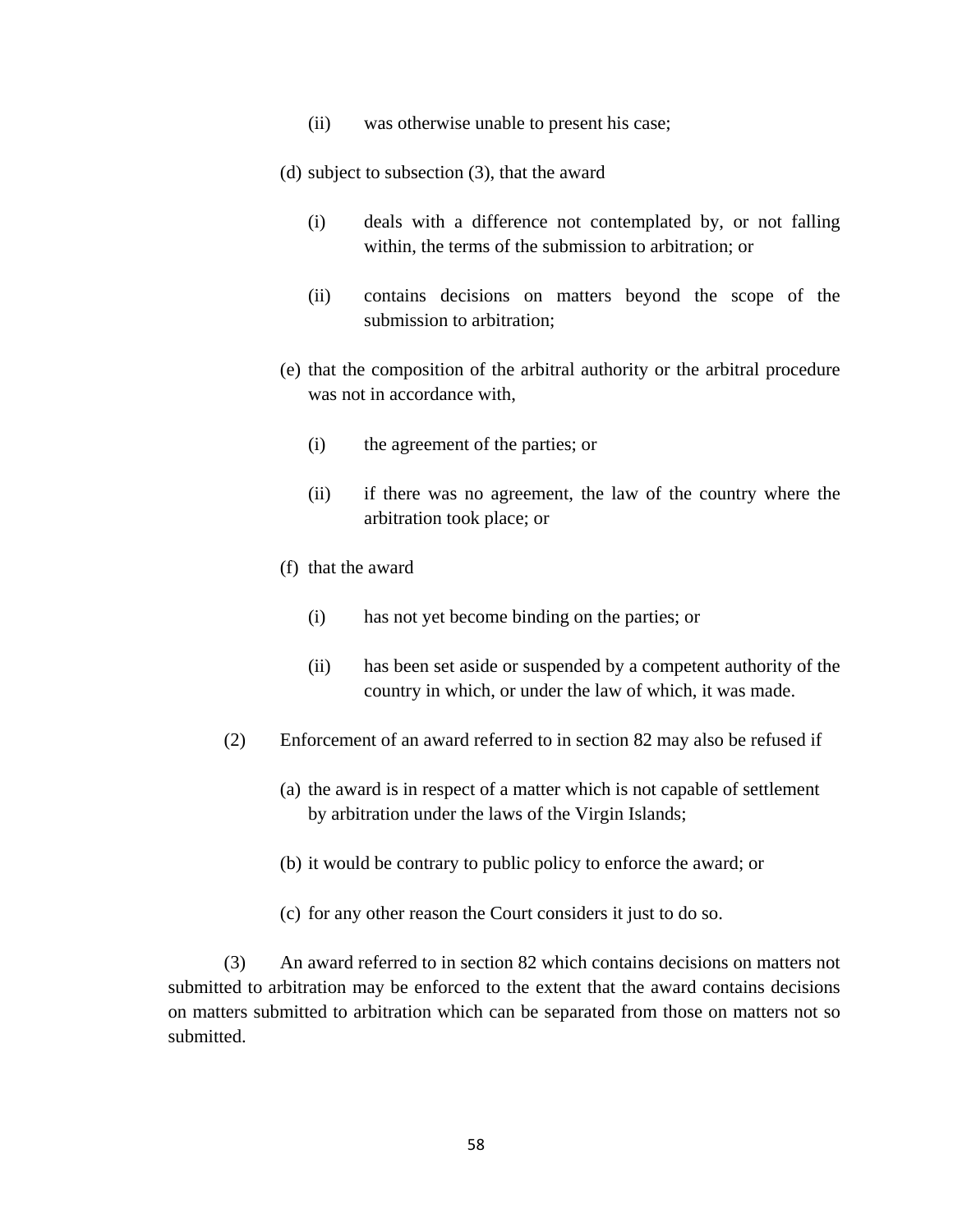- (ii) was otherwise unable to present his case;
- (d) subject to subsection (3), that the award
	- (i) deals with a difference not contemplated by, or not falling within, the terms of the submission to arbitration; or
	- (ii) contains decisions on matters beyond the scope of the submission to arbitration;
- (e) that the composition of the arbitral authority or the arbitral procedure was not in accordance with,
	- (i) the agreement of the parties; or
	- (ii) if there was no agreement, the law of the country where the arbitration took place; or
- (f) that the award
	- (i) has not yet become binding on the parties; or
	- (ii) has been set aside or suspended by a competent authority of the country in which, or under the law of which, it was made.
- (2) Enforcement of an award referred to in section 82 may also be refused if
	- (a) the award is in respect of a matter which is not capable of settlement by arbitration under the laws of the Virgin Islands;
	- (b) it would be contrary to public policy to enforce the award; or
	- (c) for any other reason the Court considers it just to do so.

 (3) An award referred to in section 82 which contains decisions on matters not submitted to arbitration may be enforced to the extent that the award contains decisions on matters submitted to arbitration which can be separated from those on matters not so submitted.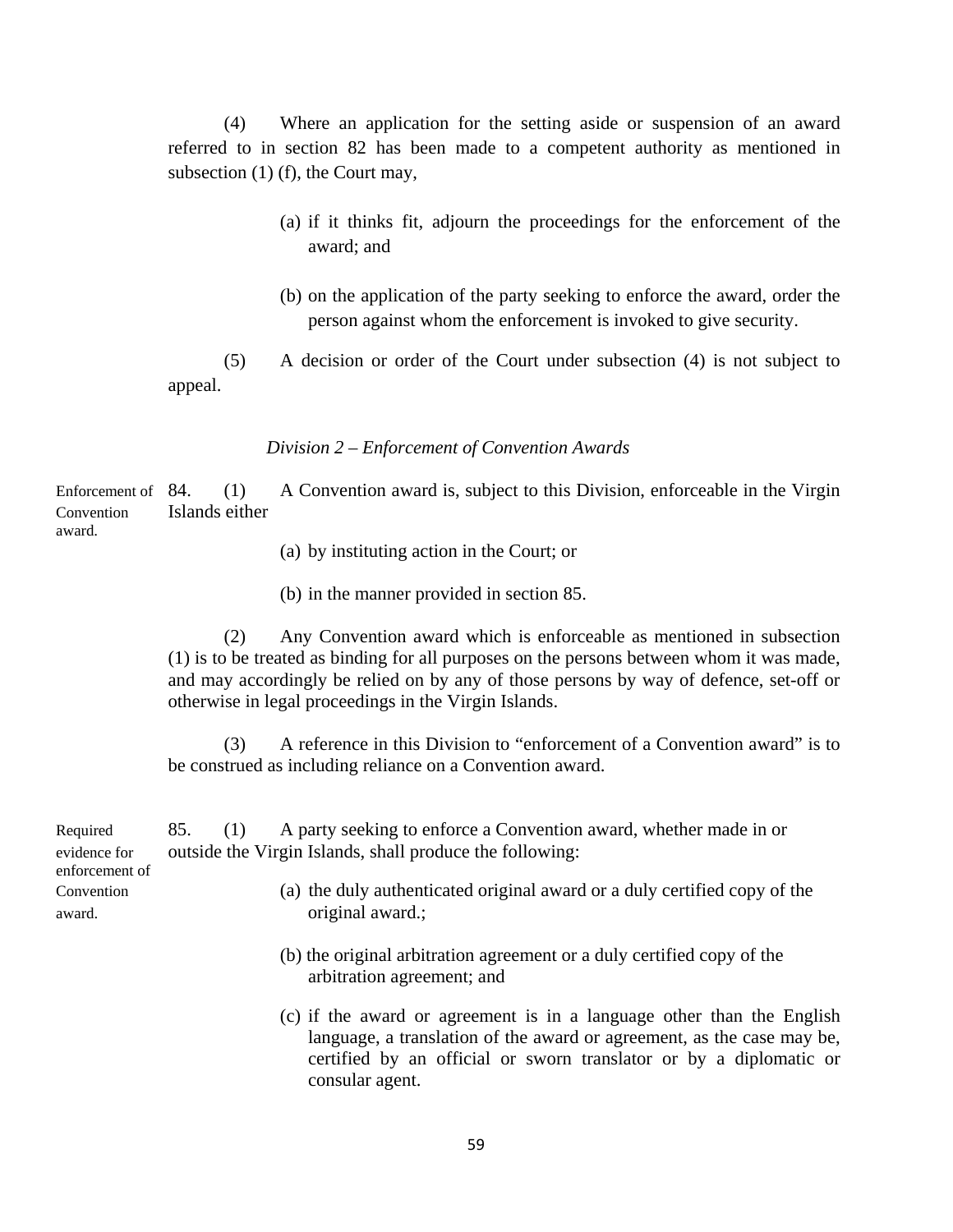(4) Where an application for the setting aside or suspension of an award referred to in section 82 has been made to a competent authority as mentioned in subsection (1) (f), the Court may,

- (a) if it thinks fit, adjourn the proceedings for the enforcement of the award; and
- (b) on the application of the party seeking to enforce the award, order the person against whom the enforcement is invoked to give security.

 (5) A decision or order of the Court under subsection (4) is not subject to appeal.

#### *Division 2 – Enforcement of Convention Awards*

Enforcement of 84. (1) A Convention award is, subject to this Division, enforceable in the Virgin Convention Islands either award.

- (a) by instituting action in the Court; or
- (b) in the manner provided in section 85.

(2) Any Convention award which is enforceable as mentioned in subsection (1) is to be treated as binding for all purposes on the persons between whom it was made, and may accordingly be relied on by any of those persons by way of defence, set-off or otherwise in legal proceedings in the Virgin Islands.

(3) A reference in this Division to "enforcement of a Convention award" is to be construed as including reliance on a Convention award.

| Required                       | 85. | (1) |                                                          | A party seeking to enforce a Convention award, whether made in or                                                                                                                                                     |
|--------------------------------|-----|-----|----------------------------------------------------------|-----------------------------------------------------------------------------------------------------------------------------------------------------------------------------------------------------------------------|
| evidence for<br>enforcement of |     |     | outside the Virgin Islands, shall produce the following: |                                                                                                                                                                                                                       |
| Convention<br>award.           |     |     | original award.;                                         | (a) the duly authenticated original award or a duly certified copy of the                                                                                                                                             |
|                                |     |     | arbitration agreement; and                               | (b) the original arbitration agreement or a duly certified copy of the                                                                                                                                                |
|                                |     |     | consular agent.                                          | (c) if the award or agreement is in a language other than the English<br>language, a translation of the award or agreement, as the case may be,<br>certified by an official or sworn translator or by a diplomatic or |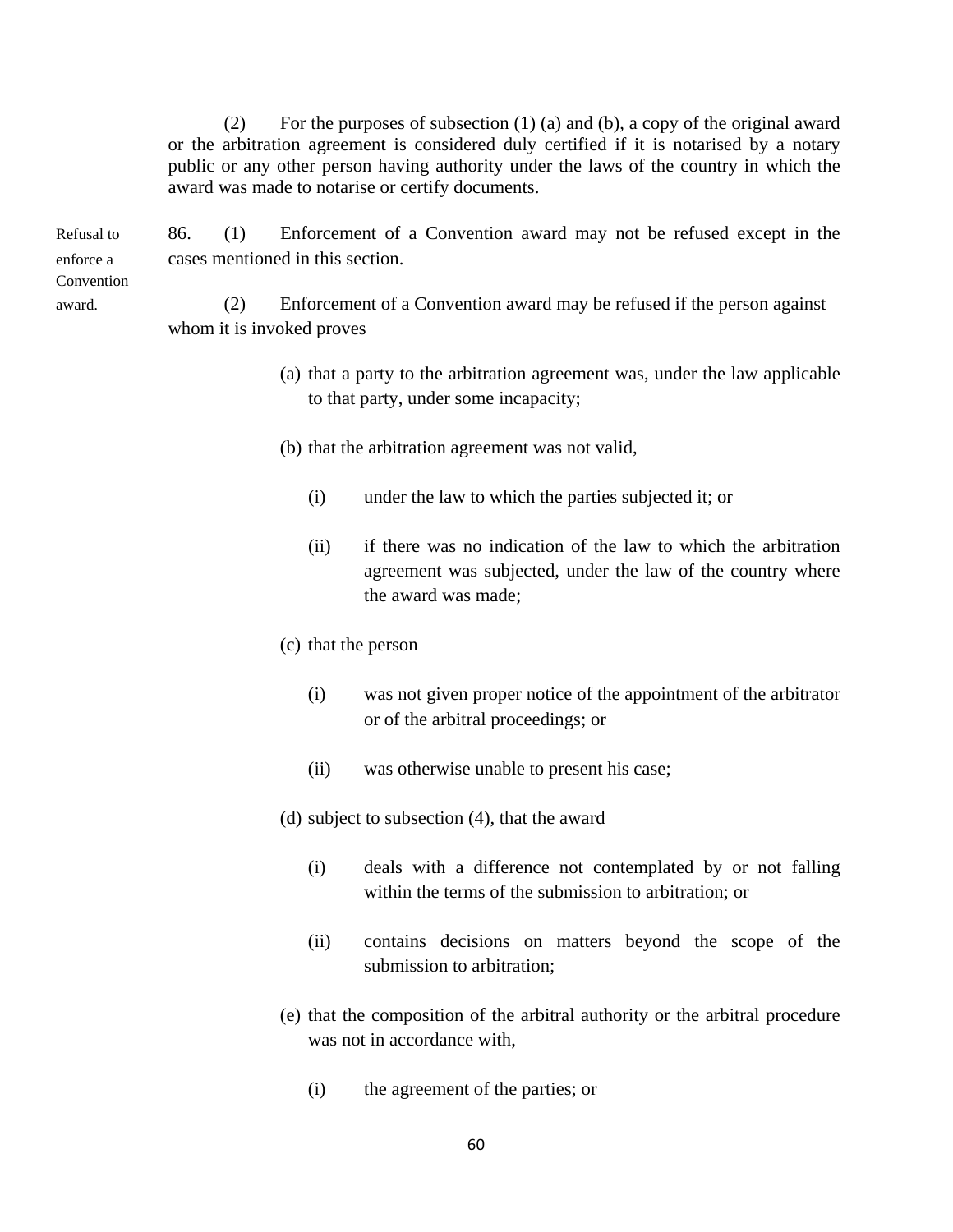(2) For the purposes of subsection (1) (a) and (b), a copy of the original award or the arbitration agreement is considered duly certified if it is notarised by a notary public or any other person having authority under the laws of the country in which the award was made to notarise or certify documents.

Refusal to 86. (1) Enforcement of a Convention award may not be refused except in the enforce a cases mentioned in this section. Convention

award. (2) Enforcement of a Convention award may be refused if the person against whom it is invoked proves

- (a) that a party to the arbitration agreement was, under the law applicable to that party, under some incapacity;
- (b) that the arbitration agreement was not valid,
	- (i) under the law to which the parties subjected it; or
	- (ii) if there was no indication of the law to which the arbitration agreement was subjected, under the law of the country where the award was made;
- (c) that the person
	- (i) was not given proper notice of the appointment of the arbitrator or of the arbitral proceedings; or
	- (ii) was otherwise unable to present his case;
- (d) subject to subsection (4), that the award
	- (i) deals with a difference not contemplated by or not falling within the terms of the submission to arbitration; or
	- (ii) contains decisions on matters beyond the scope of the submission to arbitration;
- (e) that the composition of the arbitral authority or the arbitral procedure was not in accordance with,
	- (i) the agreement of the parties; or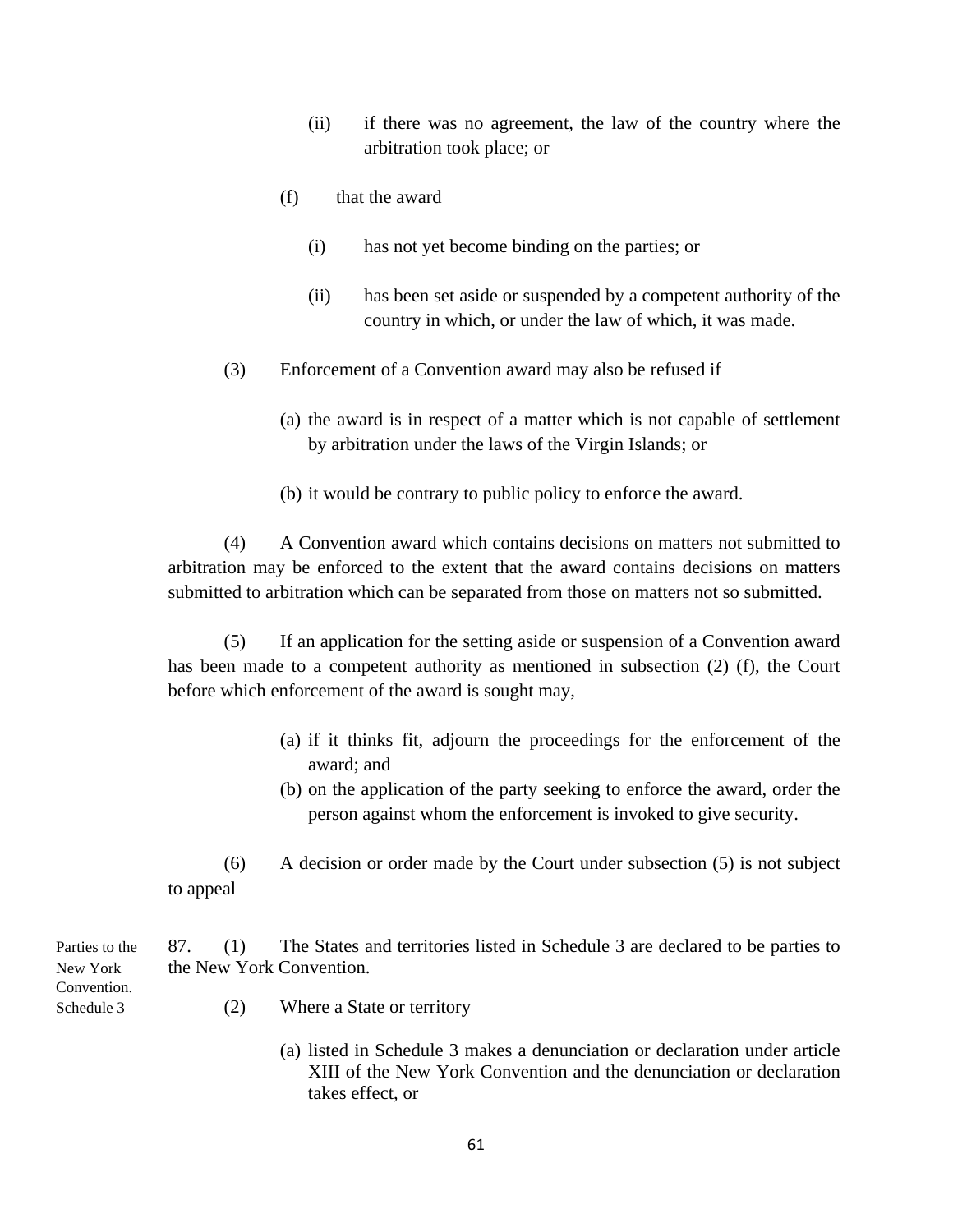- (ii) if there was no agreement, the law of the country where the arbitration took place; or
- (f) that the award
	- (i) has not yet become binding on the parties; or
	- (ii) has been set aside or suspended by a competent authority of the country in which, or under the law of which, it was made.
- (3) Enforcement of a Convention award may also be refused if
	- (a) the award is in respect of a matter which is not capable of settlement by arbitration under the laws of the Virgin Islands; or
	- (b) it would be contrary to public policy to enforce the award.

 (4) A Convention award which contains decisions on matters not submitted to arbitration may be enforced to the extent that the award contains decisions on matters submitted to arbitration which can be separated from those on matters not so submitted.

 (5) If an application for the setting aside or suspension of a Convention award has been made to a competent authority as mentioned in subsection (2) (f), the Court before which enforcement of the award is sought may,

- (a) if it thinks fit, adjourn the proceedings for the enforcement of the award; and
- (b) on the application of the party seeking to enforce the award, order the person against whom the enforcement is invoked to give security.

 (6) A decision or order made by the Court under subsection (5) is not subject to appeal

Parties to the 87. (1) The States and territories listed in Schedule 3 are declared to be parties to New York the New York Convention. Convention.

- Schedule 3 (2) Where a State or territory
	- (a) listed in Schedule 3 makes a denunciation or declaration under article XIII of the New York Convention and the denunciation or declaration takes effect, or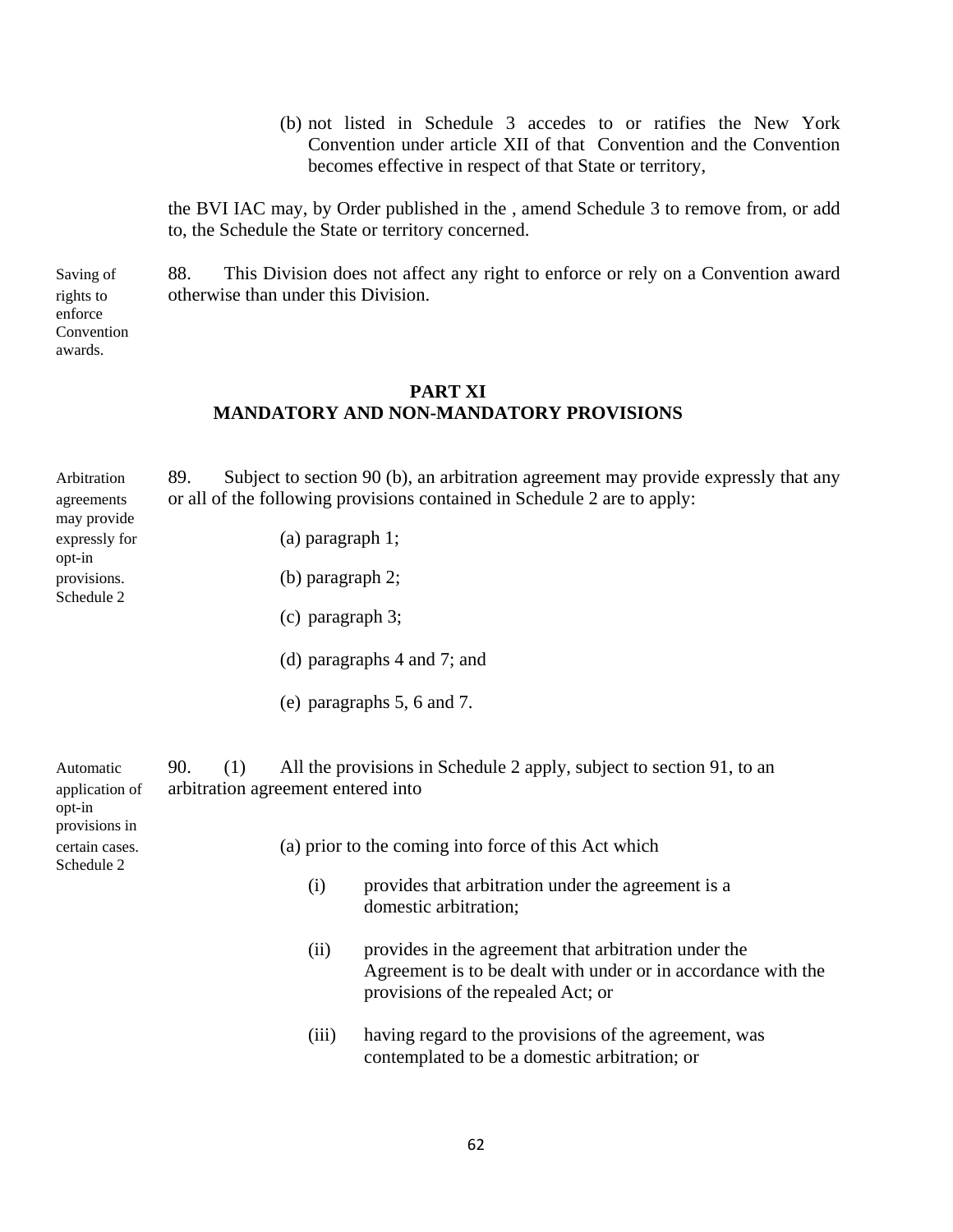(b) not listed in Schedule 3 accedes to or ratifies the New York Convention under article XII of that Convention and the Convention becomes effective in respect of that State or territory,

the BVI IAC may, by Order published in the , amend Schedule 3 to remove from, or add to, the Schedule the State or territory concerned.

Saving of 88. This Division does not affect any right to enforce or rely on a Convention award rights to otherwise than under this Division.

### **PART XI MANDATORY AND NON-MANDATORY PROVISIONS**

enforce Convention awards.

| Arbitration<br>agreements<br>may provide<br>expressly for<br>opt-in<br>provisions.<br>Schedule 2 | 89. |                    | Subject to section 90 (b), an arbitration agreement may provide expressly that any<br>or all of the following provisions contained in Schedule 2 are to apply: |  |  |
|--------------------------------------------------------------------------------------------------|-----|--------------------|----------------------------------------------------------------------------------------------------------------------------------------------------------------|--|--|
|                                                                                                  |     | $(a)$ paragraph 1; |                                                                                                                                                                |  |  |
|                                                                                                  |     | $(b)$ paragraph 2; |                                                                                                                                                                |  |  |
|                                                                                                  |     |                    | $(c)$ paragraph 3;                                                                                                                                             |  |  |
|                                                                                                  |     |                    | (d) paragraphs 4 and 7; and                                                                                                                                    |  |  |
|                                                                                                  |     |                    | (e) paragraphs $5, 6$ and $7.$                                                                                                                                 |  |  |
| Automatic<br>application of<br>opt-in<br>provisions in<br>certain cases.<br>Schedule 2           | 90. | (1)                | All the provisions in Schedule 2 apply, subject to section 91, to an<br>arbitration agreement entered into                                                     |  |  |
|                                                                                                  |     |                    | (a) prior to the coming into force of this Act which                                                                                                           |  |  |
|                                                                                                  |     | (i)                | provides that arbitration under the agreement is a<br>domestic arbitration;                                                                                    |  |  |
|                                                                                                  |     | (ii)               | provides in the agreement that arbitration under the<br>Agreement is to be dealt with under or in accordance with the<br>provisions of the repealed Act; or    |  |  |
|                                                                                                  |     | (iii)              | having regard to the provisions of the agreement, was<br>contemplated to be a domestic arbitration; or                                                         |  |  |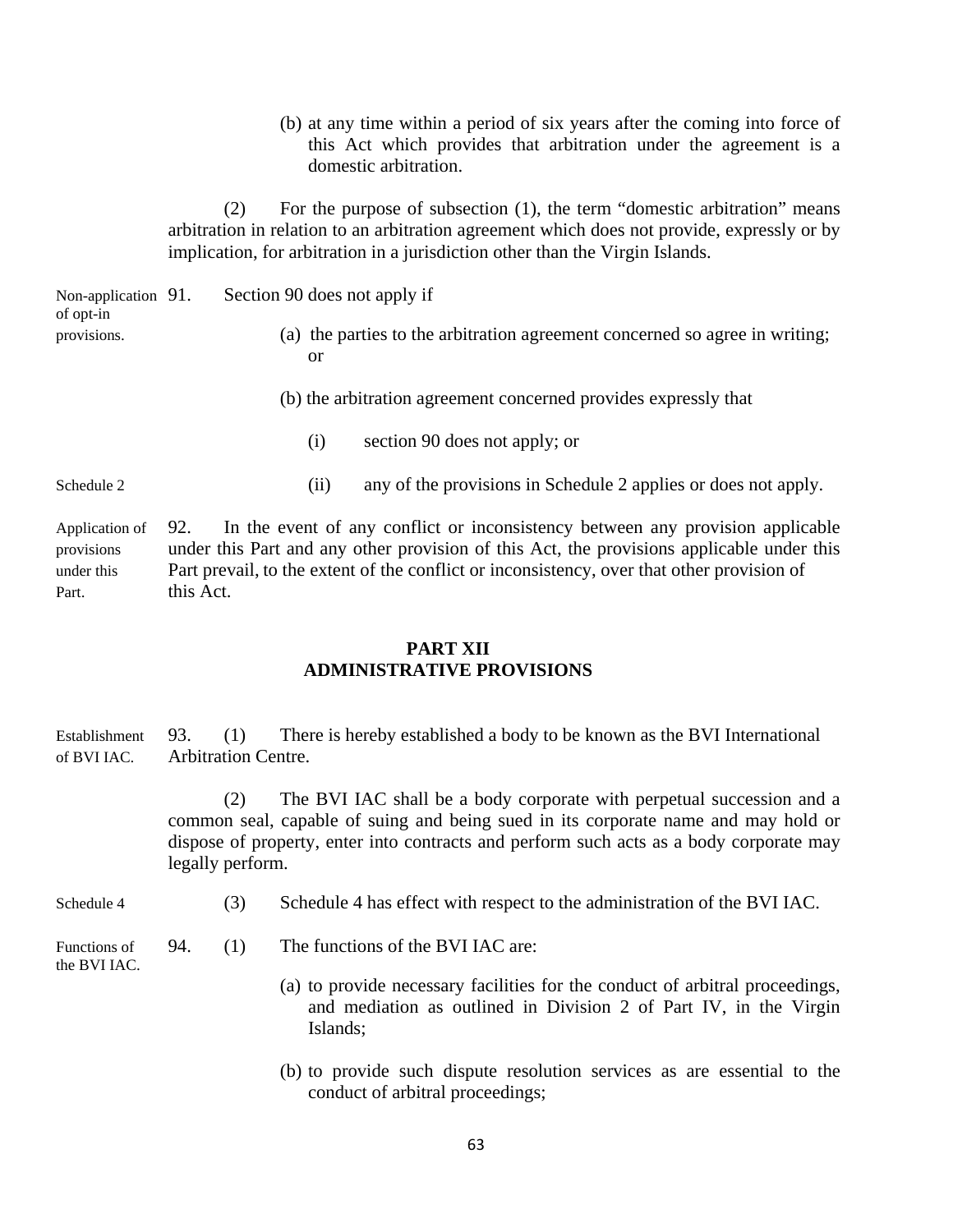(b) at any time within a period of six years after the coming into force of this Act which provides that arbitration under the agreement is a domestic arbitration. (2) For the purpose of subsection (1), the term "domestic arbitration" means arbitration in relation to an arbitration agreement which does not provide, expressly or by implication, for arbitration in a jurisdiction other than the Virgin Islands. Non-application 91. Section 90 does not apply if of opt-in provisions. (a) the parties to the arbitration agreement concerned so agree in writing; or (b) the arbitration agreement concerned provides expressly that (i) section 90 does not apply; or Schedule 2 (ii) any of the provisions in Schedule 2 applies or does not apply. Application of 92. In the event of any conflict or inconsistency between any provision applicable

provisions under this Part and any other provision of this Act, the provisions applicable under this under this Part prevail, to the extent of the conflict or inconsistency, over that other provision of Part. this Act.

# **PART XII ADMINISTRATIVE PROVISIONS**

Establishment 93. (1) There is hereby established a body to be known as the BVI International of BVI IAC. Arbitration Centre.

> (2) The BVI IAC shall be a body corporate with perpetual succession and a common seal, capable of suing and being sued in its corporate name and may hold or dispose of property, enter into contracts and perform such acts as a body corporate may legally perform.

Schedule 4 (3) Schedule 4 has effect with respect to the administration of the BVI IAC.

the BVI IAC.

- Functions of 94. (1) The functions of the BVI IAC are:
	- (a) to provide necessary facilities for the conduct of arbitral proceedings, and mediation as outlined in Division 2 of Part IV, in the Virgin Islands;
	- (b) to provide such dispute resolution services as are essential to the conduct of arbitral proceedings;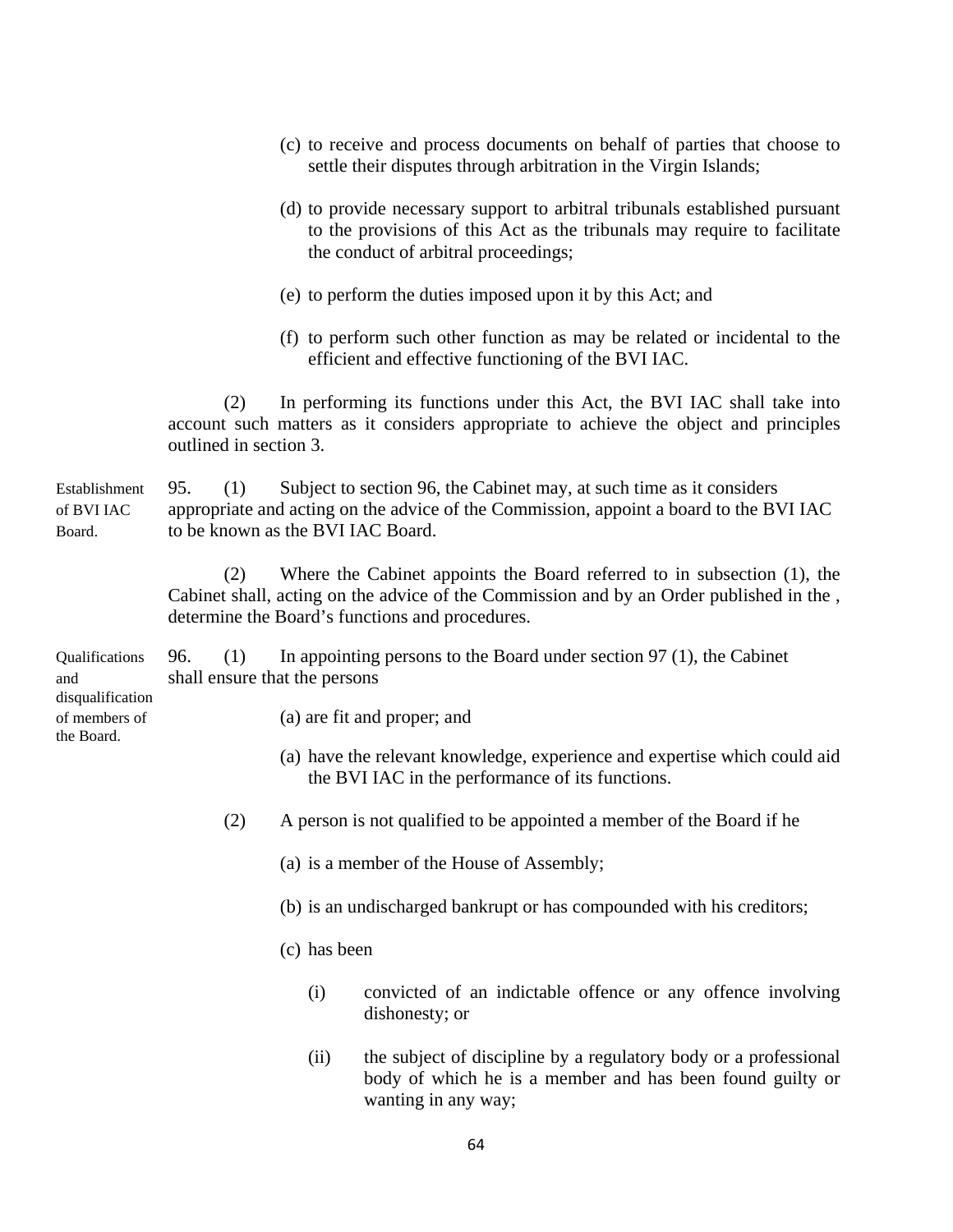|                                       |                                                                                                                       |     |              | (c) to receive and process documents on behalf of parties that choose to<br>settle their disputes through arbitration in the Virgin Islands;                                                                          |  |  |
|---------------------------------------|-----------------------------------------------------------------------------------------------------------------------|-----|--------------|-----------------------------------------------------------------------------------------------------------------------------------------------------------------------------------------------------------------------|--|--|
|                                       |                                                                                                                       |     |              | (d) to provide necessary support to arbitral tribunals established pursuant<br>to the provisions of this Act as the tribunals may require to facilitate<br>the conduct of arbitral proceedings;                       |  |  |
|                                       |                                                                                                                       |     |              | (e) to perform the duties imposed upon it by this Act; and                                                                                                                                                            |  |  |
|                                       |                                                                                                                       |     |              | (f) to perform such other function as may be related or incidental to the<br>efficient and effective functioning of the BVI IAC.                                                                                      |  |  |
|                                       | outlined in section 3.                                                                                                | (2) |              | In performing its functions under this Act, the BVI IAC shall take into<br>account such matters as it considers appropriate to achieve the object and principles                                                      |  |  |
| Establishment<br>of BVI IAC<br>Board. | 95.                                                                                                                   | (1) |              | Subject to section 96, the Cabinet may, at such time as it considers<br>appropriate and acting on the advice of the Commission, appoint a board to the BVI IAC<br>to be known as the BVI IAC Board.                   |  |  |
|                                       |                                                                                                                       | (2) |              | Where the Cabinet appoints the Board referred to in subsection (1), the<br>Cabinet shall, acting on the advice of the Commission and by an Order published in the,<br>determine the Board's functions and procedures. |  |  |
| Qualifications<br>and                 | (1)<br>In appointing persons to the Board under section $97(1)$ , the Cabinet<br>96.<br>shall ensure that the persons |     |              |                                                                                                                                                                                                                       |  |  |
| disqualification<br>of members of     |                                                                                                                       |     |              | (a) are fit and proper; and                                                                                                                                                                                           |  |  |
| the Board.                            |                                                                                                                       |     |              | (a) have the relevant knowledge, experience and expertise which could aid<br>the BVI IAC in the performance of its functions.                                                                                         |  |  |
|                                       |                                                                                                                       |     |              | (2) A person is not qualified to be appointed a member of the Board if he                                                                                                                                             |  |  |
|                                       |                                                                                                                       |     |              | (a) is a member of the House of Assembly;                                                                                                                                                                             |  |  |
|                                       |                                                                                                                       |     |              | (b) is an undischarged bankrupt or has compounded with his creditors;                                                                                                                                                 |  |  |
|                                       |                                                                                                                       |     | (c) has been |                                                                                                                                                                                                                       |  |  |
|                                       |                                                                                                                       |     | (i)          | convicted of an indictable offence or any offence involving<br>dishonesty; or                                                                                                                                         |  |  |
|                                       |                                                                                                                       |     | (ii)         | the subject of discipline by a regulatory body or a professional<br>body of which he is a member and has been found guilty or<br>wanting in any way;                                                                  |  |  |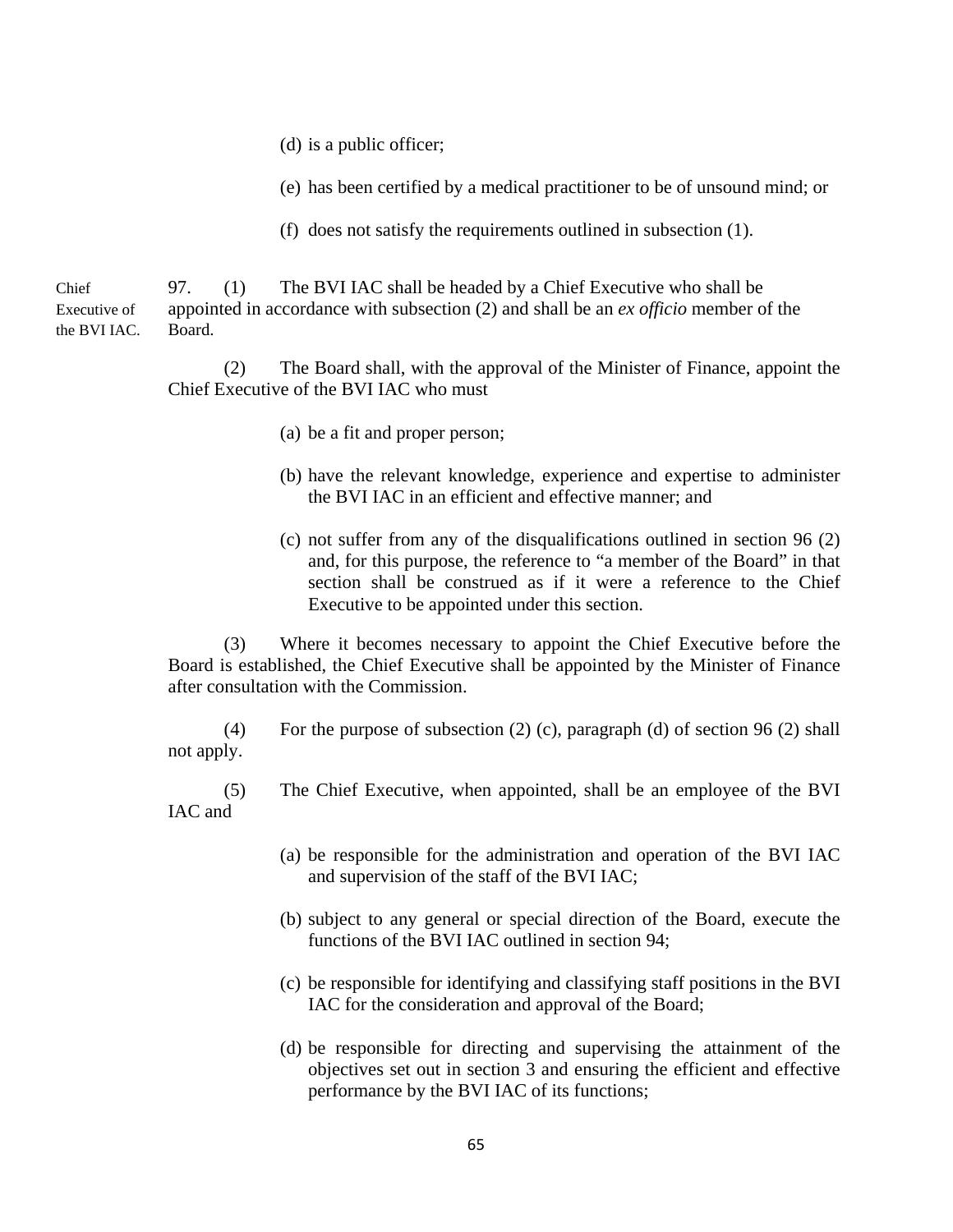(d) is a public officer;

(e) has been certified by a medical practitioner to be of unsound mind; or

(f) does not satisfy the requirements outlined in subsection (1).

Chief 97. (1) The BVI IAC shall be headed by a Chief Executive who shall be Executive of appointed in accordance with subsection (2) and shall be an *ex officio* member of the the BVI IAC. Board.

> (2) The Board shall, with the approval of the Minister of Finance, appoint the Chief Executive of the BVI IAC who must

- (a) be a fit and proper person;
- (b) have the relevant knowledge, experience and expertise to administer the BVI IAC in an efficient and effective manner; and
- (c) not suffer from any of the disqualifications outlined in section 96 (2) and, for this purpose, the reference to "a member of the Board" in that section shall be construed as if it were a reference to the Chief Executive to be appointed under this section.

(3) Where it becomes necessary to appoint the Chief Executive before the Board is established, the Chief Executive shall be appointed by the Minister of Finance after consultation with the Commission.

(4) For the purpose of subsection (2) (c), paragraph (d) of section 96 (2) shall not apply.

(5) The Chief Executive, when appointed, shall be an employee of the BVI IAC and

- (a) be responsible for the administration and operation of the BVI IAC and supervision of the staff of the BVI IAC;
- (b) subject to any general or special direction of the Board, execute the functions of the BVI IAC outlined in section 94;
- (c) be responsible for identifying and classifying staff positions in the BVI IAC for the consideration and approval of the Board;
- (d) be responsible for directing and supervising the attainment of the objectives set out in section 3 and ensuring the efficient and effective performance by the BVI IAC of its functions;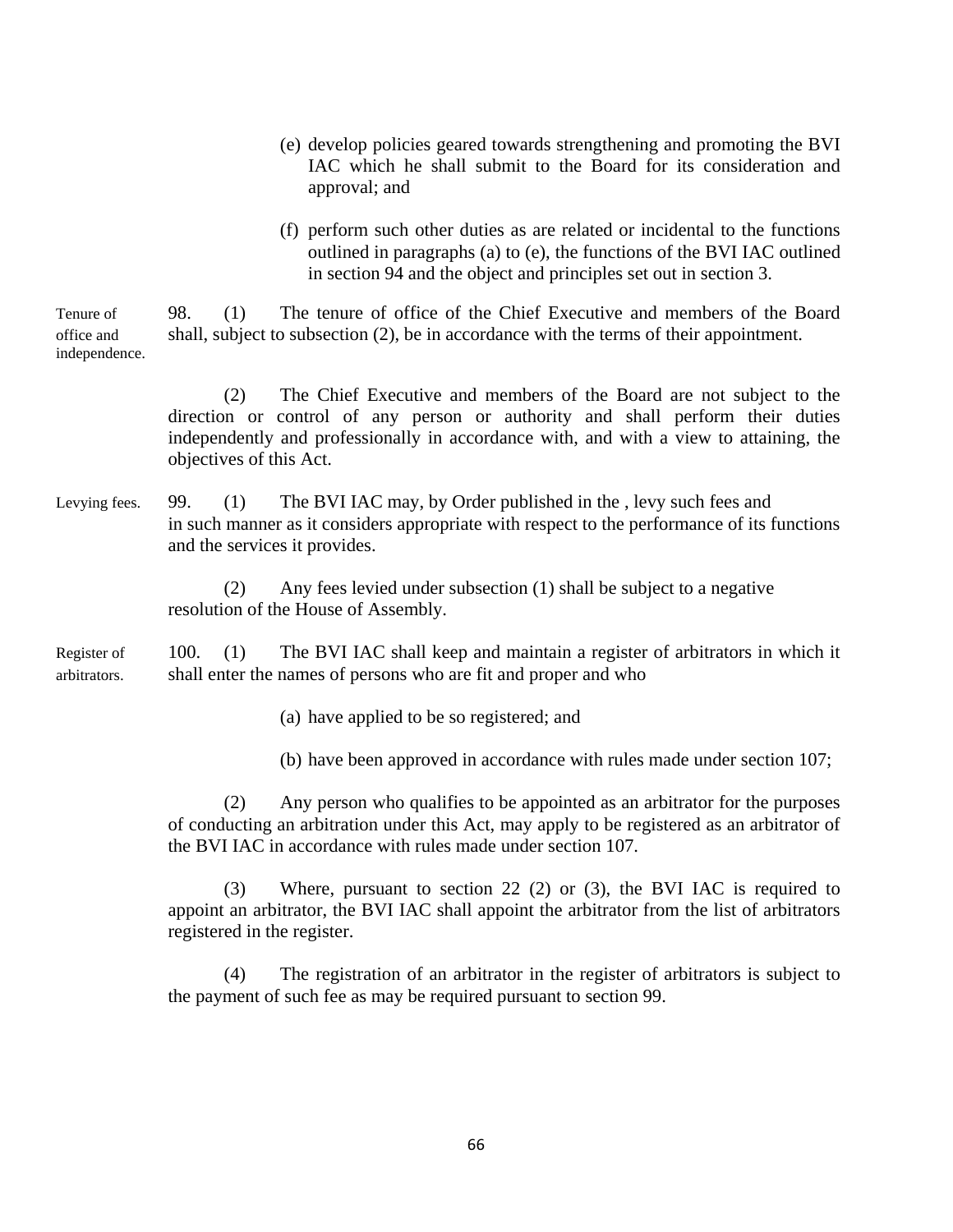- (e) develop policies geared towards strengthening and promoting the BVI IAC which he shall submit to the Board for its consideration and approval; and
- (f) perform such other duties as are related or incidental to the functions outlined in paragraphs (a) to (e), the functions of the BVI IAC outlined in section 94 and the object and principles set out in section 3.

Tenure of 98. (1) The tenure of office of the Chief Executive and members of the Board office and shall, subject to subsection (2), be in accordance with the terms of their appointment. independence.

> (2) The Chief Executive and members of the Board are not subject to the direction or control of any person or authority and shall perform their duties independently and professionally in accordance with, and with a view to attaining, the objectives of this Act.

Levying fees. 99. (1) The BVI IAC may, by Order published in the , levy such fees and in such manner as it considers appropriate with respect to the performance of its functions and the services it provides.

> (2) Any fees levied under subsection (1) shall be subject to a negative resolution of the House of Assembly.

Register of 100. (1) The BVI IAC shall keep and maintain a register of arbitrators in which it arbitrators. shall enter the names of persons who are fit and proper and who

- (a) have applied to be so registered; and
- (b) have been approved in accordance with rules made under section 107;

(2) Any person who qualifies to be appointed as an arbitrator for the purposes of conducting an arbitration under this Act, may apply to be registered as an arbitrator of the BVI IAC in accordance with rules made under section 107.

(3) Where, pursuant to section 22 (2) or (3), the BVI IAC is required to appoint an arbitrator, the BVI IAC shall appoint the arbitrator from the list of arbitrators registered in the register.

(4) The registration of an arbitrator in the register of arbitrators is subject to the payment of such fee as may be required pursuant to section 99.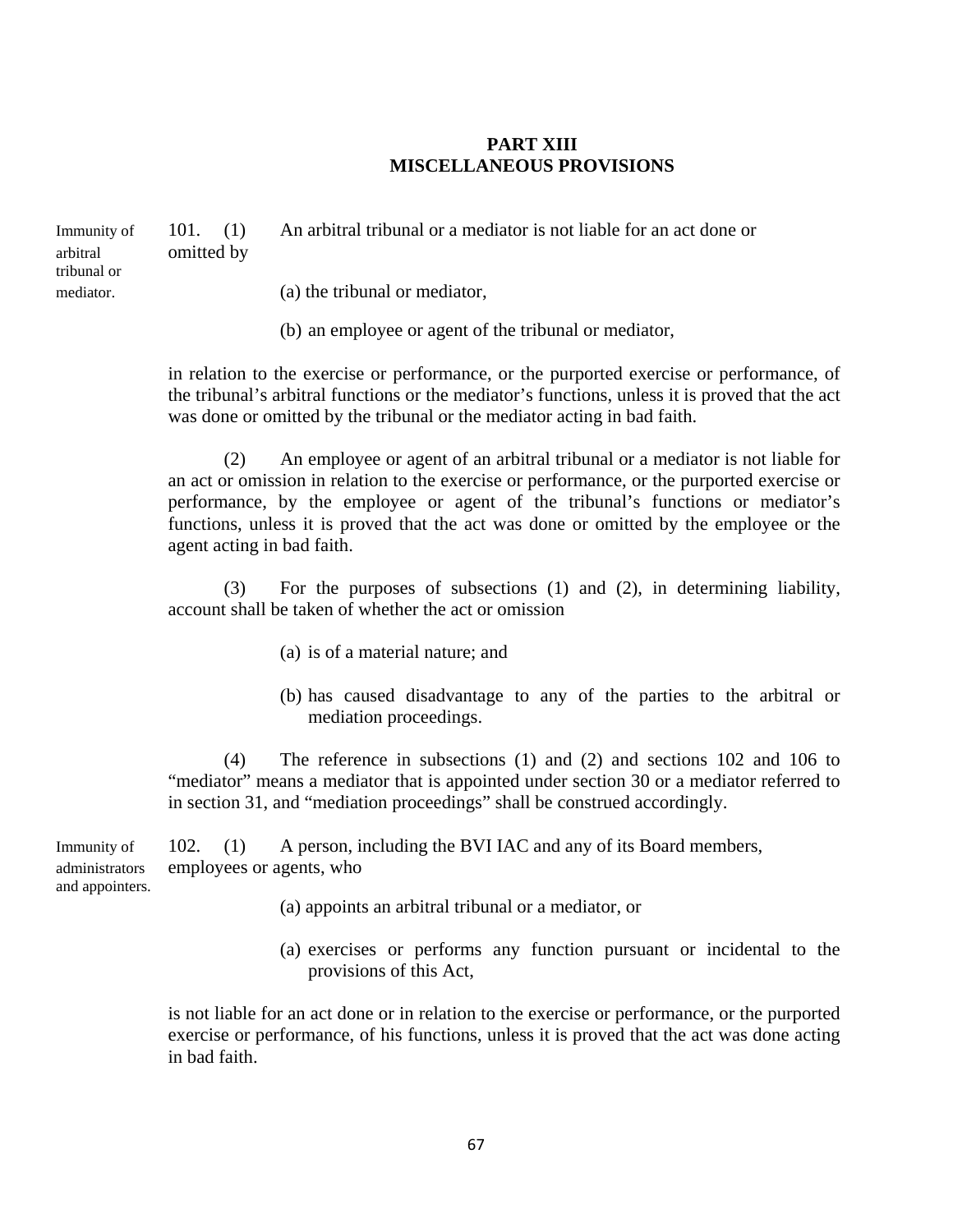# **PART XIII MISCELLANEOUS PROVISIONS**

Immunity of 101. (1) An arbitral tribunal or a mediator is not liable for an act done or arbitral omitted by tribunal or mediator. (a) the tribunal or mediator,

(b) an employee or agent of the tribunal or mediator,

in relation to the exercise or performance, or the purported exercise or performance, of the tribunal's arbitral functions or the mediator's functions, unless it is proved that the act was done or omitted by the tribunal or the mediator acting in bad faith.

(2) An employee or agent of an arbitral tribunal or a mediator is not liable for an act or omission in relation to the exercise or performance, or the purported exercise or performance, by the employee or agent of the tribunal's functions or mediator's functions, unless it is proved that the act was done or omitted by the employee or the agent acting in bad faith.

(3) For the purposes of subsections (1) and (2), in determining liability, account shall be taken of whether the act or omission

- (a) is of a material nature; and
- (b) has caused disadvantage to any of the parties to the arbitral or mediation proceedings.

(4) The reference in subsections (1) and (2) and sections 102 and 106 to "mediator" means a mediator that is appointed under section 30 or a mediator referred to in section 31, and "mediation proceedings" shall be construed accordingly.

Immunity of 102. (1) A person, including the BVI IAC and any of its Board members, administrators employees or agents, who and appointers.

- (a) appoints an arbitral tribunal or a mediator, or
- (a) exercises or performs any function pursuant or incidental to the provisions of this Act,

is not liable for an act done or in relation to the exercise or performance, or the purported exercise or performance, of his functions, unless it is proved that the act was done acting in bad faith.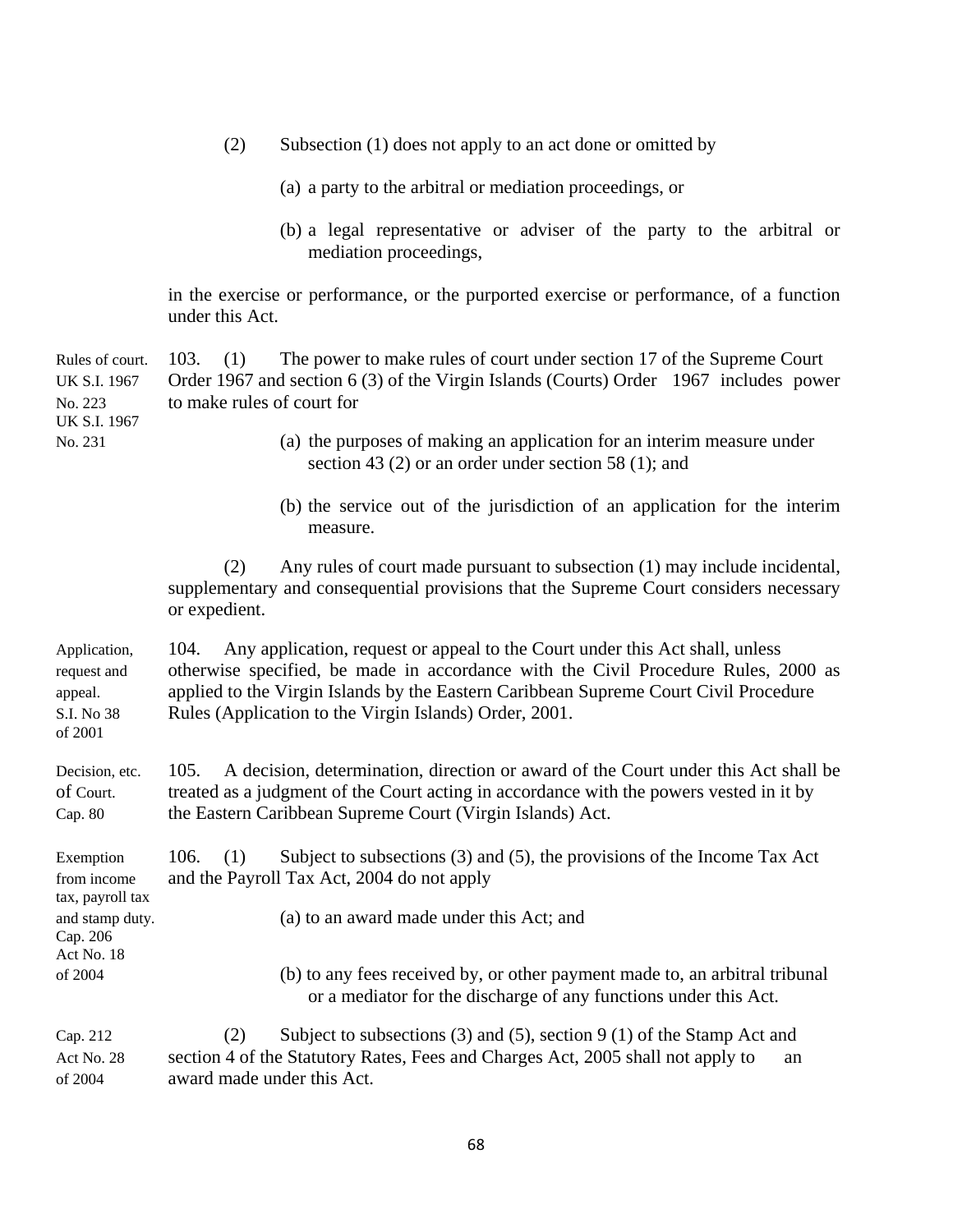- (2) Subsection (1) does not apply to an act done or omitted by
	- (a) a party to the arbitral or mediation proceedings, or
	- (b) a legal representative or adviser of the party to the arbitral or mediation proceedings,

in the exercise or performance, or the purported exercise or performance, of a function under this Act.

| Rules of court.<br>UK S.I. 1967<br>No. 223<br>UK S.I. 1967<br>No. 231                                | The power to make rules of court under section 17 of the Supreme Court<br>(1)<br>103.<br>Order 1967 and section 6 (3) of the Virgin Islands (Courts) Order 1967 includes power<br>to make rules of court for<br>(a) the purposes of making an application for an interim measure under<br>section 43 (2) or an order under section 58 (1); and<br>(b) the service out of the jurisdiction of an application for the interim<br>measure.<br>Any rules of court made pursuant to subsection (1) may include incidental,<br>(2)<br>supplementary and consequential provisions that the Supreme Court considers necessary<br>or expedient. |  |  |  |
|------------------------------------------------------------------------------------------------------|----------------------------------------------------------------------------------------------------------------------------------------------------------------------------------------------------------------------------------------------------------------------------------------------------------------------------------------------------------------------------------------------------------------------------------------------------------------------------------------------------------------------------------------------------------------------------------------------------------------------------------------|--|--|--|
| Application,<br>request and<br>appeal.<br>S.I. No 38<br>of 2001                                      | Any application, request or appeal to the Court under this Act shall, unless<br>104.<br>otherwise specified, be made in accordance with the Civil Procedure Rules, 2000 as<br>applied to the Virgin Islands by the Eastern Caribbean Supreme Court Civil Procedure<br>Rules (Application to the Virgin Islands) Order, 2001.                                                                                                                                                                                                                                                                                                           |  |  |  |
| Decision, etc.<br>of Court.<br>Cap. 80                                                               | 105.<br>A decision, determination, direction or award of the Court under this Act shall be<br>treated as a judgment of the Court acting in accordance with the powers vested in it by<br>the Eastern Caribbean Supreme Court (Virgin Islands) Act.                                                                                                                                                                                                                                                                                                                                                                                     |  |  |  |
| Exemption<br>from income<br>tax, payroll tax<br>and stamp duty.<br>Cap. 206<br>Act No. 18<br>of 2004 | Subject to subsections (3) and (5), the provisions of the Income Tax Act<br>106.<br>(1)<br>and the Payroll Tax Act, 2004 do not apply<br>(a) to an award made under this Act; and<br>(b) to any fees received by, or other payment made to, an arbitral tribunal<br>or a mediator for the discharge of any functions under this Act.                                                                                                                                                                                                                                                                                                   |  |  |  |
| Cap. 212<br>Act No. 28<br>of 2004                                                                    | Subject to subsections $(3)$ and $(5)$ , section $9(1)$ of the Stamp Act and<br>(2)<br>section 4 of the Statutory Rates, Fees and Charges Act, 2005 shall not apply to<br>an<br>award made under this Act.                                                                                                                                                                                                                                                                                                                                                                                                                             |  |  |  |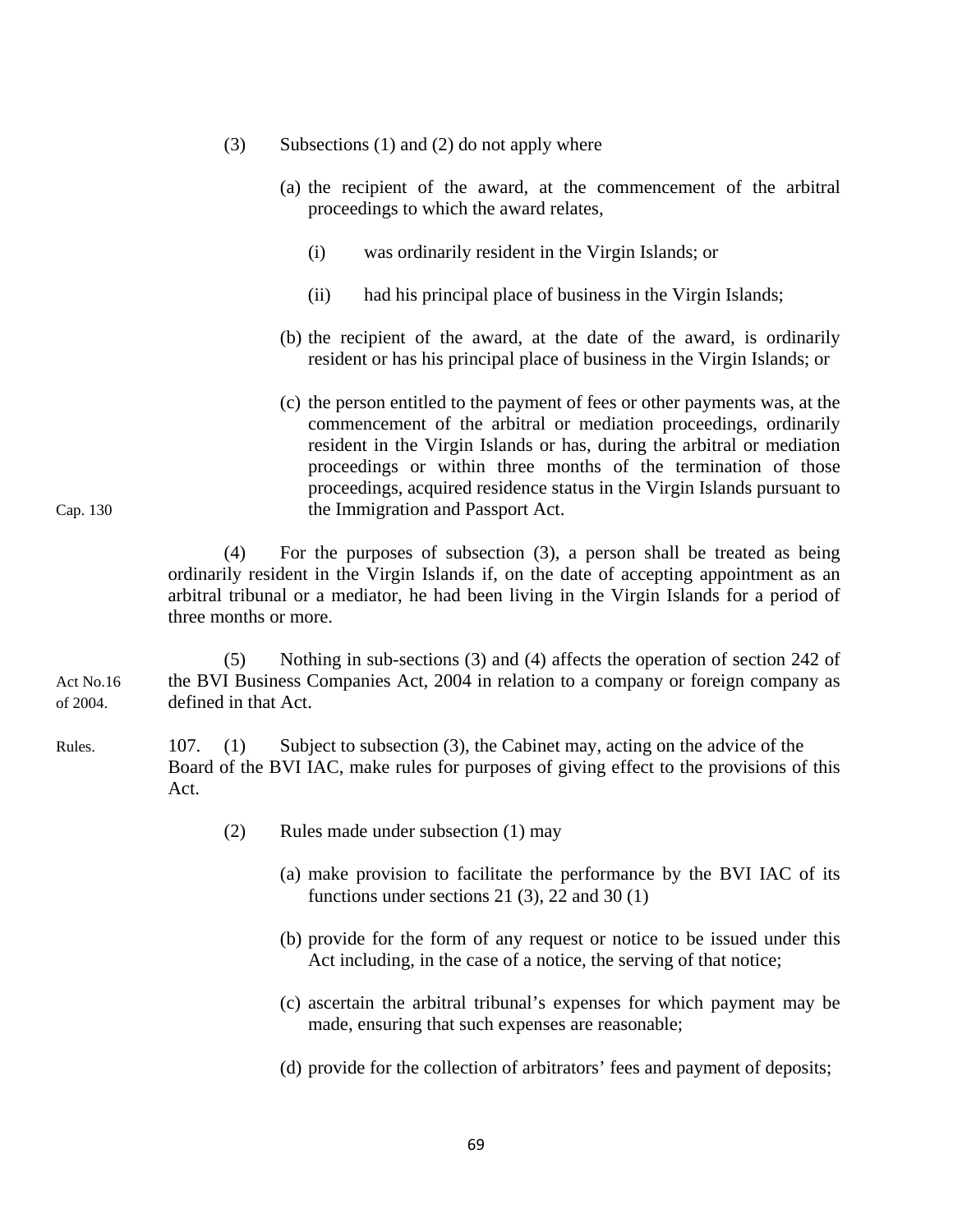- (3) Subsections (1) and (2) do not apply where
	- (a) the recipient of the award, at the commencement of the arbitral proceedings to which the award relates,
		- (i) was ordinarily resident in the Virgin Islands; or
		- (ii) had his principal place of business in the Virgin Islands;
	- (b) the recipient of the award, at the date of the award, is ordinarily resident or has his principal place of business in the Virgin Islands; or
- (c) the person entitled to the payment of fees or other payments was, at the commencement of the arbitral or mediation proceedings, ordinarily resident in the Virgin Islands or has, during the arbitral or mediation proceedings or within three months of the termination of those proceedings, acquired residence status in the Virgin Islands pursuant to Cap. 130 the Immigration and Passport Act.

(4) For the purposes of subsection (3), a person shall be treated as being ordinarily resident in the Virgin Islands if, on the date of accepting appointment as an arbitral tribunal or a mediator, he had been living in the Virgin Islands for a period of three months or more.

 (5) Nothing in sub-sections (3) and (4) affects the operation of section 242 of Act No.16 the BVI Business Companies Act, 2004 in relation to a company or foreign company as of 2004. defined in that Act.

Rules. 107. (1) Subject to subsection (3), the Cabinet may, acting on the advice of the Board of the BVI IAC, make rules for purposes of giving effect to the provisions of this Act.

- (2) Rules made under subsection (1) may
	- (a) make provision to facilitate the performance by the BVI IAC of its functions under sections 21 $(3)$ , 22 and 30 $(1)$
	- (b) provide for the form of any request or notice to be issued under this Act including, in the case of a notice, the serving of that notice;
	- (c) ascertain the arbitral tribunal's expenses for which payment may be made, ensuring that such expenses are reasonable;
	- (d) provide for the collection of arbitrators' fees and payment of deposits;
		- 69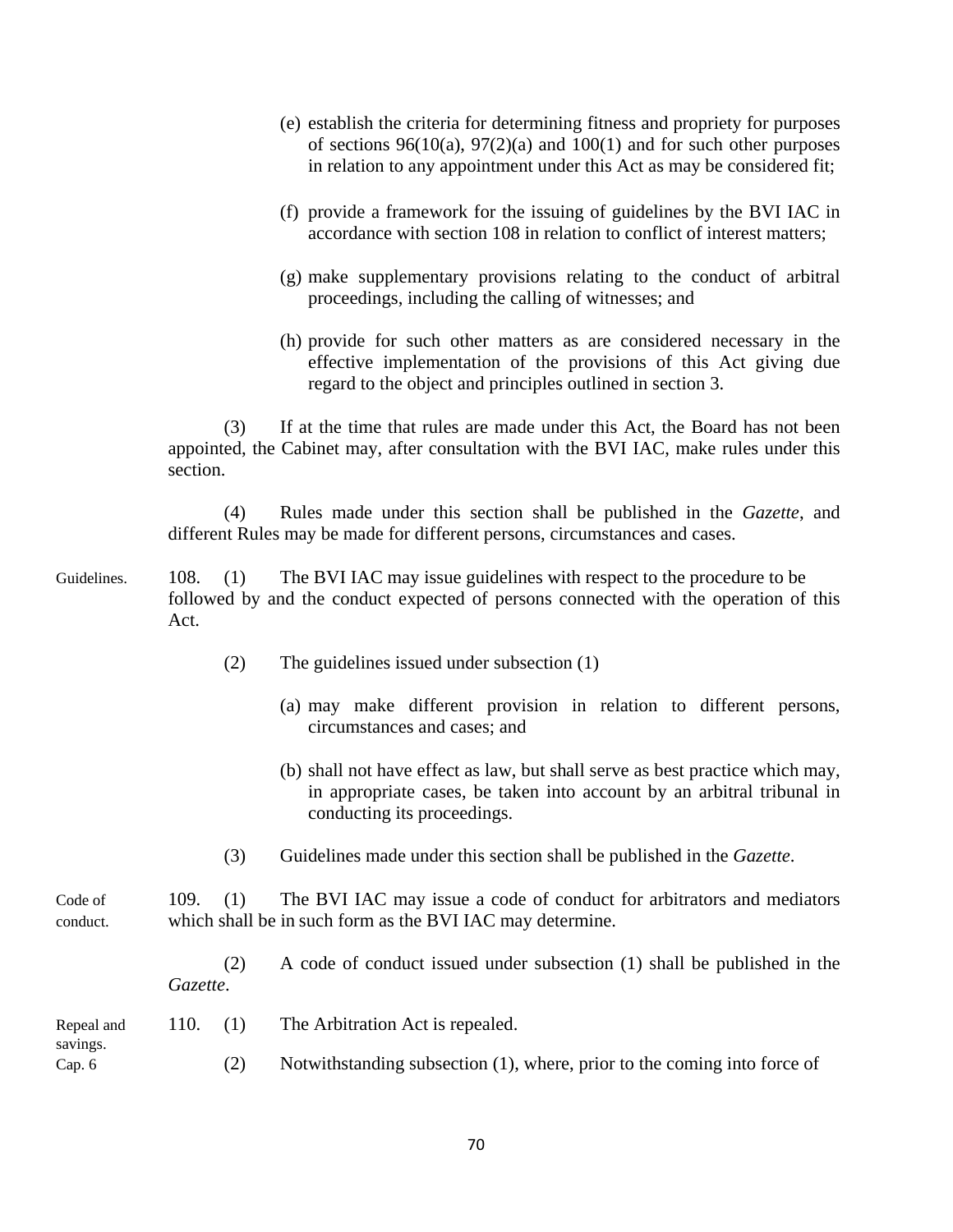- (e) establish the criteria for determining fitness and propriety for purposes of sections  $96(10(a), 97(2)(a)$  and  $100(1)$  and for such other purposes in relation to any appointment under this Act as may be considered fit;
- (f) provide a framework for the issuing of guidelines by the BVI IAC in accordance with section 108 in relation to conflict of interest matters;
- (g) make supplementary provisions relating to the conduct of arbitral proceedings, including the calling of witnesses; and
- (h) provide for such other matters as are considered necessary in the effective implementation of the provisions of this Act giving due regard to the object and principles outlined in section 3.

(3) If at the time that rules are made under this Act, the Board has not been appointed, the Cabinet may, after consultation with the BVI IAC, make rules under this section.

(4) Rules made under this section shall be published in the *Gazette*, and different Rules may be made for different persons, circumstances and cases.

- Guidelines. 108. (1) The BVI IAC may issue guidelines with respect to the procedure to be followed by and the conduct expected of persons connected with the operation of this Act.
	- (2) The guidelines issued under subsection (1)
		- (a) may make different provision in relation to different persons, circumstances and cases; and
		- (b) shall not have effect as law, but shall serve as best practice which may, in appropriate cases, be taken into account by an arbitral tribunal in conducting its proceedings.
	- (3) Guidelines made under this section shall be published in the *Gazette*.

Code of 109. (1) The BVI IAC may issue a code of conduct for arbitrators and mediators conduct. which shall be in such form as the BVI IAC may determine.

(2) A code of conduct issued under subsection (1) shall be published in the *Gazette*.

| Repeal and         | $110.$ (1) | The Arbitration Act is repealed.                                         |
|--------------------|------------|--------------------------------------------------------------------------|
| savings.<br>Cap. 6 |            | Notwithstanding subsection (1), where, prior to the coming into force of |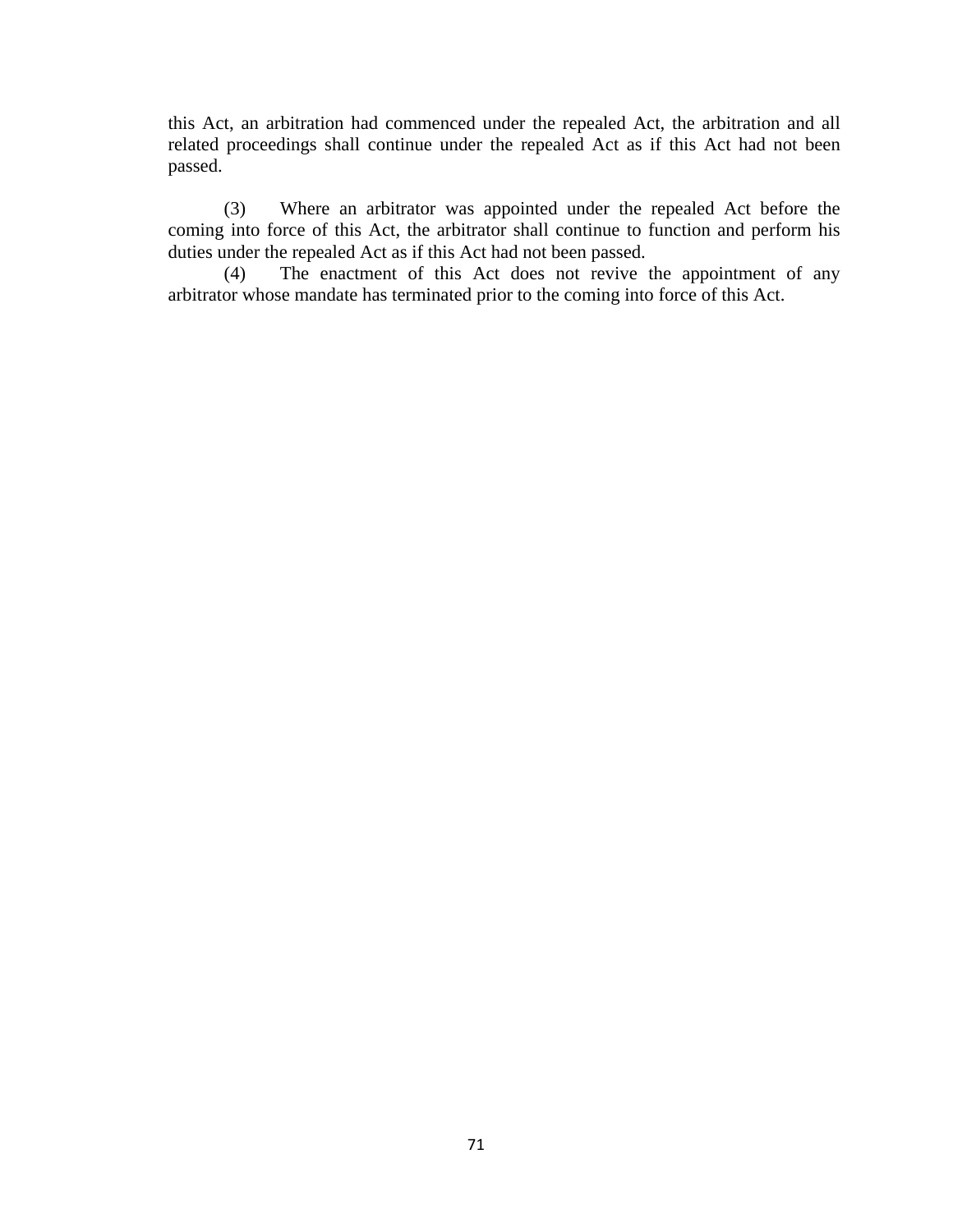this Act, an arbitration had commenced under the repealed Act, the arbitration and all related proceedings shall continue under the repealed Act as if this Act had not been passed.

 (3) Where an arbitrator was appointed under the repealed Act before the coming into force of this Act, the arbitrator shall continue to function and perform his duties under the repealed Act as if this Act had not been passed.

(4) The enactment of this Act does not revive the appointment of any arbitrator whose mandate has terminated prior to the coming into force of this Act.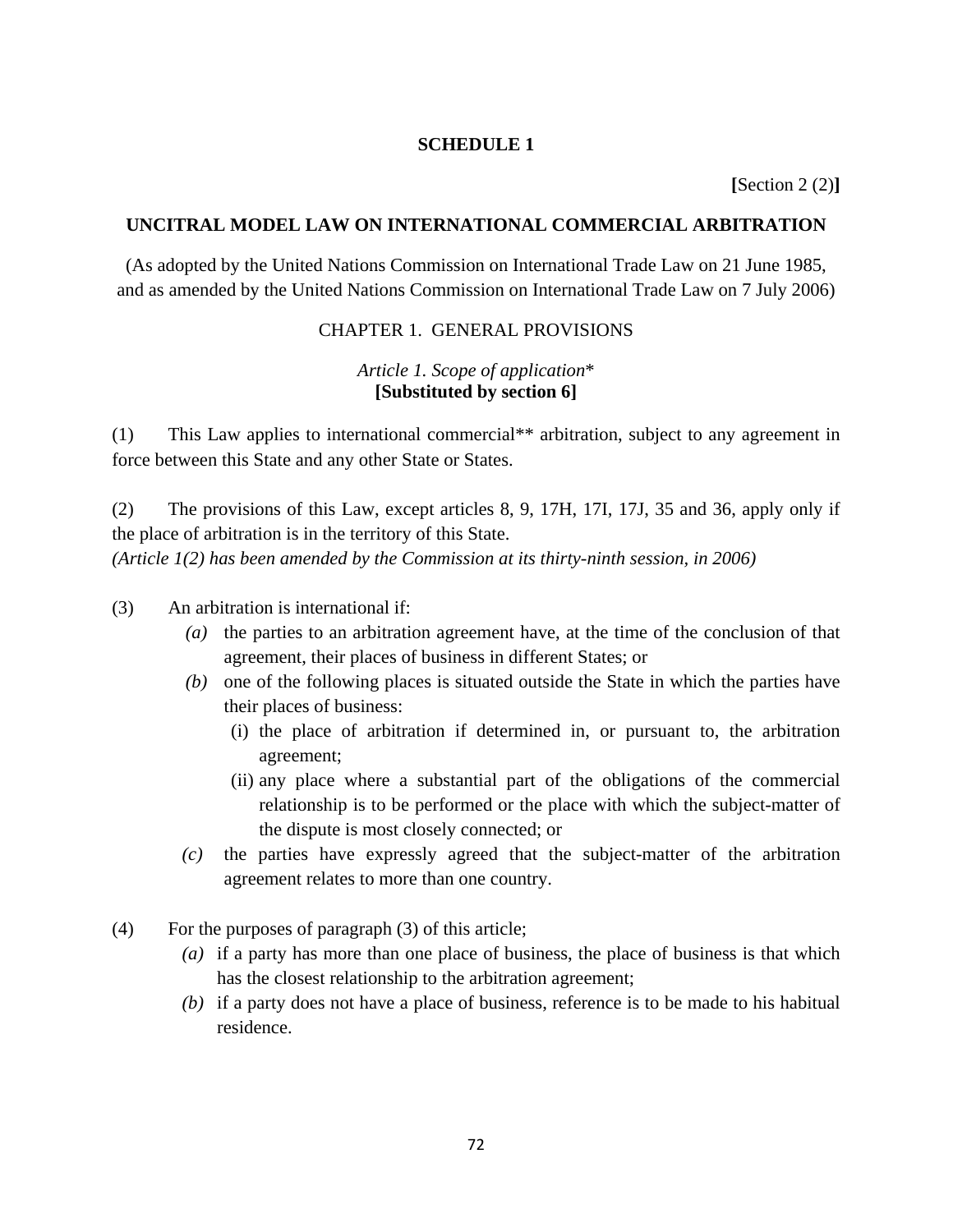### **SCHEDULE 1**

**[**Section 2 (2)**]** 

#### **UNCITRAL MODEL LAW ON INTERNATIONAL COMMERCIAL ARBITRATION**

(As adopted by the United Nations Commission on International Trade Law on 21 June 1985, and as amended by the United Nations Commission on International Trade Law on 7 July 2006)

# CHAPTER 1. GENERAL PROVISIONS

# *Article 1. Scope of application*\* **[Substituted by section 6]**

(1) This Law applies to international commercial\*\* arbitration, subject to any agreement in force between this State and any other State or States.

(2) The provisions of this Law, except articles 8, 9, 17H, 17I, 17J, 35 and 36, apply only if the place of arbitration is in the territory of this State.

*(Article 1(2) has been amended by the Commission at its thirty-ninth session, in 2006)*

- (3) An arbitration is international if:
	- *(a)* the parties to an arbitration agreement have, at the time of the conclusion of that agreement, their places of business in different States; or
	- *(b)* one of the following places is situated outside the State in which the parties have their places of business:
		- (i) the place of arbitration if determined in, or pursuant to, the arbitration agreement;
		- (ii) any place where a substantial part of the obligations of the commercial relationship is to be performed or the place with which the subject-matter of the dispute is most closely connected; or
	- *(c)* the parties have expressly agreed that the subject-matter of the arbitration agreement relates to more than one country.
- (4) For the purposes of paragraph (3) of this article;
	- *(a)* if a party has more than one place of business, the place of business is that which has the closest relationship to the arbitration agreement;
	- *(b)* if a party does not have a place of business, reference is to be made to his habitual residence.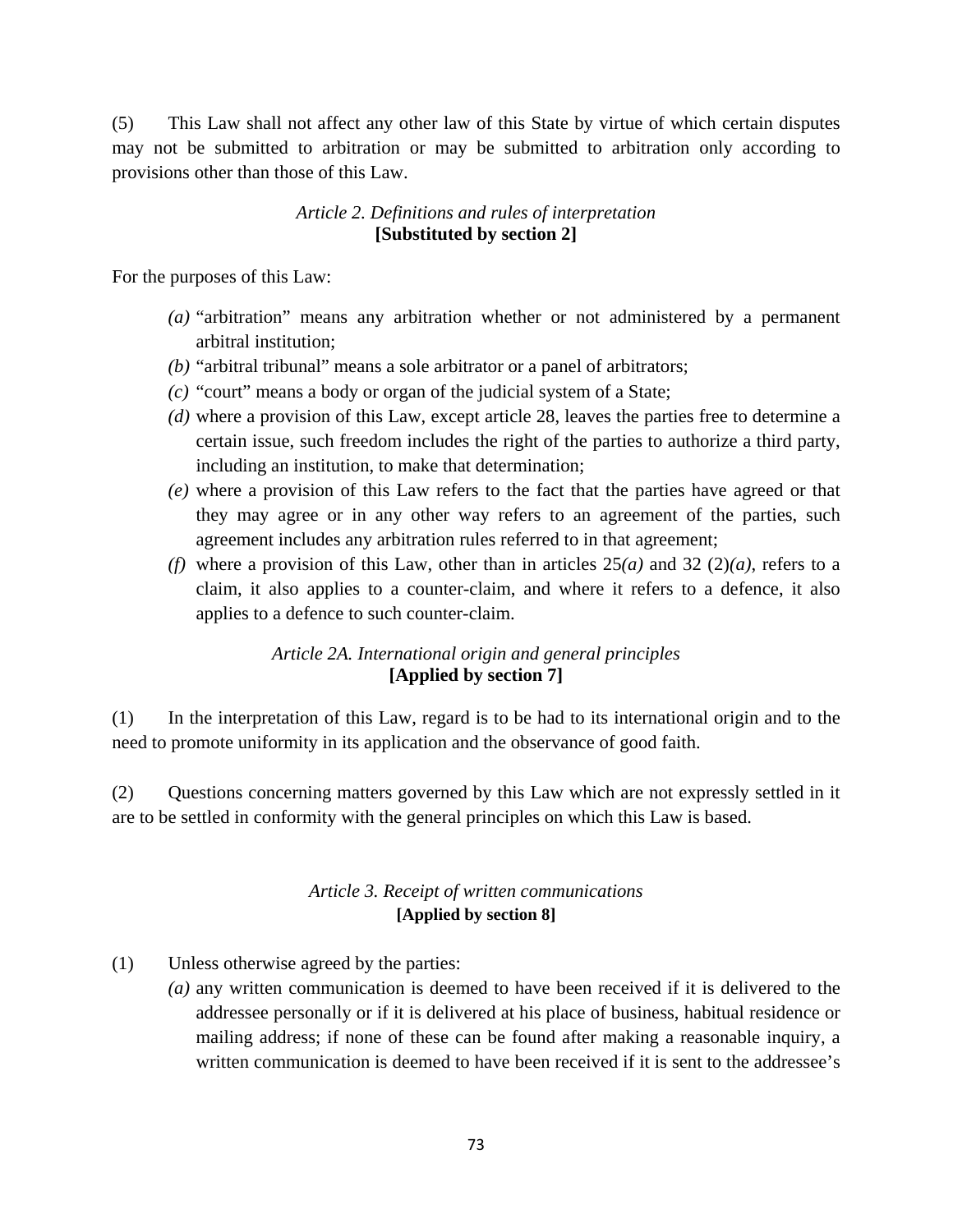(5) This Law shall not affect any other law of this State by virtue of which certain disputes may not be submitted to arbitration or may be submitted to arbitration only according to provisions other than those of this Law.

### *Article 2. Definitions and rules of interpretation*  **[Substituted by section 2]**

For the purposes of this Law:

- *(a)* "arbitration" means any arbitration whether or not administered by a permanent arbitral institution;
- *(b)* "arbitral tribunal" means a sole arbitrator or a panel of arbitrators;
- *(c)* "court" means a body or organ of the judicial system of a State;
- *(d)* where a provision of this Law, except article 28, leaves the parties free to determine a certain issue, such freedom includes the right of the parties to authorize a third party, including an institution, to make that determination;
- *(e)* where a provision of this Law refers to the fact that the parties have agreed or that they may agree or in any other way refers to an agreement of the parties, such agreement includes any arbitration rules referred to in that agreement;
- *(f)* where a provision of this Law, other than in articles  $25(a)$  and  $32(2)(a)$ , refers to a claim, it also applies to a counter-claim, and where it refers to a defence, it also applies to a defence to such counter-claim.

## *Article 2A. International origin and general principles*  **[Applied by section 7]**

(1) In the interpretation of this Law, regard is to be had to its international origin and to the need to promote uniformity in its application and the observance of good faith.

(2) Questions concerning matters governed by this Law which are not expressly settled in it are to be settled in conformity with the general principles on which this Law is based.

## *Article 3. Receipt of written communications*  **[Applied by section 8]**

- (1) Unless otherwise agreed by the parties:
	- *(a)* any written communication is deemed to have been received if it is delivered to the addressee personally or if it is delivered at his place of business, habitual residence or mailing address; if none of these can be found after making a reasonable inquiry, a written communication is deemed to have been received if it is sent to the addressee's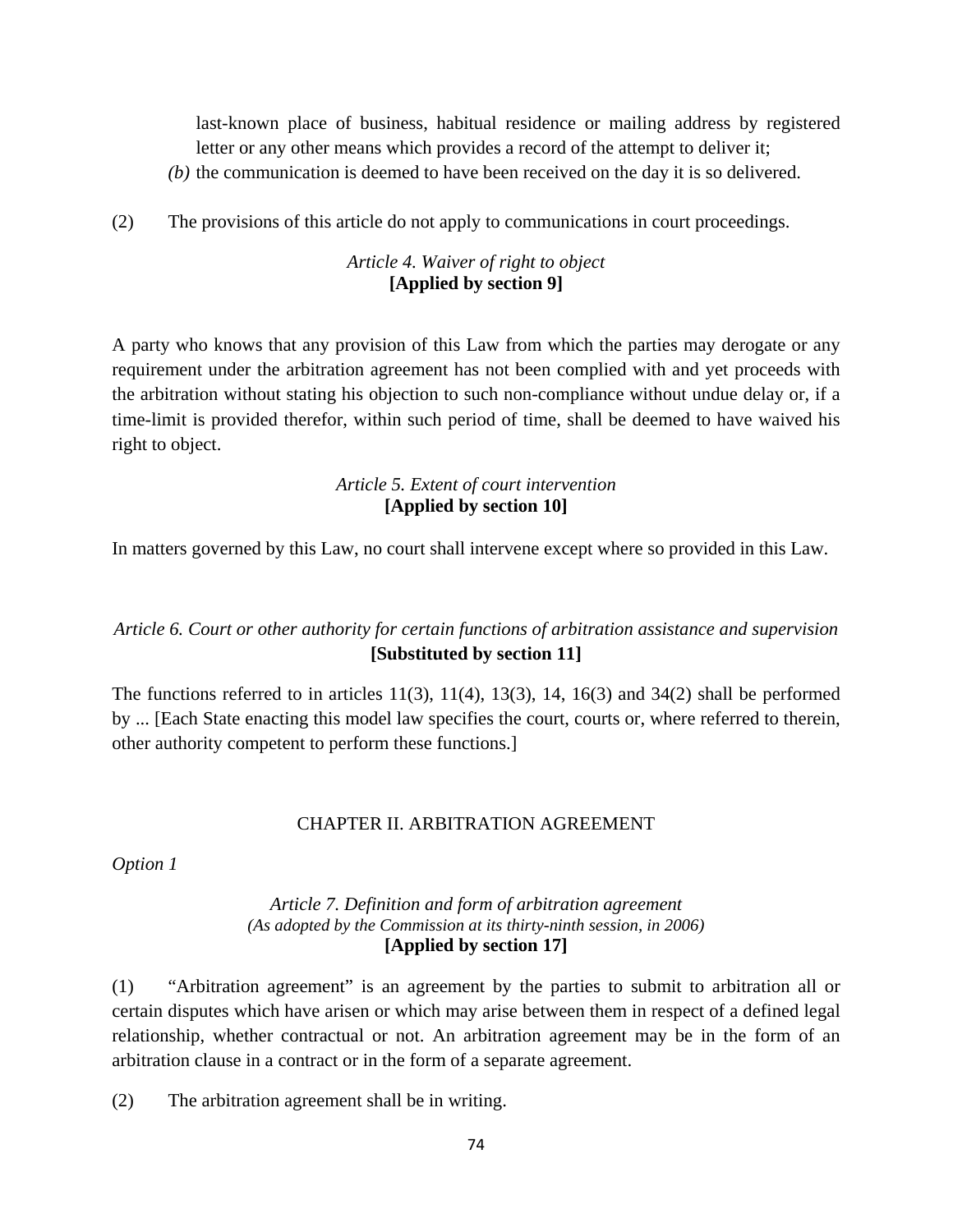last-known place of business, habitual residence or mailing address by registered letter or any other means which provides a record of the attempt to deliver it;

- *(b)* the communication is deemed to have been received on the day it is so delivered.
- (2) The provisions of this article do not apply to communications in court proceedings.

#### *Article 4. Waiver of right to object*  **[Applied by section 9]**

A party who knows that any provision of this Law from which the parties may derogate or any requirement under the arbitration agreement has not been complied with and yet proceeds with the arbitration without stating his objection to such non-compliance without undue delay or, if a time-limit is provided therefor, within such period of time, shall be deemed to have waived his right to object.

### *Article 5. Extent of court intervention*  **[Applied by section 10]**

In matters governed by this Law, no court shall intervene except where so provided in this Law.

## *Article 6. Court or other authority for certain functions of arbitration assistance and supervision*  **[Substituted by section 11]**

The functions referred to in articles  $11(3)$ ,  $11(4)$ ,  $13(3)$ ,  $14$ ,  $16(3)$  and  $34(2)$  shall be performed by ... [Each State enacting this model law specifies the court, courts or, where referred to therein, other authority competent to perform these functions.]

#### CHAPTER II. ARBITRATION AGREEMENT

*Option 1* 

*Article 7. Definition and form of arbitration agreement (As adopted by the Commission at its thirty-ninth session, in 2006)*  **[Applied by section 17]** 

(1) "Arbitration agreement" is an agreement by the parties to submit to arbitration all or certain disputes which have arisen or which may arise between them in respect of a defined legal relationship, whether contractual or not. An arbitration agreement may be in the form of an arbitration clause in a contract or in the form of a separate agreement.

(2) The arbitration agreement shall be in writing.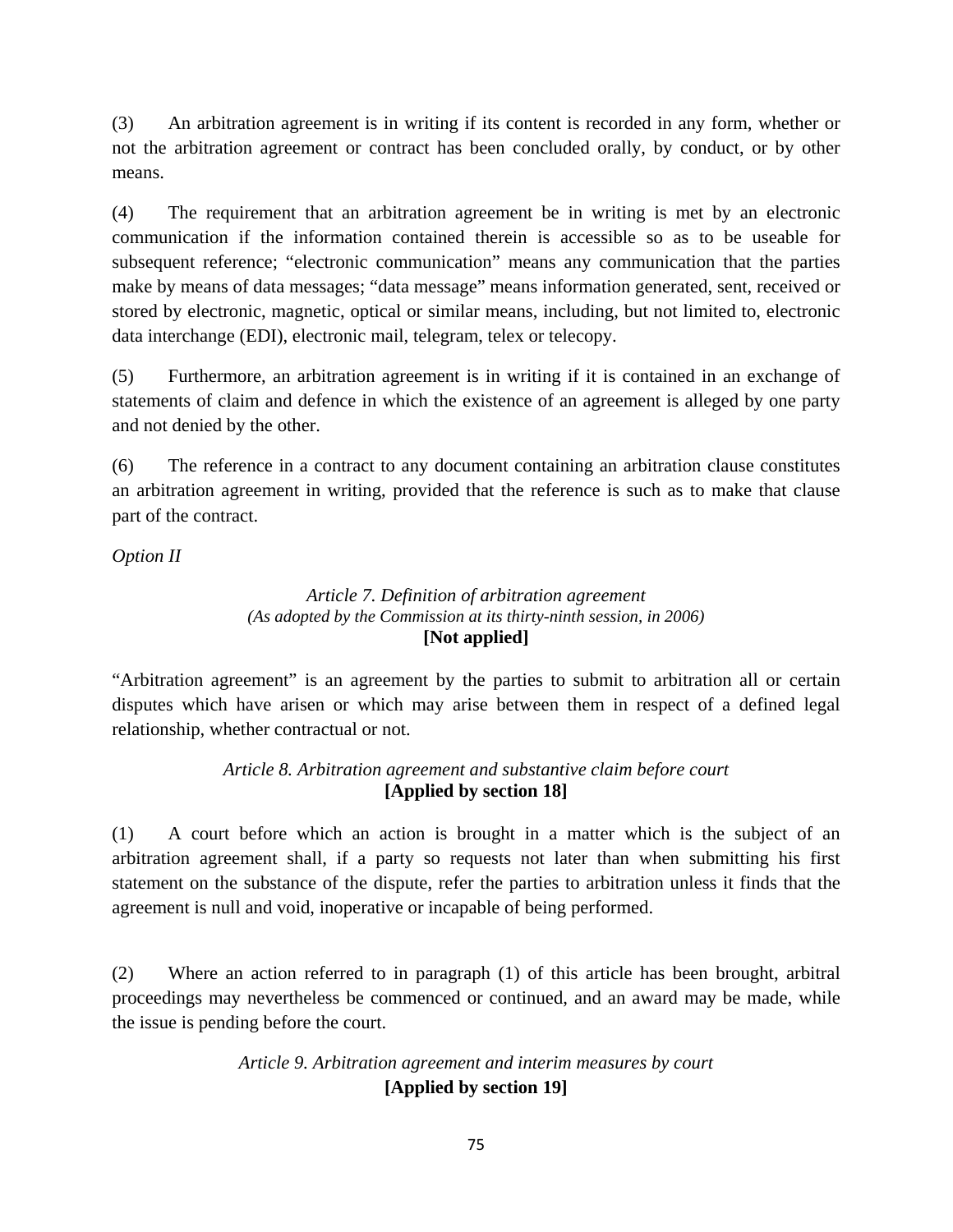(3) An arbitration agreement is in writing if its content is recorded in any form, whether or not the arbitration agreement or contract has been concluded orally, by conduct, or by other means.

(4) The requirement that an arbitration agreement be in writing is met by an electronic communication if the information contained therein is accessible so as to be useable for subsequent reference; "electronic communication" means any communication that the parties make by means of data messages; "data message" means information generated, sent, received or stored by electronic, magnetic, optical or similar means, including, but not limited to, electronic data interchange (EDI), electronic mail, telegram, telex or telecopy.

(5) Furthermore, an arbitration agreement is in writing if it is contained in an exchange of statements of claim and defence in which the existence of an agreement is alleged by one party and not denied by the other.

(6) The reference in a contract to any document containing an arbitration clause constitutes an arbitration agreement in writing, provided that the reference is such as to make that clause part of the contract.

*Option II* 

### *Article 7. Definition of arbitration agreement (As adopted by the Commission at its thirty-ninth session, in 2006)*  **[Not applied]**

"Arbitration agreement" is an agreement by the parties to submit to arbitration all or certain disputes which have arisen or which may arise between them in respect of a defined legal relationship, whether contractual or not.

## *Article 8. Arbitration agreement and substantive claim before court*  **[Applied by section 18]**

(1) A court before which an action is brought in a matter which is the subject of an arbitration agreement shall, if a party so requests not later than when submitting his first statement on the substance of the dispute, refer the parties to arbitration unless it finds that the agreement is null and void, inoperative or incapable of being performed.

(2) Where an action referred to in paragraph (1) of this article has been brought, arbitral proceedings may nevertheless be commenced or continued, and an award may be made, while the issue is pending before the court.

## *Article 9. Arbitration agreement and interim measures by court*  **[Applied by section 19]**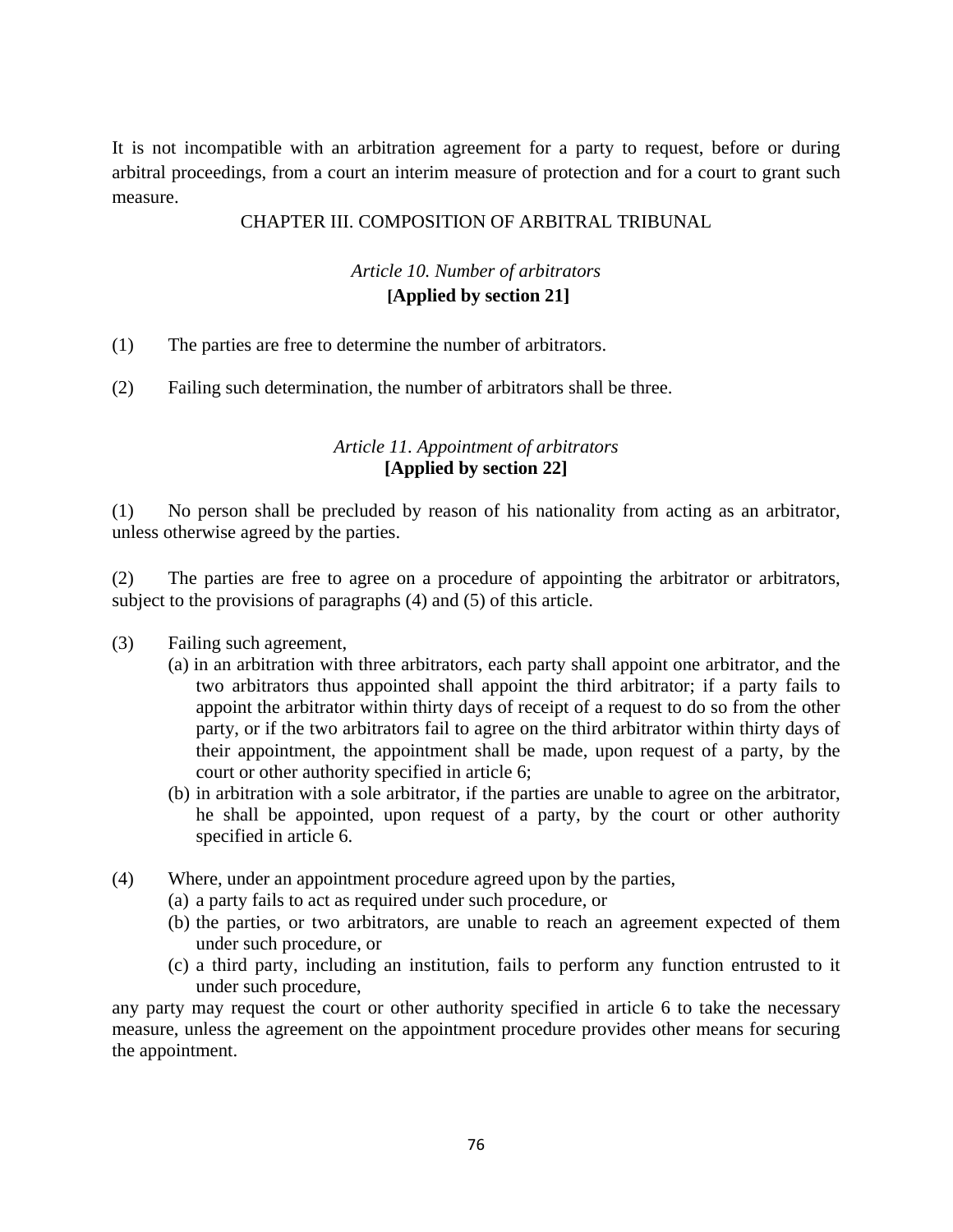It is not incompatible with an arbitration agreement for a party to request, before or during arbitral proceedings, from a court an interim measure of protection and for a court to grant such measure.

#### CHAPTER III. COMPOSITION OF ARBITRAL TRIBUNAL

## *Article 10. Number of arbitrators*  **[Applied by section 21]**

- (1) The parties are free to determine the number of arbitrators.
- (2) Failing such determination, the number of arbitrators shall be three.

### *Article 11. Appointment of arbitrators*  **[Applied by section 22]**

(1) No person shall be precluded by reason of his nationality from acting as an arbitrator, unless otherwise agreed by the parties.

(2) The parties are free to agree on a procedure of appointing the arbitrator or arbitrators, subject to the provisions of paragraphs (4) and (5) of this article.

- (3) Failing such agreement,
	- (a) in an arbitration with three arbitrators, each party shall appoint one arbitrator, and the two arbitrators thus appointed shall appoint the third arbitrator; if a party fails to appoint the arbitrator within thirty days of receipt of a request to do so from the other party, or if the two arbitrators fail to agree on the third arbitrator within thirty days of their appointment, the appointment shall be made, upon request of a party, by the court or other authority specified in article 6;
	- (b) in arbitration with a sole arbitrator, if the parties are unable to agree on the arbitrator, he shall be appointed, upon request of a party, by the court or other authority specified in article 6.
- (4) Where, under an appointment procedure agreed upon by the parties,
	- (a) a party fails to act as required under such procedure, or
	- (b) the parties, or two arbitrators, are unable to reach an agreement expected of them under such procedure, or
	- (c) a third party, including an institution, fails to perform any function entrusted to it under such procedure,

any party may request the court or other authority specified in article 6 to take the necessary measure, unless the agreement on the appointment procedure provides other means for securing the appointment.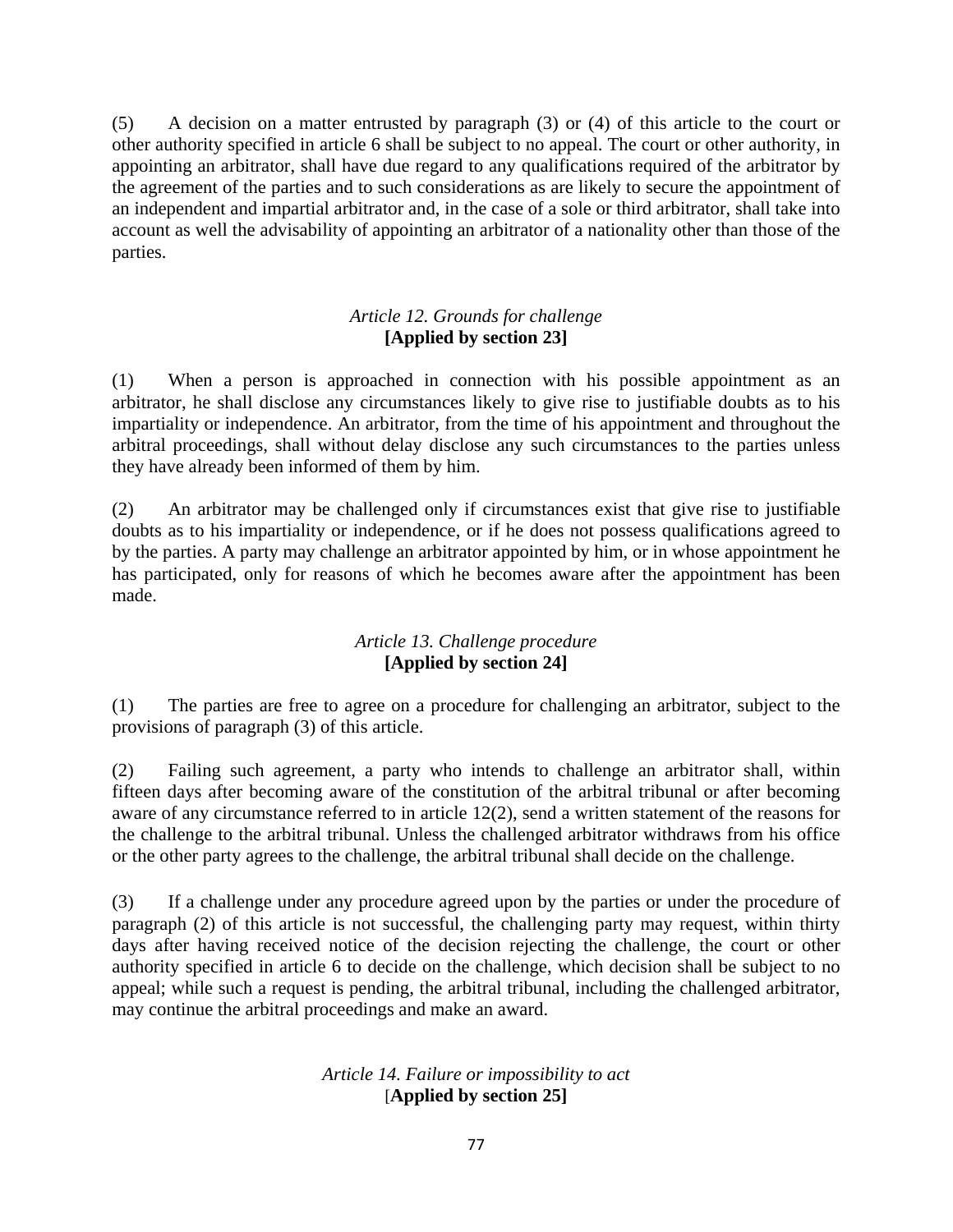(5) A decision on a matter entrusted by paragraph (3) or (4) of this article to the court or other authority specified in article 6 shall be subject to no appeal. The court or other authority, in appointing an arbitrator, shall have due regard to any qualifications required of the arbitrator by the agreement of the parties and to such considerations as are likely to secure the appointment of an independent and impartial arbitrator and, in the case of a sole or third arbitrator, shall take into account as well the advisability of appointing an arbitrator of a nationality other than those of the parties.

### *Article 12. Grounds for challenge*  **[Applied by section 23]**

(1) When a person is approached in connection with his possible appointment as an arbitrator, he shall disclose any circumstances likely to give rise to justifiable doubts as to his impartiality or independence. An arbitrator, from the time of his appointment and throughout the arbitral proceedings, shall without delay disclose any such circumstances to the parties unless they have already been informed of them by him.

(2) An arbitrator may be challenged only if circumstances exist that give rise to justifiable doubts as to his impartiality or independence, or if he does not possess qualifications agreed to by the parties. A party may challenge an arbitrator appointed by him, or in whose appointment he has participated, only for reasons of which he becomes aware after the appointment has been made.

## *Article 13. Challenge procedure*  **[Applied by section 24]**

(1) The parties are free to agree on a procedure for challenging an arbitrator, subject to the provisions of paragraph (3) of this article.

(2) Failing such agreement, a party who intends to challenge an arbitrator shall, within fifteen days after becoming aware of the constitution of the arbitral tribunal or after becoming aware of any circumstance referred to in article 12(2), send a written statement of the reasons for the challenge to the arbitral tribunal. Unless the challenged arbitrator withdraws from his office or the other party agrees to the challenge, the arbitral tribunal shall decide on the challenge.

(3) If a challenge under any procedure agreed upon by the parties or under the procedure of paragraph (2) of this article is not successful, the challenging party may request, within thirty days after having received notice of the decision rejecting the challenge, the court or other authority specified in article 6 to decide on the challenge, which decision shall be subject to no appeal; while such a request is pending, the arbitral tribunal, including the challenged arbitrator, may continue the arbitral proceedings and make an award.

#### *Article 14. Failure or impossibility to act*  [**Applied by section 25]**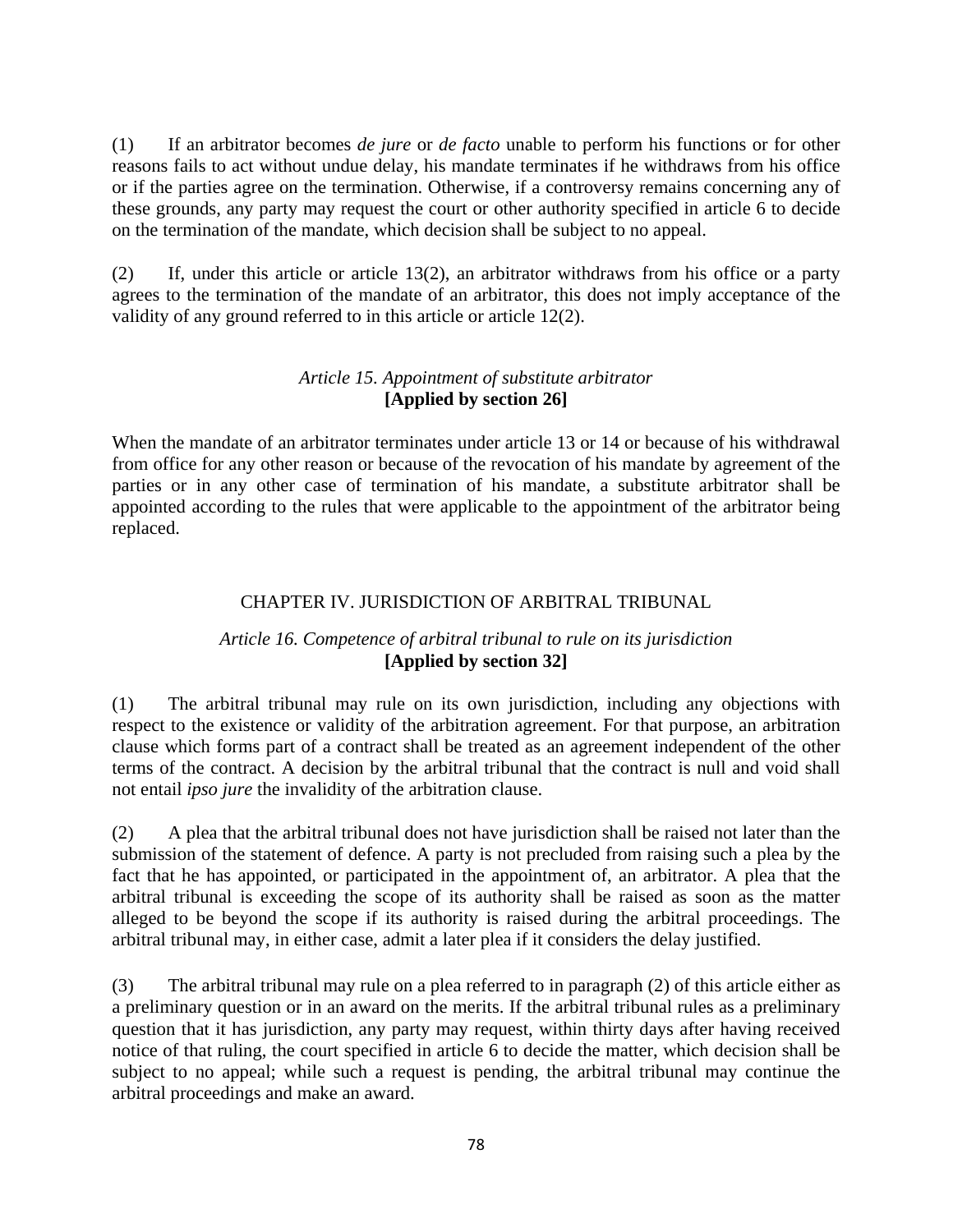(1) If an arbitrator becomes *de jure* or *de facto* unable to perform his functions or for other reasons fails to act without undue delay, his mandate terminates if he withdraws from his office or if the parties agree on the termination. Otherwise, if a controversy remains concerning any of these grounds, any party may request the court or other authority specified in article 6 to decide on the termination of the mandate, which decision shall be subject to no appeal.

(2) If, under this article or article 13(2), an arbitrator withdraws from his office or a party agrees to the termination of the mandate of an arbitrator, this does not imply acceptance of the validity of any ground referred to in this article or article 12(2).

## *Article 15. Appointment of substitute arbitrator*  **[Applied by section 26]**

When the mandate of an arbitrator terminates under article 13 or 14 or because of his withdrawal from office for any other reason or because of the revocation of his mandate by agreement of the parties or in any other case of termination of his mandate, a substitute arbitrator shall be appointed according to the rules that were applicable to the appointment of the arbitrator being replaced.

## CHAPTER IV. JURISDICTION OF ARBITRAL TRIBUNAL

## *Article 16. Competence of arbitral tribunal to rule on its jurisdiction*  **[Applied by section 32]**

(1) The arbitral tribunal may rule on its own jurisdiction, including any objections with respect to the existence or validity of the arbitration agreement. For that purpose, an arbitration clause which forms part of a contract shall be treated as an agreement independent of the other terms of the contract. A decision by the arbitral tribunal that the contract is null and void shall not entail *ipso jure* the invalidity of the arbitration clause.

(2) A plea that the arbitral tribunal does not have jurisdiction shall be raised not later than the submission of the statement of defence. A party is not precluded from raising such a plea by the fact that he has appointed, or participated in the appointment of, an arbitrator. A plea that the arbitral tribunal is exceeding the scope of its authority shall be raised as soon as the matter alleged to be beyond the scope if its authority is raised during the arbitral proceedings. The arbitral tribunal may, in either case, admit a later plea if it considers the delay justified.

(3) The arbitral tribunal may rule on a plea referred to in paragraph (2) of this article either as a preliminary question or in an award on the merits. If the arbitral tribunal rules as a preliminary question that it has jurisdiction, any party may request, within thirty days after having received notice of that ruling, the court specified in article 6 to decide the matter, which decision shall be subject to no appeal; while such a request is pending, the arbitral tribunal may continue the arbitral proceedings and make an award.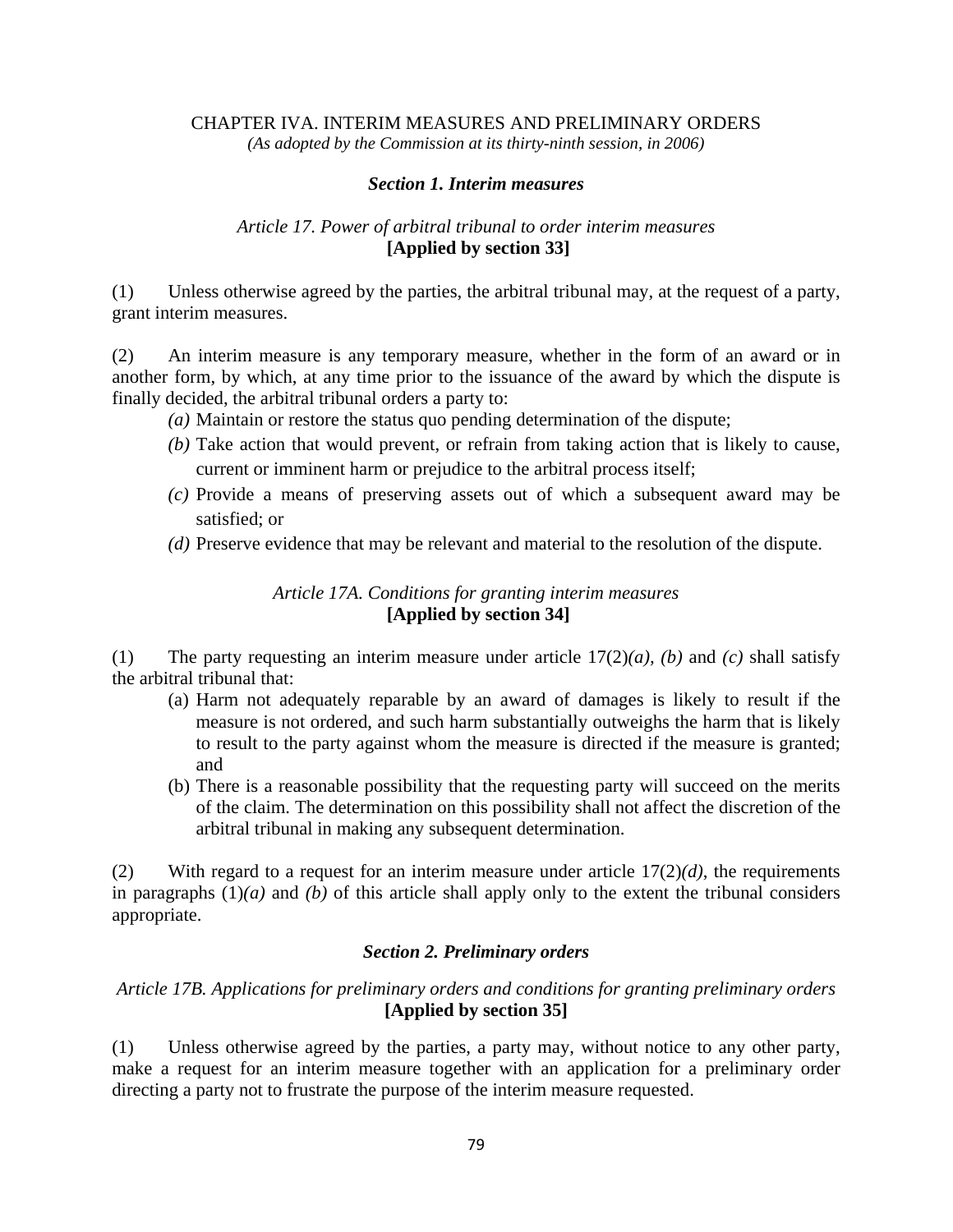#### CHAPTER IVA. INTERIM MEASURES AND PRELIMINARY ORDERS

*(As adopted by the Commission at its thirty-ninth session, in 2006)* 

#### *Section 1. Interim measures*

### *Article 17. Power of arbitral tribunal to order interim measures*  **[Applied by section 33]**

(1) Unless otherwise agreed by the parties, the arbitral tribunal may, at the request of a party, grant interim measures.

(2) An interim measure is any temporary measure, whether in the form of an award or in another form, by which, at any time prior to the issuance of the award by which the dispute is finally decided, the arbitral tribunal orders a party to:

- *(a)* Maintain or restore the status quo pending determination of the dispute;
- *(b)* Take action that would prevent, or refrain from taking action that is likely to cause, current or imminent harm or prejudice to the arbitral process itself;
- *(c)* Provide a means of preserving assets out of which a subsequent award may be satisfied; or
- *(d)* Preserve evidence that may be relevant and material to the resolution of the dispute.

### *Article 17A. Conditions for granting interim measures*  **[Applied by section 34]**

(1) The party requesting an interim measure under article 17(2)*(a), (b)* and *(c)* shall satisfy the arbitral tribunal that:

- (a) Harm not adequately reparable by an award of damages is likely to result if the measure is not ordered, and such harm substantially outweighs the harm that is likely to result to the party against whom the measure is directed if the measure is granted; and
- (b) There is a reasonable possibility that the requesting party will succeed on the merits of the claim. The determination on this possibility shall not affect the discretion of the arbitral tribunal in making any subsequent determination.

(2) With regard to a request for an interim measure under article 17(2)*(d)*, the requirements in paragraphs  $(1)(a)$  and  $(b)$  of this article shall apply only to the extent the tribunal considers appropriate.

#### *Section 2. Preliminary orders*

### *Article 17B. Applications for preliminary orders and conditions for granting preliminary orders*  **[Applied by section 35]**

(1) Unless otherwise agreed by the parties, a party may, without notice to any other party, make a request for an interim measure together with an application for a preliminary order directing a party not to frustrate the purpose of the interim measure requested.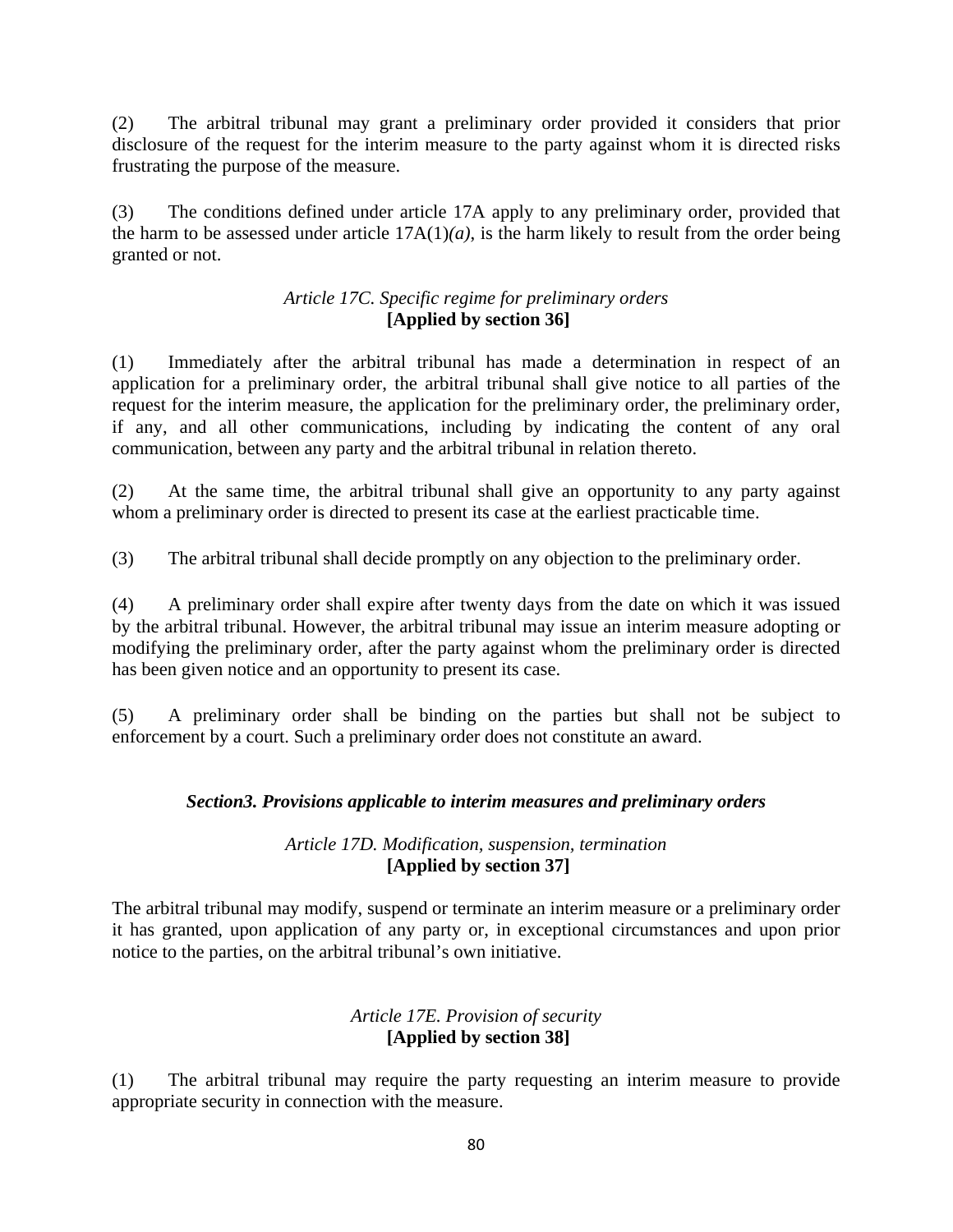(2) The arbitral tribunal may grant a preliminary order provided it considers that prior disclosure of the request for the interim measure to the party against whom it is directed risks frustrating the purpose of the measure.

(3) The conditions defined under article 17A apply to any preliminary order, provided that the harm to be assessed under article  $17A(1)(a)$ , is the harm likely to result from the order being granted or not.

### *Article 17C. Specific regime for preliminary orders*  **[Applied by section 36]**

(1) Immediately after the arbitral tribunal has made a determination in respect of an application for a preliminary order, the arbitral tribunal shall give notice to all parties of the request for the interim measure, the application for the preliminary order, the preliminary order, if any, and all other communications, including by indicating the content of any oral communication, between any party and the arbitral tribunal in relation thereto.

(2) At the same time, the arbitral tribunal shall give an opportunity to any party against whom a preliminary order is directed to present its case at the earliest practicable time.

(3) The arbitral tribunal shall decide promptly on any objection to the preliminary order.

(4) A preliminary order shall expire after twenty days from the date on which it was issued by the arbitral tribunal. However, the arbitral tribunal may issue an interim measure adopting or modifying the preliminary order, after the party against whom the preliminary order is directed has been given notice and an opportunity to present its case.

(5) A preliminary order shall be binding on the parties but shall not be subject to enforcement by a court. Such a preliminary order does not constitute an award.

### *Section3. Provisions applicable to interim measures and preliminary orders*

## *Article 17D. Modification, suspension, termination*  **[Applied by section 37]**

The arbitral tribunal may modify, suspend or terminate an interim measure or a preliminary order it has granted, upon application of any party or, in exceptional circumstances and upon prior notice to the parties, on the arbitral tribunal's own initiative.

## *Article 17E. Provision of security*  **[Applied by section 38]**

(1) The arbitral tribunal may require the party requesting an interim measure to provide appropriate security in connection with the measure.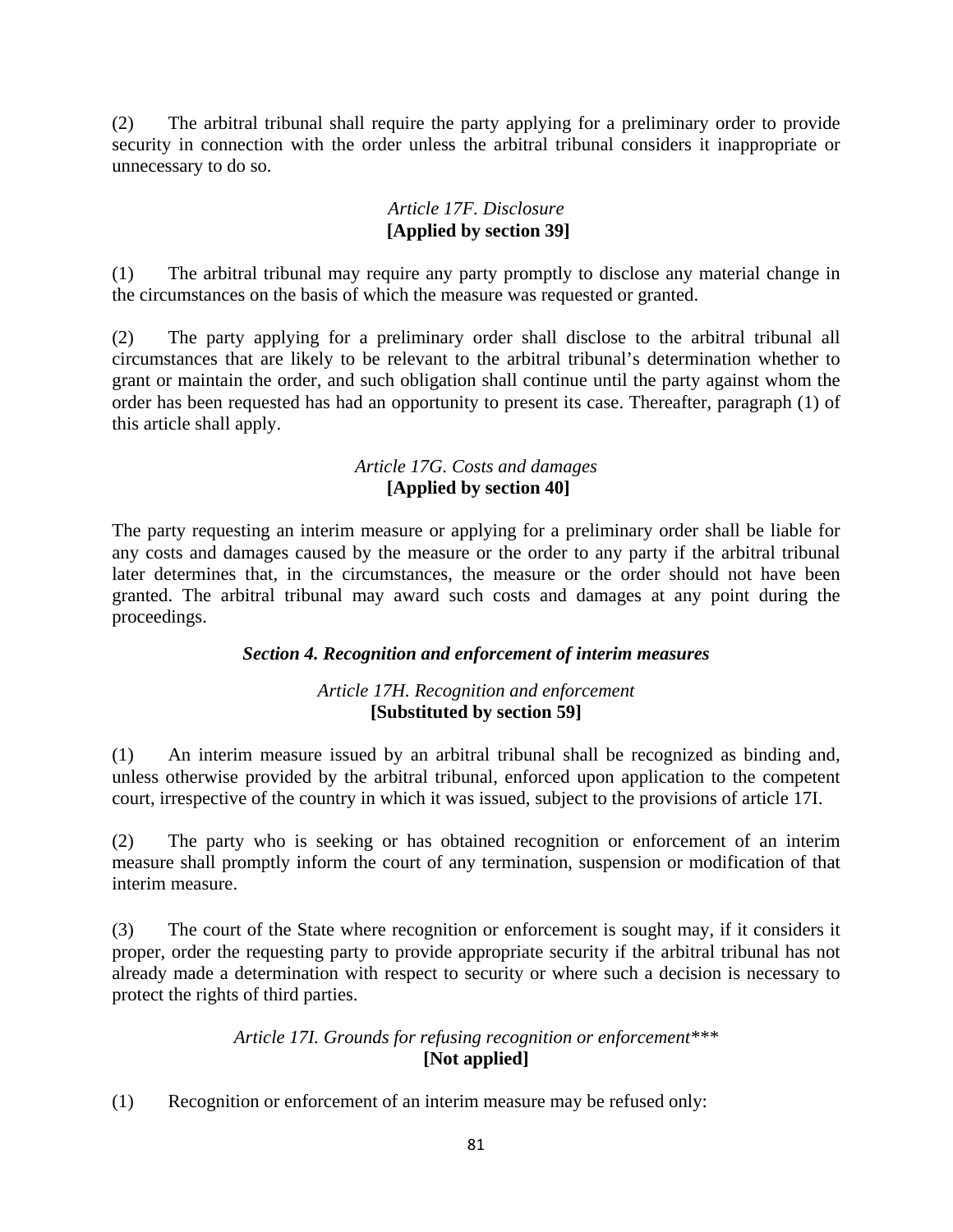(2) The arbitral tribunal shall require the party applying for a preliminary order to provide security in connection with the order unless the arbitral tribunal considers it inappropriate or unnecessary to do so.

### *Article 17F. Disclosure*  **[Applied by section 39]**

(1) The arbitral tribunal may require any party promptly to disclose any material change in the circumstances on the basis of which the measure was requested or granted.

(2) The party applying for a preliminary order shall disclose to the arbitral tribunal all circumstances that are likely to be relevant to the arbitral tribunal's determination whether to grant or maintain the order, and such obligation shall continue until the party against whom the order has been requested has had an opportunity to present its case. Thereafter, paragraph (1) of this article shall apply.

### *Article 17G. Costs and damages*  **[Applied by section 40]**

The party requesting an interim measure or applying for a preliminary order shall be liable for any costs and damages caused by the measure or the order to any party if the arbitral tribunal later determines that, in the circumstances, the measure or the order should not have been granted. The arbitral tribunal may award such costs and damages at any point during the proceedings.

### *Section 4. Recognition and enforcement of interim measures*

## *Article 17H. Recognition and enforcement*  **[Substituted by section 59]**

(1) An interim measure issued by an arbitral tribunal shall be recognized as binding and, unless otherwise provided by the arbitral tribunal, enforced upon application to the competent court, irrespective of the country in which it was issued, subject to the provisions of article 17I.

(2) The party who is seeking or has obtained recognition or enforcement of an interim measure shall promptly inform the court of any termination, suspension or modification of that interim measure.

(3) The court of the State where recognition or enforcement is sought may, if it considers it proper, order the requesting party to provide appropriate security if the arbitral tribunal has not already made a determination with respect to security or where such a decision is necessary to protect the rights of third parties.

### *Article 17I. Grounds for refusing recognition or enforcement\*\*\**  **[Not applied]**

(1) Recognition or enforcement of an interim measure may be refused only: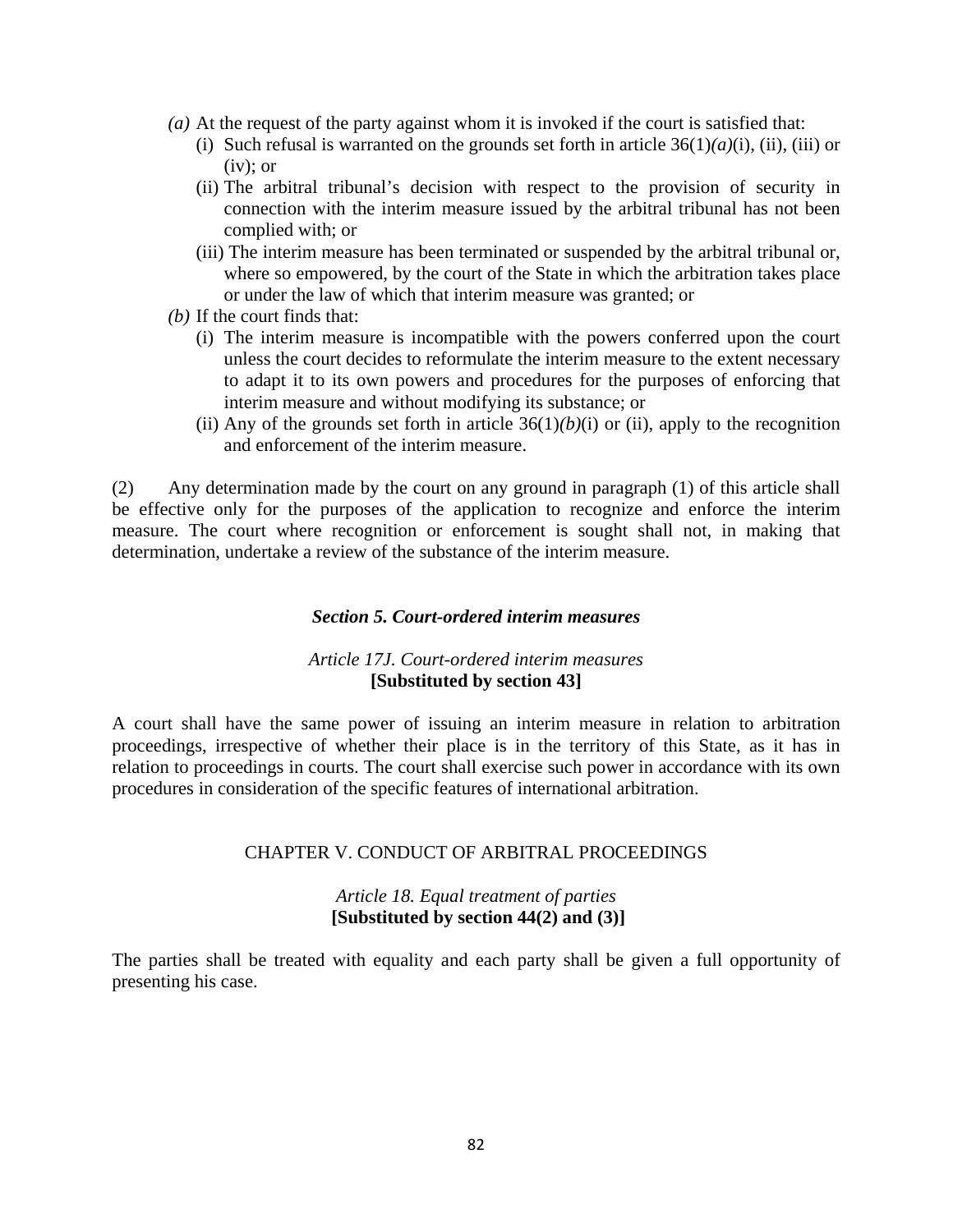- *(a)* At the request of the party against whom it is invoked if the court is satisfied that:
	- (i) Such refusal is warranted on the grounds set forth in article  $36(1)(a)(i)$ , (ii), (iii) or  $(iv)$ ; or
	- (ii) The arbitral tribunal's decision with respect to the provision of security in connection with the interim measure issued by the arbitral tribunal has not been complied with; or
	- (iii) The interim measure has been terminated or suspended by the arbitral tribunal or, where so empowered, by the court of the State in which the arbitration takes place or under the law of which that interim measure was granted; or
- *(b)* If the court finds that:
	- (i) The interim measure is incompatible with the powers conferred upon the court unless the court decides to reformulate the interim measure to the extent necessary to adapt it to its own powers and procedures for the purposes of enforcing that interim measure and without modifying its substance; or
	- (ii) Any of the grounds set forth in article  $36(1)(b)(i)$  or (ii), apply to the recognition and enforcement of the interim measure.

(2) Any determination made by the court on any ground in paragraph (1) of this article shall be effective only for the purposes of the application to recognize and enforce the interim measure. The court where recognition or enforcement is sought shall not, in making that determination, undertake a review of the substance of the interim measure.

#### *Section 5. Court-ordered interim measures*

#### *Article 17J. Court-ordered interim measures*  **[Substituted by section 43]**

A court shall have the same power of issuing an interim measure in relation to arbitration proceedings, irrespective of whether their place is in the territory of this State, as it has in relation to proceedings in courts. The court shall exercise such power in accordance with its own procedures in consideration of the specific features of international arbitration.

#### CHAPTER V. CONDUCT OF ARBITRAL PROCEEDINGS

#### *Article 18. Equal treatment of parties*  **[Substituted by section 44(2) and (3)]**

The parties shall be treated with equality and each party shall be given a full opportunity of presenting his case.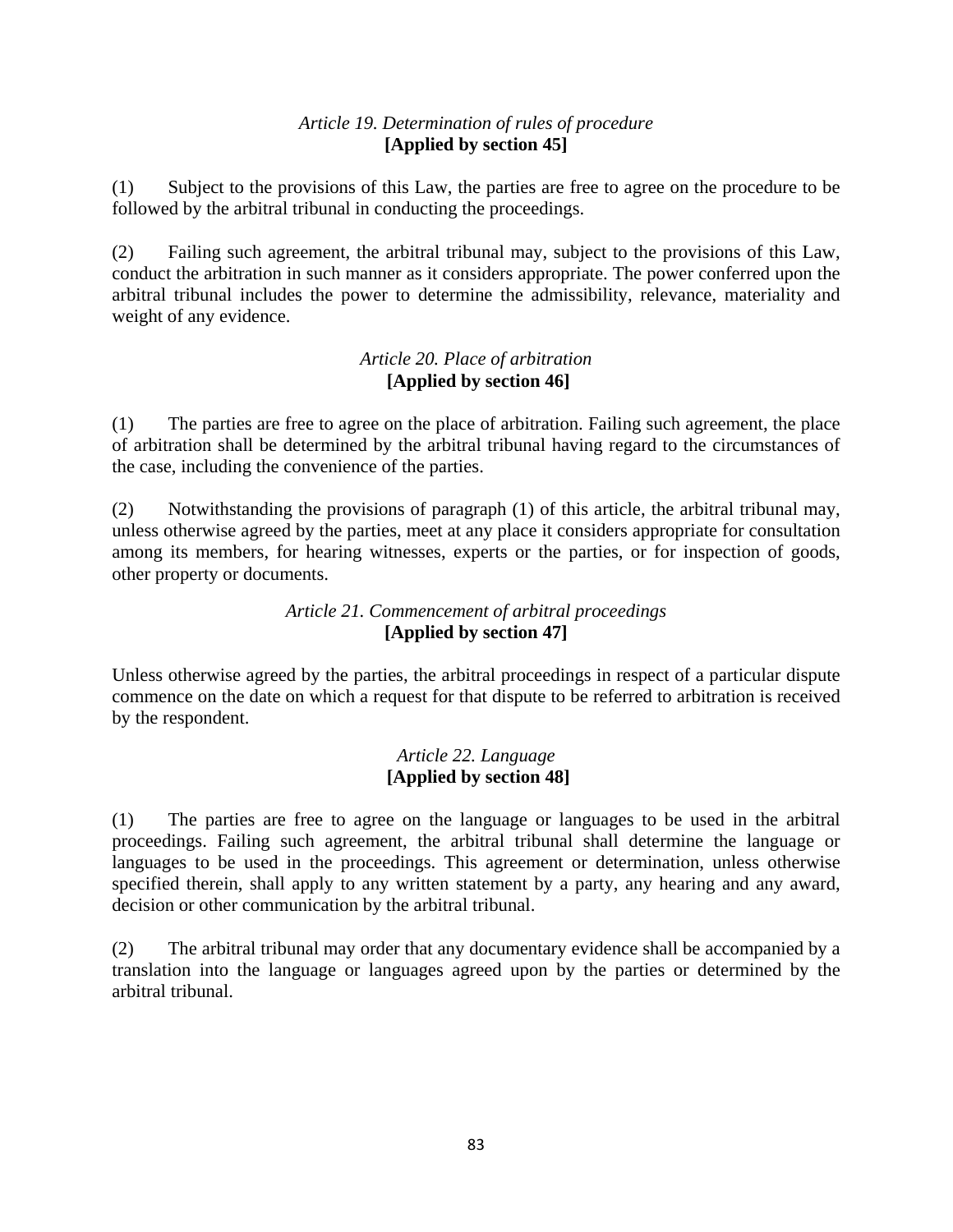#### *Article 19. Determination of rules of procedure*  **[Applied by section 45]**

(1) Subject to the provisions of this Law, the parties are free to agree on the procedure to be followed by the arbitral tribunal in conducting the proceedings.

(2) Failing such agreement, the arbitral tribunal may, subject to the provisions of this Law, conduct the arbitration in such manner as it considers appropriate. The power conferred upon the arbitral tribunal includes the power to determine the admissibility, relevance, materiality and weight of any evidence.

### *Article 20. Place of arbitration*  **[Applied by section 46]**

(1) The parties are free to agree on the place of arbitration. Failing such agreement, the place of arbitration shall be determined by the arbitral tribunal having regard to the circumstances of the case, including the convenience of the parties.

(2) Notwithstanding the provisions of paragraph (1) of this article, the arbitral tribunal may, unless otherwise agreed by the parties, meet at any place it considers appropriate for consultation among its members, for hearing witnesses, experts or the parties, or for inspection of goods, other property or documents.

### *Article 21. Commencement of arbitral proceedings*  **[Applied by section 47]**

Unless otherwise agreed by the parties, the arbitral proceedings in respect of a particular dispute commence on the date on which a request for that dispute to be referred to arbitration is received by the respondent.

#### *Article 22. Language*  **[Applied by section 48]**

(1) The parties are free to agree on the language or languages to be used in the arbitral proceedings. Failing such agreement, the arbitral tribunal shall determine the language or languages to be used in the proceedings. This agreement or determination, unless otherwise specified therein, shall apply to any written statement by a party, any hearing and any award, decision or other communication by the arbitral tribunal.

(2) The arbitral tribunal may order that any documentary evidence shall be accompanied by a translation into the language or languages agreed upon by the parties or determined by the arbitral tribunal.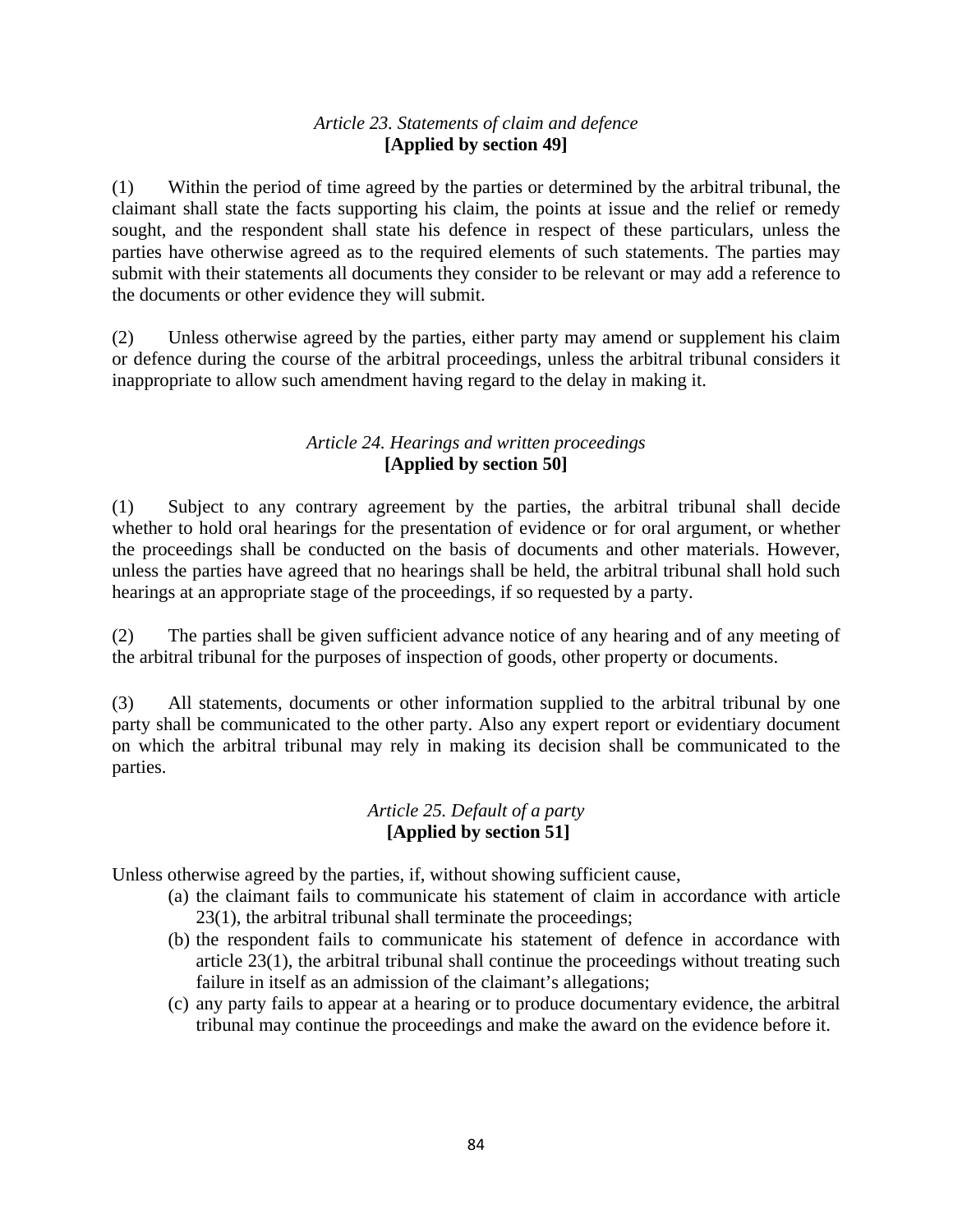#### *Article 23. Statements of claim and defence*  **[Applied by section 49]**

(1) Within the period of time agreed by the parties or determined by the arbitral tribunal, the claimant shall state the facts supporting his claim, the points at issue and the relief or remedy sought, and the respondent shall state his defence in respect of these particulars, unless the parties have otherwise agreed as to the required elements of such statements. The parties may submit with their statements all documents they consider to be relevant or may add a reference to the documents or other evidence they will submit.

(2) Unless otherwise agreed by the parties, either party may amend or supplement his claim or defence during the course of the arbitral proceedings, unless the arbitral tribunal considers it inappropriate to allow such amendment having regard to the delay in making it.

### *Article 24. Hearings and written proceedings*  **[Applied by section 50]**

(1) Subject to any contrary agreement by the parties, the arbitral tribunal shall decide whether to hold oral hearings for the presentation of evidence or for oral argument, or whether the proceedings shall be conducted on the basis of documents and other materials. However, unless the parties have agreed that no hearings shall be held, the arbitral tribunal shall hold such hearings at an appropriate stage of the proceedings, if so requested by a party.

(2) The parties shall be given sufficient advance notice of any hearing and of any meeting of the arbitral tribunal for the purposes of inspection of goods, other property or documents.

(3) All statements, documents or other information supplied to the arbitral tribunal by one party shall be communicated to the other party. Also any expert report or evidentiary document on which the arbitral tribunal may rely in making its decision shall be communicated to the parties.

#### *Article 25. Default of a party*  **[Applied by section 51]**

Unless otherwise agreed by the parties, if, without showing sufficient cause,

- (a) the claimant fails to communicate his statement of claim in accordance with article 23(1), the arbitral tribunal shall terminate the proceedings;
- (b) the respondent fails to communicate his statement of defence in accordance with article 23(1), the arbitral tribunal shall continue the proceedings without treating such failure in itself as an admission of the claimant's allegations;
- (c) any party fails to appear at a hearing or to produce documentary evidence, the arbitral tribunal may continue the proceedings and make the award on the evidence before it.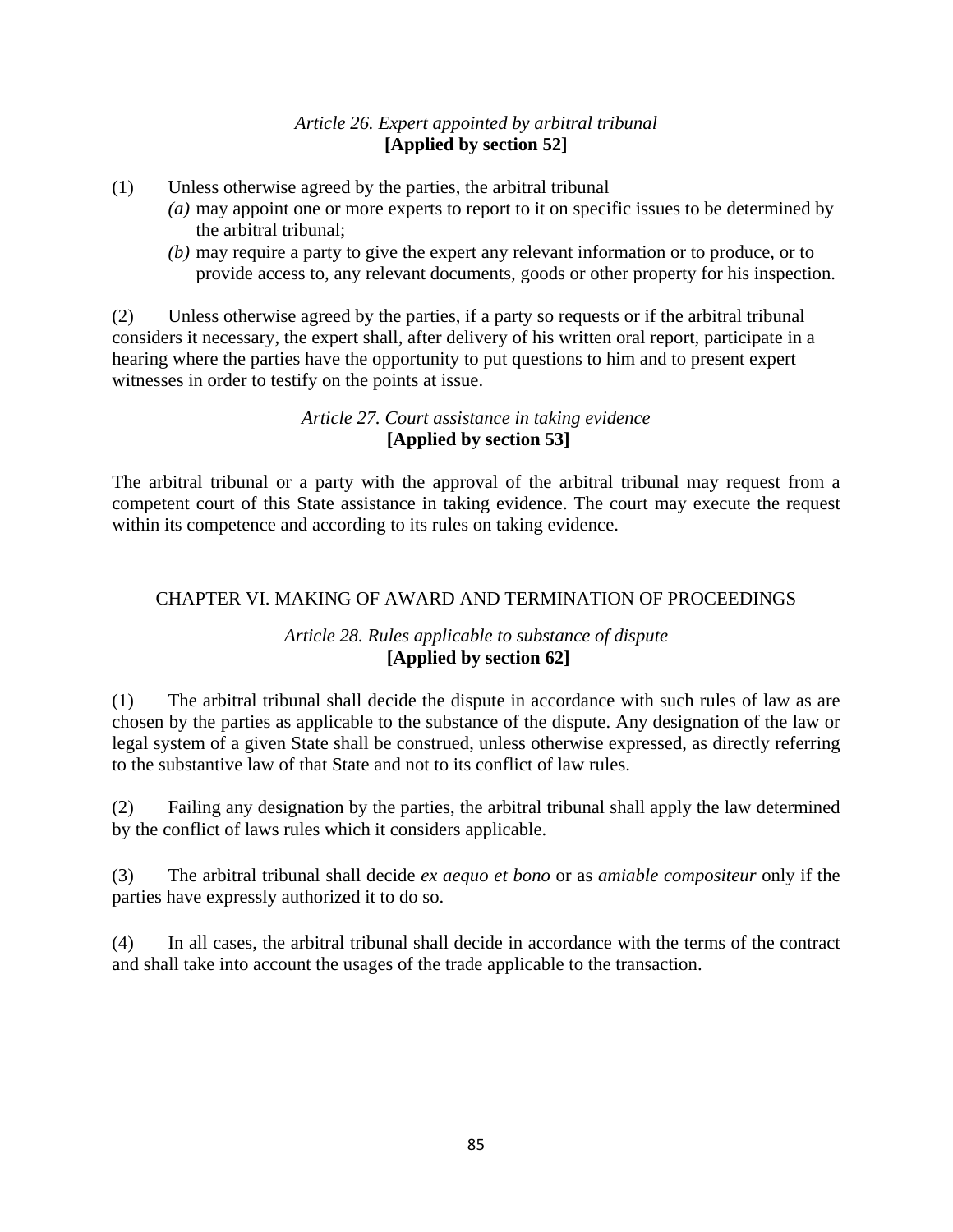### *Article 26. Expert appointed by arbitral tribunal*  **[Applied by section 52]**

- (1) Unless otherwise agreed by the parties, the arbitral tribunal
	- *(a)* may appoint one or more experts to report to it on specific issues to be determined by the arbitral tribunal;
	- *(b)* may require a party to give the expert any relevant information or to produce, or to provide access to, any relevant documents, goods or other property for his inspection.

(2) Unless otherwise agreed by the parties, if a party so requests or if the arbitral tribunal considers it necessary, the expert shall, after delivery of his written oral report, participate in a hearing where the parties have the opportunity to put questions to him and to present expert witnesses in order to testify on the points at issue.

### *Article 27. Court assistance in taking evidence*   **[Applied by section 53]**

The arbitral tribunal or a party with the approval of the arbitral tribunal may request from a competent court of this State assistance in taking evidence. The court may execute the request within its competence and according to its rules on taking evidence.

## CHAPTER VI. MAKING OF AWARD AND TERMINATION OF PROCEEDINGS

## *Article 28. Rules applicable to substance of dispute*   **[Applied by section 62]**

(1) The arbitral tribunal shall decide the dispute in accordance with such rules of law as are chosen by the parties as applicable to the substance of the dispute. Any designation of the law or legal system of a given State shall be construed, unless otherwise expressed, as directly referring to the substantive law of that State and not to its conflict of law rules.

(2) Failing any designation by the parties, the arbitral tribunal shall apply the law determined by the conflict of laws rules which it considers applicable.

(3) The arbitral tribunal shall decide *ex aequo et bono* or as *amiable compositeur* only if the parties have expressly authorized it to do so.

(4) In all cases, the arbitral tribunal shall decide in accordance with the terms of the contract and shall take into account the usages of the trade applicable to the transaction.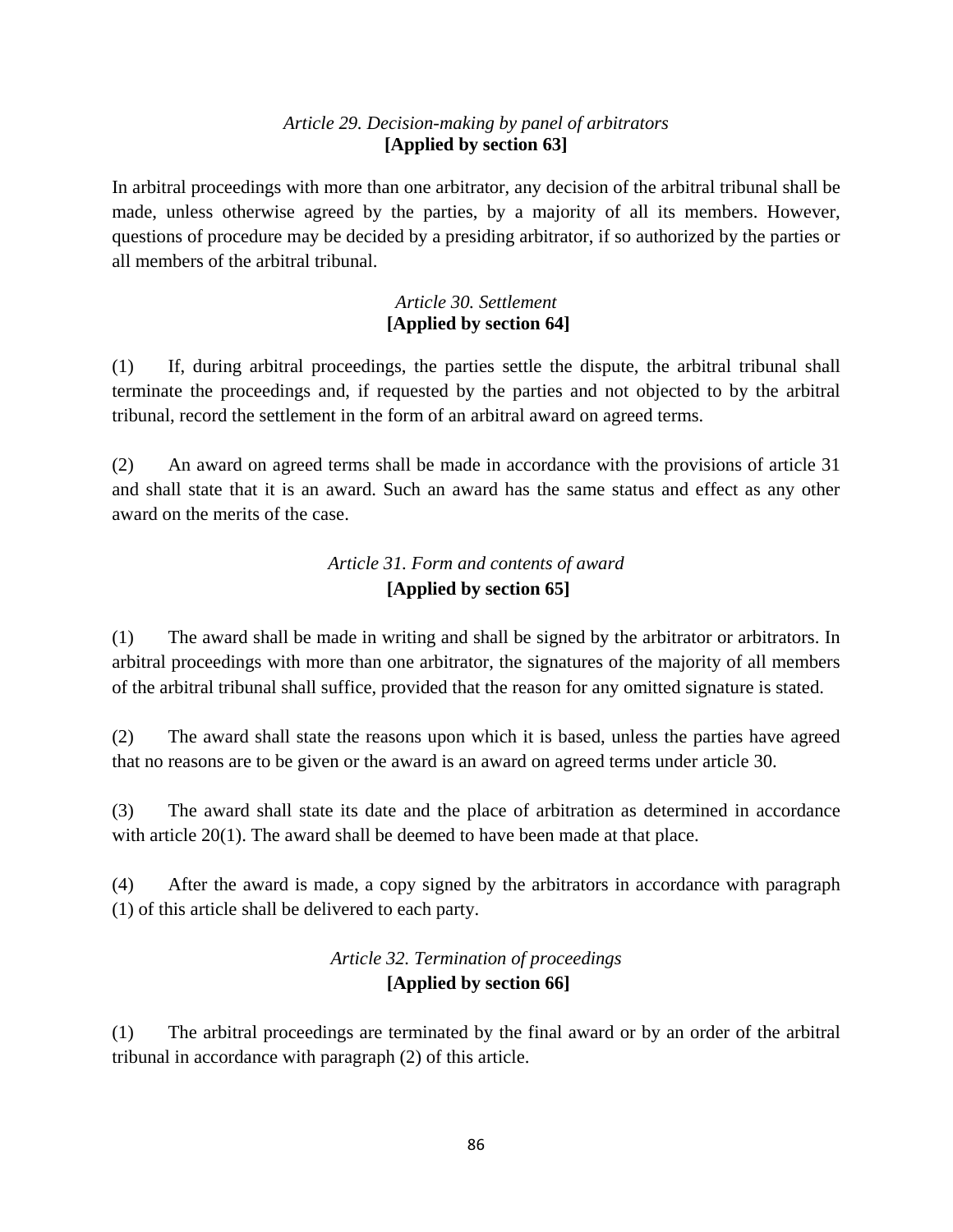#### *Article 29. Decision-making by panel of arbitrators*  **[Applied by section 63]**

In arbitral proceedings with more than one arbitrator, any decision of the arbitral tribunal shall be made, unless otherwise agreed by the parties, by a majority of all its members. However, questions of procedure may be decided by a presiding arbitrator, if so authorized by the parties or all members of the arbitral tribunal.

#### *Article 30. Settlement*  **[Applied by section 64]**

(1) If, during arbitral proceedings, the parties settle the dispute, the arbitral tribunal shall terminate the proceedings and, if requested by the parties and not objected to by the arbitral tribunal, record the settlement in the form of an arbitral award on agreed terms.

(2) An award on agreed terms shall be made in accordance with the provisions of article 31 and shall state that it is an award. Such an award has the same status and effect as any other award on the merits of the case.

# *Article 31. Form and contents of award*  **[Applied by section 65]**

(1) The award shall be made in writing and shall be signed by the arbitrator or arbitrators. In arbitral proceedings with more than one arbitrator, the signatures of the majority of all members of the arbitral tribunal shall suffice, provided that the reason for any omitted signature is stated.

(2) The award shall state the reasons upon which it is based, unless the parties have agreed that no reasons are to be given or the award is an award on agreed terms under article 30.

(3) The award shall state its date and the place of arbitration as determined in accordance with article 20(1). The award shall be deemed to have been made at that place.

(4) After the award is made, a copy signed by the arbitrators in accordance with paragraph (1) of this article shall be delivered to each party.

## *Article 32. Termination of proceedings*  **[Applied by section 66]**

(1) The arbitral proceedings are terminated by the final award or by an order of the arbitral tribunal in accordance with paragraph (2) of this article.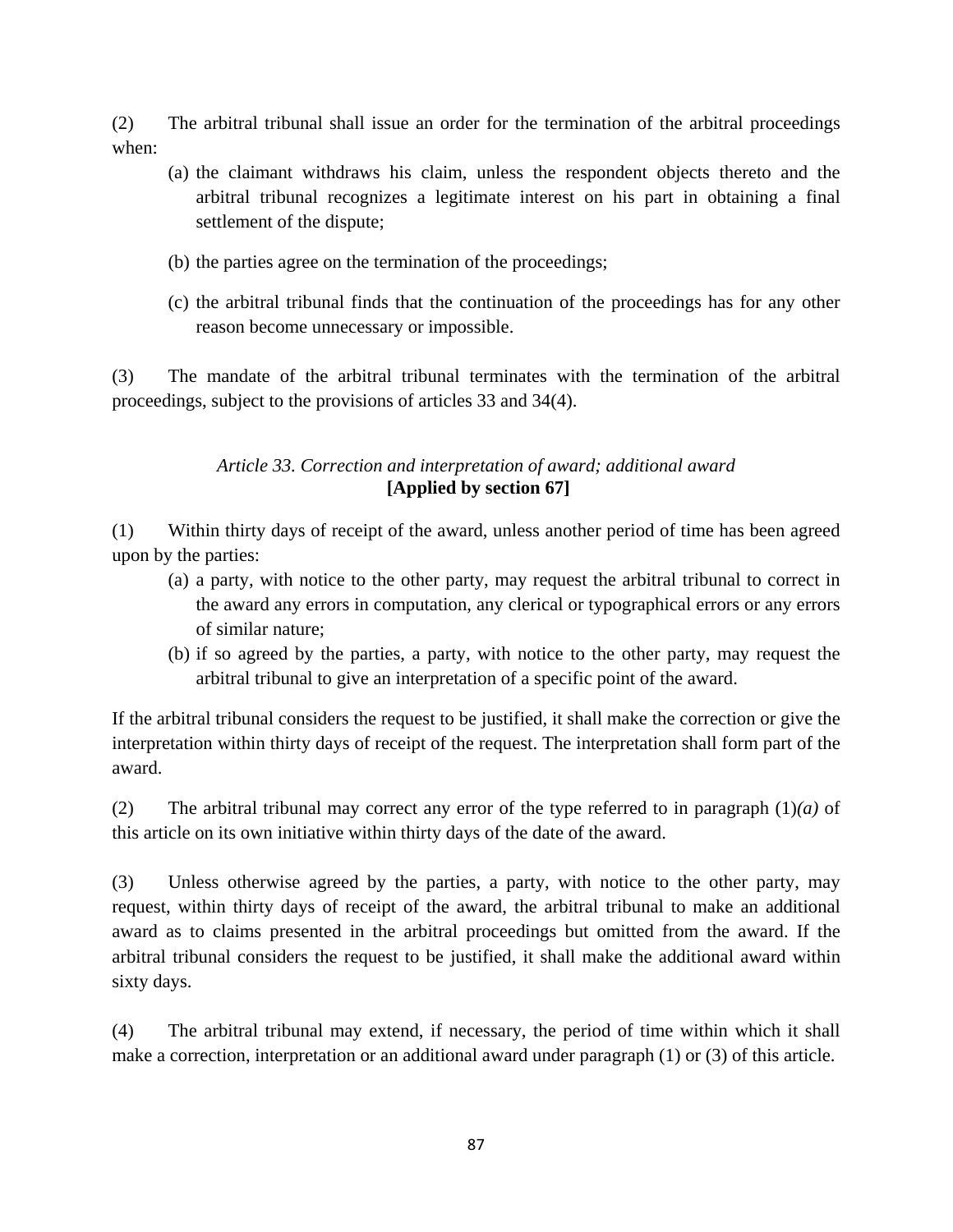(2) The arbitral tribunal shall issue an order for the termination of the arbitral proceedings when:

- (a) the claimant withdraws his claim, unless the respondent objects thereto and the arbitral tribunal recognizes a legitimate interest on his part in obtaining a final settlement of the dispute;
- (b) the parties agree on the termination of the proceedings;
- (c) the arbitral tribunal finds that the continuation of the proceedings has for any other reason become unnecessary or impossible.

(3) The mandate of the arbitral tribunal terminates with the termination of the arbitral proceedings, subject to the provisions of articles 33 and 34(4).

## *Article 33. Correction and interpretation of award; additional award*  **[Applied by section 67]**

(1) Within thirty days of receipt of the award, unless another period of time has been agreed upon by the parties:

- (a) a party, with notice to the other party, may request the arbitral tribunal to correct in the award any errors in computation, any clerical or typographical errors or any errors of similar nature;
- (b) if so agreed by the parties, a party, with notice to the other party, may request the arbitral tribunal to give an interpretation of a specific point of the award.

If the arbitral tribunal considers the request to be justified, it shall make the correction or give the interpretation within thirty days of receipt of the request. The interpretation shall form part of the award.

(2) The arbitral tribunal may correct any error of the type referred to in paragraph (1)*(a)* of this article on its own initiative within thirty days of the date of the award.

(3) Unless otherwise agreed by the parties, a party, with notice to the other party, may request, within thirty days of receipt of the award, the arbitral tribunal to make an additional award as to claims presented in the arbitral proceedings but omitted from the award. If the arbitral tribunal considers the request to be justified, it shall make the additional award within sixty days.

(4) The arbitral tribunal may extend, if necessary, the period of time within which it shall make a correction, interpretation or an additional award under paragraph (1) or (3) of this article.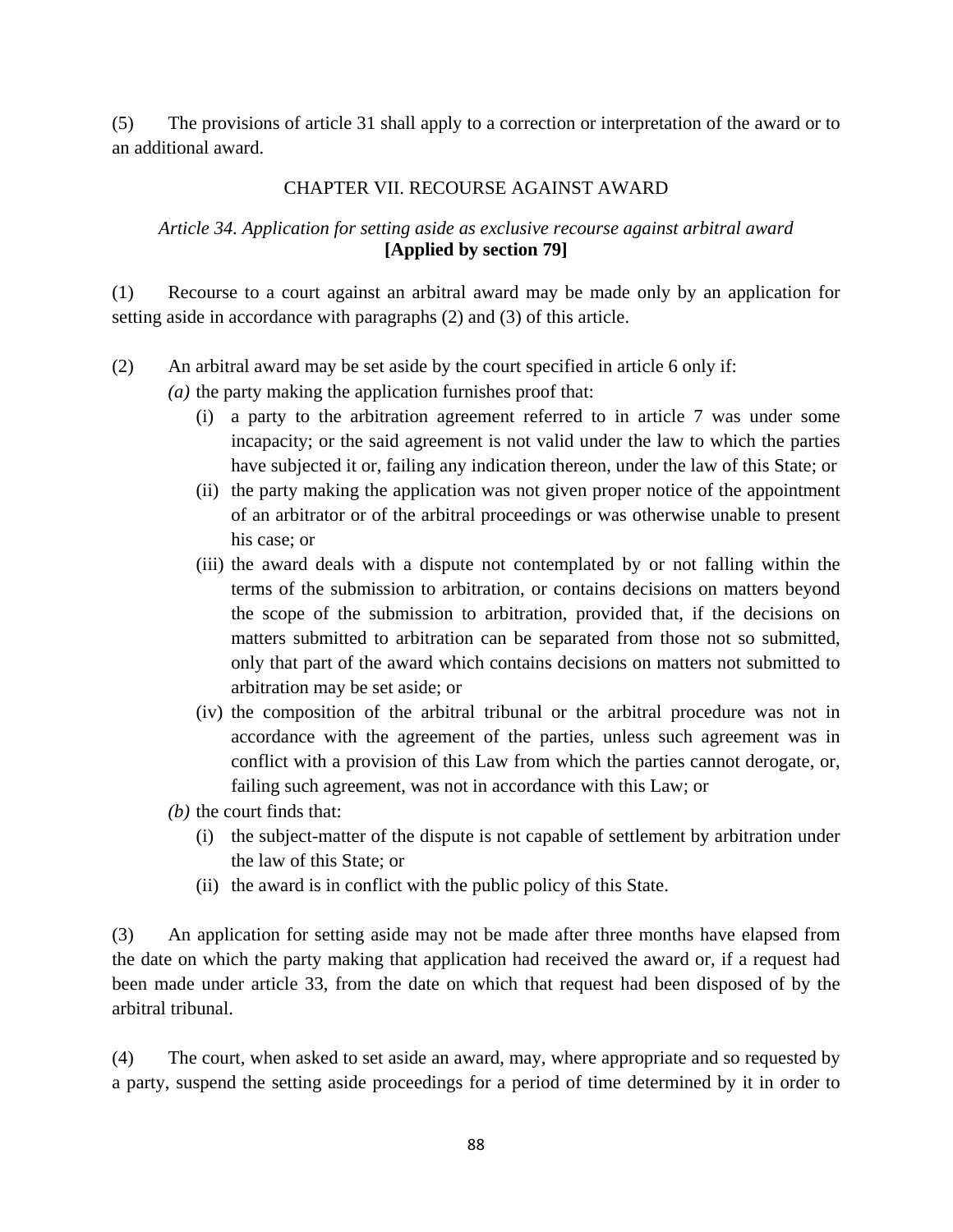(5) The provisions of article 31 shall apply to a correction or interpretation of the award or to an additional award.

### CHAPTER VII. RECOURSE AGAINST AWARD

### *Article 34. Application for setting aside as exclusive recourse against arbitral award* **[Applied by section 79]**

(1) Recourse to a court against an arbitral award may be made only by an application for setting aside in accordance with paragraphs (2) and (3) of this article.

- (2) An arbitral award may be set aside by the court specified in article 6 only if:
	- *(a)* the party making the application furnishes proof that:
		- (i) a party to the arbitration agreement referred to in article 7 was under some incapacity; or the said agreement is not valid under the law to which the parties have subjected it or, failing any indication thereon, under the law of this State; or
		- (ii) the party making the application was not given proper notice of the appointment of an arbitrator or of the arbitral proceedings or was otherwise unable to present his case; or
		- (iii) the award deals with a dispute not contemplated by or not falling within the terms of the submission to arbitration, or contains decisions on matters beyond the scope of the submission to arbitration, provided that, if the decisions on matters submitted to arbitration can be separated from those not so submitted, only that part of the award which contains decisions on matters not submitted to arbitration may be set aside; or
		- (iv) the composition of the arbitral tribunal or the arbitral procedure was not in accordance with the agreement of the parties, unless such agreement was in conflict with a provision of this Law from which the parties cannot derogate, or, failing such agreement, was not in accordance with this Law; or
	- *(b)* the court finds that:
		- (i) the subject-matter of the dispute is not capable of settlement by arbitration under the law of this State; or
		- (ii) the award is in conflict with the public policy of this State.

(3) An application for setting aside may not be made after three months have elapsed from the date on which the party making that application had received the award or, if a request had been made under article 33, from the date on which that request had been disposed of by the arbitral tribunal.

(4) The court, when asked to set aside an award, may, where appropriate and so requested by a party, suspend the setting aside proceedings for a period of time determined by it in order to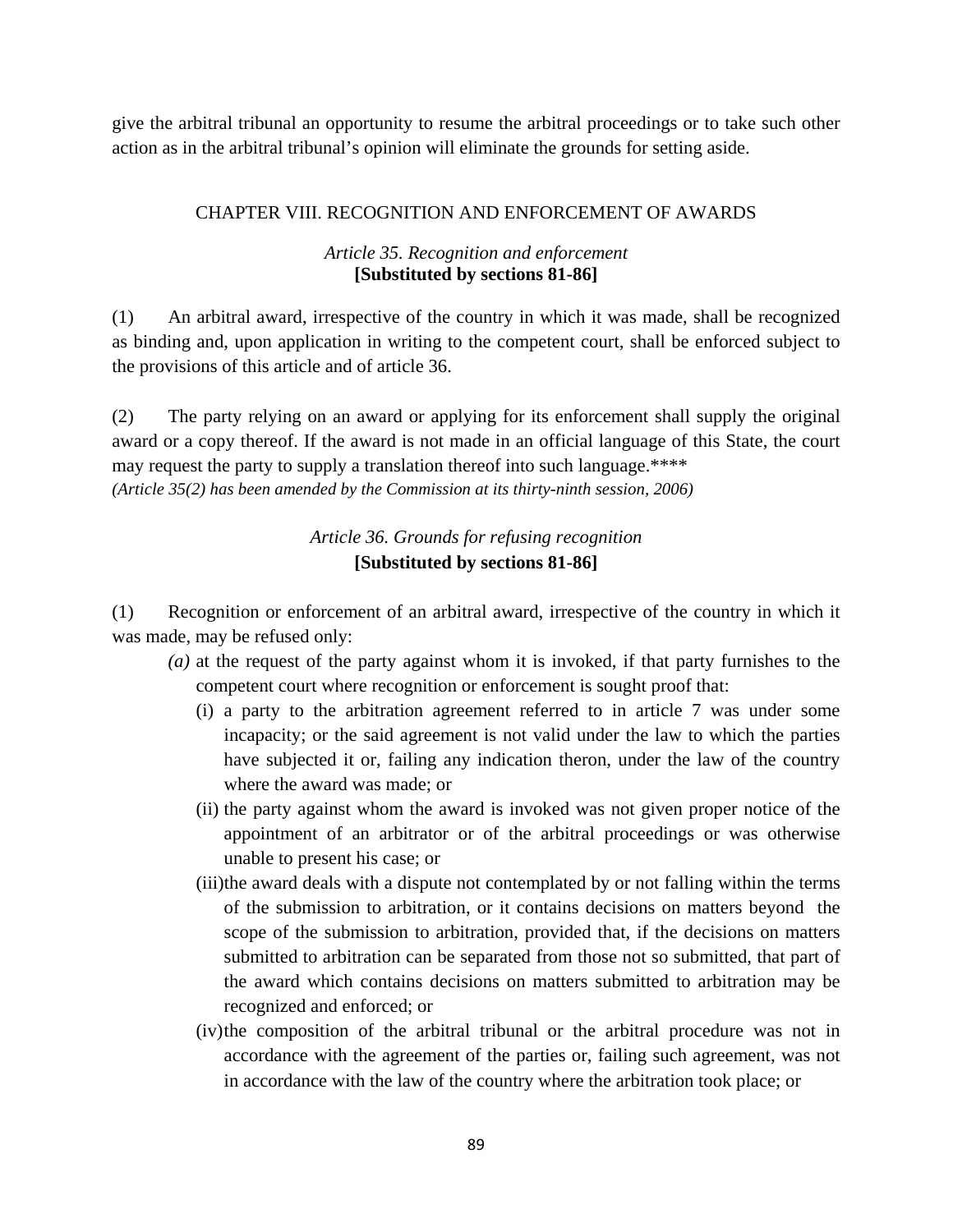give the arbitral tribunal an opportunity to resume the arbitral proceedings or to take such other action as in the arbitral tribunal's opinion will eliminate the grounds for setting aside.

## CHAPTER VIII. RECOGNITION AND ENFORCEMENT OF AWARDS

### *Article 35. Recognition and enforcement*  **[Substituted by sections 81-86]**

(1) An arbitral award, irrespective of the country in which it was made, shall be recognized as binding and, upon application in writing to the competent court, shall be enforced subject to the provisions of this article and of article 36.

(2) The party relying on an award or applying for its enforcement shall supply the original award or a copy thereof. If the award is not made in an official language of this State, the court may request the party to supply a translation thereof into such language.\*\*\*\* *(Article 35(2) has been amended by the Commission at its thirty-ninth session, 2006)* 

## *Article 36. Grounds for refusing recognition*  **[Substituted by sections 81-86]**

(1) Recognition or enforcement of an arbitral award, irrespective of the country in which it was made, may be refused only:

- *(a)* at the request of the party against whom it is invoked, if that party furnishes to the competent court where recognition or enforcement is sought proof that:
	- (i) a party to the arbitration agreement referred to in article 7 was under some incapacity; or the said agreement is not valid under the law to which the parties have subjected it or, failing any indication theron, under the law of the country where the award was made; or
	- (ii) the party against whom the award is invoked was not given proper notice of the appointment of an arbitrator or of the arbitral proceedings or was otherwise unable to present his case; or
	- (iii)the award deals with a dispute not contemplated by or not falling within the terms of the submission to arbitration, or it contains decisions on matters beyond the scope of the submission to arbitration, provided that, if the decisions on matters submitted to arbitration can be separated from those not so submitted, that part of the award which contains decisions on matters submitted to arbitration may be recognized and enforced; or
	- (iv)the composition of the arbitral tribunal or the arbitral procedure was not in accordance with the agreement of the parties or, failing such agreement, was not in accordance with the law of the country where the arbitration took place; or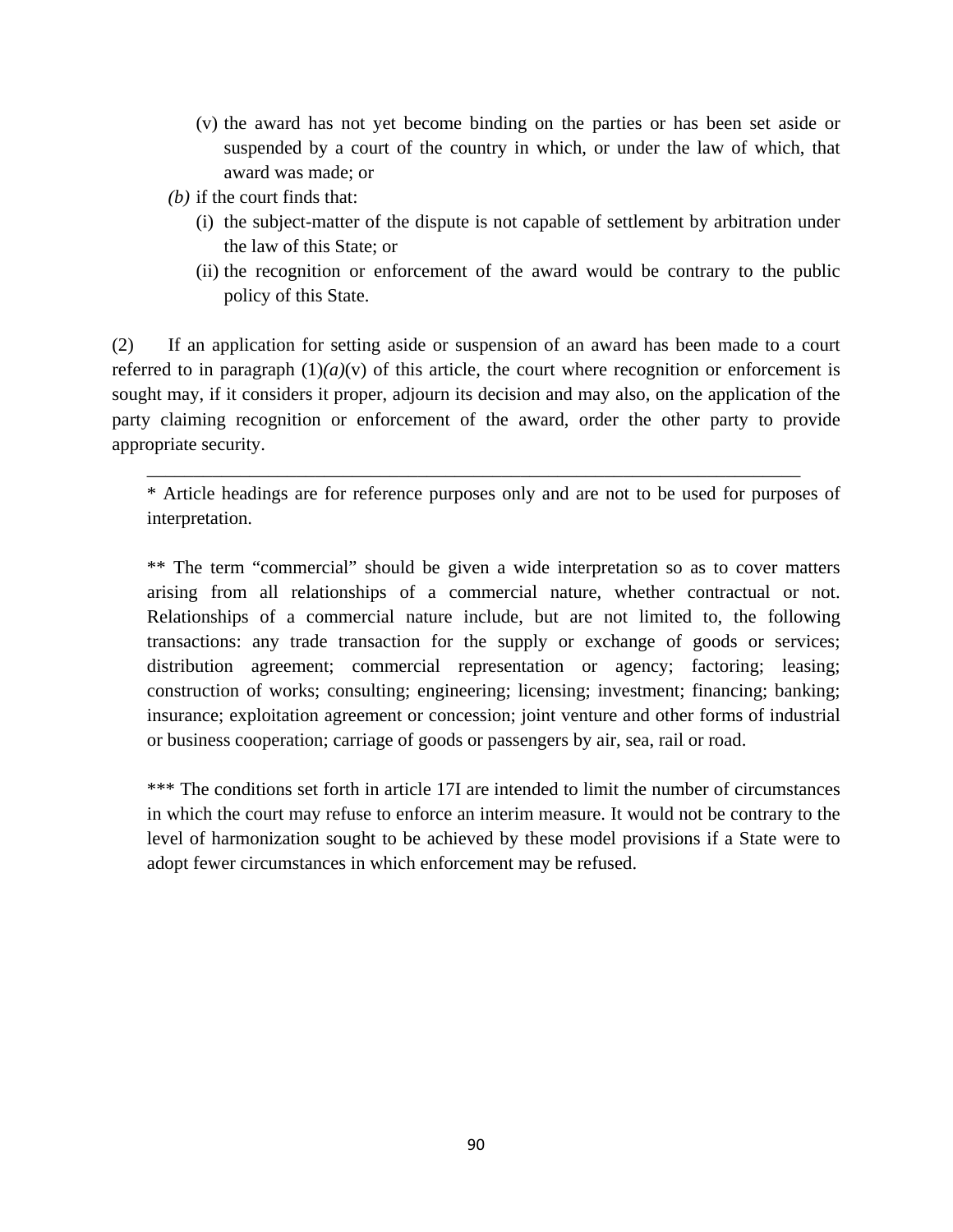- (v) the award has not yet become binding on the parties or has been set aside or suspended by a court of the country in which, or under the law of which, that award was made; or
- *(b)* if the court finds that:
	- (i) the subject-matter of the dispute is not capable of settlement by arbitration under the law of this State; or
	- (ii) the recognition or enforcement of the award would be contrary to the public policy of this State.

(2) If an application for setting aside or suspension of an award has been made to a court referred to in paragraph  $(1)(a)(v)$  of this article, the court where recognition or enforcement is sought may, if it considers it proper, adjourn its decision and may also, on the application of the party claiming recognition or enforcement of the award, order the other party to provide appropriate security.

\_\_\_\_\_\_\_\_\_\_\_\_\_\_\_\_\_\_\_\_\_\_\_\_\_\_\_\_\_\_\_\_\_\_\_\_\_\_\_\_\_\_\_\_\_\_\_\_\_\_\_\_\_\_\_\_\_\_\_\_\_\_\_\_\_\_\_\_\_\_

\* Article headings are for reference purposes only and are not to be used for purposes of interpretation.

\*\* The term "commercial" should be given a wide interpretation so as to cover matters arising from all relationships of a commercial nature, whether contractual or not. Relationships of a commercial nature include, but are not limited to, the following transactions: any trade transaction for the supply or exchange of goods or services; distribution agreement; commercial representation or agency; factoring; leasing; construction of works; consulting; engineering; licensing; investment; financing; banking; insurance; exploitation agreement or concession; joint venture and other forms of industrial or business cooperation; carriage of goods or passengers by air, sea, rail or road.

\*\*\* The conditions set forth in article 17I are intended to limit the number of circumstances in which the court may refuse to enforce an interim measure. It would not be contrary to the level of harmonization sought to be achieved by these model provisions if a State were to adopt fewer circumstances in which enforcement may be refused.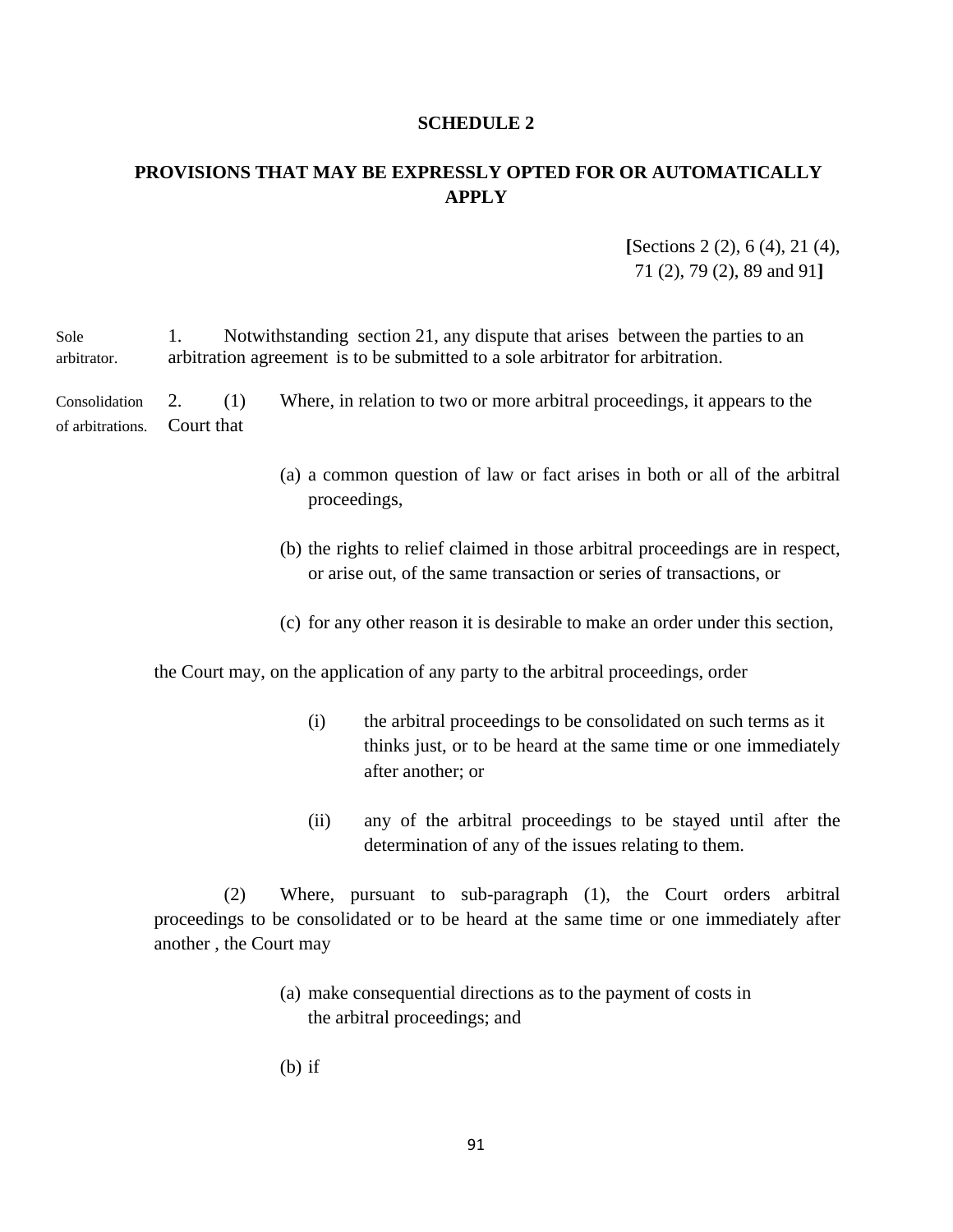#### **SCHEDULE 2**

## **PROVISIONS THAT MAY BE EXPRESSLY OPTED FOR OR AUTOMATICALLY APPLY**

**[**Sections 2 (2), 6 (4), 21 (4), 71 (2), 79 (2), 89 and 91**]** 

Sole 1. Notwithstanding section 21, any dispute that arises between the parties to an arbitrator. arbitration agreement is to be submitted to a sole arbitrator for arbitration.

Consolidation 2. (1) Where, in relation to two or more arbitral proceedings, it appears to the of arbitrations. Court that

- (a) a common question of law or fact arises in both or all of the arbitral proceedings,
- (b) the rights to relief claimed in those arbitral proceedings are in respect, or arise out, of the same transaction or series of transactions, or
- (c) for any other reason it is desirable to make an order under this section,

the Court may, on the application of any party to the arbitral proceedings, order

- (i) the arbitral proceedings to be consolidated on such terms as it thinks just, or to be heard at the same time or one immediately after another; or
- (ii) any of the arbitral proceedings to be stayed until after the determination of any of the issues relating to them.

 (2) Where, pursuant to sub-paragraph (1), the Court orders arbitral proceedings to be consolidated or to be heard at the same time or one immediately after another , the Court may

- (a) make consequential directions as to the payment of costs in the arbitral proceedings; and
- (b) if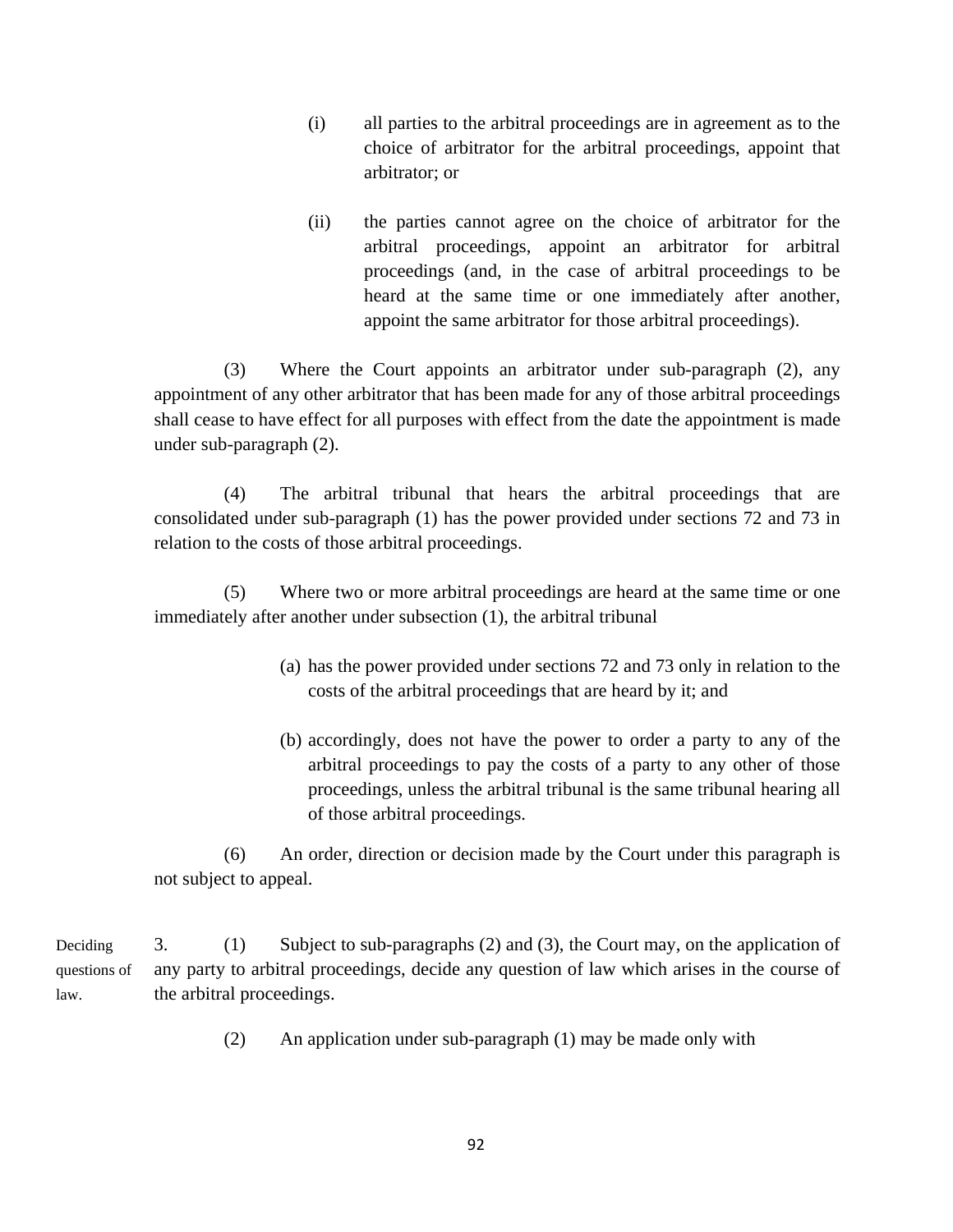- (i) all parties to the arbitral proceedings are in agreement as to the choice of arbitrator for the arbitral proceedings, appoint that arbitrator; or
- (ii) the parties cannot agree on the choice of arbitrator for the arbitral proceedings, appoint an arbitrator for arbitral proceedings (and, in the case of arbitral proceedings to be heard at the same time or one immediately after another, appoint the same arbitrator for those arbitral proceedings).

 (3) Where the Court appoints an arbitrator under sub-paragraph (2), any appointment of any other arbitrator that has been made for any of those arbitral proceedings shall cease to have effect for all purposes with effect from the date the appointment is made under sub-paragraph (2).

 (4) The arbitral tribunal that hears the arbitral proceedings that are consolidated under sub-paragraph (1) has the power provided under sections 72 and 73 in relation to the costs of those arbitral proceedings.

 (5) Where two or more arbitral proceedings are heard at the same time or one immediately after another under subsection (1), the arbitral tribunal

- (a) has the power provided under sections 72 and 73 only in relation to the costs of the arbitral proceedings that are heard by it; and
- (b) accordingly, does not have the power to order a party to any of the arbitral proceedings to pay the costs of a party to any other of those proceedings, unless the arbitral tribunal is the same tribunal hearing all of those arbitral proceedings.

(6) An order, direction or decision made by the Court under this paragraph is not subject to appeal.

Deciding 3. (1) Subject to sub-paragraphs (2) and (3), the Court may, on the application of questions of any party to arbitral proceedings, decide any question of law which arises in the course of law. the arbitral proceedings.

(2) An application under sub-paragraph (1) may be made only with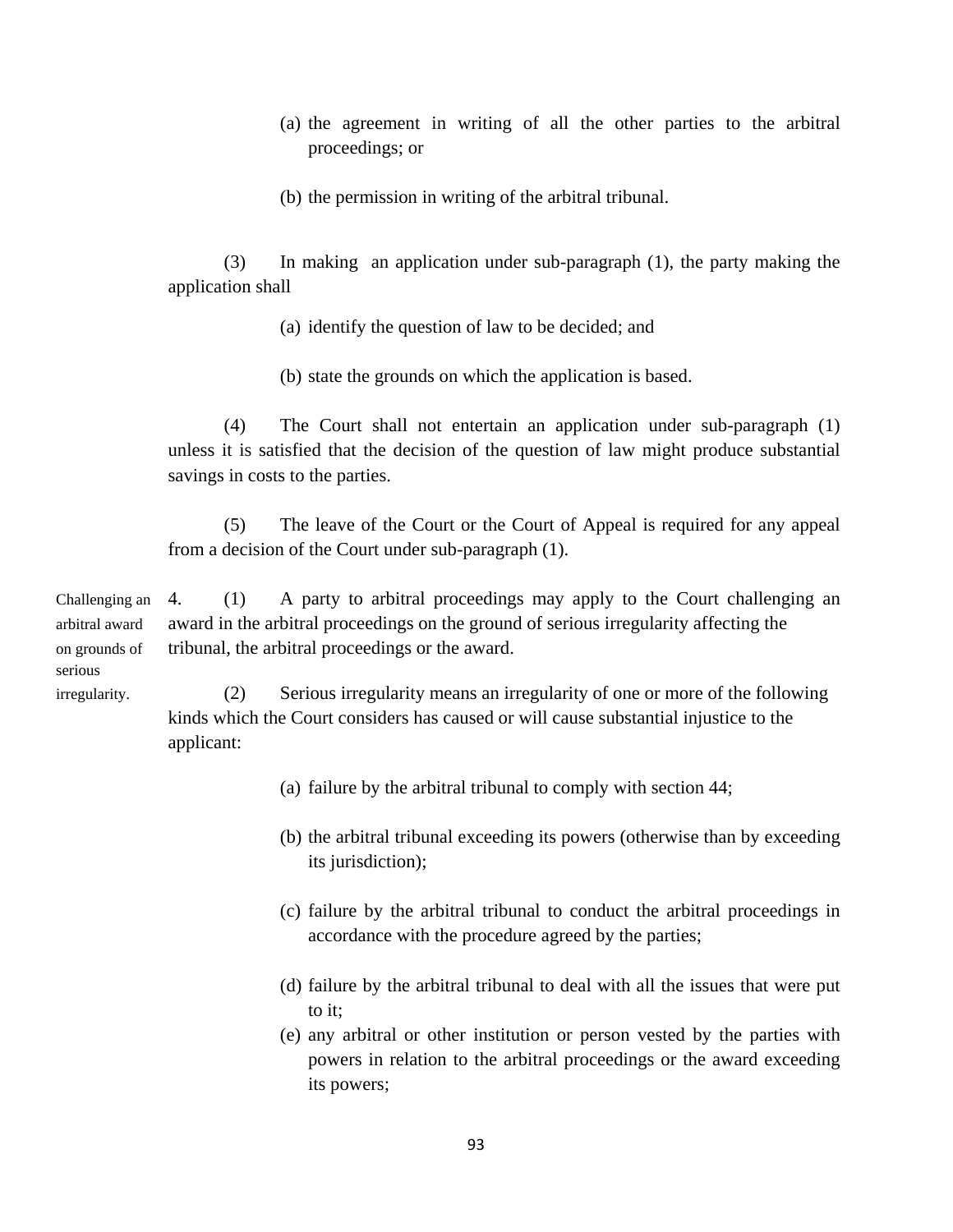- (a) the agreement in writing of all the other parties to the arbitral proceedings; or
- (b) the permission in writing of the arbitral tribunal.

(3) In making an application under sub-paragraph (1), the party making the application shall

(a) identify the question of law to be decided; and

(b) state the grounds on which the application is based.

(4) The Court shall not entertain an application under sub-paragraph (1) unless it is satisfied that the decision of the question of law might produce substantial savings in costs to the parties.

(5) The leave of the Court or the Court of Appeal is required for any appeal from a decision of the Court under sub-paragraph (1).

Challenging an 4. (1) A party to arbitral proceedings may apply to the Court challenging an arbitral award award in the arbitral proceedings on the ground of serious irregularity affecting the on grounds of tribunal, the arbitral proceedings or the award.

serious

irregularity. (2) Serious irregularity means an irregularity of one or more of the following kinds which the Court considers has caused or will cause substantial injustice to the applicant:

- (a) failure by the arbitral tribunal to comply with section 44;
- (b) the arbitral tribunal exceeding its powers (otherwise than by exceeding its jurisdiction);
- (c) failure by the arbitral tribunal to conduct the arbitral proceedings in accordance with the procedure agreed by the parties;
- (d) failure by the arbitral tribunal to deal with all the issues that were put to it;
- (e) any arbitral or other institution or person vested by the parties with powers in relation to the arbitral proceedings or the award exceeding its powers;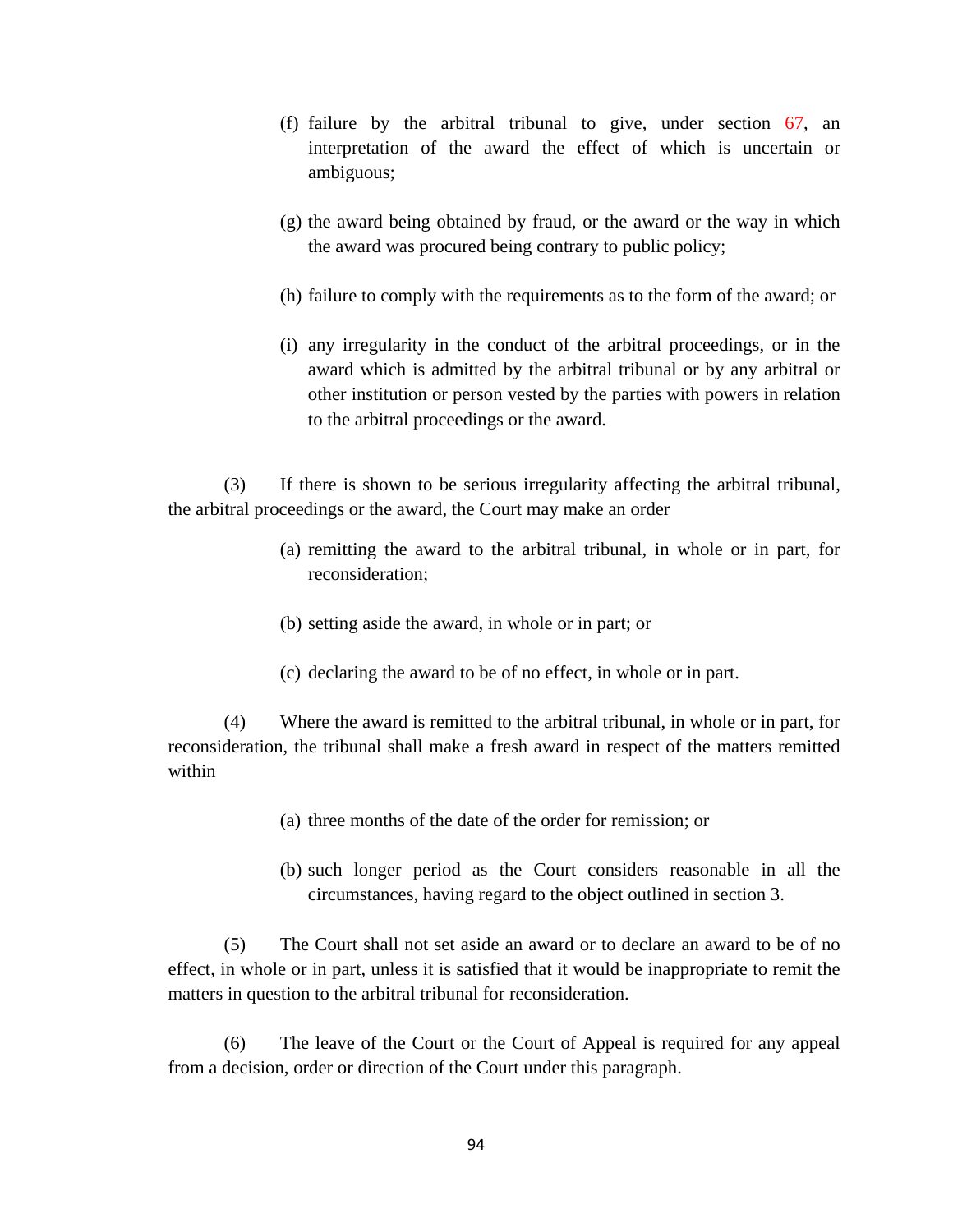- (f) failure by the arbitral tribunal to give, under section 67, an interpretation of the award the effect of which is uncertain or ambiguous;
- (g) the award being obtained by fraud, or the award or the way in which the award was procured being contrary to public policy;
- (h) failure to comply with the requirements as to the form of the award; or
- (i) any irregularity in the conduct of the arbitral proceedings, or in the award which is admitted by the arbitral tribunal or by any arbitral or other institution or person vested by the parties with powers in relation to the arbitral proceedings or the award.

(3) If there is shown to be serious irregularity affecting the arbitral tribunal, the arbitral proceedings or the award, the Court may make an order

- (a) remitting the award to the arbitral tribunal, in whole or in part, for reconsideration;
- (b) setting aside the award, in whole or in part; or
- (c) declaring the award to be of no effect, in whole or in part.

(4) Where the award is remitted to the arbitral tribunal, in whole or in part, for reconsideration, the tribunal shall make a fresh award in respect of the matters remitted within

- (a) three months of the date of the order for remission; or
- (b) such longer period as the Court considers reasonable in all the circumstances, having regard to the object outlined in section 3.

(5) The Court shall not set aside an award or to declare an award to be of no effect, in whole or in part, unless it is satisfied that it would be inappropriate to remit the matters in question to the arbitral tribunal for reconsideration.

(6) The leave of the Court or the Court of Appeal is required for any appeal from a decision, order or direction of the Court under this paragraph.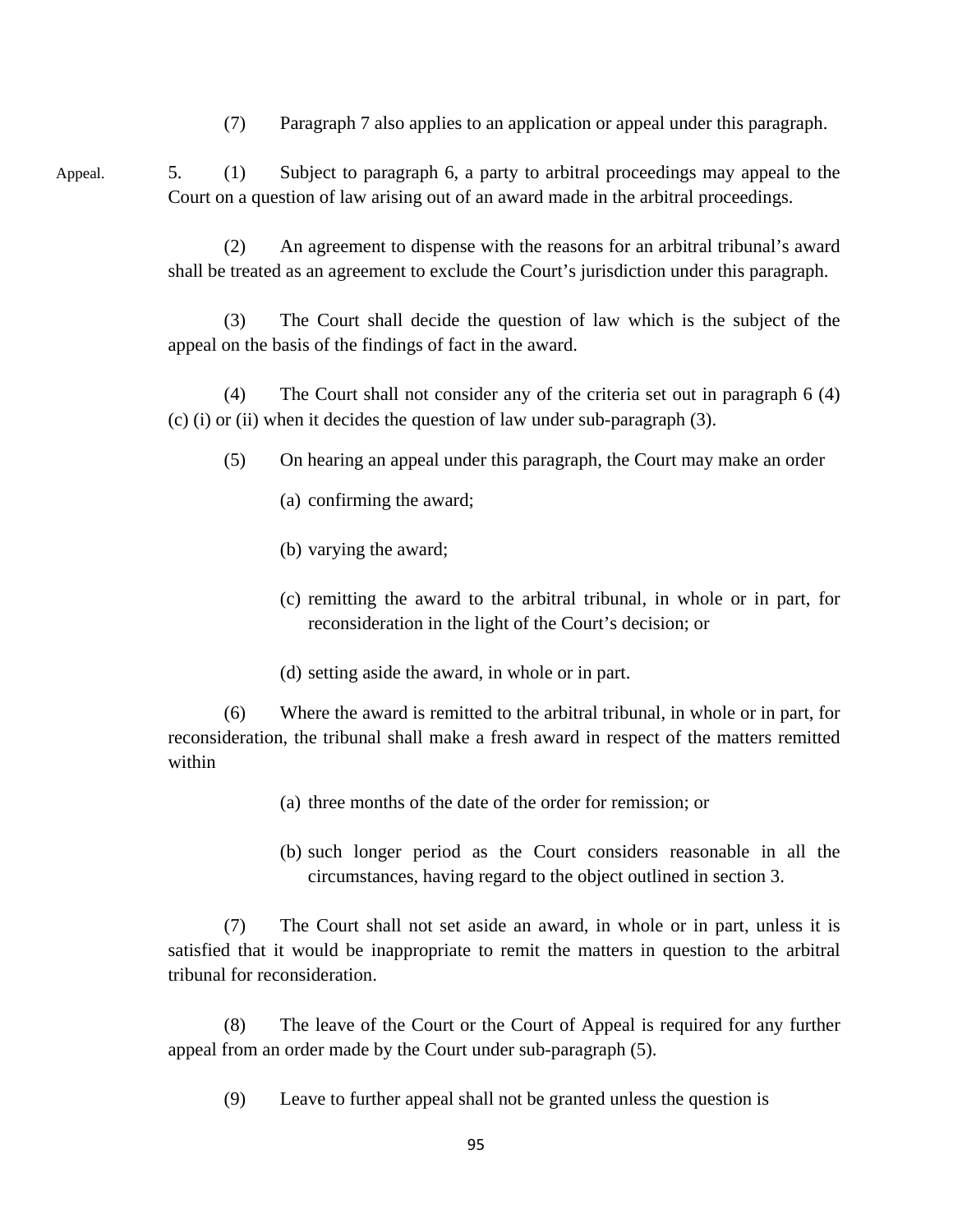(7) Paragraph 7 also applies to an application or appeal under this paragraph.

Appeal. **5.** (1) Subject to paragraph 6, a party to arbitral proceedings may appeal to the Court on a question of law arising out of an award made in the arbitral proceedings.

> (2) An agreement to dispense with the reasons for an arbitral tribunal's award shall be treated as an agreement to exclude the Court's jurisdiction under this paragraph.

> (3) The Court shall decide the question of law which is the subject of the appeal on the basis of the findings of fact in the award.

> (4) The Court shall not consider any of the criteria set out in paragraph 6 (4) (c) (i) or (ii) when it decides the question of law under sub-paragraph (3).

- (5) On hearing an appeal under this paragraph, the Court may make an order
	- (a) confirming the award;
	- (b) varying the award;
	- (c) remitting the award to the arbitral tribunal, in whole or in part, for reconsideration in the light of the Court's decision; or
	- (d) setting aside the award, in whole or in part.

(6) Where the award is remitted to the arbitral tribunal, in whole or in part, for reconsideration, the tribunal shall make a fresh award in respect of the matters remitted within

- (a) three months of the date of the order for remission; or
- (b) such longer period as the Court considers reasonable in all the circumstances, having regard to the object outlined in section 3.

(7) The Court shall not set aside an award, in whole or in part, unless it is satisfied that it would be inappropriate to remit the matters in question to the arbitral tribunal for reconsideration.

(8) The leave of the Court or the Court of Appeal is required for any further appeal from an order made by the Court under sub-paragraph (5).

(9) Leave to further appeal shall not be granted unless the question is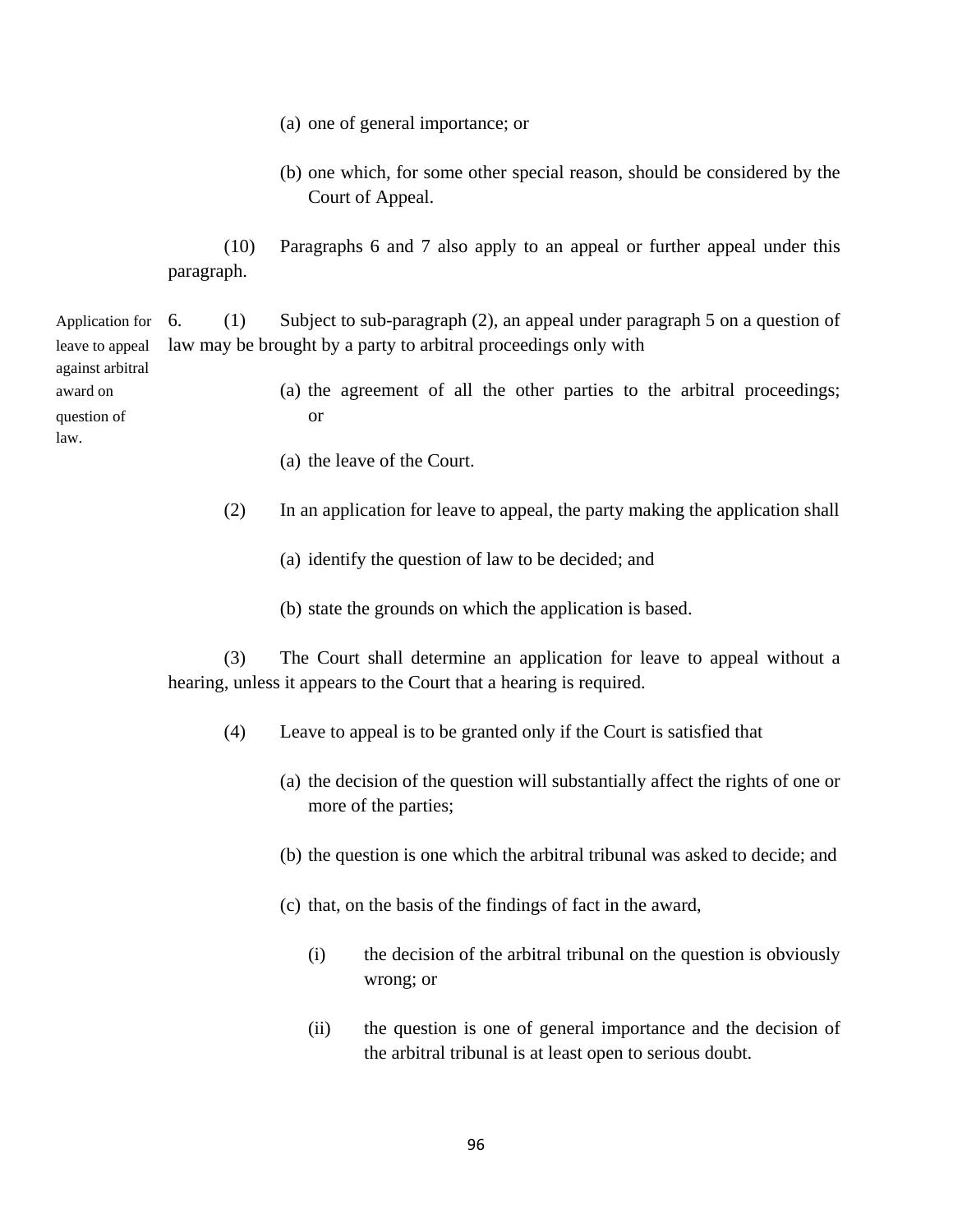- (a) one of general importance; or
- (b) one which, for some other special reason, should be considered by the Court of Appeal.

(10) Paragraphs 6 and 7 also apply to an appeal or further appeal under this paragraph.

Application for 6. (1) Subject to sub-paragraph (2), an appeal under paragraph 5 on a question of leave to appeal law may be brought by a party to arbitral proceedings only with against arbitral award on (a) the agreement of all the other parties to the arbitral proceedings; question of or law. (a) the leave of the Court.

(2) In an application for leave to appeal, the party making the application shall

(a) identify the question of law to be decided; and

(b) state the grounds on which the application is based.

 (3) The Court shall determine an application for leave to appeal without a hearing, unless it appears to the Court that a hearing is required.

- (4) Leave to appeal is to be granted only if the Court is satisfied that
	- (a) the decision of the question will substantially affect the rights of one or more of the parties;
	- (b) the question is one which the arbitral tribunal was asked to decide; and
	- (c) that, on the basis of the findings of fact in the award,
		- (i) the decision of the arbitral tribunal on the question is obviously wrong; or
		- (ii) the question is one of general importance and the decision of the arbitral tribunal is at least open to serious doubt.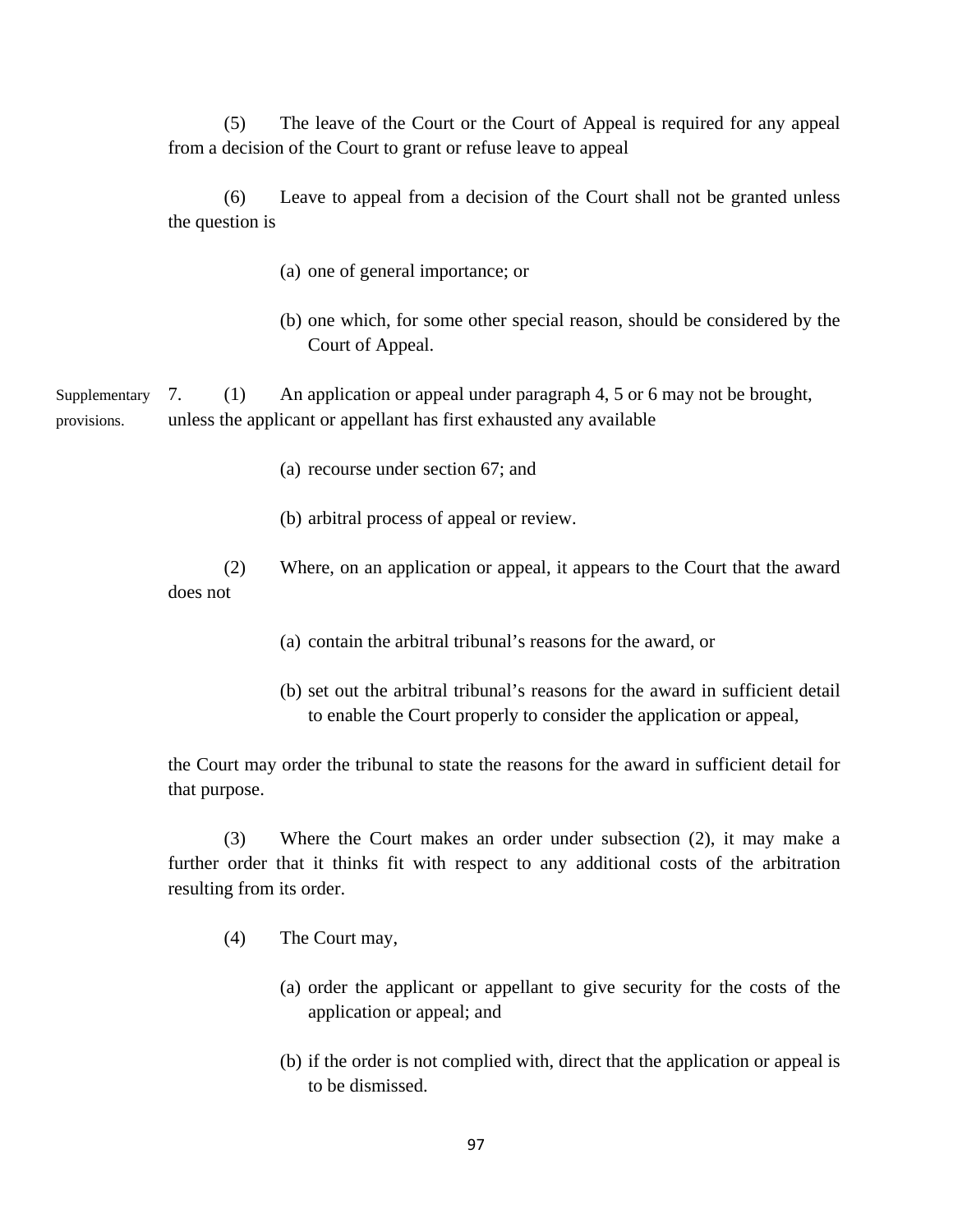(5) The leave of the Court or the Court of Appeal is required for any appeal from a decision of the Court to grant or refuse leave to appeal

(6) Leave to appeal from a decision of the Court shall not be granted unless the question is

- (a) one of general importance; or
- (b) one which, for some other special reason, should be considered by the Court of Appeal.

Supplementary 7. (1) An application or appeal under paragraph 4, 5 or 6 may not be brought, provisions. unless the applicant or appellant has first exhausted any available

- (a) recourse under section 67; and
- (b) arbitral process of appeal or review.

 (2) Where, on an application or appeal, it appears to the Court that the award does not

- (a) contain the arbitral tribunal's reasons for the award, or
- (b) set out the arbitral tribunal's reasons for the award in sufficient detail to enable the Court properly to consider the application or appeal,

the Court may order the tribunal to state the reasons for the award in sufficient detail for that purpose.

 (3) Where the Court makes an order under subsection (2), it may make a further order that it thinks fit with respect to any additional costs of the arbitration resulting from its order.

- (4) The Court may,
	- (a) order the applicant or appellant to give security for the costs of the application or appeal; and
	- (b) if the order is not complied with, direct that the application or appeal is to be dismissed.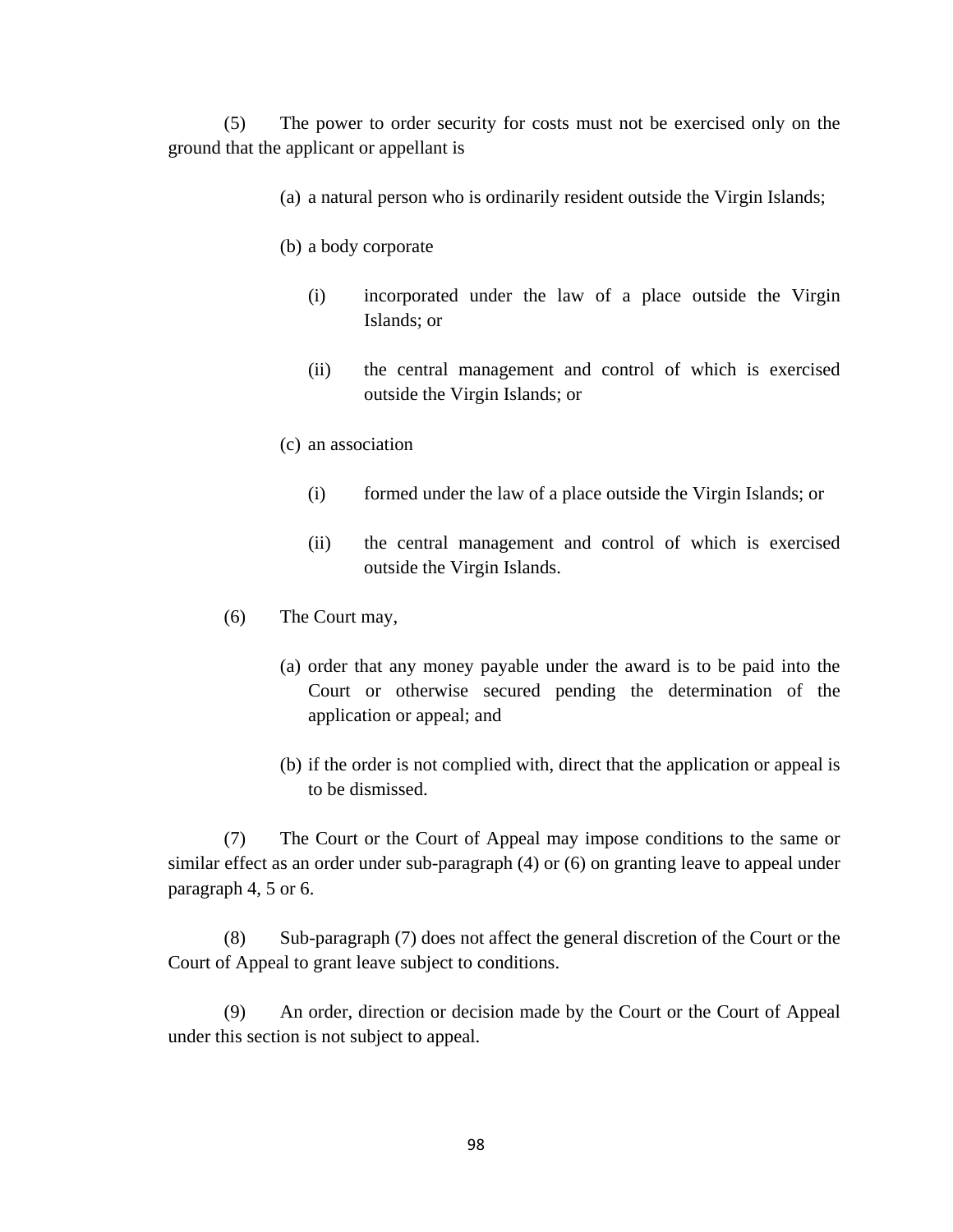(5) The power to order security for costs must not be exercised only on the ground that the applicant or appellant is

- (a) a natural person who is ordinarily resident outside the Virgin Islands;
- (b) a body corporate
	- (i) incorporated under the law of a place outside the Virgin Islands; or
	- (ii) the central management and control of which is exercised outside the Virgin Islands; or
- (c) an association
	- (i) formed under the law of a place outside the Virgin Islands; or
	- (ii) the central management and control of which is exercised outside the Virgin Islands.
- (6) The Court may,
	- (a) order that any money payable under the award is to be paid into the Court or otherwise secured pending the determination of the application or appeal; and
	- (b) if the order is not complied with, direct that the application or appeal is to be dismissed.

 (7) The Court or the Court of Appeal may impose conditions to the same or similar effect as an order under sub-paragraph (4) or (6) on granting leave to appeal under paragraph 4, 5 or 6.

 (8) Sub-paragraph (7) does not affect the general discretion of the Court or the Court of Appeal to grant leave subject to conditions.

 (9) An order, direction or decision made by the Court or the Court of Appeal under this section is not subject to appeal.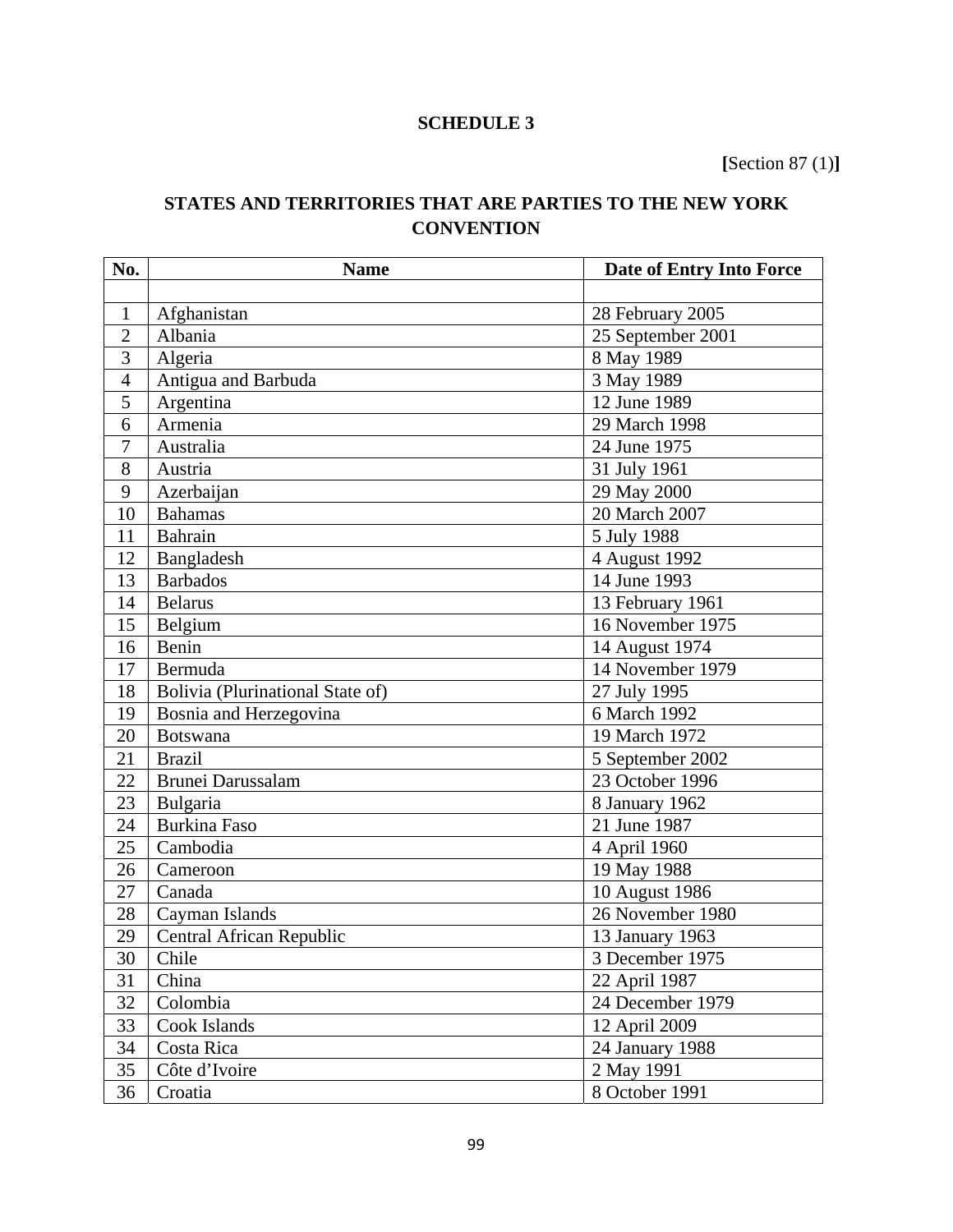## **SCHEDULE 3**

**[**Section 87 (1)**]** 

# **STATES AND TERRITORIES THAT ARE PARTIES TO THE NEW YORK CONVENTION**

| No.            | <b>Name</b>                      | Date of Entry Into Force |
|----------------|----------------------------------|--------------------------|
|                |                                  |                          |
| $\mathbf{1}$   | Afghanistan                      | 28 February 2005         |
| $\overline{2}$ | Albania                          | 25 September 2001        |
| 3              | Algeria                          | 8 May 1989               |
| 4              | Antigua and Barbuda              | 3 May 1989               |
| 5              | Argentina                        | 12 June 1989             |
| 6              | Armenia                          | 29 March 1998            |
| $\overline{7}$ | Australia                        | 24 June 1975             |
| 8              | Austria                          | 31 July 1961             |
| 9              | Azerbaijan                       | 29 May 2000              |
| 10             | <b>Bahamas</b>                   | 20 March 2007            |
| 11             | Bahrain                          | 5 July 1988              |
| 12             | Bangladesh                       | 4 August 1992            |
| 13             | <b>Barbados</b>                  | 14 June 1993             |
| 14             | <b>Belarus</b>                   | 13 February 1961         |
| 15             | Belgium                          | 16 November 1975         |
| 16             | Benin                            | 14 August 1974           |
| 17             | Bermuda                          | 14 November 1979         |
| 18             | Bolivia (Plurinational State of) | 27 July 1995             |
| 19             | Bosnia and Herzegovina           | 6 March 1992             |
| 20             | <b>Botswana</b>                  | 19 March 1972            |
| 21             | <b>Brazil</b>                    | 5 September 2002         |
| 22             | <b>Brunei Darussalam</b>         | 23 October 1996          |
| 23             | Bulgaria                         | 8 January 1962           |
| 24             | <b>Burkina Faso</b>              | 21 June 1987             |
| 25             | Cambodia                         | 4 April 1960             |
| 26             | Cameroon                         | 19 May 1988              |
| 27             | Canada                           | 10 August 1986           |
| 28             | Cayman Islands                   | 26 November 1980         |
| 29             | Central African Republic         | 13 January 1963          |
| 30             | Chile                            | 3 December 1975          |
| 31             | China                            | 22 April 1987            |
| 32             | Colombia                         | 24 December 1979         |
| 33             | Cook Islands                     | 12 April 2009            |
| 34             | Costa Rica                       | 24 January 1988          |
| 35             | Côte d'Ivoire                    | 2 May 1991               |
| 36             | Croatia                          | 8 October 1991           |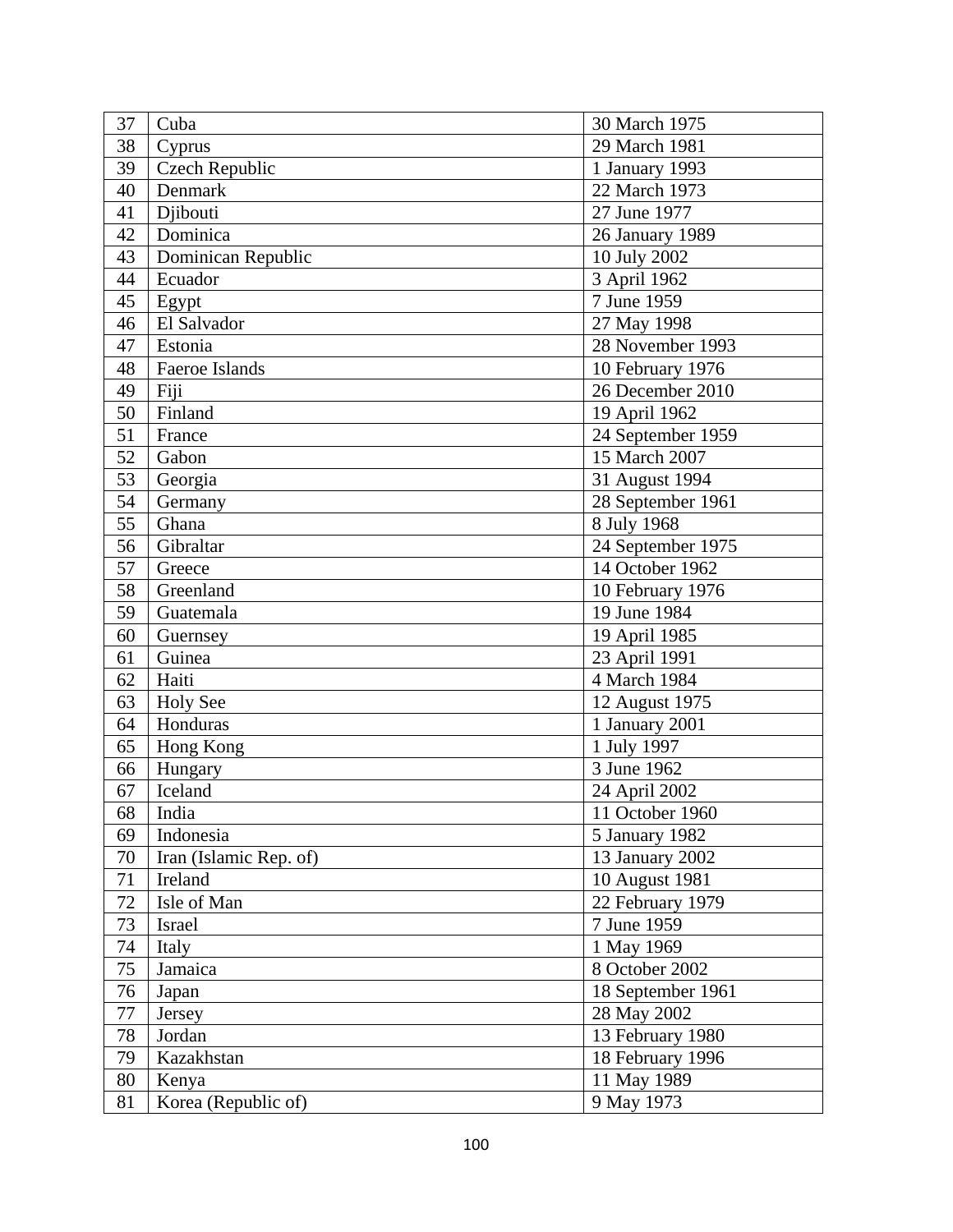| 37 | Cuba                   | 30 March 1975     |
|----|------------------------|-------------------|
| 38 | Cyprus                 | 29 March 1981     |
| 39 | Czech Republic         | 1 January 1993    |
| 40 | Denmark                | 22 March 1973     |
| 41 | Djibouti               | 27 June 1977      |
| 42 | Dominica               | 26 January 1989   |
| 43 | Dominican Republic     | 10 July 2002      |
| 44 | Ecuador                | 3 April 1962      |
| 45 | Egypt                  | 7 June 1959       |
| 46 | El Salvador            | 27 May 1998       |
| 47 | Estonia                | 28 November 1993  |
| 48 | Faeroe Islands         | 10 February 1976  |
| 49 | Fiji                   | 26 December 2010  |
| 50 | Finland                | 19 April 1962     |
| 51 | France                 | 24 September 1959 |
| 52 | Gabon                  | 15 March 2007     |
| 53 | Georgia                | 31 August 1994    |
| 54 | Germany                | 28 September 1961 |
| 55 | Ghana                  | 8 July 1968       |
| 56 | Gibraltar              | 24 September 1975 |
| 57 | Greece                 | 14 October 1962   |
| 58 | Greenland              | 10 February 1976  |
| 59 | Guatemala              | 19 June 1984      |
| 60 | Guernsey               | 19 April 1985     |
| 61 | Guinea                 | 23 April 1991     |
| 62 | Haiti                  | 4 March 1984      |
| 63 | <b>Holy See</b>        | 12 August 1975    |
| 64 | Honduras               | 1 January 2001    |
| 65 | Hong Kong              | 1 July 1997       |
| 66 | Hungary                | 3 June 1962       |
| 67 | Iceland                | 24 April 2002     |
| 68 | India                  | 11 October 1960   |
| 69 | Indonesia              | 5 January 1982    |
| 70 | Iran (Islamic Rep. of) | 13 January 2002   |
| 71 | Ireland                | 10 August 1981    |
| 72 | Isle of Man            | 22 February 1979  |
| 73 | Israel                 | 7 June 1959       |
| 74 | Italy                  | 1 May 1969        |
| 75 | Jamaica                | 8 October 2002    |
| 76 | Japan                  | 18 September 1961 |
| 77 | Jersey                 | 28 May 2002       |
| 78 | Jordan                 | 13 February 1980  |
| 79 | Kazakhstan             | 18 February 1996  |
| 80 | Kenya                  | 11 May 1989       |
| 81 | Korea (Republic of)    | 9 May 1973        |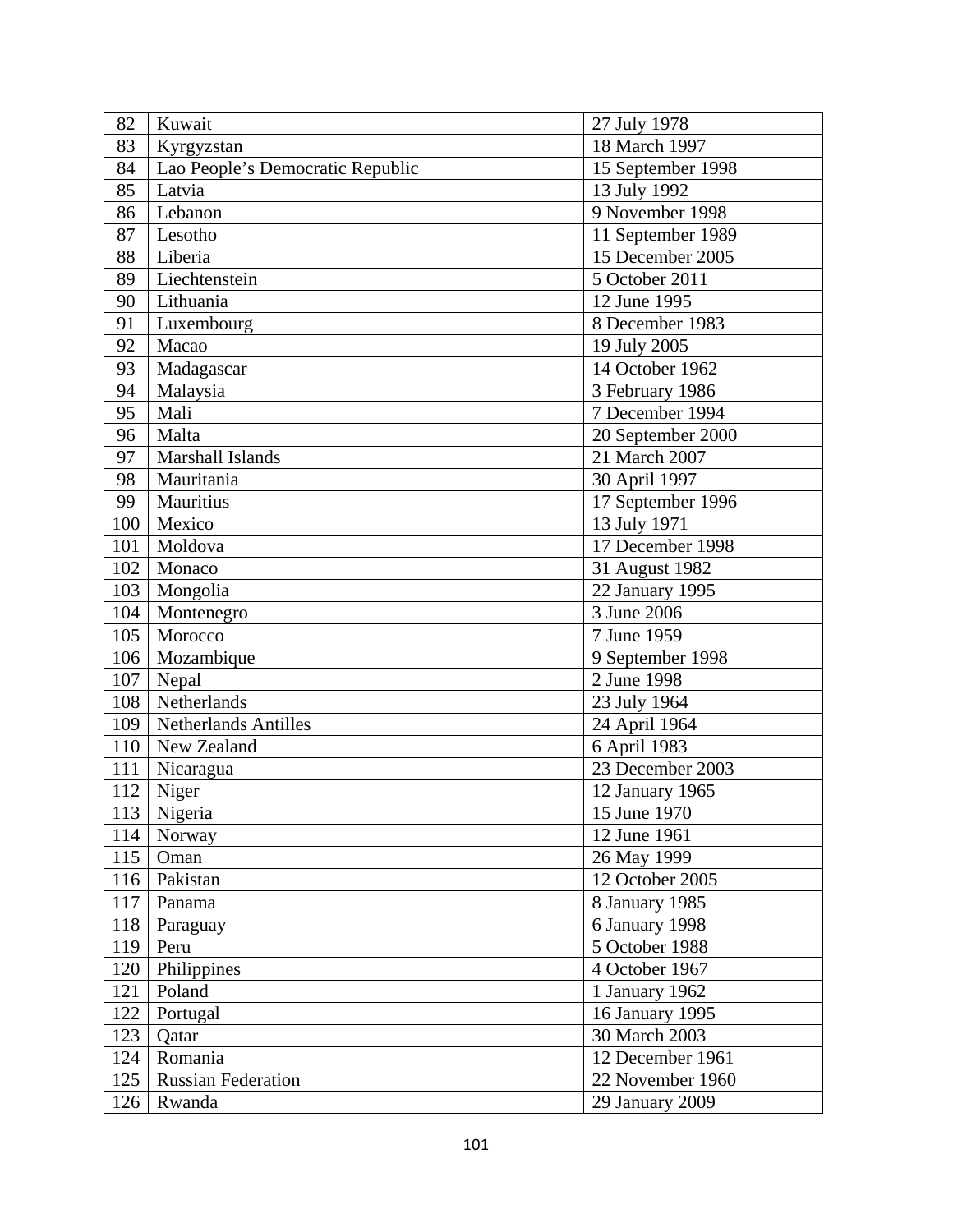| 82  | Kuwait                           | 27 July 1978      |
|-----|----------------------------------|-------------------|
| 83  | Kyrgyzstan                       | 18 March 1997     |
| 84  | Lao People's Democratic Republic | 15 September 1998 |
| 85  | Latvia                           | 13 July 1992      |
| 86  | Lebanon                          | 9 November 1998   |
| 87  | Lesotho                          | 11 September 1989 |
| 88  | Liberia                          | 15 December 2005  |
| 89  | Liechtenstein                    | 5 October 2011    |
| 90  | Lithuania                        | 12 June 1995      |
| 91  | Luxembourg                       | 8 December 1983   |
| 92  | Macao                            | 19 July 2005      |
| 93  | Madagascar                       | 14 October 1962   |
| 94  | Malaysia                         | 3 February 1986   |
| 95  | Mali                             | 7 December 1994   |
| 96  | Malta                            | 20 September 2000 |
| 97  | Marshall Islands                 | 21 March 2007     |
| 98  | Mauritania                       | 30 April 1997     |
| 99  | Mauritius                        | 17 September 1996 |
| 100 | Mexico                           | 13 July 1971      |
| 101 | Moldova                          | 17 December 1998  |
| 102 | Monaco                           | 31 August 1982    |
| 103 | Mongolia                         | 22 January 1995   |
| 104 | Montenegro                       | 3 June 2006       |
| 105 | Morocco                          | 7 June 1959       |
| 106 | Mozambique                       | 9 September 1998  |
| 107 | Nepal                            | 2 June 1998       |
| 108 | Netherlands                      | 23 July 1964      |
| 109 | Netherlands Antilles             | 24 April 1964     |
| 110 | New Zealand                      | 6 April 1983      |
| 111 | Nicaragua                        | 23 December 2003  |
| 112 | Niger                            | 12 January 1965   |
|     | 113 Nigeria                      | 15 June 1970      |
| 114 | Norway                           | 12 June 1961      |
| 115 | Oman                             | 26 May 1999       |
| 116 | Pakistan                         | 12 October 2005   |
| 117 | Panama                           | 8 January 1985    |
| 118 | Paraguay                         | 6 January 1998    |
| 119 | Peru                             | 5 October 1988    |
| 120 | Philippines                      | 4 October 1967    |
| 121 | Poland                           | 1 January 1962    |
| 122 | Portugal                         | 16 January 1995   |
| 123 | Qatar                            | 30 March 2003     |
| 124 | Romania                          | 12 December 1961  |
| 125 | <b>Russian Federation</b>        | 22 November 1960  |
| 126 | Rwanda                           | 29 January 2009   |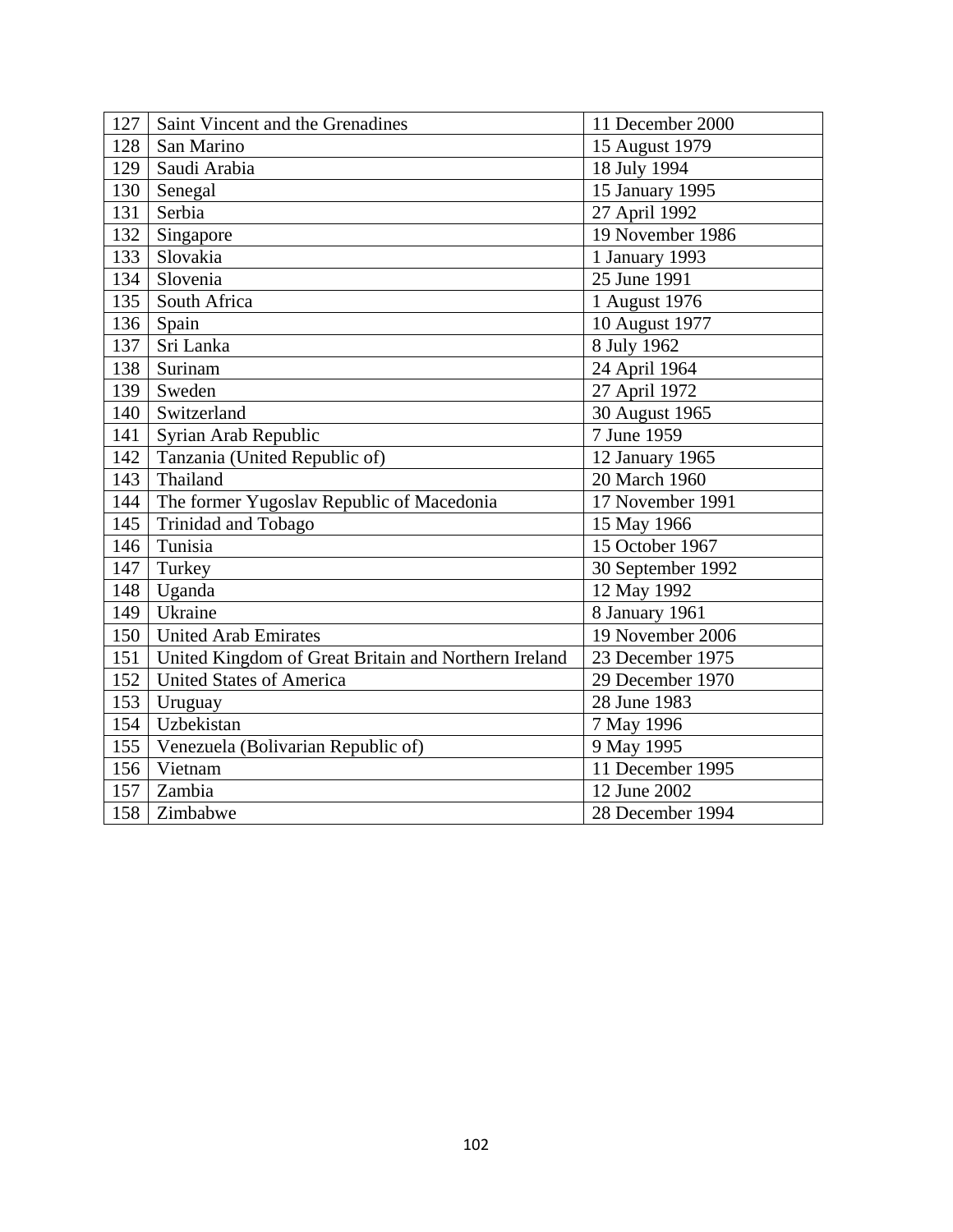| 127 | Saint Vincent and the Grenadines                     | 11 December 2000  |
|-----|------------------------------------------------------|-------------------|
| 128 | San Marino                                           | 15 August 1979    |
| 129 | Saudi Arabia                                         | 18 July 1994      |
| 130 | Senegal                                              | 15 January 1995   |
| 131 | Serbia                                               | 27 April 1992     |
| 132 | Singapore                                            | 19 November 1986  |
| 133 | Slovakia                                             | 1 January 1993    |
| 134 | Slovenia                                             | 25 June 1991      |
| 135 | South Africa                                         | 1 August 1976     |
| 136 | Spain                                                | 10 August 1977    |
| 137 | Sri Lanka                                            | 8 July 1962       |
| 138 | Surinam                                              | 24 April 1964     |
| 139 | Sweden                                               | 27 April 1972     |
| 140 | Switzerland                                          | 30 August 1965    |
| 141 | Syrian Arab Republic                                 | 7 June 1959       |
| 142 | Tanzania (United Republic of)                        | 12 January 1965   |
| 143 | Thailand                                             | 20 March 1960     |
| 144 | The former Yugoslav Republic of Macedonia            | 17 November 1991  |
| 145 | Trinidad and Tobago                                  | 15 May 1966       |
| 146 | Tunisia                                              | 15 October 1967   |
| 147 | Turkey                                               | 30 September 1992 |
| 148 | Uganda                                               | 12 May 1992       |
| 149 | Ukraine                                              | 8 January 1961    |
| 150 | <b>United Arab Emirates</b>                          | 19 November 2006  |
| 151 | United Kingdom of Great Britain and Northern Ireland | 23 December 1975  |
| 152 | <b>United States of America</b>                      | 29 December 1970  |
| 153 | Uruguay                                              | 28 June 1983      |
| 154 | Uzbekistan                                           | 7 May 1996        |
| 155 | Venezuela (Bolivarian Republic of)                   | 9 May 1995        |
| 156 | Vietnam                                              | 11 December 1995  |
| 157 | Zambia                                               | 12 June 2002      |
| 158 | Zimbabwe                                             | 28 December 1994  |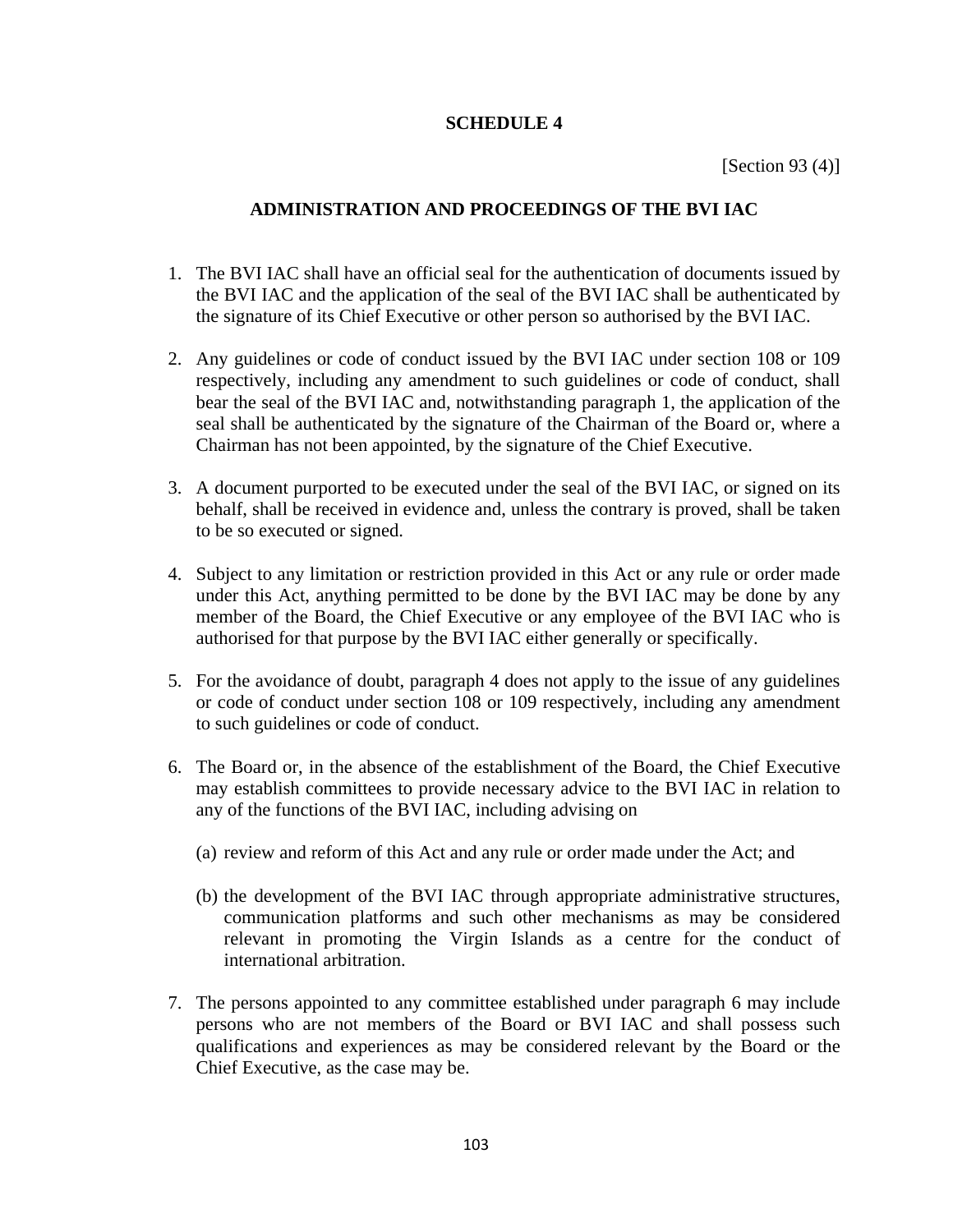#### **SCHEDULE 4**

 $[Section 93 (4)]$ 

#### **ADMINISTRATION AND PROCEEDINGS OF THE BVI IAC**

- 1. The BVI IAC shall have an official seal for the authentication of documents issued by the BVI IAC and the application of the seal of the BVI IAC shall be authenticated by the signature of its Chief Executive or other person so authorised by the BVI IAC.
- 2. Any guidelines or code of conduct issued by the BVI IAC under section 108 or 109 respectively, including any amendment to such guidelines or code of conduct, shall bear the seal of the BVI IAC and, notwithstanding paragraph 1, the application of the seal shall be authenticated by the signature of the Chairman of the Board or, where a Chairman has not been appointed, by the signature of the Chief Executive.
- 3. A document purported to be executed under the seal of the BVI IAC, or signed on its behalf, shall be received in evidence and, unless the contrary is proved, shall be taken to be so executed or signed.
- 4. Subject to any limitation or restriction provided in this Act or any rule or order made under this Act, anything permitted to be done by the BVI IAC may be done by any member of the Board, the Chief Executive or any employee of the BVI IAC who is authorised for that purpose by the BVI IAC either generally or specifically.
- 5. For the avoidance of doubt, paragraph 4 does not apply to the issue of any guidelines or code of conduct under section 108 or 109 respectively, including any amendment to such guidelines or code of conduct.
- 6. The Board or, in the absence of the establishment of the Board, the Chief Executive may establish committees to provide necessary advice to the BVI IAC in relation to any of the functions of the BVI IAC, including advising on
	- (a) review and reform of this Act and any rule or order made under the Act; and
	- (b) the development of the BVI IAC through appropriate administrative structures, communication platforms and such other mechanisms as may be considered relevant in promoting the Virgin Islands as a centre for the conduct of international arbitration.
- 7. The persons appointed to any committee established under paragraph 6 may include persons who are not members of the Board or BVI IAC and shall possess such qualifications and experiences as may be considered relevant by the Board or the Chief Executive, as the case may be.